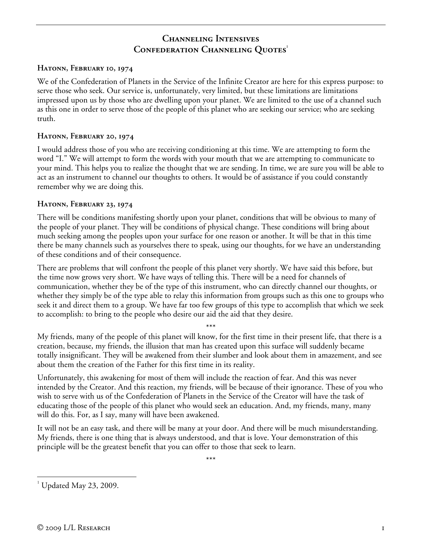# **Channeling Intensives CONFEDERATION CHANNELING QUOTES**<sup>1</sup>

#### **Hatonn, February 10, 1974**

We of the Confederation of Planets in the Service of the Infinite Creator are here for this express purpose: to serve those who seek. Our service is, unfortunately, very limited, but these limitations are limitations impressed upon us by those who are dwelling upon your planet. We are limited to the use of a channel such as this one in order to serve those of the people of this planet who are seeking our service; who are seeking truth.

#### **Hatonn, February 20, 1974**

I would address those of you who are receiving conditioning at this time. We are attempting to form the word "I." We will attempt to form the words with your mouth that we are attempting to communicate to your mind. This helps you to realize the thought that we are sending. In time, we are sure you will be able to act as an instrument to channel our thoughts to others. It would be of assistance if you could constantly remember why we are doing this.

#### **Hatonn, February 23, 1974**

There will be conditions manifesting shortly upon your planet, conditions that will be obvious to many of the people of your planet. They will be conditions of physical change. These conditions will bring about much seeking among the peoples upon your surface for one reason or another. It will be that in this time there be many channels such as yourselves there to speak, using our thoughts, for we have an understanding of these conditions and of their consequence.

There are problems that will confront the people of this planet very shortly. We have said this before, but the time now grows very short. We have ways of telling this. There will be a need for channels of communication, whether they be of the type of this instrument, who can directly channel our thoughts, or whether they simply be of the type able to relay this information from groups such as this one to groups who seek it and direct them to a group. We have far too few groups of this type to accomplish that which we seek to accomplish: to bring to the people who desire our aid the aid that they desire.

\*\*\* My friends, many of the people of this planet will know, for the first time in their present life, that there is a creation, because, my friends, the illusion that man has created upon this surface will suddenly became totally insignificant. They will be awakened from their slumber and look about them in amazement, and see about them the creation of the Father for this first time in its reality.

Unfortunately, this awakening for most of them will include the reaction of fear. And this was never intended by the Creator. And this reaction, my friends, will be because of their ignorance. These of you who wish to serve with us of the Confederation of Planets in the Service of the Creator will have the task of educating those of the people of this planet who would seek an education. And, my friends, many, many will do this. For, as I say, many will have been awakened.

It will not be an easy task, and there will be many at your door. And there will be much misunderstanding. My friends, there is one thing that is always understood, and that is love. Your demonstration of this principle will be the greatest benefit that you can offer to those that seek to learn.

\*\*\*

 $\overline{a}$  $^1$  Updated May 23, 2009.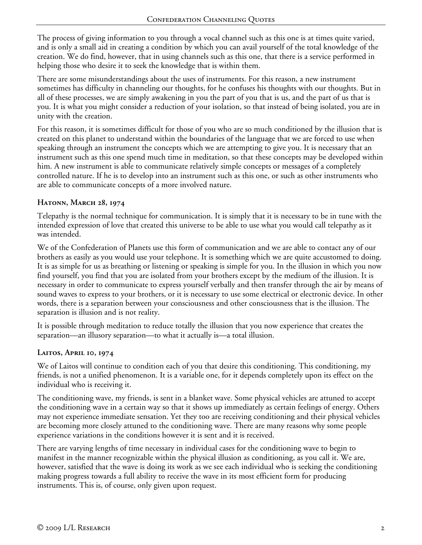The process of giving information to you through a vocal channel such as this one is at times quite varied, and is only a small aid in creating a condition by which you can avail yourself of the total knowledge of the creation. We do find, however, that in using channels such as this one, that there is a service performed in helping those who desire it to seek the knowledge that is within them.

There are some misunderstandings about the uses of instruments. For this reason, a new instrument sometimes has difficulty in channeling our thoughts, for he confuses his thoughts with our thoughts. But in all of these processes, we are simply awakening in you the part of you that is us, and the part of us that is you. It is what you might consider a reduction of your isolation, so that instead of being isolated, you are in unity with the creation.

For this reason, it is sometimes difficult for those of you who are so much conditioned by the illusion that is created on this planet to understand within the boundaries of the language that we are forced to use when speaking through an instrument the concepts which we are attempting to give you. It is necessary that an instrument such as this one spend much time in meditation, so that these concepts may be developed within him. A new instrument is able to communicate relatively simple concepts or messages of a completely controlled nature. If he is to develop into an instrument such as this one, or such as other instruments who are able to communicate concepts of a more involved nature.

## **Hatonn, March 28, 1974**

Telepathy is the normal technique for communication. It is simply that it is necessary to be in tune with the intended expression of love that created this universe to be able to use what you would call telepathy as it was intended.

We of the Confederation of Planets use this form of communication and we are able to contact any of our brothers as easily as you would use your telephone. It is something which we are quite accustomed to doing. It is as simple for us as breathing or listening or speaking is simple for you. In the illusion in which you now find yourself, you find that you are isolated from your brothers except by the medium of the illusion. It is necessary in order to communicate to express yourself verbally and then transfer through the air by means of sound waves to express to your brothers, or it is necessary to use some electrical or electronic device. In other words, there is a separation between your consciousness and other consciousness that is the illusion. The separation is illusion and is not reality.

It is possible through meditation to reduce totally the illusion that you now experience that creates the separation—an illusory separation—to what it actually is—a total illusion.

### **Laitos, April 10, 1974**

We of Laitos will continue to condition each of you that desire this conditioning. This conditioning, my friends, is not a unified phenomenon. It is a variable one, for it depends completely upon its effect on the individual who is receiving it.

The conditioning wave, my friends, is sent in a blanket wave. Some physical vehicles are attuned to accept the conditioning wave in a certain way so that it shows up immediately as certain feelings of energy. Others may not experience immediate sensation. Yet they too are receiving conditioning and their physical vehicles are becoming more closely attuned to the conditioning wave. There are many reasons why some people experience variations in the conditions however it is sent and it is received.

There are varying lengths of time necessary in individual cases for the conditioning wave to begin to manifest in the manner recognizable within the physical illusion as conditioning, as you call it. We are, however, satisfied that the wave is doing its work as we see each individual who is seeking the conditioning making progress towards a full ability to receive the wave in its most efficient form for producing instruments. This is, of course, only given upon request.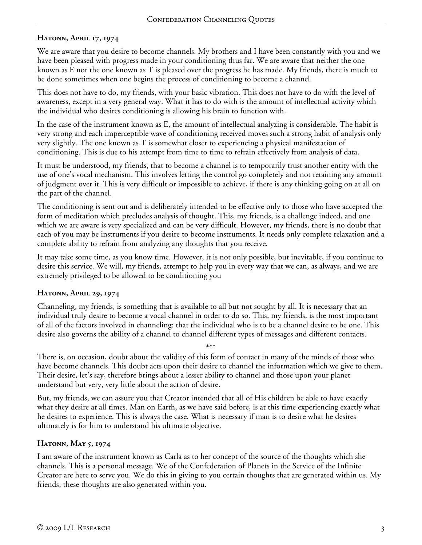### **Hatonn, April 17, 1974**

We are aware that you desire to become channels. My brothers and I have been constantly with you and we have been pleased with progress made in your conditioning thus far. We are aware that neither the one known as E nor the one known as T is pleased over the progress he has made. My friends, there is much to be done sometimes when one begins the process of conditioning to become a channel.

This does not have to do, my friends, with your basic vibration. This does not have to do with the level of awareness, except in a very general way. What it has to do with is the amount of intellectual activity which the individual who desires conditioning is allowing his brain to function with.

In the case of the instrument known as E, the amount of intellectual analyzing is considerable. The habit is very strong and each imperceptible wave of conditioning received moves such a strong habit of analysis only very slightly. The one known as T is somewhat closer to experiencing a physical manifestation of conditioning. This is due to his attempt from time to time to refrain effectively from analysis of data.

It must be understood, my friends, that to become a channel is to temporarily trust another entity with the use of one's vocal mechanism. This involves letting the control go completely and not retaining any amount of judgment over it. This is very difficult or impossible to achieve, if there is any thinking going on at all on the part of the channel.

The conditioning is sent out and is deliberately intended to be effective only to those who have accepted the form of meditation which precludes analysis of thought. This, my friends, is a challenge indeed, and one which we are aware is very specialized and can be very difficult. However, my friends, there is no doubt that each of you may be instruments if you desire to become instruments. It needs only complete relaxation and a complete ability to refrain from analyzing any thoughts that you receive.

It may take some time, as you know time. However, it is not only possible, but inevitable, if you continue to desire this service. We will, my friends, attempt to help you in every way that we can, as always, and we are extremely privileged to be allowed to be conditioning you

### **Hatonn, April 29, 1974**

Channeling, my friends, is something that is available to all but not sought by all. It is necessary that an individual truly desire to become a vocal channel in order to do so. This, my friends, is the most important of all of the factors involved in channeling: that the individual who is to be a channel desire to be one. This desire also governs the ability of a channel to channel different types of messages and different contacts.

There is, on occasion, doubt about the validity of this form of contact in many of the minds of those who have become channels. This doubt acts upon their desire to channel the information which we give to them. Their desire, let's say, therefore brings about a lesser ability to channel and those upon your planet understand but very, very little about the action of desire.

\*\*\*

But, my friends, we can assure you that Creator intended that all of His children be able to have exactly what they desire at all times. Man on Earth, as we have said before, is at this time experiencing exactly what he desires to experience. This is always the case. What is necessary if man is to desire what he desires ultimately is for him to understand his ultimate objective.

### **Hatonn, May 5, 1974**

I am aware of the instrument known as Carla as to her concept of the source of the thoughts which she channels. This is a personal message. We of the Confederation of Planets in the Service of the Infinite Creator are here to serve you. We do this in giving to you certain thoughts that are generated within us. My friends, these thoughts are also generated within you.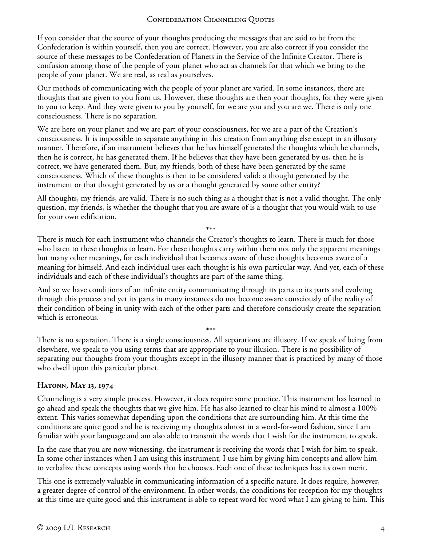If you consider that the source of your thoughts producing the messages that are said to be from the Confederation is within yourself, then you are correct. However, you are also correct if you consider the source of these messages to be Confederation of Planets in the Service of the Infinite Creator. There is confusion among those of the people of your planet who act as channels for that which we bring to the people of your planet. We are real, as real as yourselves.

Our methods of communicating with the people of your planet are varied. In some instances, there are thoughts that are given to you from us. However, these thoughts are then your thoughts, for they were given to you to keep. And they were given to you by yourself, for we are you and you are we. There is only one consciousness. There is no separation.

We are here on your planet and we are part of your consciousness, for we are a part of the Creation's consciousness. It is impossible to separate anything in this creation from anything else except in an illusory manner. Therefore, if an instrument believes that he has himself generated the thoughts which he channels, then he is correct, he has generated them. If he believes that they have been generated by us, then he is correct, we have generated them. But, my friends, both of these have been generated by the same consciousness. Which of these thoughts is then to be considered valid: a thought generated by the instrument or that thought generated by us or a thought generated by some other entity?

All thoughts, my friends, are valid. There is no such thing as a thought that is not a valid thought. The only question, my friends, is whether the thought that you are aware of is a thought that you would wish to use for your own edification.

\*\*\* There is much for each instrument who channels the Creator's thoughts to learn. There is much for those who listen to these thoughts to learn. For these thoughts carry within them not only the apparent meanings but many other meanings, for each individual that becomes aware of these thoughts becomes aware of a meaning for himself. And each individual uses each thought is his own particular way. And yet, each of these individuals and each of these individual's thoughts are part of the same thing.

And so we have conditions of an infinite entity communicating through its parts to its parts and evolving through this process and yet its parts in many instances do not become aware consciously of the reality of their condition of being in unity with each of the other parts and therefore consciously create the separation which is erroneous.

\*\*\* There is no separation. There is a single consciousness. All separations are illusory. If we speak of being from elsewhere, we speak to you using terms that are appropriate to your illusion. There is no possibility of separating our thoughts from your thoughts except in the illusory manner that is practiced by many of those who dwell upon this particular planet.

### **Hatonn, May 13, 1974**

Channeling is a very simple process. However, it does require some practice. This instrument has learned to go ahead and speak the thoughts that we give him. He has also learned to clear his mind to almost a 100% extent. This varies somewhat depending upon the conditions that are surrounding him. At this time the conditions are quite good and he is receiving my thoughts almost in a word-for-word fashion, since I am familiar with your language and am also able to transmit the words that I wish for the instrument to speak.

In the case that you are now witnessing, the instrument is receiving the words that I wish for him to speak. In some other instances when I am using this instrument, I use him by giving him concepts and allow him to verbalize these concepts using words that he chooses. Each one of these techniques has its own merit.

This one is extremely valuable in communicating information of a specific nature. It does require, however, a greater degree of control of the environment. In other words, the conditions for reception for my thoughts at this time are quite good and this instrument is able to repeat word for word what I am giving to him. This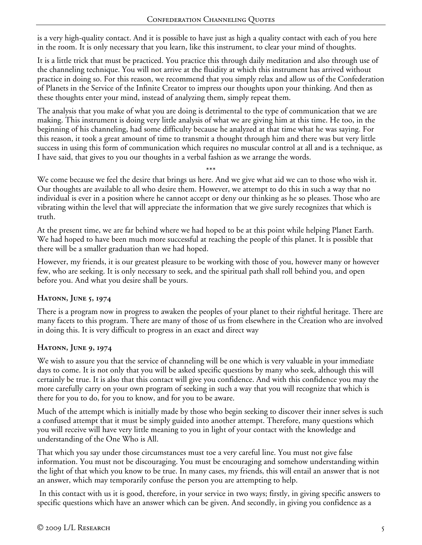is a very high-quality contact. And it is possible to have just as high a quality contact with each of you here in the room. It is only necessary that you learn, like this instrument, to clear your mind of thoughts.

It is a little trick that must be practiced. You practice this through daily meditation and also through use of the channeling technique. You will not arrive at the fluidity at which this instrument has arrived without practice in doing so. For this reason, we recommend that you simply relax and allow us of the Confederation of Planets in the Service of the Infinite Creator to impress our thoughts upon your thinking. And then as these thoughts enter your mind, instead of analyzing them, simply repeat them.

The analysis that you make of what you are doing is detrimental to the type of communication that we are making. This instrument is doing very little analysis of what we are giving him at this time. He too, in the beginning of his channeling, had some difficulty because he analyzed at that time what he was saying. For this reason, it took a great amount of time to transmit a thought through him and there was but very little success in using this form of communication which requires no muscular control at all and is a technique, as I have said, that gives to you our thoughts in a verbal fashion as we arrange the words.

\*\*\*

We come because we feel the desire that brings us here. And we give what aid we can to those who wish it. Our thoughts are available to all who desire them. However, we attempt to do this in such a way that no individual is ever in a position where he cannot accept or deny our thinking as he so pleases. Those who are vibrating within the level that will appreciate the information that we give surely recognizes that which is truth.

At the present time, we are far behind where we had hoped to be at this point while helping Planet Earth. We had hoped to have been much more successful at reaching the people of this planet. It is possible that there will be a smaller graduation than we had hoped.

However, my friends, it is our greatest pleasure to be working with those of you, however many or however few, who are seeking. It is only necessary to seek, and the spiritual path shall roll behind you, and open before you. And what you desire shall be yours.

### **Hatonn, June 5, 1974**

There is a program now in progress to awaken the peoples of your planet to their rightful heritage. There are many facets to this program. There are many of those of us from elsewhere in the Creation who are involved in doing this. It is very difficult to progress in an exact and direct way

### **Hatonn, June 9, 1974**

We wish to assure you that the service of channeling will be one which is very valuable in your immediate days to come. It is not only that you will be asked specific questions by many who seek, although this will certainly be true. It is also that this contact will give you confidence. And with this confidence you may the more carefully carry on your own program of seeking in such a way that you will recognize that which is there for you to do, for you to know, and for you to be aware.

Much of the attempt which is initially made by those who begin seeking to discover their inner selves is such a confused attempt that it must be simply guided into another attempt. Therefore, many questions which you will receive will have very little meaning to you in light of your contact with the knowledge and understanding of the One Who is All.

That which you say under those circumstances must toe a very careful line. You must not give false information. You must not be discouraging. You must be encouraging and somehow understanding within the light of that which you know to be true. In many cases, my friends, this will entail an answer that is not an answer, which may temporarily confuse the person you are attempting to help.

 In this contact with us it is good, therefore, in your service in two ways; firstly, in giving specific answers to specific questions which have an answer which can be given. And secondly, in giving you confidence as a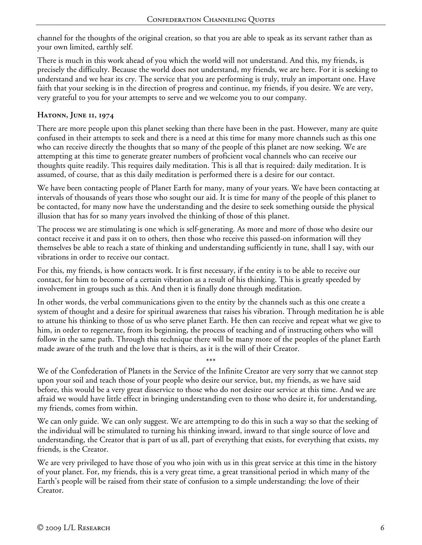channel for the thoughts of the original creation, so that you are able to speak as its servant rather than as your own limited, earthly self.

There is much in this work ahead of you which the world will not understand. And this, my friends, is precisely the difficulty. Because the world does not understand, my friends, we are here. For it is seeking to understand and we hear its cry. The service that you are performing is truly, truly an important one. Have faith that your seeking is in the direction of progress and continue, my friends, if you desire. We are very, very grateful to you for your attempts to serve and we welcome you to our company.

## **Hatonn, June 11, 1974**

There are more people upon this planet seeking than there have been in the past. However, many are quite confused in their attempts to seek and there is a need at this time for many more channels such as this one who can receive directly the thoughts that so many of the people of this planet are now seeking. We are attempting at this time to generate greater numbers of proficient vocal channels who can receive our thoughts quite readily. This requires daily meditation. This is all that is required: daily meditation. It is assumed, of course, that as this daily meditation is performed there is a desire for our contact.

We have been contacting people of Planet Earth for many, many of your years. We have been contacting at intervals of thousands of years those who sought our aid. It is time for many of the people of this planet to be contacted, for many now have the understanding and the desire to seek something outside the physical illusion that has for so many years involved the thinking of those of this planet.

The process we are stimulating is one which is self-generating. As more and more of those who desire our contact receive it and pass it on to others, then those who receive this passed-on information will they themselves be able to reach a state of thinking and understanding sufficiently in tune, shall I say, with our vibrations in order to receive our contact.

For this, my friends, is how contacts work. It is first necessary, if the entity is to be able to receive our contact, for him to become of a certain vibration as a result of his thinking. This is greatly speeded by involvement in groups such as this. And then it is finally done through meditation.

In other words, the verbal communications given to the entity by the channels such as this one create a system of thought and a desire for spiritual awareness that raises his vibration. Through meditation he is able to attune his thinking to those of us who serve planet Earth. He then can receive and repeat what we give to him, in order to regenerate, from its beginning, the process of teaching and of instructing others who will follow in the same path. Through this technique there will be many more of the peoples of the planet Earth made aware of the truth and the love that is theirs, as it is the will of their Creator.

\*\*\* We of the Confederation of Planets in the Service of the Infinite Creator are very sorry that we cannot step upon your soil and teach those of your people who desire our service, but, my friends, as we have said before, this would be a very great disservice to those who do not desire our service at this time. And we are afraid we would have little effect in bringing understanding even to those who desire it, for understanding, my friends, comes from within.

We can only guide. We can only suggest. We are attempting to do this in such a way so that the seeking of the individual will be stimulated to turning his thinking inward, inward to that single source of love and understanding, the Creator that is part of us all, part of everything that exists, for everything that exists, my friends, is the Creator.

We are very privileged to have those of you who join with us in this great service at this time in the history of your planet. For, my friends, this is a very great time, a great transitional period in which many of the Earth's people will be raised from their state of confusion to a simple understanding: the love of their Creator.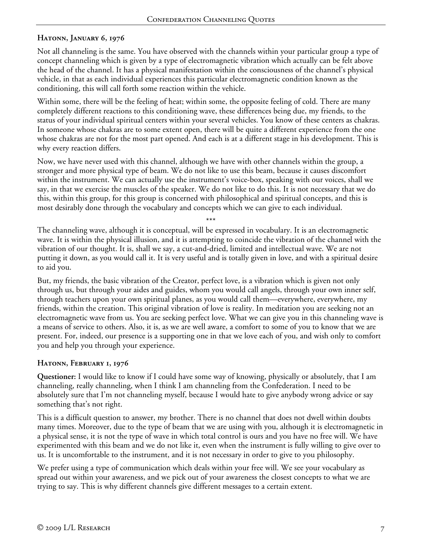# **Hatonn, January 6, 1976**

Not all channeling is the same. You have observed with the channels within your particular group a type of concept channeling which is given by a type of electromagnetic vibration which actually can be felt above the head of the channel. It has a physical manifestation within the consciousness of the channel's physical vehicle, in that as each individual experiences this particular electromagnetic condition known as the conditioning, this will call forth some reaction within the vehicle.

Within some, there will be the feeling of heat; within some, the opposite feeling of cold. There are many completely different reactions to this conditioning wave, these differences being due, my friends, to the status of your individual spiritual centers within your several vehicles. You know of these centers as chakras. In someone whose chakras are to some extent open, there will be quite a different experience from the one whose chakras are not for the most part opened. And each is at a different stage in his development. This is why every reaction differs.

Now, we have never used with this channel, although we have with other channels within the group, a stronger and more physical type of beam. We do not like to use this beam, because it causes discomfort within the instrument. We can actually use the instrument's voice-box, speaking with our voices, shall we say, in that we exercise the muscles of the speaker. We do not like to do this. It is not necessary that we do this, within this group, for this group is concerned with philosophical and spiritual concepts, and this is most desirably done through the vocabulary and concepts which we can give to each individual.

\*\*\*

The channeling wave, although it is conceptual, will be expressed in vocabulary. It is an electromagnetic wave. It is within the physical illusion, and it is attempting to coincide the vibration of the channel with the vibration of our thought. It is, shall we say, a cut-and-dried, limited and intellectual wave. We are not putting it down, as you would call it. It is very useful and is totally given in love, and with a spiritual desire to aid you.

But, my friends, the basic vibration of the Creator, perfect love, is a vibration which is given not only through us, but through your aides and guides, whom you would call angels, through your own inner self, through teachers upon your own spiritual planes, as you would call them—everywhere, everywhere, my friends, within the creation. This original vibration of love is reality. In meditation you are seeking not an electromagnetic wave from us. You are seeking perfect love. What we can give you in this channeling wave is a means of service to others. Also, it is, as we are well aware, a comfort to some of you to know that we are present. For, indeed, our presence is a supporting one in that we love each of you, and wish only to comfort you and help you through your experience.

### **Hatonn, February 1, 1976**

**Questioner:** I would like to know if I could have some way of knowing, physically or absolutely, that I am channeling, really channeling, when I think I am channeling from the Confederation. I need to be absolutely sure that I'm not channeling myself, because I would hate to give anybody wrong advice or say something that's not right.

This is a difficult question to answer, my brother. There is no channel that does not dwell within doubts many times. Moreover, due to the type of beam that we are using with you, although it is electromagnetic in a physical sense, it is not the type of wave in which total control is ours and you have no free will. We have experimented with this beam and we do not like it, even when the instrument is fully willing to give over to us. It is uncomfortable to the instrument, and it is not necessary in order to give to you philosophy.

We prefer using a type of communication which deals within your free will. We see your vocabulary as spread out within your awareness, and we pick out of your awareness the closest concepts to what we are trying to say. This is why different channels give different messages to a certain extent.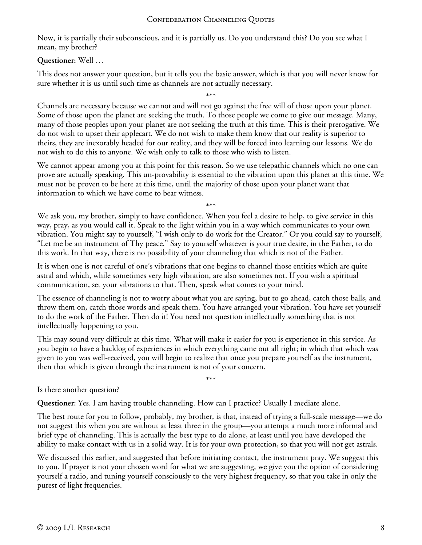Now, it is partially their subconscious, and it is partially us. Do you understand this? Do you see what I mean, my brother?

## **Questioner:** Well …

This does not answer your question, but it tells you the basic answer, which is that you will never know for sure whether it is us until such time as channels are not actually necessary.

\*\*\*

Channels are necessary because we cannot and will not go against the free will of those upon your planet. Some of those upon the planet are seeking the truth. To those people we come to give our message. Many, many of those peoples upon your planet are not seeking the truth at this time. This is their prerogative. We do not wish to upset their applecart. We do not wish to make them know that our reality is superior to theirs, they are inexorably headed for our reality, and they will be forced into learning our lessons. We do not wish to do this to anyone. We wish only to talk to those who wish to listen.

We cannot appear among you at this point for this reason. So we use telepathic channels which no one can prove are actually speaking. This un-provability is essential to the vibration upon this planet at this time. We must not be proven to be here at this time, until the majority of those upon your planet want that information to which we have come to bear witness.

\*\*\*

We ask you, my brother, simply to have confidence. When you feel a desire to help, to give service in this way, pray, as you would call it. Speak to the light within you in a way which communicates to your own vibration. You might say to yourself, "I wish only to do work for the Creator." Or you could say to yourself, "Let me be an instrument of Thy peace." Say to yourself whatever is your true desire, in the Father, to do this work. In that way, there is no possibility of your channeling that which is not of the Father.

It is when one is not careful of one's vibrations that one begins to channel those entities which are quite astral and which, while sometimes very high vibration, are also sometimes not. If you wish a spiritual communication, set your vibrations to that. Then, speak what comes to your mind.

The essence of channeling is not to worry about what you are saying, but to go ahead, catch those balls, and throw them on, catch those words and speak them. You have arranged your vibration. You have set yourself to do the work of the Father. Then do it! You need not question intellectually something that is not intellectually happening to you.

This may sound very difficult at this time. What will make it easier for you is experience in this service. As you begin to have a backlog of experiences in which everything came out all right; in which that which was given to you was well-received, you will begin to realize that once you prepare yourself as the instrument, then that which is given through the instrument is not of your concern.

\*\*\*

Is there another question?

**Questioner:** Yes. I am having trouble channeling. How can I practice? Usually I mediate alone.

The best route for you to follow, probably, my brother, is that, instead of trying a full-scale message—we do not suggest this when you are without at least three in the group—you attempt a much more informal and brief type of channeling. This is actually the best type to do alone, at least until you have developed the ability to make contact with us in a solid way. It is for your own protection, so that you will not get astrals.

We discussed this earlier, and suggested that before initiating contact, the instrument pray. We suggest this to you. If prayer is not your chosen word for what we are suggesting, we give you the option of considering yourself a radio, and tuning yourself consciously to the very highest frequency, so that you take in only the purest of light frequencies.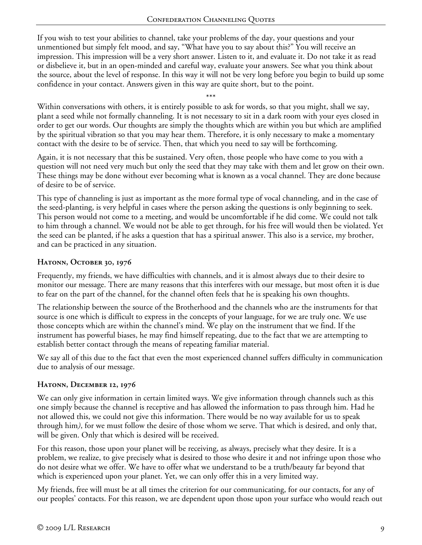If you wish to test your abilities to channel, take your problems of the day, your questions and your unmentioned but simply felt mood, and say, "What have you to say about this?" You will receive an impression. This impression will be a very short answer. Listen to it, and evaluate it. Do not take it as read or disbelieve it, but in an open-minded and careful way, evaluate your answers. See what you think about the source, about the level of response. In this way it will not be very long before you begin to build up some confidence in your contact. Answers given in this way are quite short, but to the point.

\*\*\* Within conversations with others, it is entirely possible to ask for words, so that you might, shall we say, plant a seed while not formally channeling. It is not necessary to sit in a dark room with your eyes closed in order to get our words. Our thoughts are simply the thoughts which are within you but which are amplified by the spiritual vibration so that you may hear them. Therefore, it is only necessary to make a momentary contact with the desire to be of service. Then, that which you need to say will be forthcoming.

Again, it is not necessary that this be sustained. Very often, those people who have come to you with a question will not need very much but only the seed that they may take with them and let grow on their own. These things may be done without ever becoming what is known as a vocal channel. They are done because of desire to be of service.

This type of channeling is just as important as the more formal type of vocal channeling, and in the case of the seed-planting, is very helpful in cases where the person asking the questions is only beginning to seek. This person would not come to a meeting, and would be uncomfortable if he did come. We could not talk to him through a channel. We would not be able to get through, for his free will would then be violated. Yet the seed can be planted, if he asks a question that has a spiritual answer. This also is a service, my brother, and can be practiced in any situation.

## **Hatonn, October 30, 1976**

Frequently, my friends, we have difficulties with channels, and it is almost always due to their desire to monitor our message. There are many reasons that this interferes with our message, but most often it is due to fear on the part of the channel, for the channel often feels that he is speaking his own thoughts.

The relationship between the source of the Brotherhood and the channels who are the instruments for that source is one which is difficult to express in the concepts of your language, for we are truly one. We use those concepts which are within the channel's mind. We play on the instrument that we find. If the instrument has powerful biases, he may find himself repeating, due to the fact that we are attempting to establish better contact through the means of repeating familiar material.

We say all of this due to the fact that even the most experienced channel suffers difficulty in communication due to analysis of our message.

# **Hatonn, December 12, 1976**

We can only give information in certain limited ways. We give information through channels such as this one simply because the channel is receptive and has allowed the information to pass through him. Had he not allowed this, we could not give this information. There would be no way available for us to speak through him*)*, for we must follow the desire of those whom we serve. That which is desired, and only that, will be given. Only that which is desired will be received.

For this reason, those upon your planet will be receiving, as always, precisely what they desire. It is a problem, we realize, to give precisely what is desired to those who desire it and not infringe upon those who do not desire what we offer. We have to offer what we understand to be a truth/beauty far beyond that which is experienced upon your planet. Yet, we can only offer this in a very limited way.

My friends, free will must be at all times the criterion for our communicating, for our contacts, for any of our peoples' contacts. For this reason, we are dependent upon those upon your surface who would reach out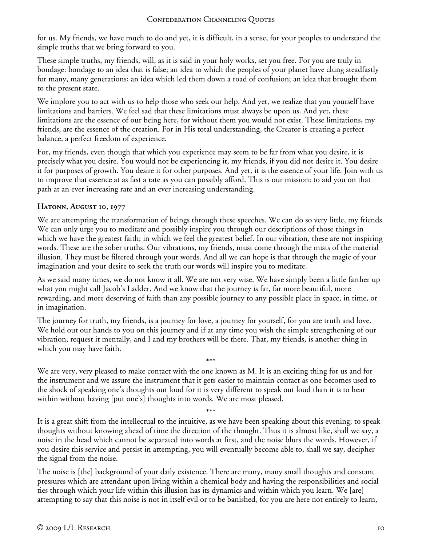for us. My friends, we have much to do and yet, it is difficult, in a sense, for your peoples to understand the simple truths that we bring forward to you.

These simple truths, my friends, will, as it is said in your holy works, set you free. For you are truly in bondage: bondage to an idea that is false; an idea to which the peoples of your planet have clung steadfastly for many, many generations; an idea which led them down a road of confusion; an idea that brought them to the present state.

We implore you to act with us to help those who seek our help. And yet, we realize that you yourself have limitations and barriers. We feel sad that these limitations must always be upon us. And yet, these limitations are the essence of our being here, for without them you would not exist. These limitations, my friends, are the essence of the creation. For in His total understanding, the Creator is creating a perfect balance, a perfect freedom of experience.

For, my friends, even though that which you experience may seem to be far from what you desire, it is precisely what you desire. You would not be experiencing it, my friends, if you did not desire it. You desire it for purposes of growth. You desire it for other purposes. And yet, it is the essence of your life. Join with us to improve that essence at as fast a rate as you can possibly afford. This is our mission: to aid you on that path at an ever increasing rate and an ever increasing understanding.

## **Hatonn, August 10, 1977**

We are attempting the transformation of beings through these speeches. We can do so very little, my friends. We can only urge you to meditate and possibly inspire you through our descriptions of those things in which we have the greatest faith; in which we feel the greatest belief. In our vibration, these are not inspiring words. These are the sober truths. Our vibrations, my friends, must come through the mists of the material illusion. They must be filtered through your words. And all we can hope is that through the magic of your imagination and your desire to seek the truth our words will inspire you to meditate.

As we said many times, we do not know it all. We are not very wise. We have simply been a little farther up what you might call Jacob's Ladder. And we know that the journey is far, far more beautiful, more rewarding, and more deserving of faith than any possible journey to any possible place in space, in time, or in imagination.

The journey for truth, my friends, is a journey for love, a journey for yourself, for you are truth and love. We hold out our hands to you on this journey and if at any time you wish the simple strengthening of our vibration, request it mentally, and I and my brothers will be there. That, my friends, is another thing in which you may have faith.

\*\*\* We are very, very pleased to make contact with the one known as M. It is an exciting thing for us and for the instrument and we assure the instrument that it gets easier to maintain contact as one becomes used to the shock of speaking one's thoughts out loud for it is very different to speak out loud than it is to hear within without having [put one's] thoughts into words. We are most pleased.

\*\*\*

It is a great shift from the intellectual to the intuitive, as we have been speaking about this evening; to speak thoughts without knowing ahead of time the direction of the thought. Thus it is almost like, shall we say, a noise in the head which cannot be separated into words at first, and the noise blurs the words. However, if you desire this service and persist in attempting, you will eventually become able to, shall we say, decipher the signal from the noise.

The noise is [the] background of your daily existence. There are many, many small thoughts and constant pressures which are attendant upon living within a chemical body and having the responsibilities and social ties through which your life within this illusion has its dynamics and within which you learn. We [are] attempting to say that this noise is not in itself evil or to be banished, for you are here not entirely to learn,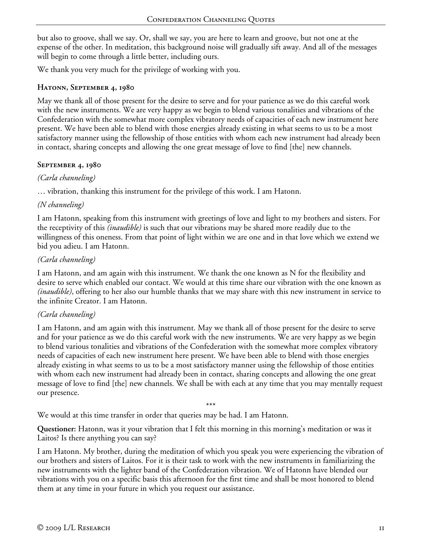but also to groove, shall we say. Or, shall we say, you are here to learn and groove, but not one at the expense of the other. In meditation, this background noise will gradually sift away. And all of the messages will begin to come through a little better, including ours.

We thank you very much for the privilege of working with you.

### **Hatonn, September 4, 1980**

May we thank all of those present for the desire to serve and for your patience as we do this careful work with the new instruments. We are very happy as we begin to blend various tonalities and vibrations of the Confederation with the somewhat more complex vibratory needs of capacities of each new instrument here present. We have been able to blend with those energies already existing in what seems to us to be a most satisfactory manner using the fellowship of those entities with whom each new instrument had already been in contact, sharing concepts and allowing the one great message of love to find [the] new channels.

### **September 4, 1980**

### *(Carla channeling)*

… vibration, thanking this instrument for the privilege of this work. I am Hatonn.

## *(N channeling)*

I am Hatonn, speaking from this instrument with greetings of love and light to my brothers and sisters. For the receptivity of this *(inaudible)* is such that our vibrations may be shared more readily due to the willingness of this oneness. From that point of light within we are one and in that love which we extend we bid you adieu. I am Hatonn.

## *(Carla channeling)*

I am Hatonn, and am again with this instrument. We thank the one known as N for the flexibility and desire to serve which enabled our contact. We would at this time share our vibration with the one known as *(inaudible)*, offering to her also our humble thanks that we may share with this new instrument in service to the infinite Creator. I am Hatonn.

### *(Carla channeling)*

I am Hatonn, and am again with this instrument. May we thank all of those present for the desire to serve and for your patience as we do this careful work with the new instruments. We are very happy as we begin to blend various tonalities and vibrations of the Confederation with the somewhat more complex vibratory needs of capacities of each new instrument here present. We have been able to blend with those energies already existing in what seems to us to be a most satisfactory manner using the fellowship of those entities with whom each new instrument had already been in contact, sharing concepts and allowing the one great message of love to find [the] new channels. We shall be with each at any time that you may mentally request our presence.

\*\*\*

We would at this time transfer in order that queries may be had. I am Hatonn.

**Questioner:** Hatonn, was it your vibration that I felt this morning in this morning's meditation or was it Laitos? Is there anything you can say?

I am Hatonn. My brother, during the meditation of which you speak you were experiencing the vibration of our brothers and sisters of Laitos. For it is their task to work with the new instruments in familiarizing the new instruments with the lighter band of the Confederation vibration. We of Hatonn have blended our vibrations with you on a specific basis this afternoon for the first time and shall be most honored to blend them at any time in your future in which you request our assistance.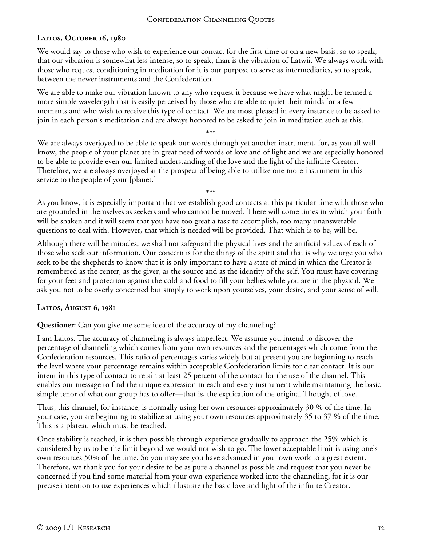# **Laitos, October 16, 1980**

We would say to those who wish to experience our contact for the first time or on a new basis, so to speak, that our vibration is somewhat less intense, so to speak, than is the vibration of Latwii. We always work with those who request conditioning in meditation for it is our purpose to serve as intermediaries, so to speak, between the newer instruments and the Confederation.

We are able to make our vibration known to any who request it because we have what might be termed a more simple wavelength that is easily perceived by those who are able to quiet their minds for a few moments and who wish to receive this type of contact. We are most pleased in every instance to be asked to join in each person's meditation and are always honored to be asked to join in meditation such as this.

\*\*\* We are always overjoyed to be able to speak our words through yet another instrument, for, as you all well know, the people of your planet are in great need of words of love and of light and we are especially honored to be able to provide even our limited understanding of the love and the light of the infinite Creator. Therefore, we are always overjoyed at the prospect of being able to utilize one more instrument in this service to the people of your [planet.]

As you know, it is especially important that we establish good contacts at this particular time with those who are grounded in themselves as seekers and who cannot be moved. There will come times in which your faith will be shaken and it will seem that you have too great a task to accomplish, too many unanswerable questions to deal with. However, that which is needed will be provided. That which is to be, will be.

\*\*\*

Although there will be miracles, we shall not safeguard the physical lives and the artificial values of each of those who seek our information. Our concern is for the things of the spirit and that is why we urge you who seek to be the shepherds to know that it is only important to have a state of mind in which the Creator is remembered as the center, as the giver, as the source and as the identity of the self. You must have covering for your feet and protection against the cold and food to fill your bellies while you are in the physical. We ask you not to be overly concerned but simply to work upon yourselves, your desire, and your sense of will.

### **Laitos, August 6, 1981**

**Questioner:** Can you give me some idea of the accuracy of my channeling?

I am Laitos. The accuracy of channeling is always imperfect. We assume you intend to discover the percentage of channeling which comes from your own resources and the percentages which come from the Confederation resources. This ratio of percentages varies widely but at present you are beginning to reach the level where your percentage remains within acceptable Confederation limits for clear contact. It is our intent in this type of contact to retain at least 25 percent of the contact for the use of the channel. This enables our message to find the unique expression in each and every instrument while maintaining the basic simple tenor of what our group has to offer—that is, the explication of the original Thought of love.

Thus, this channel, for instance, is normally using her own resources approximately 30 % of the time. In your case, you are beginning to stabilize at using your own resources approximately 35 to 37 % of the time. This is a plateau which must be reached.

Once stability is reached, it is then possible through experience gradually to approach the 25% which is considered by us to be the limit beyond we would not wish to go. The lower acceptable limit is using one's own resources 50% of the time. So you may see you have advanced in your own work to a great extent. Therefore, we thank you for your desire to be as pure a channel as possible and request that you never be concerned if you find some material from your own experience worked into the channeling, for it is our precise intention to use experiences which illustrate the basic love and light of the infinite Creator.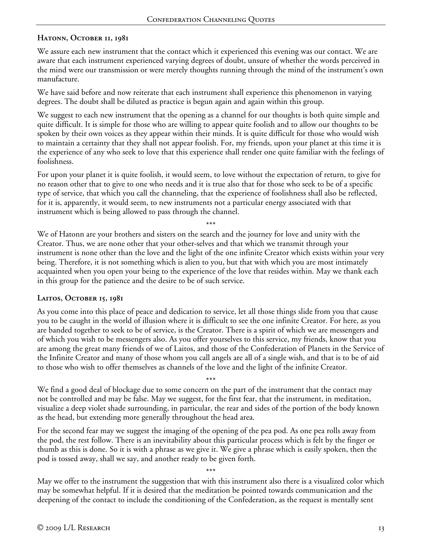#### **Hatonn, October 11, 1981**

We assure each new instrument that the contact which it experienced this evening was our contact. We are aware that each instrument experienced varying degrees of doubt, unsure of whether the words perceived in the mind were our transmission or were merely thoughts running through the mind of the instrument's own manufacture.

We have said before and now reiterate that each instrument shall experience this phenomenon in varying degrees. The doubt shall be diluted as practice is begun again and again within this group.

We suggest to each new instrument that the opening as a channel for our thoughts is both quite simple and quite difficult. It is simple for those who are willing to appear quite foolish and to allow our thoughts to be spoken by their own voices as they appear within their minds. It is quite difficult for those who would wish to maintain a certainty that they shall not appear foolish. For, my friends, upon your planet at this time it is the experience of any who seek to love that this experience shall render one quite familiar with the feelings of foolishness.

For upon your planet it is quite foolish, it would seem, to love without the expectation of return, to give for no reason other that to give to one who needs and it is true also that for those who seek to be of a specific type of service, that which you call the channeling, that the experience of foolishness shall also be reflected, for it is, apparently, it would seem, to new instruments not a particular energy associated with that instrument which is being allowed to pass through the channel.

\*\*\* We of Hatonn are your brothers and sisters on the search and the journey for love and unity with the Creator. Thus, we are none other that your other-selves and that which we transmit through your instrument is none other than the love and the light of the one infinite Creator which exists within your very being. Therefore, it is not something which is alien to you, but that with which you are most intimately acquainted when you open your being to the experience of the love that resides within. May we thank each in this group for the patience and the desire to be of such service.

#### **Laitos, October 15, 1981**

As you come into this place of peace and dedication to service, let all those things slide from you that cause you to be caught in the world of illusion where it is difficult to see the one infinite Creator. For here, as you are banded together to seek to be of service, is the Creator. There is a spirit of which we are messengers and of which you wish to be messengers also. As you offer yourselves to this service, my friends, know that you are among the great many friends of we of Laitos, and those of the Confederation of Planets in the Service of the Infinite Creator and many of those whom you call angels are all of a single wish, and that is to be of aid to those who wish to offer themselves as channels of the love and the light of the infinite Creator.

\*\*\* We find a good deal of blockage due to some concern on the part of the instrument that the contact may not be controlled and may be false. May we suggest, for the first fear, that the instrument, in meditation, visualize a deep violet shade surrounding, in particular, the rear and sides of the portion of the body known as the head, but extending more generally throughout the head area.

For the second fear may we suggest the imaging of the opening of the pea pod. As one pea rolls away from the pod, the rest follow. There is an inevitability about this particular process which is felt by the finger or thumb as this is done. So it is with a phrase as we give it. We give a phrase which is easily spoken, then the pod is tossed away, shall we say, and another ready to be given forth.

\*\*\* May we offer to the instrument the suggestion that with this instrument also there is a visualized color which may be somewhat helpful. If it is desired that the meditation be pointed towards communication and the deepening of the contact to include the conditioning of the Confederation, as the request is mentally sent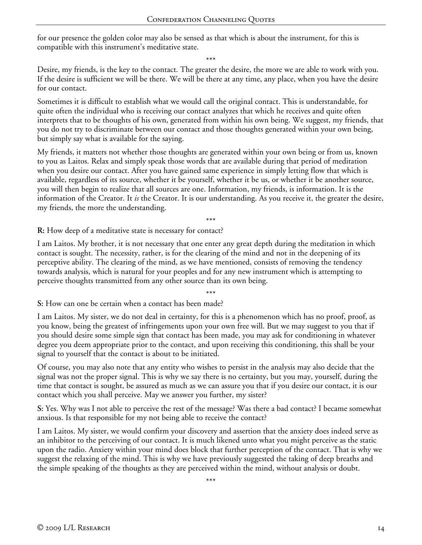for our presence the golden color may also be sensed as that which is about the instrument, for this is compatible with this instrument's meditative state.

\*\*\*

Desire, my friends, is the key to the contact. The greater the desire, the more we are able to work with you. If the desire is sufficient we will be there. We will be there at any time, any place, when you have the desire for our contact.

Sometimes it is difficult to establish what we would call the original contact. This is understandable, for quite often the individual who is receiving our contact analyzes that which he receives and quite often interprets that to be thoughts of his own, generated from within his own being. We suggest, my friends, that you do not try to discriminate between our contact and those thoughts generated within your own being, but simply say what is available for the saying.

My friends, it matters not whether those thoughts are generated within your own being or from us, known to you as Laitos. Relax and simply speak those words that are available during that period of meditation when you desire our contact. After you have gained same experience in simply letting flow that which is available, regardless of its source, whether it be yourself, whether it be us, or whether it be another source, you will then begin to realize that all sources are one. Information, my friends, is information. It is the information of the Creator. It *is* the Creator. It is our understanding. As you receive it, the greater the desire, my friends, the more the understanding.

\*\*\*

**R:** How deep of a meditative state is necessary for contact?

I am Laitos. My brother, it is not necessary that one enter any great depth during the meditation in which contact is sought. The necessity, rather, is for the clearing of the mind and not in the deepening of its perceptive ability. The clearing of the mind, as we have mentioned, consists of removing the tendency towards analysis, which is natural for your peoples and for any new instrument which is attempting to perceive thoughts transmitted from any other source than its own being.

\*\*\*

**S:** How can one be certain when a contact has been made?

I am Laitos. My sister, we do not deal in certainty, for this is a phenomenon which has no proof, proof, as you know, being the greatest of infringements upon your own free will. But we may suggest to you that if you should desire some simple sign that contact has been made, you may ask for conditioning in whatever degree you deem appropriate prior to the contact, and upon receiving this conditioning, this shall be your signal to yourself that the contact is about to be initiated.

Of course, you may also note that any entity who wishes to persist in the analysis may also decide that the signal was not the proper signal. This is why we say there is no certainty, but you may, yourself, during the time that contact is sought, be assured as much as we can assure you that if you desire our contact, it is our contact which you shall perceive. May we answer you further, my sister?

**S:** Yes. Why was I not able to perceive the rest of the message? Was there a bad contact? I became somewhat anxious. Is that responsible for my not being able to receive the contact?

I am Laitos. My sister, we would confirm your discovery and assertion that the anxiety does indeed serve as an inhibitor to the perceiving of our contact. It is much likened unto what you might perceive as the static upon the radio. Anxiety within your mind does block that further perception of the contact. That is why we suggest the relaxing of the mind. This is why we have previously suggested the taking of deep breaths and the simple speaking of the thoughts as they are perceived within the mind, without analysis or doubt.

\*\*\*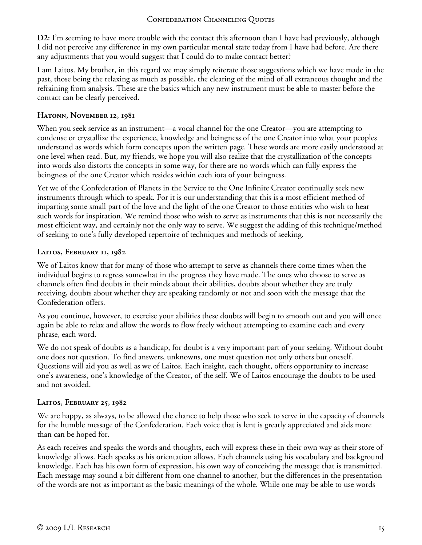**D2:** I'm seeming to have more trouble with the contact this afternoon than I have had previously, although I did not perceive any difference in my own particular mental state today from I have had before. Are there any adjustments that you would suggest that I could do to make contact better?

I am Laitos. My brother, in this regard we may simply reiterate those suggestions which we have made in the past, those being the relaxing as much as possible, the clearing of the mind of all extraneous thought and the refraining from analysis. These are the basics which any new instrument must be able to master before the contact can be clearly perceived.

### **Hatonn, November 12, 1981**

When you seek service as an instrument—a vocal channel for the one Creator—you are attempting to condense or crystallize the experience, knowledge and beingness of the one Creator into what your peoples understand as words which form concepts upon the written page. These words are more easily understood at one level when read. But, my friends, we hope you will also realize that the crystallization of the concepts into words also distorts the concepts in some way, for there are no words which can fully express the beingness of the one Creator which resides within each iota of your beingness.

Yet we of the Confederation of Planets in the Service to the One Infinite Creator continually seek new instruments through which to speak. For it is our understanding that this is a most efficient method of imparting some small part of the love and the light of the one Creator to those entities who wish to hear such words for inspiration. We remind those who wish to serve as instruments that this is not necessarily the most efficient way, and certainly not the only way to serve. We suggest the adding of this technique/method of seeking to one's fully developed repertoire of techniques and methods of seeking.

## **Laitos, February 11, 1982**

We of Laitos know that for many of those who attempt to serve as channels there come times when the individual begins to regress somewhat in the progress they have made. The ones who choose to serve as channels often find doubts in their minds about their abilities, doubts about whether they are truly receiving, doubts about whether they are speaking randomly or not and soon with the message that the Confederation offers.

As you continue, however, to exercise your abilities these doubts will begin to smooth out and you will once again be able to relax and allow the words to flow freely without attempting to examine each and every phrase, each word.

We do not speak of doubts as a handicap, for doubt is a very important part of your seeking. Without doubt one does not question. To find answers, unknowns, one must question not only others but oneself. Questions will aid you as well as we of Laitos. Each insight, each thought, offers opportunity to increase one's awareness, one's knowledge of the Creator, of the self. We of Laitos encourage the doubts to be used and not avoided.

# **Laitos, February 25, 1982**

We are happy, as always, to be allowed the chance to help those who seek to serve in the capacity of channels for the humble message of the Confederation. Each voice that is lent is greatly appreciated and aids more than can be hoped for.

As each receives and speaks the words and thoughts, each will express these in their own way as their store of knowledge allows. Each speaks as his orientation allows. Each channels using his vocabulary and background knowledge. Each has his own form of expression, his own way of conceiving the message that is transmitted. Each message may sound a bit different from one channel to another, but the differences in the presentation of the words are not as important as the basic meanings of the whole. While one may be able to use words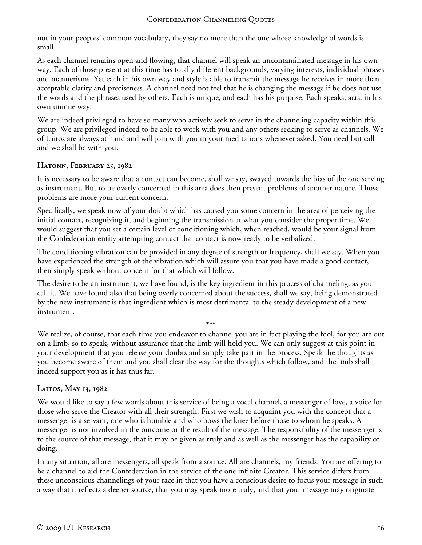not in your peoples' common vocabulary, they say no more than the one whose knowledge of words is small.

As each channel remains open and flowing, that channel will speak an uncontaminated message in his own way. Each of those present at this time has totally different backgrounds, varying interests, individual phrases and mannerisms. Yet each in his own way and style is able to transmit the message he receives in more than acceptable clarity and preciseness. A channel need not feel that he is changing the message if he does not use the words and the phrases used by others. Each is unique, and each has his purpose. Each speaks, acts, in his own unique way.

We are indeed privileged to have so many who actively seek to serve in the channeling capacity within this group. We are privileged indeed to be able to work with you and any others seeking to serve as channels. We of Laitos are always at hand and will join with you in your meditations whenever asked. You need but call and we shall be with you.

### **Hatonn, February 25, 1982**

It is necessary to be aware that a contact can become, shall we say, swayed towards the bias of the one serving as instrument. But to be overly concerned in this area does then present problems of another nature. Those problems are more your current concern.

Specifically, we speak now of your doubt which has caused you some concern in the area of perceiving the initial contact, recognizing it, and beginning the transmission at what you consider the proper time. We would suggest that you set a certain level of conditioning which, when reached, would be your signal from the Confederation entity attempting contact that contact is now ready to be verbalized.

The conditioning vibration can be provided in any degree of strength or frequency, shall we say. When you have experienced the strength of the vibration which will assure you that you have made a good contact, then simply speak without concern for that which will follow.

The desire to be an instrument, we have found, is the key ingredient in this process of channeling, as you call it. We have found also that being overly concerned about the success, shall we say, being demonstrated by the new instrument is that ingredient which is most detrimental to the steady development of a new instrument.

\*\*\*

We realize, of course, that each time you endeavor to channel you are in fact playing the fool, for you are out on a limb, so to speak, without assurance that the limb will hold you. We can only suggest at this point in your development that you release your doubts and simply take part in the process. Speak the thoughts as you become aware of them and you shall clear the way for the thoughts which follow, and the limb shall indeed support you as it has thus far.

# **Laitos, May 13, 1982**

We would like to say a few words about this service of being a vocal channel, a messenger of love, a voice for those who serve the Creator with all their strength. First we wish to acquaint you with the concept that a messenger is a servant, one who is humble and who bows the knee before those to whom he speaks. A messenger is not involved in the outcome or the result of the message. The responsibility of the messenger is to the source of that message, that it may be given as truly and as well as the messenger has the capability of doing.

In any situation, all are messengers, all speak from a source. All are channels, my friends. You are offering to be a channel to aid the Confederation in the service of the one infinite Creator. This service differs from these unconscious channelings of your race in that you have a conscious desire to focus your message in such a way that it reflects a deeper source, that you may speak more truly, and that your message may originate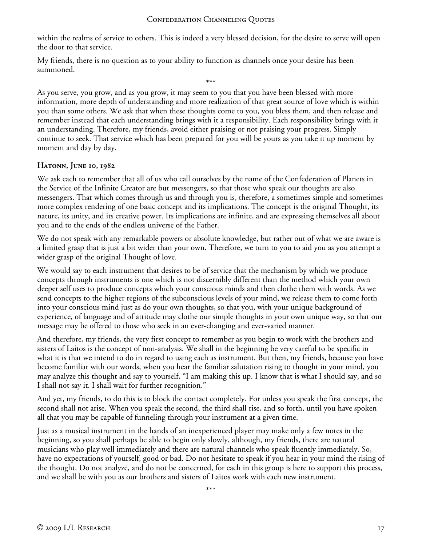within the realms of service to others. This is indeed a very blessed decision, for the desire to serve will open the door to that service.

My friends, there is no question as to your ability to function as channels once your desire has been summoned.

\*\*\* As you serve, you grow, and as you grow, it may seem to you that you have been blessed with more information, more depth of understanding and more realization of that great source of love which is within you than some others. We ask that when these thoughts come to you, you bless them, and then release and remember instead that each understanding brings with it a responsibility. Each responsibility brings with it an understanding. Therefore, my friends, avoid either praising or not praising your progress. Simply continue to seek. That service which has been prepared for you will be yours as you take it up moment by moment and day by day.

### **Hatonn, June 10, 1982**

We ask each to remember that all of us who call ourselves by the name of the Confederation of Planets in the Service of the Infinite Creator are but messengers, so that those who speak our thoughts are also messengers. That which comes through us and through you is, therefore, a sometimes simple and sometimes more complex rendering of one basic concept and its implications. The concept is the original Thought, its nature, its unity, and its creative power. Its implications are infinite, and are expressing themselves all about you and to the ends of the endless universe of the Father.

We do not speak with any remarkable powers or absolute knowledge, but rather out of what we are aware is a limited grasp that is just a bit wider than your own. Therefore, we turn to you to aid you as you attempt a wider grasp of the original Thought of love.

We would say to each instrument that desires to be of service that the mechanism by which we produce concepts through instruments is one which is not discernibly different than the method which your own deeper self uses to produce concepts which your conscious minds and then clothe them with words. As we send concepts to the higher regions of the subconscious levels of your mind, we release them to come forth into your conscious mind just as do your own thoughts, so that you, with your unique background of experience, of language and of attitude may clothe our simple thoughts in your own unique way, so that our message may be offered to those who seek in an ever-changing and ever-varied manner.

And therefore, my friends, the very first concept to remember as you begin to work with the brothers and sisters of Laitos is the concept of non-analysis. We shall in the beginning be very careful to be specific in what it is that we intend to do in regard to using each as instrument. But then, my friends, because you have become familiar with our words, when you hear the familiar salutation rising to thought in your mind, you may analyze this thought and say to yourself, "I am making this up. I know that is what I should say, and so I shall not say it. I shall wait for further recognition."

And yet, my friends, to do this is to block the contact completely. For unless you speak the first concept, the second shall not arise. When you speak the second, the third shall rise, and so forth, until you have spoken all that you may be capable of funneling through your instrument at a given time.

Just as a musical instrument in the hands of an inexperienced player may make only a few notes in the beginning, so you shall perhaps be able to begin only slowly, although, my friends, there are natural musicians who play well immediately and there are natural channels who speak fluently immediately. So, have no expectations of yourself, good or bad. Do not hesitate to speak if you hear in your mind the rising of the thought. Do not analyze, and do not be concerned, for each in this group is here to support this process, and we shall be with you as our brothers and sisters of Laitos work with each new instrument.

\*\*\*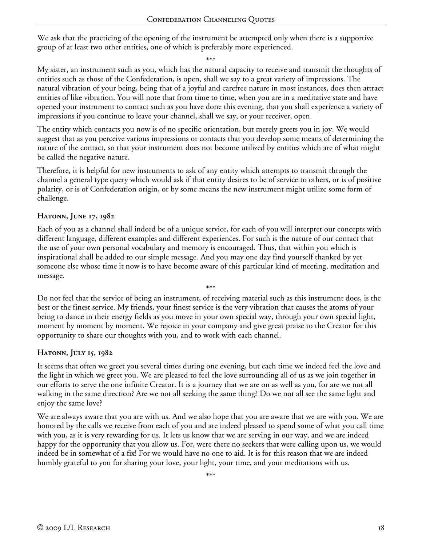We ask that the practicing of the opening of the instrument be attempted only when there is a supportive group of at least two other entities, one of which is preferably more experienced.

\*\*\*

My sister, an instrument such as you, which has the natural capacity to receive and transmit the thoughts of entities such as those of the Confederation, is open, shall we say to a great variety of impressions. The natural vibration of your being, being that of a joyful and carefree nature in most instances, does then attract entities of like vibration. You will note that from time to time, when you are in a meditative state and have opened your instrument to contact such as you have done this evening, that you shall experience a variety of impressions if you continue to leave your channel, shall we say, or your receiver, open.

The entity which contacts you now is of no specific orientation, but merely greets you in joy. We would suggest that as you perceive various impressions or contacts that you develop some means of determining the nature of the contact, so that your instrument does not become utilized by entities which are of what might be called the negative nature.

Therefore, it is helpful for new instruments to ask of any entity which attempts to transmit through the channel a general type query which would ask if that entity desires to be of service to others, or is of positive polarity, or is of Confederation origin, or by some means the new instrument might utilize some form of challenge.

### **Hatonn, June 17, 1982**

Each of you as a channel shall indeed be of a unique service, for each of you will interpret our concepts with different language, different examples and different experiences. For such is the nature of our contact that the use of your own personal vocabulary and memory is encouraged. Thus, that within you which is inspirational shall be added to our simple message. And you may one day find yourself thanked by yet someone else whose time it now is to have become aware of this particular kind of meeting, meditation and message.

\*\*\* Do not feel that the service of being an instrument, of receiving material such as this instrument does, is the best or the finest service. My friends, your finest service is the very vibration that causes the atoms of your being to dance in their energy fields as you move in your own special way, through your own special light, moment by moment by moment. We rejoice in your company and give great praise to the Creator for this opportunity to share our thoughts with you, and to work with each channel.

#### **Hatonn, July 15, 1982**

It seems that often we greet you several times during one evening, but each time we indeed feel the love and the light in which we greet you. We are pleased to feel the love surrounding all of us as we join together in our efforts to serve the one infinite Creator. It is a journey that we are on as well as you, for are we not all walking in the same direction? Are we not all seeking the same thing? Do we not all see the same light and enjoy the same love?

We are always aware that you are with us. And we also hope that you are aware that we are with you. We are honored by the calls we receive from each of you and are indeed pleased to spend some of what you call time with you, as it is very rewarding for us. It lets us know that we are serving in our way, and we are indeed happy for the opportunity that you allow us. For, were there no seekers that were calling upon us, we would indeed be in somewhat of a fix! For we would have no one to aid. It is for this reason that we are indeed humbly grateful to you for sharing your love, your light, your time, and your meditations with us.

\*\*\*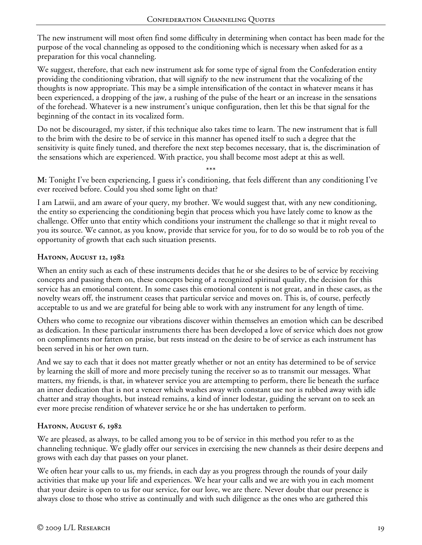The new instrument will most often find some difficulty in determining when contact has been made for the purpose of the vocal channeling as opposed to the conditioning which is necessary when asked for as a preparation for this vocal channeling.

We suggest, therefore, that each new instrument ask for some type of signal from the Confederation entity providing the conditioning vibration, that will signify to the new instrument that the vocalizing of the thoughts is now appropriate. This may be a simple intensification of the contact in whatever means it has been experienced, a dropping of the jaw, a rushing of the pulse of the heart or an increase in the sensations of the forehead. Whatever is a new instrument's unique configuration, then let this be that signal for the beginning of the contact in its vocalized form.

Do not be discouraged, my sister, if this technique also takes time to learn. The new instrument that is full to the brim with the desire to be of service in this manner has opened itself to such a degree that the sensitivity is quite finely tuned, and therefore the next step becomes necessary, that is, the discrimination of the sensations which are experienced. With practice, you shall become most adept at this as well.

\*\*\*

**M:** Tonight I've been experiencing, I guess it's conditioning, that feels different than any conditioning I've ever received before. Could you shed some light on that?

I am Latwii, and am aware of your query, my brother. We would suggest that, with any new conditioning, the entity so experiencing the conditioning begin that process which you have lately come to know as the challenge. Offer unto that entity which conditions your instrument the challenge so that it might reveal to you its source. We cannot, as you know, provide that service for you, for to do so would be to rob you of the opportunity of growth that each such situation presents.

## **Hatonn, August 12, 1982**

When an entity such as each of these instruments decides that he or she desires to be of service by receiving concepts and passing them on, these concepts being of a recognized spiritual quality, the decision for this service has an emotional content. In some cases this emotional content is not great, and in these cases, as the novelty wears off, the instrument ceases that particular service and moves on. This is, of course, perfectly acceptable to us and we are grateful for being able to work with any instrument for any length of time.

Others who come to recognize our vibrations discover within themselves an emotion which can be described as dedication. In these particular instruments there has been developed a love of service which does not grow on compliments nor fatten on praise, but rests instead on the desire to be of service as each instrument has been served in his or her own turn.

And we say to each that it does not matter greatly whether or not an entity has determined to be of service by learning the skill of more and more precisely tuning the receiver so as to transmit our messages. What matters, my friends, is that, in whatever service you are attempting to perform, there lie beneath the surface an inner dedication that is not a veneer which washes away with constant use nor is rubbed away with idle chatter and stray thoughts, but instead remains, a kind of inner lodestar, guiding the servant on to seek an ever more precise rendition of whatever service he or she has undertaken to perform.

# **Hatonn, August 6, 1982**

We are pleased, as always, to be called among you to be of service in this method you refer to as the channeling technique. We gladly offer our services in exercising the new channels as their desire deepens and grows with each day that passes on your planet.

We often hear your calls to us, my friends, in each day as you progress through the rounds of your daily activities that make up your life and experiences. We hear your calls and we are with you in each moment that your desire is open to us for our service, for our love, we are there. Never doubt that our presence is always close to those who strive as continually and with such diligence as the ones who are gathered this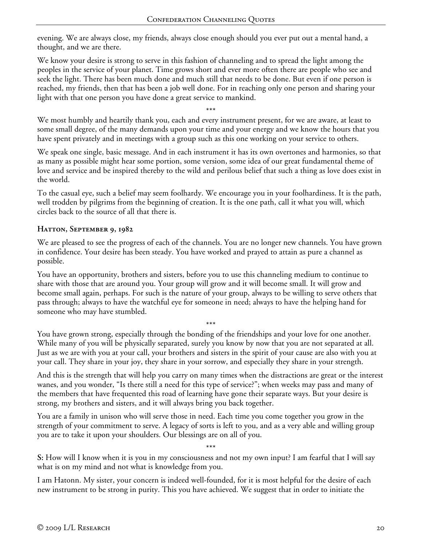evening. We are always close, my friends, always close enough should you ever put out a mental hand, a thought, and we are there.

We know your desire is strong to serve in this fashion of channeling and to spread the light among the peoples in the service of your planet. Time grows short and ever more often there are people who see and seek the light. There has been much done and much still that needs to be done. But even if one person is reached, my friends, then that has been a job well done. For in reaching only one person and sharing your light with that one person you have done a great service to mankind.

\*\*\* We most humbly and heartily thank you, each and every instrument present, for we are aware, at least to some small degree, of the many demands upon your time and your energy and we know the hours that you have spent privately and in meetings with a group such as this one working on your service to others.

We speak one single, basic message. And in each instrument it has its own overtones and harmonies, so that as many as possible might hear some portion, some version, some idea of our great fundamental theme of love and service and be inspired thereby to the wild and perilous belief that such a thing as love does exist in the world.

To the casual eye, such a belief may seem foolhardy. We encourage you in your foolhardiness. It is the path, well trodden by pilgrims from the beginning of creation. It is the one path, call it what you will, which circles back to the source of all that there is.

## **Hatton, September 9, 1982**

We are pleased to see the progress of each of the channels. You are no longer new channels. You have grown in confidence. Your desire has been steady. You have worked and prayed to attain as pure a channel as possible.

You have an opportunity, brothers and sisters, before you to use this channeling medium to continue to share with those that are around you. Your group will grow and it will become small. It will grow and become small again, perhaps. For such is the nature of your group, always to be willing to serve others that pass through; always to have the watchful eye for someone in need; always to have the helping hand for someone who may have stumbled.

You have grown strong, especially through the bonding of the friendships and your love for one another. While many of you will be physically separated, surely you know by now that you are not separated at all. Just as we are with you at your call, your brothers and sisters in the spirit of your cause are also with you at your call. They share in your joy, they share in your sorrow, and especially they share in your strength.

\*\*\*

And this is the strength that will help you carry on many times when the distractions are great or the interest wanes, and you wonder, "Is there still a need for this type of service?"; when weeks may pass and many of the members that have frequented this road of learning have gone their separate ways. But your desire is strong, my brothers and sisters, and it will always bring you back together.

You are a family in unison who will serve those in need. Each time you come together you grow in the strength of your commitment to serve. A legacy of sorts is left to you, and as a very able and willing group you are to take it upon your shoulders. Our blessings are on all of you.

\*\*\* **S:** How will I know when it is you in my consciousness and not my own input? I am fearful that I will say what is on my mind and not what is knowledge from you.

I am Hatonn. My sister, your concern is indeed well-founded, for it is most helpful for the desire of each new instrument to be strong in purity. This you have achieved. We suggest that in order to initiate the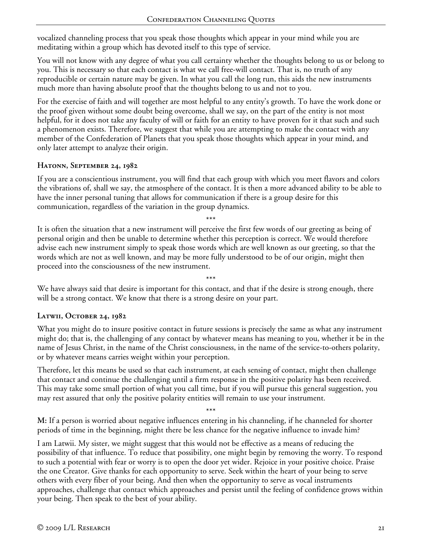vocalized channeling process that you speak those thoughts which appear in your mind while you are meditating within a group which has devoted itself to this type of service.

You will not know with any degree of what you call certainty whether the thoughts belong to us or belong to you. This is necessary so that each contact is what we call free-will contact. That is, no truth of any reproducible or certain nature may be given. In what you call the long run, this aids the new instruments much more than having absolute proof that the thoughts belong to us and not to you.

For the exercise of faith and will together are most helpful to any entity's growth. To have the work done or the proof given without some doubt being overcome, shall we say, on the part of the entity is not most helpful, for it does not take any faculty of will or faith for an entity to have proven for it that such and such a phenomenon exists. Therefore, we suggest that while you are attempting to make the contact with any member of the Confederation of Planets that you speak those thoughts which appear in your mind, and only later attempt to analyze their origin.

## **Hatonn, September 24, 1982**

If you are a conscientious instrument, you will find that each group with which you meet flavors and colors the vibrations of, shall we say, the atmosphere of the contact. It is then a more advanced ability to be able to have the inner personal tuning that allows for communication if there is a group desire for this communication, regardless of the variation in the group dynamics.

\*\*\* It is often the situation that a new instrument will perceive the first few words of our greeting as being of personal origin and then be unable to determine whether this perception is correct. We would therefore advise each new instrument simply to speak those words which are well known as our greeting, so that the words which are not as well known, and may be more fully understood to be of our origin, might then proceed into the consciousness of the new instrument.

We have always said that desire is important for this contact, and that if the desire is strong enough, there will be a strong contact. We know that there is a strong desire on your part.

\*\*\*

# **Latwii, October 24, 1982**

What you might do to insure positive contact in future sessions is precisely the same as what any instrument might do; that is, the challenging of any contact by whatever means has meaning to you, whether it be in the name of Jesus Christ, in the name of the Christ consciousness, in the name of the service-to-others polarity, or by whatever means carries weight within your perception.

Therefore, let this means be used so that each instrument, at each sensing of contact, might then challenge that contact and continue the challenging until a firm response in the positive polarity has been received. This may take some small portion of what you call time, but if you will pursue this general suggestion, you may rest assured that only the positive polarity entities will remain to use your instrument.

\*\*\*

**M:** If a person is worried about negative influences entering in his channeling, if he channeled for shorter periods of time in the beginning, might there be less chance for the negative influence to invade him?

I am Latwii. My sister, we might suggest that this would not be effective as a means of reducing the possibility of that influence. To reduce that possibility, one might begin by removing the worry. To respond to such a potential with fear or worry is to open the door yet wider. Rejoice in your positive choice. Praise the one Creator. Give thanks for each opportunity to serve. Seek within the heart of your being to serve others with every fiber of your being. And then when the opportunity to serve as vocal instruments approaches, challenge that contact which approaches and persist until the feeling of confidence grows within your being. Then speak to the best of your ability.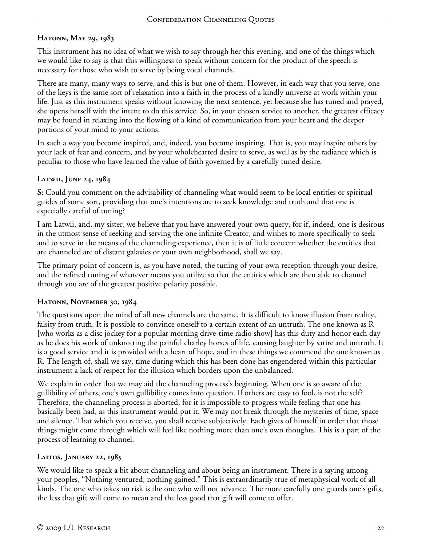# **Hatonn, May 29, 1983**

This instrument has no idea of what we wish to say through her this evening, and one of the things which we would like to say is that this willingness to speak without concern for the product of the speech is necessary for those who wish to serve by being vocal channels.

There are many, many ways to serve, and this is but one of them. However, in each way that you serve, one of the keys is the same sort of relaxation into a faith in the process of a kindly universe at work within your life. Just as this instrument speaks without knowing the next sentence, yet because she has tuned and prayed, she opens herself with the intent to do this service. So, in your chosen service to another, the greatest efficacy may be found in relaxing into the flowing of a kind of communication from your heart and the deeper portions of your mind to your actions.

In such a way you become inspired, and, indeed, you become inspiring. That is, you may inspire others by your lack of fear and concern, and by your wholehearted desire to serve, as well as by the radiance which is peculiar to those who have learned the value of faith governed by a carefully tuned desire.

## **Latwii, June 24, 1984**

**S:** Could you comment on the advisability of channeling what would seem to be local entities or spiritual guides of some sort, providing that one's intentions are to seek knowledge and truth and that one is especially careful of tuning?

I am Latwii, and, my sister, we believe that you have answered your own query, for if, indeed, one is desirous in the utmost sense of seeking and serving the one infinite Creator, and wishes to more specifically to seek and to serve in the means of the channeling experience, then it is of little concern whether the entities that are channeled are of distant galaxies or your own neighborhood, shall we say.

The primary point of concern is, as you have noted, the tuning of your own reception through your desire, and the refined tuning of whatever means you utilize so that the entities which are then able to channel through you are of the greatest positive polarity possible.

# **Hatonn, November 30, 1984**

The questions upon the mind of all new channels are the same. It is difficult to know illusion from reality, falsity from truth. It is possible to convince oneself to a certain extent of an untruth. The one known as R [who works as a disc jockey for a popular morning drive-time radio show] has this duty and honor each day as he does his work of unknotting the painful charley horses of life, causing laughter by satire and untruth. It is a good service and it is provided with a heart of hope, and in these things we commend the one known as R. The length of, shall we say, time during which this has been done has engendered within this particular instrument a lack of respect for the illusion which borders upon the unbalanced.

We explain in order that we may aid the channeling process's beginning. When one is so aware of the gullibility of others, one's own gullibility comes into question. If others are easy to fool, is not the self? Therefore, the channeling process is aborted, for it is impossible to progress while feeling that one has basically been had, as this instrument would put it. We may not break through the mysteries of time, space and silence. That which you receive, you shall receive subjectively. Each gives of himself in order that those things might come through which will feel like nothing more than one's own thoughts. This is a part of the process of learning to channel.

# **Laitos, January 22, 1985**

We would like to speak a bit about channeling and about being an instrument. There is a saying among your peoples, "Nothing ventured, nothing gained." This is extraordinarily true of metaphysical work of all kinds. The one who takes no risk is the one who will not advance. The more carefully one guards one's gifts, the less that gift will come to mean and the less good that gift will come to offer.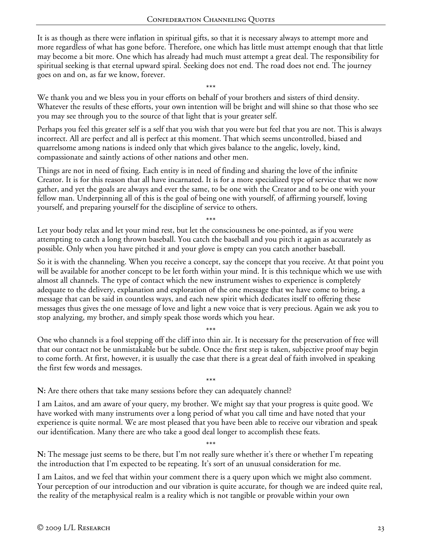It is as though as there were inflation in spiritual gifts, so that it is necessary always to attempt more and more regardless of what has gone before. Therefore, one which has little must attempt enough that that little may become a bit more. One which has already had much must attempt a great deal. The responsibility for spiritual seeking is that eternal upward spiral. Seeking does not end. The road does not end. The journey goes on and on, as far we know, forever.

\*\*\* We thank you and we bless you in your efforts on behalf of your brothers and sisters of third density. Whatever the results of these efforts, your own intention will be bright and will shine so that those who see you may see through you to the source of that light that is your greater self.

Perhaps you feel this greater self is a self that you wish that you were but feel that you are not. This is always incorrect. All are perfect and all is perfect at this moment. That which seems uncontrolled, biased and quarrelsome among nations is indeed only that which gives balance to the angelic, lovely, kind, compassionate and saintly actions of other nations and other men.

Things are not in need of fixing. Each entity is in need of finding and sharing the love of the infinite Creator. It is for this reason that all have incarnated. It is for a more specialized type of service that we now gather, and yet the goals are always and ever the same, to be one with the Creator and to be one with your fellow man. Underpinning all of this is the goal of being one with yourself, of affirming yourself, loving yourself, and preparing yourself for the discipline of service to others.

\*\*\*

Let your body relax and let your mind rest, but let the consciousness be one-pointed, as if you were attempting to catch a long thrown baseball. You catch the baseball and you pitch it again as accurately as possible. Only when you have pitched it and your glove is empty can you catch another baseball.

So it is with the channeling. When you receive a concept, say the concept that you receive. At that point you will be available for another concept to be let forth within your mind. It is this technique which we use with almost all channels. The type of contact which the new instrument wishes to experience is completely adequate to the delivery, explanation and exploration of the one message that we have come to bring, a message that can be said in countless ways, and each new spirit which dedicates itself to offering these messages thus gives the one message of love and light a new voice that is very precious. Again we ask you to stop analyzing, my brother, and simply speak those words which you hear.

\*\*\* One who channels is a fool stepping off the cliff into thin air. It is necessary for the preservation of free will that our contact not be unmistakable but be subtle. Once the first step is taken, subjective proof may begin to come forth. At first, however, it is usually the case that there is a great deal of faith involved in speaking the first few words and messages.

\*\*\* **N:** Are there others that take many sessions before they can adequately channel?

I am Laitos, and am aware of your query, my brother. We might say that your progress is quite good. We have worked with many instruments over a long period of what you call time and have noted that your experience is quite normal. We are most pleased that you have been able to receive our vibration and speak our identification. Many there are who take a good deal longer to accomplish these feats.

\*\*\* **N:** The message just seems to be there, but I'm not really sure whether it's there or whether I'm repeating the introduction that I'm expected to be repeating. It's sort of an unusual consideration for me.

I am Laitos, and we feel that within your comment there is a query upon which we might also comment. Your perception of our introduction and our vibration is quite accurate, for though we are indeed quite real, the reality of the metaphysical realm is a reality which is not tangible or provable within your own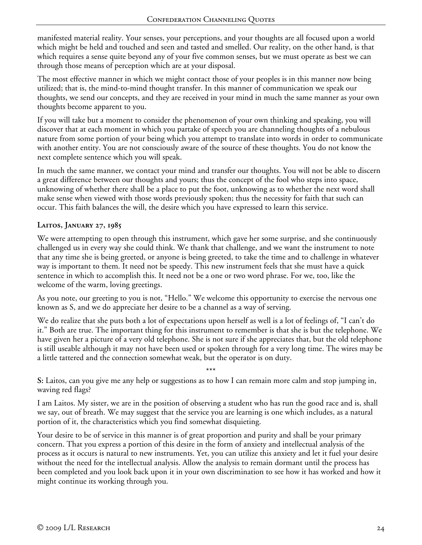manifested material reality. Your senses, your perceptions, and your thoughts are all focused upon a world which might be held and touched and seen and tasted and smelled. Our reality, on the other hand, is that which requires a sense quite beyond any of your five common senses, but we must operate as best we can through those means of perception which are at your disposal.

The most effective manner in which we might contact those of your peoples is in this manner now being utilized; that is, the mind-to-mind thought transfer. In this manner of communication we speak our thoughts, we send our concepts, and they are received in your mind in much the same manner as your own thoughts become apparent to you.

If you will take but a moment to consider the phenomenon of your own thinking and speaking, you will discover that at each moment in which you partake of speech you are channeling thoughts of a nebulous nature from some portion of your being which you attempt to translate into words in order to communicate with another entity. You are not consciously aware of the source of these thoughts. You do not know the next complete sentence which you will speak.

In much the same manner, we contact your mind and transfer our thoughts. You will not be able to discern a great difference between our thoughts and yours; thus the concept of the fool who steps into space, unknowing of whether there shall be a place to put the foot, unknowing as to whether the next word shall make sense when viewed with those words previously spoken; thus the necessity for faith that such can occur. This faith balances the will, the desire which you have expressed to learn this service.

## **Laitos, January 27, 1985**

We were attempting to open through this instrument, which gave her some surprise, and she continuously challenged us in every way she could think. We thank that challenge, and we want the instrument to note that any time she is being greeted, or anyone is being greeted, to take the time and to challenge in whatever way is important to them. It need not be speedy. This new instrument feels that she must have a quick sentence in which to accomplish this. It need not be a one or two word phrase. For we, too, like the welcome of the warm, loving greetings.

As you note, our greeting to you is not, "Hello." We welcome this opportunity to exercise the nervous one known as S, and we do appreciate her desire to be a channel as a way of serving.

We do realize that she puts both a lot of expectations upon herself as well is a lot of feelings of, "I can't do it." Both are true. The important thing for this instrument to remember is that she is but the telephone. We have given her a picture of a very old telephone. She is not sure if she appreciates that, but the old telephone is still useable although it may not have been used or spoken through for a very long time. The wires may be a little tattered and the connection somewhat weak, but the operator is on duty.

\*\*\* **S:** Laitos, can you give me any help or suggestions as to how I can remain more calm and stop jumping in, waving red flags?

I am Laitos. My sister, we are in the position of observing a student who has run the good race and is, shall we say, out of breath. We may suggest that the service you are learning is one which includes, as a natural portion of it, the characteristics which you find somewhat disquieting.

Your desire to be of service in this manner is of great proportion and purity and shall be your primary concern. That you express a portion of this desire in the form of anxiety and intellectual analysis of the process as it occurs is natural to new instruments. Yet, you can utilize this anxiety and let it fuel your desire without the need for the intellectual analysis. Allow the analysis to remain dormant until the process has been completed and you look back upon it in your own discrimination to see how it has worked and how it might continue its working through you.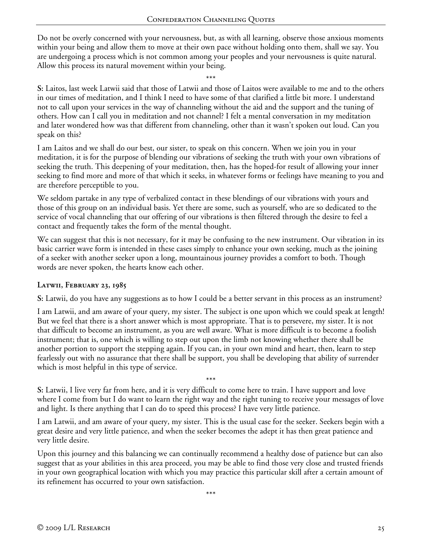Do not be overly concerned with your nervousness, but, as with all learning, observe those anxious moments within your being and allow them to move at their own pace without holding onto them, shall we say. You are undergoing a process which is not common among your peoples and your nervousness is quite natural. Allow this process its natural movement within your being.

\*\*\*

**S:** Laitos, last week Latwii said that those of Latwii and those of Laitos were available to me and to the others in our times of meditation, and I think I need to have some of that clarified a little bit more. I understand not to call upon your services in the way of channeling without the aid and the support and the tuning of others. How can I call you in meditation and not channel? I felt a mental conversation in my meditation and later wondered how was that different from channeling, other than it wasn't spoken out loud. Can you speak on this?

I am Laitos and we shall do our best, our sister, to speak on this concern. When we join you in your meditation, it is for the purpose of blending our vibrations of seeking the truth with your own vibrations of seeking the truth. This deepening of your meditation, then, has the hoped-for result of allowing your inner seeking to find more and more of that which it seeks, in whatever forms or feelings have meaning to you and are therefore perceptible to you.

We seldom partake in any type of verbalized contact in these blendings of our vibrations with yours and those of this group on an individual basis. Yet there are some, such as yourself, who are so dedicated to the service of vocal channeling that our offering of our vibrations is then filtered through the desire to feel a contact and frequently takes the form of the mental thought.

We can suggest that this is not necessary, for it may be confusing to the new instrument. Our vibration in its basic carrier wave form is intended in these cases simply to enhance your own seeking, much as the joining of a seeker with another seeker upon a long, mountainous journey provides a comfort to both. Though words are never spoken, the hearts know each other.

### **Latwii, February 23, 1985**

**S:** Latwii, do you have any suggestions as to how I could be a better servant in this process as an instrument?

I am Latwii, and am aware of your query, my sister. The subject is one upon which we could speak at length! But we feel that there is a short answer which is most appropriate. That is to persevere, my sister. It is not that difficult to become an instrument, as you are well aware. What is more difficult is to become a foolish instrument; that is, one which is willing to step out upon the limb not knowing whether there shall be another portion to support the stepping again. If you can, in your own mind and heart, then, learn to step fearlessly out with no assurance that there shall be support, you shall be developing that ability of surrender which is most helpful in this type of service.

\*\*\* **S:** Latwii, I live very far from here, and it is very difficult to come here to train. I have support and love where I come from but I do want to learn the right way and the right tuning to receive your messages of love and light. Is there anything that I can do to speed this process? I have very little patience.

I am Latwii, and am aware of your query, my sister. This is the usual case for the seeker. Seekers begin with a great desire and very little patience, and when the seeker becomes the adept it has then great patience and very little desire.

Upon this journey and this balancing we can continually recommend a healthy dose of patience but can also suggest that as your abilities in this area proceed, you may be able to find those very close and trusted friends in your own geographical location with which you may practice this particular skill after a certain amount of its refinement has occurred to your own satisfaction.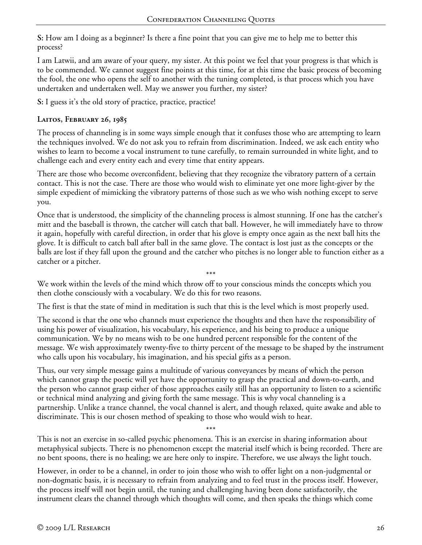**S:** How am I doing as a beginner? Is there a fine point that you can give me to help me to better this process?

I am Latwii, and am aware of your query, my sister. At this point we feel that your progress is that which is to be commended. We cannot suggest fine points at this time, for at this time the basic process of becoming the fool, the one who opens the self to another with the tuning completed, is that process which you have undertaken and undertaken well. May we answer you further, my sister?

**S:** I guess it's the old story of practice, practice, practice!

## **Laitos, February 26, 1985**

The process of channeling is in some ways simple enough that it confuses those who are attempting to learn the techniques involved. We do not ask you to refrain from discrimination. Indeed, we ask each entity who wishes to learn to become a vocal instrument to tune carefully, to remain surrounded in white light, and to challenge each and every entity each and every time that entity appears.

There are those who become overconfident, believing that they recognize the vibratory pattern of a certain contact. This is not the case. There are those who would wish to eliminate yet one more light-giver by the simple expedient of mimicking the vibratory patterns of those such as we who wish nothing except to serve you.

Once that is understood, the simplicity of the channeling process is almost stunning. If one has the catcher's mitt and the baseball is thrown, the catcher will catch that ball. However, he will immediately have to throw it again, hopefully with careful direction, in order that his glove is empty once again as the next ball hits the glove. It is difficult to catch ball after ball in the same glove. The contact is lost just as the concepts or the balls are lost if they fall upon the ground and the catcher who pitches is no longer able to function either as a catcher or a pitcher.

\*\*\*

We work within the levels of the mind which throw off to your conscious minds the concepts which you then clothe consciously with a vocabulary. We do this for two reasons.

The first is that the state of mind in meditation is such that this is the level which is most properly used.

The second is that the one who channels must experience the thoughts and then have the responsibility of using his power of visualization, his vocabulary, his experience, and his being to produce a unique communication. We by no means wish to be one hundred percent responsible for the content of the message. We wish approximately twenty-five to thirty percent of the message to be shaped by the instrument who calls upon his vocabulary, his imagination, and his special gifts as a person.

Thus, our very simple message gains a multitude of various conveyances by means of which the person which cannot grasp the poetic will yet have the opportunity to grasp the practical and down-to-earth, and the person who cannot grasp either of those approaches easily still has an opportunity to listen to a scientific or technical mind analyzing and giving forth the same message. This is why vocal channeling is a partnership. Unlike a trance channel, the vocal channel is alert, and though relaxed, quite awake and able to discriminate. This is our chosen method of speaking to those who would wish to hear.

This is not an exercise in so-called psychic phenomena. This is an exercise in sharing information about metaphysical subjects. There is no phenomenon except the material itself which is being recorded. There are no bent spoons, there is no healing; we are here only to inspire. Therefore, we use always the light touch.

\*\*\*

However, in order to be a channel, in order to join those who wish to offer light on a non-judgmental or non-dogmatic basis, it is necessary to refrain from analyzing and to feel trust in the process itself. However, the process itself will not begin until, the tuning and challenging having been done satisfactorily, the instrument clears the channel through which thoughts will come, and then speaks the things which come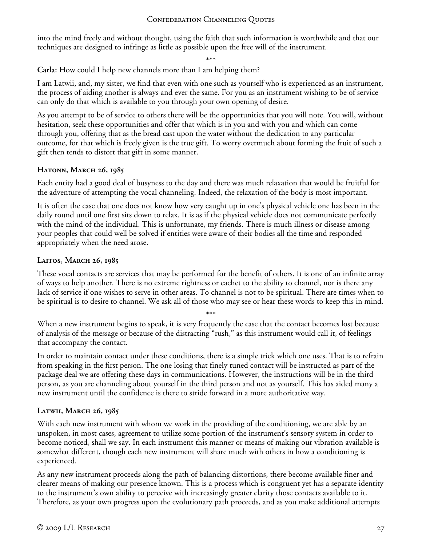into the mind freely and without thought, using the faith that such information is worthwhile and that our techniques are designed to infringe as little as possible upon the free will of the instrument.

\*\*\*

**Carla:** How could I help new channels more than I am helping them?

I am Latwii, and, my sister, we find that even with one such as yourself who is experienced as an instrument, the process of aiding another is always and ever the same. For you as an instrument wishing to be of service can only do that which is available to you through your own opening of desire.

As you attempt to be of service to others there will be the opportunities that you will note. You will, without hesitation, seek these opportunities and offer that which is in you and with you and which can come through you, offering that as the bread cast upon the water without the dedication to any particular outcome, for that which is freely given is the true gift. To worry overmuch about forming the fruit of such a gift then tends to distort that gift in some manner.

## **Hatonn, March 26, 1985**

Each entity had a good deal of busyness to the day and there was much relaxation that would be fruitful for the adventure of attempting the vocal channeling. Indeed, the relaxation of the body is most important.

It is often the case that one does not know how very caught up in one's physical vehicle one has been in the daily round until one first sits down to relax. It is as if the physical vehicle does not communicate perfectly with the mind of the individual. This is unfortunate, my friends. There is much illness or disease among your peoples that could well be solved if entities were aware of their bodies all the time and responded appropriately when the need arose.

# **Laitos, March 26, 1985**

These vocal contacts are services that may be performed for the benefit of others. It is one of an infinite array of ways to help another. There is no extreme rightness or cachet to the ability to channel, nor is there any lack of service if one wishes to serve in other areas. To channel is not to be spiritual. There are times when to be spiritual is to desire to channel. We ask all of those who may see or hear these words to keep this in mind.

\*\*\* When a new instrument begins to speak, it is very frequently the case that the contact becomes lost because of analysis of the message or because of the distracting "rush," as this instrument would call it, of feelings that accompany the contact.

In order to maintain contact under these conditions, there is a simple trick which one uses. That is to refrain from speaking in the first person. The one losing that finely tuned contact will be instructed as part of the package deal we are offering these days in communications. However, the instructions will be in the third person, as you are channeling about yourself in the third person and not as yourself. This has aided many a new instrument until the confidence is there to stride forward in a more authoritative way.

# **Latwii, March 26, 1985**

With each new instrument with whom we work in the providing of the conditioning, we are able by an unspoken, in most cases, agreement to utilize some portion of the instrument's sensory system in order to become noticed, shall we say. In each instrument this manner or means of making our vibration available is somewhat different, though each new instrument will share much with others in how a conditioning is experienced.

As any new instrument proceeds along the path of balancing distortions, there become available finer and clearer means of making our presence known. This is a process which is congruent yet has a separate identity to the instrument's own ability to perceive with increasingly greater clarity those contacts available to it. Therefore, as your own progress upon the evolutionary path proceeds, and as you make additional attempts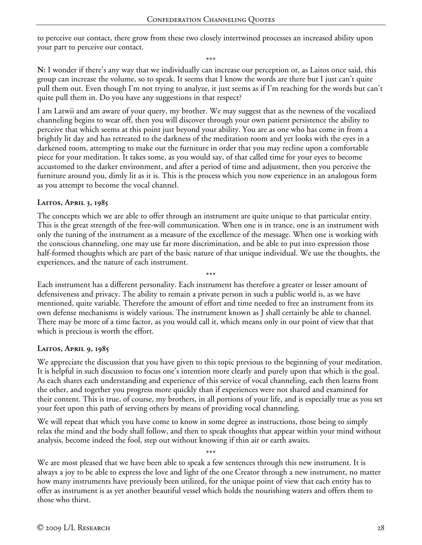to perceive our contact, there grow from these two closely intertwined processes an increased ability upon your part to perceive our contact.

\*\*\*

**N:** I wonder if there's any way that we individually can increase our perception or, as Laitos once said, this group can increase the volume, so to speak. It seems that I know the words are there but I just can't quite pull them out. Even though I'm not trying to analyze, it just seems as if I'm reaching for the words but can't quite pull them in. Do you have any suggestions in that respect?

I am Latwii and am aware of your query, my brother. We may suggest that as the newness of the vocalized channeling begins to wear off, then you will discover through your own patient persistence the ability to perceive that which seems at this point just beyond your ability. You are as one who has come in from a brightly lit day and has retreated to the darkness of the meditation room and yet looks with the eyes in a darkened room, attempting to make out the furniture in order that you may recline upon a comfortable piece for your meditation. It takes some, as you would say, of that called time for your eyes to become accustomed to the darker environment, and after a period of time and adjustment, then you perceive the furniture around you, dimly lit as it is. This is the process which you now experience in an analogous form as you attempt to become the vocal channel.

#### **Laitos, April 3, 1985**

The concepts which we are able to offer through an instrument are quite unique to that particular entity. This is the great strength of the free-will communication. When one is in trance, one is an instrument with only the tuning of the instrument as a measure of the excellence of the message. When one is working with the conscious channeling, one may use far more discrimination, and be able to put into expression those half-formed thoughts which are part of the basic nature of that unique individual. We use the thoughts, the experiences, and the nature of each instrument.

\*\*\* Each instrument has a different personality. Each instrument has therefore a greater or lesser amount of defensiveness and privacy. The ability to remain a private person in such a public world is, as we have mentioned, quite variable. Therefore the amount of effort and time needed to free an instrument from its own defense mechanisms is widely various. The instrument known as J shall certainly be able to channel. There may be more of a time factor, as you would call it, which means only in our point of view that that which is precious is worth the effort.

### **Laitos, April 9, 1985**

We appreciate the discussion that you have given to this topic previous to the beginning of your meditation. It is helpful in such discussion to focus one's intention more clearly and purely upon that which is the goal. As each shares each understanding and experience of this service of vocal channeling, each then learns from the other, and together you progress more quickly than if experiences were not shared and examined for their content. This is true, of course, my brothers, in all portions of your life, and is especially true as you set your feet upon this path of serving others by means of providing vocal channeling.

We will repeat that which you have come to know in some degree as instructions, those being to simply relax the mind and the body shall follow, and then to speak thoughts that appear within your mind without analysis, become indeed the fool, step out without knowing if thin air or earth awaits.

\*\*\* We are most pleased that we have been able to speak a few sentences through this new instrument. It is always a joy to be able to express the love and light of the one Creator through a new instrument, no matter how many instruments have previously been utilized, for the unique point of view that each entity has to offer as instrument is as yet another beautiful vessel which holds the nourishing waters and offers them to those who thirst.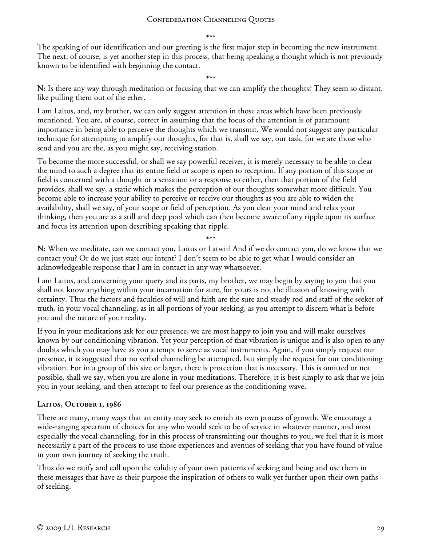\*\*\*

The speaking of our identification and our greeting is the first major step in becoming the new instrument. The next, of course, is yet another step in this process, that being speaking a thought which is not previously known to be identified with beginning the contact.

\*\*\*

**N:** Is there any way through meditation or focusing that we can amplify the thoughts? They seem so distant, like pulling them out of the ether.

I am Laitos, and, my brother, we can only suggest attention in those areas which have been previously mentioned. You are, of course, correct in assuming that the focus of the attention is of paramount importance in being able to perceive the thoughts which we transmit. We would not suggest any particular technique for attempting to amplify our thoughts, for that is, shall we say, our task, for we are those who send and you are the, as you might say, receiving station.

To become the more successful, or shall we say powerful receiver, it is merely necessary to be able to clear the mind to such a degree that its entire field or scope is open to reception. If any portion of this scope or field is concerned with a thought or a sensation or a response to either, then that portion of the field provides, shall we say, a static which makes the perception of our thoughts somewhat more difficult. You become able to increase your ability to perceive or receive our thoughts as you are able to widen the availability, shall we say, of your scope or field of perception. As you clear your mind and relax your thinking, then you are as a still and deep pool which can then become aware of any ripple upon its surface and focus its attention upon describing speaking that ripple.

\*\*\*

**N:** When we meditate, can we contact you, Laitos or Latwii? And if we do contact you, do we know that we contact you? Or do we just state our intent? I don't seem to be able to get what I would consider an acknowledgeable response that I am in contact in any way whatsoever.

I am Laitos, and concerning your query and its parts, my brother, we may begin by saying to you that you shall not know anything within your incarnation for sure, for yours is not the illusion of knowing with certainty. Thus the factors and faculties of will and faith are the sure and steady rod and staff of the seeker of truth, in your vocal channeling, as in all portions of your seeking, as you attempt to discern what is before you and the nature of your reality.

If you in your meditations ask for our presence, we are most happy to join you and will make ourselves known by our conditioning vibration. Yet your perception of that vibration is unique and is also open to any doubts which you may have as you attempt to serve as vocal instruments. Again, if you simply request our presence, it is suggested that no verbal channeling be attempted, but simply the request for our conditioning vibration. For in a group of this size or larger, there is protection that is necessary. This is omitted or not possible, shall we say, when you are alone in your meditations. Therefore, it is best simply to ask that we join you in your seeking, and then attempt to feel our presence as the conditioning wave.

# **Laitos, October 1, 1986**

There are many, many ways that an entity may seek to enrich its own process of growth. We encourage a wide-ranging spectrum of choices for any who would seek to be of service in whatever manner, and most especially the vocal channeling, for in this process of transmitting our thoughts to you, we feel that it is most necessarily a part of the process to use those experiences and avenues of seeking that you have found of value in your own journey of seeking the truth.

Thus do we ratify and call upon the validity of your own patterns of seeking and being and use them in these messages that have as their purpose the inspiration of others to walk yet further upon their own paths of seeking.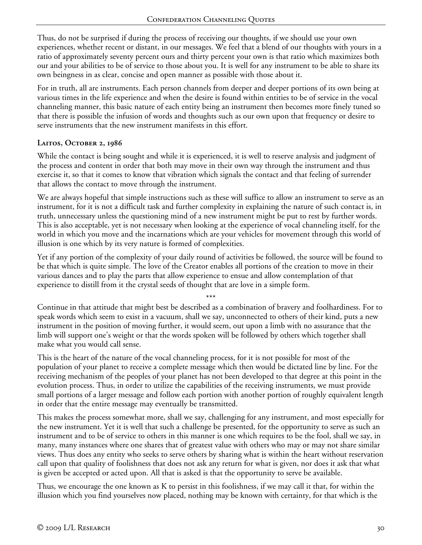Thus, do not be surprised if during the process of receiving our thoughts, if we should use your own experiences, whether recent or distant, in our messages. We feel that a blend of our thoughts with yours in a ratio of approximately seventy percent ours and thirty percent your own is that ratio which maximizes both our and your abilities to be of service to those about you. It is well for any instrument to be able to share its own beingness in as clear, concise and open manner as possible with those about it.

For in truth, all are instruments. Each person channels from deeper and deeper portions of its own being at various times in the life experience and when the desire is found within entities to be of service in the vocal channeling manner, this basic nature of each entity being an instrument then becomes more finely tuned so that there is possible the infusion of words and thoughts such as our own upon that frequency or desire to serve instruments that the new instrument manifests in this effort.

## **Laitos, October 2, 1986**

While the contact is being sought and while it is experienced, it is well to reserve analysis and judgment of the process and content in order that both may move in their own way through the instrument and thus exercise it, so that it comes to know that vibration which signals the contact and that feeling of surrender that allows the contact to move through the instrument.

We are always hopeful that simple instructions such as these will suffice to allow an instrument to serve as an instrument, for it is not a difficult task and further complexity in explaining the nature of such contact is, in truth, unnecessary unless the questioning mind of a new instrument might be put to rest by further words. This is also acceptable, yet is not necessary when looking at the experience of vocal channeling itself, for the world in which you move and the incarnations which are your vehicles for movement through this world of illusion is one which by its very nature is formed of complexities.

Yet if any portion of the complexity of your daily round of activities be followed, the source will be found to be that which is quite simple. The love of the Creator enables all portions of the creation to move in their various dances and to play the parts that allow experience to ensue and allow contemplation of that experience to distill from it the crystal seeds of thought that are love in a simple form.

\*\*\* Continue in that attitude that might best be described as a combination of bravery and foolhardiness. For to speak words which seem to exist in a vacuum, shall we say, unconnected to others of their kind, puts a new instrument in the position of moving further, it would seem, out upon a limb with no assurance that the limb will support one's weight or that the words spoken will be followed by others which together shall make what you would call sense.

This is the heart of the nature of the vocal channeling process, for it is not possible for most of the population of your planet to receive a complete message which then would be dictated line by line. For the receiving mechanism of the peoples of your planet has not been developed to that degree at this point in the evolution process. Thus, in order to utilize the capabilities of the receiving instruments, we must provide small portions of a larger message and follow each portion with another portion of roughly equivalent length in order that the entire message may eventually be transmitted.

This makes the process somewhat more, shall we say, challenging for any instrument, and most especially for the new instrument. Yet it is well that such a challenge be presented, for the opportunity to serve as such an instrument and to be of service to others in this manner is one which requires to be the fool, shall we say, in many, many instances where one shares that of greatest value with others who may or may not share similar views. Thus does any entity who seeks to serve others by sharing what is within the heart without reservation call upon that quality of foolishness that does not ask any return for what is given, nor does it ask that what is given be accepted or acted upon. All that is asked is that the opportunity to serve be available.

Thus, we encourage the one known as K to persist in this foolishness, if we may call it that, for within the illusion which you find yourselves now placed, nothing may be known with certainty, for that which is the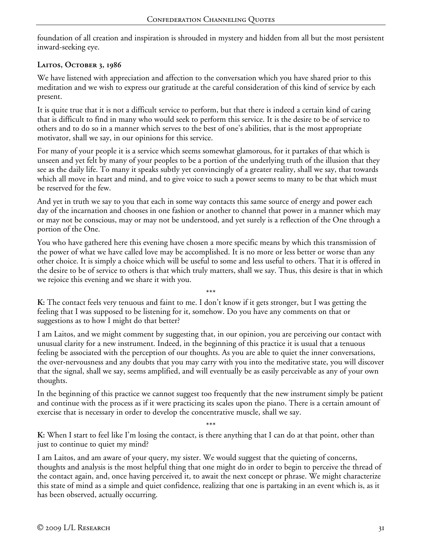foundation of all creation and inspiration is shrouded in mystery and hidden from all but the most persistent inward-seeking eye.

# **Laitos, October 3, 1986**

We have listened with appreciation and affection to the conversation which you have shared prior to this meditation and we wish to express our gratitude at the careful consideration of this kind of service by each present.

It is quite true that it is not a difficult service to perform, but that there is indeed a certain kind of caring that is difficult to find in many who would seek to perform this service. It is the desire to be of service to others and to do so in a manner which serves to the best of one's abilities, that is the most appropriate motivator, shall we say, in our opinions for this service.

For many of your people it is a service which seems somewhat glamorous, for it partakes of that which is unseen and yet felt by many of your peoples to be a portion of the underlying truth of the illusion that they see as the daily life. To many it speaks subtly yet convincingly of a greater reality, shall we say, that towards which all move in heart and mind, and to give voice to such a power seems to many to be that which must be reserved for the few.

And yet in truth we say to you that each in some way contacts this same source of energy and power each day of the incarnation and chooses in one fashion or another to channel that power in a manner which may or may not be conscious, may or may not be understood, and yet surely is a reflection of the One through a portion of the One.

You who have gathered here this evening have chosen a more specific means by which this transmission of the power of what we have called love may be accomplished. It is no more or less better or worse than any other choice. It is simply a choice which will be useful to some and less useful to others. That it is offered in the desire to be of service to others is that which truly matters, shall we say. Thus, this desire is that in which we rejoice this evening and we share it with you.

\*\*\* **K:** The contact feels very tenuous and faint to me. I don't know if it gets stronger, but I was getting the feeling that I was supposed to be listening for it, somehow. Do you have any comments on that or suggestions as to how I might do that better?

I am Laitos, and we might comment by suggesting that, in our opinion, you are perceiving our contact with unusual clarity for a new instrument. Indeed, in the beginning of this practice it is usual that a tenuous feeling be associated with the perception of our thoughts. As you are able to quiet the inner conversations, the over-nervousness and any doubts that you may carry with you into the meditative state, you will discover that the signal, shall we say, seems amplified, and will eventually be as easily perceivable as any of your own thoughts.

In the beginning of this practice we cannot suggest too frequently that the new instrument simply be patient and continue with the process as if it were practicing its scales upon the piano. There is a certain amount of exercise that is necessary in order to develop the concentrative muscle, shall we say.

\*\*\* **K:** When I start to feel like I'm losing the contact, is there anything that I can do at that point, other than just to continue to quiet my mind?

I am Laitos, and am aware of your query, my sister. We would suggest that the quieting of concerns, thoughts and analysis is the most helpful thing that one might do in order to begin to perceive the thread of the contact again, and, once having perceived it, to await the next concept or phrase. We might characterize this state of mind as a simple and quiet confidence, realizing that one is partaking in an event which is, as it has been observed, actually occurring.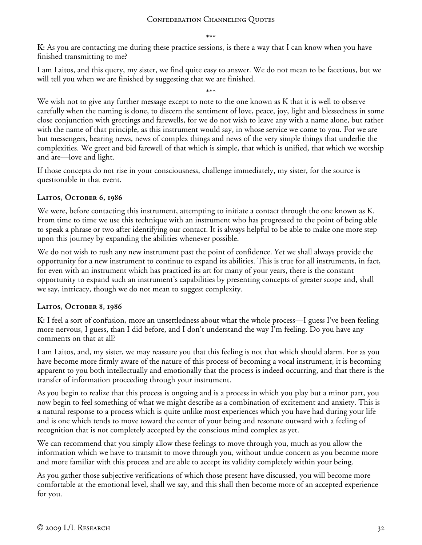\*\*\*

**K:** As you are contacting me during these practice sessions, is there a way that I can know when you have finished transmitting to me?

I am Laitos, and this query, my sister, we find quite easy to answer. We do not mean to be facetious, but we will tell you when we are finished by suggesting that we are finished.

\*\*\* We wish not to give any further message except to note to the one known as K that it is well to observe carefully when the naming is done, to discern the sentiment of love, peace, joy, light and blessedness in some close conjunction with greetings and farewells, for we do not wish to leave any with a name alone, but rather with the name of that principle, as this instrument would say, in whose service we come to you. For we are but messengers, bearing news, news of complex things and news of the very simple things that underlie the complexities. We greet and bid farewell of that which is simple, that which is unified, that which we worship and are—love and light.

If those concepts do not rise in your consciousness, challenge immediately, my sister, for the source is questionable in that event.

## **Laitos, October 6, 1986**

We were, before contacting this instrument, attempting to initiate a contact through the one known as K. From time to time we use this technique with an instrument who has progressed to the point of being able to speak a phrase or two after identifying our contact. It is always helpful to be able to make one more step upon this journey by expanding the abilities whenever possible.

We do not wish to rush any new instrument past the point of confidence. Yet we shall always provide the opportunity for a new instrument to continue to expand its abilities. This is true for all instruments, in fact, for even with an instrument which has practiced its art for many of your years, there is the constant opportunity to expand such an instrument's capabilities by presenting concepts of greater scope and, shall we say, intricacy, though we do not mean to suggest complexity.

### **Laitos, October 8, 1986**

**K:** I feel a sort of confusion, more an unsettledness about what the whole process—I guess I've been feeling more nervous, I guess, than I did before, and I don't understand the way I'm feeling. Do you have any comments on that at all?

I am Laitos, and, my sister, we may reassure you that this feeling is not that which should alarm. For as you have become more firmly aware of the nature of this process of becoming a vocal instrument, it is becoming apparent to you both intellectually and emotionally that the process is indeed occurring, and that there is the transfer of information proceeding through your instrument.

As you begin to realize that this process is ongoing and is a process in which you play but a minor part, you now begin to feel something of what we might describe as a combination of excitement and anxiety. This is a natural response to a process which is quite unlike most experiences which you have had during your life and is one which tends to move toward the center of your being and resonate outward with a feeling of recognition that is not completely accepted by the conscious mind complex as yet.

We can recommend that you simply allow these feelings to move through you, much as you allow the information which we have to transmit to move through you, without undue concern as you become more and more familiar with this process and are able to accept its validity completely within your being.

As you gather those subjective verifications of which those present have discussed, you will become more comfortable at the emotional level, shall we say, and this shall then become more of an accepted experience for you.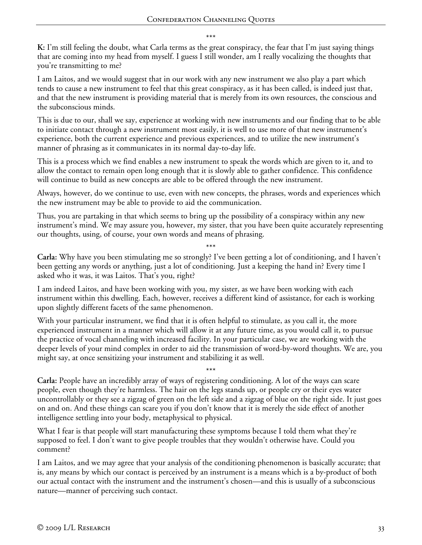\*\*\*

**K:** I'm still feeling the doubt, what Carla terms as the great conspiracy, the fear that I'm just saying things that are coming into my head from myself. I guess I still wonder, am I really vocalizing the thoughts that you're transmitting to me?

I am Laitos, and we would suggest that in our work with any new instrument we also play a part which tends to cause a new instrument to feel that this great conspiracy, as it has been called, is indeed just that, and that the new instrument is providing material that is merely from its own resources, the conscious and the subconscious minds.

This is due to our, shall we say, experience at working with new instruments and our finding that to be able to initiate contact through a new instrument most easily, it is well to use more of that new instrument's experience, both the current experience and previous experiences, and to utilize the new instrument's manner of phrasing as it communicates in its normal day-to-day life.

This is a process which we find enables a new instrument to speak the words which are given to it, and to allow the contact to remain open long enough that it is slowly able to gather confidence. This confidence will continue to build as new concepts are able to be offered through the new instrument.

Always, however, do we continue to use, even with new concepts, the phrases, words and experiences which the new instrument may be able to provide to aid the communication.

Thus, you are partaking in that which seems to bring up the possibility of a conspiracy within any new instrument's mind. We may assure you, however, my sister, that you have been quite accurately representing our thoughts, using, of course, your own words and means of phrasing.

\*\*\* **Carla:** Why have you been stimulating me so strongly? I've been getting a lot of conditioning, and I haven't been getting any words or anything, just a lot of conditioning. Just a keeping the hand in? Every time I asked who it was, it was Laitos. That's you, right?

I am indeed Laitos, and have been working with you, my sister, as we have been working with each instrument within this dwelling. Each, however, receives a different kind of assistance, for each is working upon slightly different facets of the same phenomenon.

With your particular instrument, we find that it is often helpful to stimulate, as you call it, the more experienced instrument in a manner which will allow it at any future time, as you would call it, to pursue the practice of vocal channeling with increased facility. In your particular case, we are working with the deeper levels of your mind complex in order to aid the transmission of word-by-word thoughts. We are, you might say, at once sensitizing your instrument and stabilizing it as well.

\*\*\* **Carla:** People have an incredibly array of ways of registering conditioning. A lot of the ways can scare people, even though they're harmless. The hair on the legs stands up, or people cry or their eyes water uncontrollably or they see a zigzag of green on the left side and a zigzag of blue on the right side. It just goes on and on. And these things can scare you if you don't know that it is merely the side effect of another intelligence settling into your body, metaphysical to physical.

What I fear is that people will start manufacturing these symptoms because I told them what they're supposed to feel. I don't want to give people troubles that they wouldn't otherwise have. Could you comment?

I am Laitos, and we may agree that your analysis of the conditioning phenomenon is basically accurate; that is, any means by which our contact is perceived by an instrument is a means which is a by-product of both our actual contact with the instrument and the instrument's chosen—and this is usually of a subconscious nature—manner of perceiving such contact.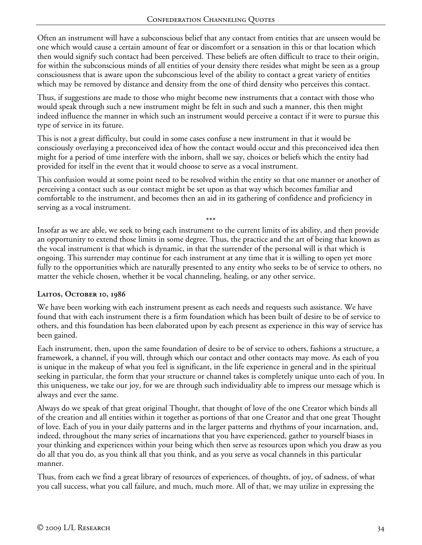Often an instrument will have a subconscious belief that any contact from entities that are unseen would be one which would cause a certain amount of fear or discomfort or a sensation in this or that location which then would signify such contact had been perceived. These beliefs are often difficult to trace to their origin, for within the subconscious minds of all entities of your density there resides what might be seen as a group consciousness that is aware upon the subconscious level of the ability to contact a great variety of entities which may be removed by distance and density from the one of third density who perceives this contact.

Thus, if suggestions are made to those who might become new instruments that a contact with those who would speak through such a new instrument might be felt in such and such a manner, this then might indeed influence the manner in which such an instrument would perceive a contact if it were to pursue this type of service in its future.

This is not a great difficulty, but could in some cases confuse a new instrument in that it would be consciously overlaying a preconceived idea of how the contact would occur and this preconceived idea then might for a period of time interfere with the inborn, shall we say, choices or beliefs which the entity had provided for itself in the event that it would choose to serve as a vocal instrument.

This confusion would at some point need to be resolved within the entity so that one manner or another of perceiving a contact such as our contact might be set upon as that way which becomes familiar and comfortable to the instrument, and becomes then an aid in its gathering of confidence and proficiency in serving as a vocal instrument.

\*\*\*

Insofar as we are able, we seek to bring each instrument to the current limits of its ability, and then provide an opportunity to extend those limits in some degree. Thus, the practice and the art of being that known as the vocal instrument is that which is dynamic, in that the surrender of the personal will is that which is ongoing. This surrender may continue for each instrument at any time that it is willing to open yet more fully to the opportunities which are naturally presented to any entity who seeks to be of service to others, no matter the vehicle chosen, whether it be vocal channeling, healing, or any other service.

# **Laitos, October 10, 1986**

We have been working with each instrument present as each needs and requests such assistance. We have found that with each instrument there is a firm foundation which has been built of desire to be of service to others, and this foundation has been elaborated upon by each present as experience in this way of service has been gained.

Each instrument, then, upon the same foundation of desire to be of service to others, fashions a structure, a framework, a channel, if you will, through which our contact and other contacts may move. As each of you is unique in the makeup of what you feel is significant, in the life experience in general and in the spiritual seeking in particular, the form that your structure or channel takes is completely unique unto each of you. In this uniqueness, we take our joy, for we are through such individuality able to impress our message which is always and ever the same.

Always do we speak of that great original Thought, that thought of love of the one Creator which binds all of the creation and all entities within it together as portions of that one Creator and that one great Thought of love. Each of you in your daily patterns and in the larger patterns and rhythms of your incarnation, and, indeed, throughout the many series of incarnations that you have experienced, gather to yourself biases in your thinking and experiences within your being which then serve as resources upon which you draw as you do all that you do, as you think all that you think, and as you serve as vocal channels in this particular manner.

Thus, from each we find a great library of resources of experiences, of thoughts, of joy, of sadness, of what you call success, what you call failure, and much, much more. All of that, we may utilize in expressing the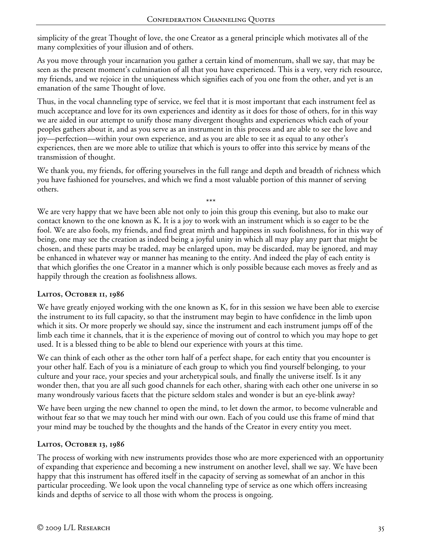simplicity of the great Thought of love, the one Creator as a general principle which motivates all of the many complexities of your illusion and of others.

As you move through your incarnation you gather a certain kind of momentum, shall we say, that may be seen as the present moment's culmination of all that you have experienced. This is a very, very rich resource, my friends, and we rejoice in the uniqueness which signifies each of you one from the other, and yet is an emanation of the same Thought of love.

Thus, in the vocal channeling type of service, we feel that it is most important that each instrument feel as much acceptance and love for its own experiences and identity as it does for those of others, for in this way we are aided in our attempt to unify those many divergent thoughts and experiences which each of your peoples gathers about it, and as you serve as an instrument in this process and are able to see the love and joy—perfection—within your own experience, and as you are able to see it as equal to any other's experiences, then are we more able to utilize that which is yours to offer into this service by means of the transmission of thought.

We thank you, my friends, for offering yourselves in the full range and depth and breadth of richness which you have fashioned for yourselves, and which we find a most valuable portion of this manner of serving others.

\*\*\* We are very happy that we have been able not only to join this group this evening, but also to make our contact known to the one known as K. It is a joy to work with an instrument which is so eager to be the fool. We are also fools, my friends, and find great mirth and happiness in such foolishness, for in this way of being, one may see the creation as indeed being a joyful unity in which all may play any part that might be chosen, and these parts may be traded, may be enlarged upon, may be discarded, may be ignored, and may be enhanced in whatever way or manner has meaning to the entity. And indeed the play of each entity is that which glorifies the one Creator in a manner which is only possible because each moves as freely and as happily through the creation as foolishness allows.

# **Laitos, October 11, 1986**

We have greatly enjoyed working with the one known as K, for in this session we have been able to exercise the instrument to its full capacity, so that the instrument may begin to have confidence in the limb upon which it sits. Or more properly we should say, since the instrument and each instrument jumps off of the limb each time it channels, that it is the experience of moving out of control to which you may hope to get used. It is a blessed thing to be able to blend our experience with yours at this time.

We can think of each other as the other torn half of a perfect shape, for each entity that you encounter is your other half. Each of you is a miniature of each group to which you find yourself belonging, to your culture and your race, your species and your archetypical souls, and finally the universe itself. Is it any wonder then, that you are all such good channels for each other, sharing with each other one universe in so many wondrously various facets that the picture seldom stales and wonder is but an eye-blink away?

We have been urging the new channel to open the mind, to let down the armor, to become vulnerable and without fear so that we may touch her mind with our own. Each of you could use this frame of mind that your mind may be touched by the thoughts and the hands of the Creator in every entity you meet.

# **Laitos, October 13, 1986**

The process of working with new instruments provides those who are more experienced with an opportunity of expanding that experience and becoming a new instrument on another level, shall we say. We have been happy that this instrument has offered itself in the capacity of serving as somewhat of an anchor in this particular proceeding. We look upon the vocal channeling type of service as one which offers increasing kinds and depths of service to all those with whom the process is ongoing.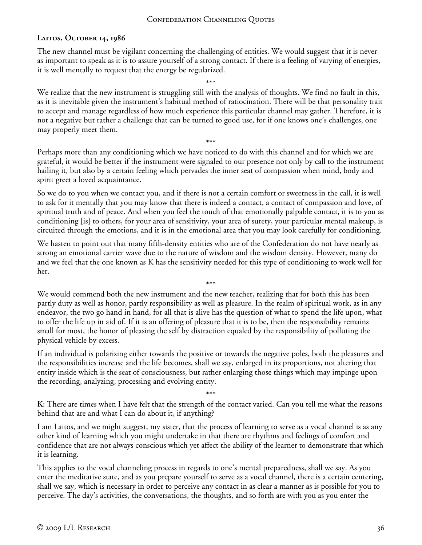## **Laitos, October 14, 1986**

The new channel must be vigilant concerning the challenging of entities. We would suggest that it is never as important to speak as it is to assure yourself of a strong contact. If there is a feeling of varying of energies, it is well mentally to request that the energy be regularized.

\*\*\* We realize that the new instrument is struggling still with the analysis of thoughts. We find no fault in this, as it is inevitable given the instrument's habitual method of ratiocination. There will be that personality trait to accept and manage regardless of how much experience this particular channel may gather. Therefore, it is not a negative but rather a challenge that can be turned to good use, for if one knows one's challenges, one may properly meet them.

\*\*\* Perhaps more than any conditioning which we have noticed to do with this channel and for which we are grateful, it would be better if the instrument were signaled to our presence not only by call to the instrument hailing it, but also by a certain feeling which pervades the inner seat of compassion when mind, body and spirit greet a loved acquaintance.

So we do to you when we contact you, and if there is not a certain comfort or sweetness in the call, it is well to ask for it mentally that you may know that there is indeed a contact, a contact of compassion and love, of spiritual truth and of peace. And when you feel the touch of that emotionally palpable contact, it is to you as conditioning [is] to others, for your area of sensitivity, your area of surety, your particular mental makeup, is circuited through the emotions, and it is in the emotional area that you may look carefully for conditioning.

We hasten to point out that many fifth-density entities who are of the Confederation do not have nearly as strong an emotional carrier wave due to the nature of wisdom and the wisdom density. However, many do and we feel that the one known as K has the sensitivity needed for this type of conditioning to work well for her.

\*\*\* We would commend both the new instrument and the new teacher, realizing that for both this has been partly duty as well as honor, partly responsibility as well as pleasure. In the realm of spiritual work, as in any endeavor, the two go hand in hand, for all that is alive has the question of what to spend the life upon, what to offer the life up in aid of. If it is an offering of pleasure that it is to be, then the responsibility remains small for most, the honor of pleasing the self by distraction equaled by the responsibility of polluting the physical vehicle by excess.

If an individual is polarizing either towards the positive or towards the negative poles, both the pleasures and the responsibilities increase and the life becomes, shall we say, enlarged in its proportions, not altering that entity inside which is the seat of consciousness, but rather enlarging those things which may impinge upon the recording, analyzing, processing and evolving entity.

**K:** There are times when I have felt that the strength of the contact varied. Can you tell me what the reasons behind that are and what I can do about it, if anything?

\*\*\*

I am Laitos, and we might suggest, my sister, that the process of learning to serve as a vocal channel is as any other kind of learning which you might undertake in that there are rhythms and feelings of comfort and confidence that are not always conscious which yet affect the ability of the learner to demonstrate that which it is learning.

This applies to the vocal channeling process in regards to one's mental preparedness, shall we say. As you enter the meditative state, and as you prepare yourself to serve as a vocal channel, there is a certain centering, shall we say, which is necessary in order to perceive any contact in as clear a manner as is possible for you to perceive. The day's activities, the conversations, the thoughts, and so forth are with you as you enter the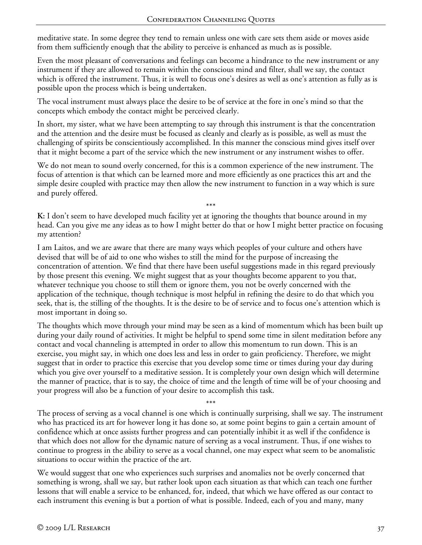meditative state. In some degree they tend to remain unless one with care sets them aside or moves aside from them sufficiently enough that the ability to perceive is enhanced as much as is possible.

Even the most pleasant of conversations and feelings can become a hindrance to the new instrument or any instrument if they are allowed to remain within the conscious mind and filter, shall we say, the contact which is offered the instrument. Thus, it is well to focus one's desires as well as one's attention as fully as is possible upon the process which is being undertaken.

The vocal instrument must always place the desire to be of service at the fore in one's mind so that the concepts which embody the contact might be perceived clearly.

In short, my sister, what we have been attempting to say through this instrument is that the concentration and the attention and the desire must be focused as cleanly and clearly as is possible, as well as must the challenging of spirits be conscientiously accomplished. In this manner the conscious mind gives itself over that it might become a part of the service which the new instrument or any instrument wishes to offer.

We do not mean to sound overly concerned, for this is a common experience of the new instrument. The focus of attention is that which can be learned more and more efficiently as one practices this art and the simple desire coupled with practice may then allow the new instrument to function in a way which is sure and purely offered.

\*\*\*

**K:** I don't seem to have developed much facility yet at ignoring the thoughts that bounce around in my head. Can you give me any ideas as to how I might better do that or how I might better practice on focusing my attention?

I am Laitos, and we are aware that there are many ways which peoples of your culture and others have devised that will be of aid to one who wishes to still the mind for the purpose of increasing the concentration of attention. We find that there have been useful suggestions made in this regard previously by those present this evening. We might suggest that as your thoughts become apparent to you that, whatever technique you choose to still them or ignore them, you not be overly concerned with the application of the technique, though technique is most helpful in refining the desire to do that which you seek, that is, the stilling of the thoughts. It is the desire to be of service and to focus one's attention which is most important in doing so.

The thoughts which move through your mind may be seen as a kind of momentum which has been built up during your daily round of activities. It might be helpful to spend some time in silent meditation before any contact and vocal channeling is attempted in order to allow this momentum to run down. This is an exercise, you might say, in which one does less and less in order to gain proficiency. Therefore, we might suggest that in order to practice this exercise that you develop some time or times during your day during which you give over yourself to a meditative session. It is completely your own design which will determine the manner of practice, that is to say, the choice of time and the length of time will be of your choosing and your progress will also be a function of your desire to accomplish this task.

\*\*\* The process of serving as a vocal channel is one which is continually surprising, shall we say. The instrument who has practiced its art for however long it has done so, at some point begins to gain a certain amount of confidence which at once assists further progress and can potentially inhibit it as well if the confidence is that which does not allow for the dynamic nature of serving as a vocal instrument. Thus, if one wishes to continue to progress in the ability to serve as a vocal channel, one may expect what seem to be anomalistic situations to occur within the practice of the art.

We would suggest that one who experiences such surprises and anomalies not be overly concerned that something is wrong, shall we say, but rather look upon each situation as that which can teach one further lessons that will enable a service to be enhanced, for, indeed, that which we have offered as our contact to each instrument this evening is but a portion of what is possible. Indeed, each of you and many, many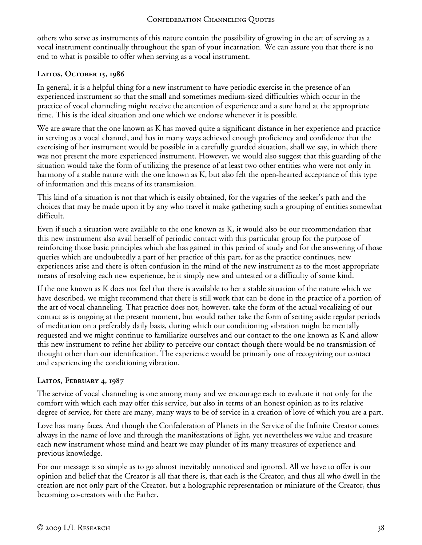others who serve as instruments of this nature contain the possibility of growing in the art of serving as a vocal instrument continually throughout the span of your incarnation. We can assure you that there is no end to what is possible to offer when serving as a vocal instrument.

## **Laitos, October 15, 1986**

In general, it is a helpful thing for a new instrument to have periodic exercise in the presence of an experienced instrument so that the small and sometimes medium-sized difficulties which occur in the practice of vocal channeling might receive the attention of experience and a sure hand at the appropriate time. This is the ideal situation and one which we endorse whenever it is possible.

We are aware that the one known as K has moved quite a significant distance in her experience and practice in serving as a vocal channel, and has in many ways achieved enough proficiency and confidence that the exercising of her instrument would be possible in a carefully guarded situation, shall we say, in which there was not present the more experienced instrument. However, we would also suggest that this guarding of the situation would take the form of utilizing the presence of at least two other entities who were not only in harmony of a stable nature with the one known as K, but also felt the open-hearted acceptance of this type of information and this means of its transmission.

This kind of a situation is not that which is easily obtained, for the vagaries of the seeker's path and the choices that may be made upon it by any who travel it make gathering such a grouping of entities somewhat difficult.

Even if such a situation were available to the one known as K, it would also be our recommendation that this new instrument also avail herself of periodic contact with this particular group for the purpose of reinforcing those basic principles which she has gained in this period of study and for the answering of those queries which are undoubtedly a part of her practice of this part, for as the practice continues, new experiences arise and there is often confusion in the mind of the new instrument as to the most appropriate means of resolving each new experience, be it simply new and untested or a difficulty of some kind.

If the one known as K does not feel that there is available to her a stable situation of the nature which we have described, we might recommend that there is still work that can be done in the practice of a portion of the art of vocal channeling. That practice does not, however, take the form of the actual vocalizing of our contact as is ongoing at the present moment, but would rather take the form of setting aside regular periods of meditation on a preferably daily basis, during which our conditioning vibration might be mentally requested and we might continue to familiarize ourselves and our contact to the one known as K and allow this new instrument to refine her ability to perceive our contact though there would be no transmission of thought other than our identification. The experience would be primarily one of recognizing our contact and experiencing the conditioning vibration.

# **Laitos, February 4, 1987**

The service of vocal channeling is one among many and we encourage each to evaluate it not only for the comfort with which each may offer this service, but also in terms of an honest opinion as to its relative degree of service, for there are many, many ways to be of service in a creation of love of which you are a part.

Love has many faces. And though the Confederation of Planets in the Service of the Infinite Creator comes always in the name of love and through the manifestations of light, yet nevertheless we value and treasure each new instrument whose mind and heart we may plunder of its many treasures of experience and previous knowledge.

For our message is so simple as to go almost inevitably unnoticed and ignored. All we have to offer is our opinion and belief that the Creator is all that there is, that each is the Creator, and thus all who dwell in the creation are not only part of the Creator, but a holographic representation or miniature of the Creator, thus becoming co-creators with the Father.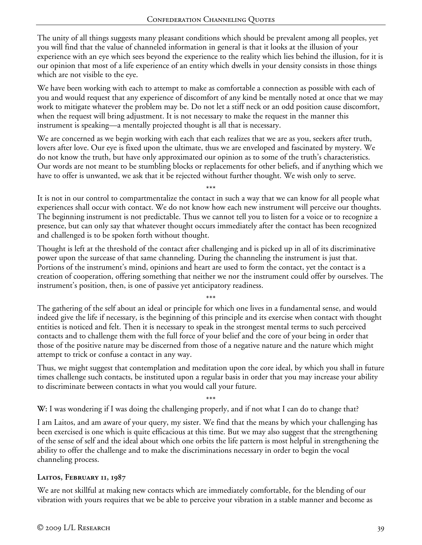The unity of all things suggests many pleasant conditions which should be prevalent among all peoples, yet you will find that the value of channeled information in general is that it looks at the illusion of your experience with an eye which sees beyond the experience to the reality which lies behind the illusion, for it is our opinion that most of a life experience of an entity which dwells in your density consists in those things which are not visible to the eye.

We have been working with each to attempt to make as comfortable a connection as possible with each of you and would request that any experience of discomfort of any kind be mentally noted at once that we may work to mitigate whatever the problem may be. Do not let a stiff neck or an odd position cause discomfort, when the request will bring adjustment. It is not necessary to make the request in the manner this instrument is speaking—a mentally projected thought is all that is necessary.

We are concerned as we begin working with each that each realizes that we are as you, seekers after truth, lovers after love. Our eye is fixed upon the ultimate, thus we are enveloped and fascinated by mystery. We do not know the truth, but have only approximated our opinion as to some of the truth's characteristics. Our words are not meant to be stumbling blocks or replacements for other beliefs, and if anything which we have to offer is unwanted, we ask that it be rejected without further thought. We wish only to serve.

\*\*\* It is not in our control to compartmentalize the contact in such a way that we can know for all people what experiences shall occur with contact. We do not know how each new instrument will perceive our thoughts. The beginning instrument is not predictable. Thus we cannot tell you to listen for a voice or to recognize a presence, but can only say that whatever thought occurs immediately after the contact has been recognized and challenged is to be spoken forth without thought.

Thought is left at the threshold of the contact after challenging and is picked up in all of its discriminative power upon the surcease of that same channeling. During the channeling the instrument is just that. Portions of the instrument's mind, opinions and heart are used to form the contact, yet the contact is a creation of cooperation, offering something that neither we nor the instrument could offer by ourselves. The instrument's position, then, is one of passive yet anticipatory readiness.

\*\*\*

The gathering of the self about an ideal or principle for which one lives in a fundamental sense, and would indeed give the life if necessary, is the beginning of this principle and its exercise when contact with thought entities is noticed and felt. Then it is necessary to speak in the strongest mental terms to such perceived contacts and to challenge them with the full force of your belief and the core of your being in order that those of the positive nature may be discerned from those of a negative nature and the nature which might attempt to trick or confuse a contact in any way.

Thus, we might suggest that contemplation and meditation upon the core ideal, by which you shall in future times challenge such contacts, be instituted upon a regular basis in order that you may increase your ability to discriminate between contacts in what you would call your future.

\*\*\*

**W:** I was wondering if I was doing the challenging properly, and if not what I can do to change that?

I am Laitos, and am aware of your query, my sister. We find that the means by which your challenging has been exercised is one which is quite efficacious at this time. But we may also suggest that the strengthening of the sense of self and the ideal about which one orbits the life pattern is most helpful in strengthening the ability to offer the challenge and to make the discriminations necessary in order to begin the vocal channeling process.

# **Laitos, February 11, 1987**

We are not skillful at making new contacts which are immediately comfortable, for the blending of our vibration with yours requires that we be able to perceive your vibration in a stable manner and become as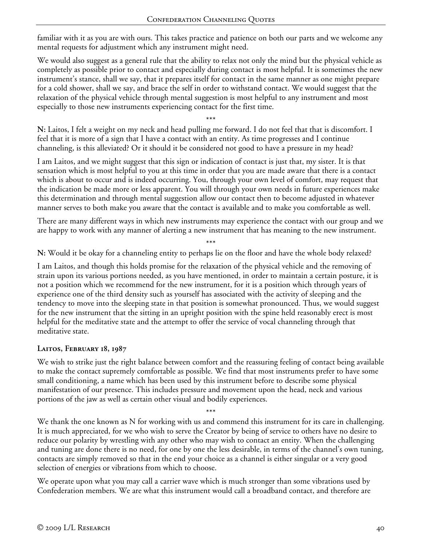familiar with it as you are with ours. This takes practice and patience on both our parts and we welcome any mental requests for adjustment which any instrument might need.

We would also suggest as a general rule that the ability to relax not only the mind but the physical vehicle as completely as possible prior to contact and especially during contact is most helpful. It is sometimes the new instrument's stance, shall we say, that it prepares itself for contact in the same manner as one might prepare for a cold shower, shall we say, and brace the self in order to withstand contact. We would suggest that the relaxation of the physical vehicle through mental suggestion is most helpful to any instrument and most especially to those new instruments experiencing contact for the first time.

\*\*\* **N:** Laitos, I felt a weight on my neck and head pulling me forward. I do not feel that that is discomfort. I feel that it is more of a sign that I have a contact with an entity. As time progresses and I continue channeling, is this alleviated? Or it should it be considered not good to have a pressure in my head?

I am Laitos, and we might suggest that this sign or indication of contact is just that, my sister. It is that sensation which is most helpful to you at this time in order that you are made aware that there is a contact which is about to occur and is indeed occurring. You, through your own level of comfort, may request that the indication be made more or less apparent. You will through your own needs in future experiences make this determination and through mental suggestion allow our contact then to become adjusted in whatever manner serves to both make you aware that the contact is available and to make you comfortable as well.

There are many different ways in which new instruments may experience the contact with our group and we are happy to work with any manner of alerting a new instrument that has meaning to the new instrument.

\*\*\* **N:** Would it be okay for a channeling entity to perhaps lie on the floor and have the whole body relaxed?

I am Laitos, and though this holds promise for the relaxation of the physical vehicle and the removing of strain upon its various portions needed, as you have mentioned, in order to maintain a certain posture, it is not a position which we recommend for the new instrument, for it is a position which through years of experience one of the third density such as yourself has associated with the activity of sleeping and the tendency to move into the sleeping state in that position is somewhat pronounced. Thus, we would suggest for the new instrument that the sitting in an upright position with the spine held reasonably erect is most helpful for the meditative state and the attempt to offer the service of vocal channeling through that meditative state.

### **Laitos, February 18, 1987**

We wish to strike just the right balance between comfort and the reassuring feeling of contact being available to make the contact supremely comfortable as possible. We find that most instruments prefer to have some small conditioning, a name which has been used by this instrument before to describe some physical manifestation of our presence. This includes pressure and movement upon the head, neck and various portions of the jaw as well as certain other visual and bodily experiences.

\*\*\* We thank the one known as N for working with us and commend this instrument for its care in challenging. It is much appreciated, for we who wish to serve the Creator by being of service to others have no desire to reduce our polarity by wrestling with any other who may wish to contact an entity. When the challenging and tuning are done there is no need, for one by one the less desirable, in terms of the channel's own tuning, contacts are simply removed so that in the end your choice as a channel is either singular or a very good selection of energies or vibrations from which to choose.

We operate upon what you may call a carrier wave which is much stronger than some vibrations used by Confederation members. We are what this instrument would call a broadband contact, and therefore are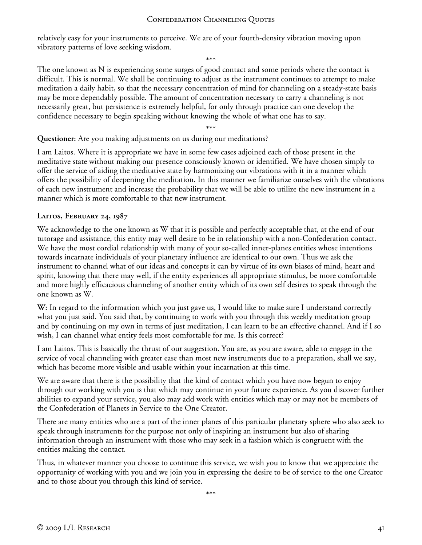relatively easy for your instruments to perceive. We are of your fourth-density vibration moving upon vibratory patterns of love seeking wisdom.

\*\*\* The one known as N is experiencing some surges of good contact and some periods where the contact is difficult. This is normal. We shall be continuing to adjust as the instrument continues to attempt to make meditation a daily habit, so that the necessary concentration of mind for channeling on a steady-state basis may be more dependably possible. The amount of concentration necessary to carry a channeling is not necessarily great, but persistence is extremely helpful, for only through practice can one develop the confidence necessary to begin speaking without knowing the whole of what one has to say.

\*\*\*

**Questioner:** Are you making adjustments on us during our meditations?

I am Laitos. Where it is appropriate we have in some few cases adjoined each of those present in the meditative state without making our presence consciously known or identified. We have chosen simply to offer the service of aiding the meditative state by harmonizing our vibrations with it in a manner which offers the possibility of deepening the meditation. In this manner we familiarize ourselves with the vibrations of each new instrument and increase the probability that we will be able to utilize the new instrument in a manner which is more comfortable to that new instrument.

### **Laitos, February 24, 1987**

We acknowledge to the one known as W that it is possible and perfectly acceptable that, at the end of our tutorage and assistance, this entity may well desire to be in relationship with a non-Confederation contact. We have the most cordial relationship with many of your so-called inner-planes entities whose intentions towards incarnate individuals of your planetary influence are identical to our own. Thus we ask the instrument to channel what of our ideas and concepts it can by virtue of its own biases of mind, heart and spirit, knowing that there may well, if the entity experiences all appropriate stimulus, be more comfortable and more highly efficacious channeling of another entity which of its own self desires to speak through the one known as W.

**W:** In regard to the information which you just gave us, I would like to make sure I understand correctly what you just said. You said that, by continuing to work with you through this weekly meditation group and by continuing on my own in terms of just meditation, I can learn to be an effective channel. And if I so wish, I can channel what entity feels most comfortable for me. Is this correct?

I am Laitos. This is basically the thrust of our suggestion. You are, as you are aware, able to engage in the service of vocal channeling with greater ease than most new instruments due to a preparation, shall we say, which has become more visible and usable within your incarnation at this time.

We are aware that there is the possibility that the kind of contact which you have now begun to enjoy through our working with you is that which may continue in your future experience. As you discover further abilities to expand your service, you also may add work with entities which may or may not be members of the Confederation of Planets in Service to the One Creator.

There are many entities who are a part of the inner planes of this particular planetary sphere who also seek to speak through instruments for the purpose not only of inspiring an instrument but also of sharing information through an instrument with those who may seek in a fashion which is congruent with the entities making the contact.

Thus, in whatever manner you choose to continue this service, we wish you to know that we appreciate the opportunity of working with you and we join you in expressing the desire to be of service to the one Creator and to those about you through this kind of service.

\*\*\*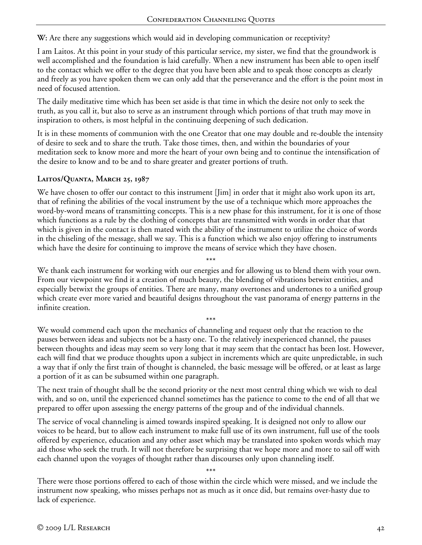**W:** Are there any suggestions which would aid in developing communication or receptivity?

I am Laitos. At this point in your study of this particular service, my sister, we find that the groundwork is well accomplished and the foundation is laid carefully. When a new instrument has been able to open itself to the contact which we offer to the degree that you have been able and to speak those concepts as clearly and freely as you have spoken them we can only add that the perseverance and the effort is the point most in need of focused attention.

The daily meditative time which has been set aside is that time in which the desire not only to seek the truth, as you call it, but also to serve as an instrument through which portions of that truth may move in inspiration to others, is most helpful in the continuing deepening of such dedication.

It is in these moments of communion with the one Creator that one may double and re-double the intensity of desire to seek and to share the truth. Take those times, then, and within the boundaries of your meditation seek to know more and more the heart of your own being and to continue the intensification of the desire to know and to be and to share greater and greater portions of truth.

## **Laitos/Quanta, March 25, 1987**

We have chosen to offer our contact to this instrument [Jim] in order that it might also work upon its art, that of refining the abilities of the vocal instrument by the use of a technique which more approaches the word-by-word means of transmitting concepts. This is a new phase for this instrument, for it is one of those which functions as a rule by the clothing of concepts that are transmitted with words in order that that which is given in the contact is then mated with the ability of the instrument to utilize the choice of words in the chiseling of the message, shall we say. This is a function which we also enjoy offering to instruments which have the desire for continuing to improve the means of service which they have chosen.

We thank each instrument for working with our energies and for allowing us to blend them with your own. From our viewpoint we find it a creation of much beauty, the blending of vibrations betwixt entities, and especially betwixt the groups of entities. There are many, many overtones and undertones to a unified group which create ever more varied and beautiful designs throughout the vast panorama of energy patterns in the infinite creation.

\*\*\*

\*\*\* We would commend each upon the mechanics of channeling and request only that the reaction to the pauses between ideas and subjects not be a hasty one. To the relatively inexperienced channel, the pauses between thoughts and ideas may seem so very long that it may seem that the contact has been lost. However, each will find that we produce thoughts upon a subject in increments which are quite unpredictable, in such a way that if only the first train of thought is channeled, the basic message will be offered, or at least as large a portion of it as can be subsumed within one paragraph.

The next train of thought shall be the second priority or the next most central thing which we wish to deal with, and so on, until the experienced channel sometimes has the patience to come to the end of all that we prepared to offer upon assessing the energy patterns of the group and of the individual channels.

The service of vocal channeling is aimed towards inspired speaking. It is designed not only to allow our voices to be heard, but to allow each instrument to make full use of its own instrument, full use of the tools offered by experience, education and any other asset which may be translated into spoken words which may aid those who seek the truth. It will not therefore be surprising that we hope more and more to sail off with each channel upon the voyages of thought rather than discourses only upon channeling itself.

\*\*\*

There were those portions offered to each of those within the circle which were missed, and we include the instrument now speaking, who misses perhaps not as much as it once did, but remains over-hasty due to lack of experience.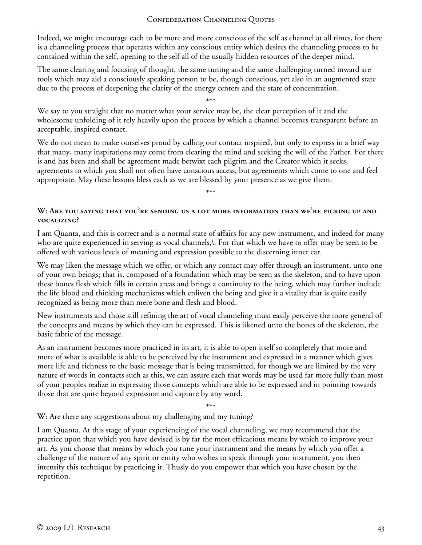Indeed, we might encourage each to be more and more conscious of the self as channel at all times, for there is a channeling process that operates within any conscious entity which desires the channeling process to be contained within the self, opening to the self all of the usually hidden resources of the deeper mind.

The same clearing and focusing of thought, the same tuning and the same challenging turned inward are tools which may aid a consciously speaking person to be, though conscious, yet also in an augmented state due to the process of deepening the clarity of the energy centers and the state of concentration.

\*\*\*

We say to you straight that no matter what your service may be, the clear perception of it and the wholesome unfolding of it rely heavily upon the process by which a channel becomes transparent before an acceptable, inspired contact.

We do not mean to make ourselves proud by calling our contact inspired, but only to express in a brief way that many, many inspirations may come from clearing the mind and seeking the will of the Father. For there is and has been and shall be agreement made betwixt each pilgrim and the Creator which it seeks, agreements to which you shall not often have conscious access, but agreements which come to one and feel appropriate. May these lessons bless each as we are blessed by your presence as we give them.

\*\*\*

### **W: Are you saying that you're sending us a lot more information than we're picking up and vocalizing?**

I am Quanta, and this is correct and is a normal state of affairs for any new instrument, and indeed for many who are quite experienced in serving as vocal channels,\. For that which we have to offer may be seen to be offered with various levels of meaning and expression possible to the discerning inner ear.

We may liken the message which we offer, or which any contact may offer through an instrument, unto one of your own beings; that is, composed of a foundation which may be seen as the skeleton, and to have upon these bones flesh which fills in certain areas and brings a continuity to the being, which may further include the life blood and thinking mechanisms which enliven the being and give it a vitality that is quite easily recognized as being more than mere bone and flesh and blood.

New instruments and those still refining the art of vocal channeling must easily perceive the more general of the concepts and means by which they can be expressed. This is likened unto the bones of the skeleton, the basic fabric of the message.

As an instrument becomes more practiced in its art, it is able to open itself so completely that more and more of what is available is able to be perceived by the instrument and expressed in a manner which gives more life and richness to the basic message that is being transmitted, for though we are limited by the very nature of words in contacts such as this, we can assure each that words may be used far more fully than most of your peoples realize in expressing those concepts which are able to be expressed and in pointing towards those that are quite beyond expression and capture by any word.

\*\*\*

**W:** Are there any suggestions about my challenging and my tuning?

I am Quanta. At this stage of your experiencing of the vocal channeling, we may recommend that the practice upon that which you have devised is by far the most efficacious means by which to improve your art. As you choose that means by which you tune your instrument and the means by which you offer a challenge of the nature of any spirit or entity who wishes to speak through your instrument, you then intensify this technique by practicing it. Thusly do you empower that which you have chosen by the repetition.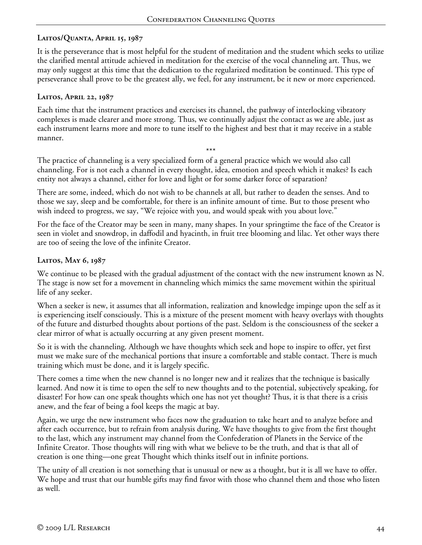# **Laitos/Quanta, April 15, 1987**

It is the perseverance that is most helpful for the student of meditation and the student which seeks to utilize the clarified mental attitude achieved in meditation for the exercise of the vocal channeling art. Thus, we may only suggest at this time that the dedication to the regularized meditation be continued. This type of perseverance shall prove to be the greatest ally, we feel, for any instrument, be it new or more experienced.

#### **Laitos, April 22, 1987**

Each time that the instrument practices and exercises its channel, the pathway of interlocking vibratory complexes is made clearer and more strong. Thus, we continually adjust the contact as we are able, just as each instrument learns more and more to tune itself to the highest and best that it may receive in a stable manner.

\*\*\* The practice of channeling is a very specialized form of a general practice which we would also call channeling. For is not each a channel in every thought, idea, emotion and speech which it makes? Is each entity not always a channel, either for love and light or for some darker force of separation?

There are some, indeed, which do not wish to be channels at all, but rather to deaden the senses. And to those we say, sleep and be comfortable, for there is an infinite amount of time. But to those present who wish indeed to progress, we say, "We rejoice with you, and would speak with you about love."

For the face of the Creator may be seen in many, many shapes. In your springtime the face of the Creator is seen in violet and snowdrop, in daffodil and hyacinth, in fruit tree blooming and lilac. Yet other ways there are too of seeing the love of the infinite Creator.

### **Laitos, May 6, 1987**

We continue to be pleased with the gradual adjustment of the contact with the new instrument known as N. The stage is now set for a movement in channeling which mimics the same movement within the spiritual life of any seeker.

When a seeker is new, it assumes that all information, realization and knowledge impinge upon the self as it is experiencing itself consciously. This is a mixture of the present moment with heavy overlays with thoughts of the future and disturbed thoughts about portions of the past. Seldom is the consciousness of the seeker a clear mirror of what is actually occurring at any given present moment.

So it is with the channeling. Although we have thoughts which seek and hope to inspire to offer, yet first must we make sure of the mechanical portions that insure a comfortable and stable contact. There is much training which must be done, and it is largely specific.

There comes a time when the new channel is no longer new and it realizes that the technique is basically learned. And now it is time to open the self to new thoughts and to the potential, subjectively speaking, for disaster! For how can one speak thoughts which one has not yet thought? Thus, it is that there is a crisis anew, and the fear of being a fool keeps the magic at bay.

Again, we urge the new instrument who faces now the graduation to take heart and to analyze before and after each occurrence, but to refrain from analysis during. We have thoughts to give from the first thought to the last, which any instrument may channel from the Confederation of Planets in the Service of the Infinite Creator. Those thoughts will ring with what we believe to be the truth, and that is that all of creation is one thing—one great Thought which thinks itself out in infinite portions.

The unity of all creation is not something that is unusual or new as a thought, but it is all we have to offer. We hope and trust that our humble gifts may find favor with those who channel them and those who listen as well.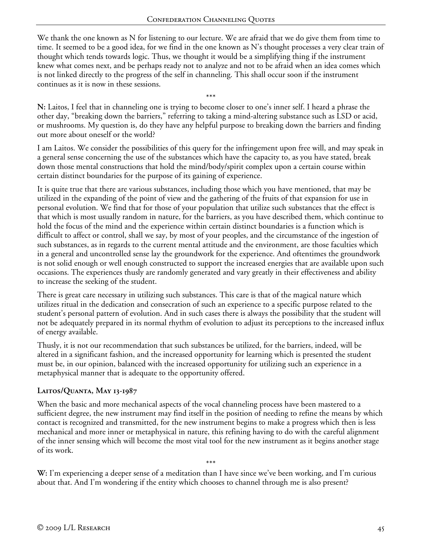We thank the one known as N for listening to our lecture. We are afraid that we do give them from time to time. It seemed to be a good idea, for we find in the one known as N's thought processes a very clear train of thought which tends towards logic. Thus, we thought it would be a simplifying thing if the instrument knew what comes next, and be perhaps ready not to analyze and not to be afraid when an idea comes which is not linked directly to the progress of the self in channeling. This shall occur soon if the instrument continues as it is now in these sessions.

\*\*\* **N:** Laitos, I feel that in channeling one is trying to become closer to one's inner self. I heard a phrase the other day, "breaking down the barriers," referring to taking a mind-altering substance such as LSD or acid, or mushrooms. My question is, do they have any helpful purpose to breaking down the barriers and finding out more about oneself or the world?

I am Laitos. We consider the possibilities of this query for the infringement upon free will, and may speak in a general sense concerning the use of the substances which have the capacity to, as you have stated, break down those mental constructions that hold the mind/body/spirit complex upon a certain course within certain distinct boundaries for the purpose of its gaining of experience.

It is quite true that there are various substances, including those which you have mentioned, that may be utilized in the expanding of the point of view and the gathering of the fruits of that expansion for use in personal evolution. We find that for those of your population that utilize such substances that the effect is that which is most usually random in nature, for the barriers, as you have described them, which continue to hold the focus of the mind and the experience within certain distinct boundaries is a function which is difficult to affect or control, shall we say, by most of your peoples, and the circumstance of the ingestion of such substances, as in regards to the current mental attitude and the environment, are those faculties which in a general and uncontrolled sense lay the groundwork for the experience. And oftentimes the groundwork is not solid enough or well enough constructed to support the increased energies that are available upon such occasions. The experiences thusly are randomly generated and vary greatly in their effectiveness and ability to increase the seeking of the student.

There is great care necessary in utilizing such substances. This care is that of the magical nature which utilizes ritual in the dedication and consecration of such an experience to a specific purpose related to the student's personal pattern of evolution. And in such cases there is always the possibility that the student will not be adequately prepared in its normal rhythm of evolution to adjust its perceptions to the increased influx of energy available.

Thusly, it is not our recommendation that such substances be utilized, for the barriers, indeed, will be altered in a significant fashion, and the increased opportunity for learning which is presented the student must be, in our opinion, balanced with the increased opportunity for utilizing such an experience in a metaphysical manner that is adequate to the opportunity offered.

# **Laitos/Quanta, May 13-1987**

When the basic and more mechanical aspects of the vocal channeling process have been mastered to a sufficient degree, the new instrument may find itself in the position of needing to refine the means by which contact is recognized and transmitted, for the new instrument begins to make a progress which then is less mechanical and more inner or metaphysical in nature, this refining having to do with the careful alignment of the inner sensing which will become the most vital tool for the new instrument as it begins another stage of its work.

**W:** I'm experiencing a deeper sense of a meditation than I have since we've been working, and I'm curious about that. And I'm wondering if the entity which chooses to channel through me is also present?

\*\*\*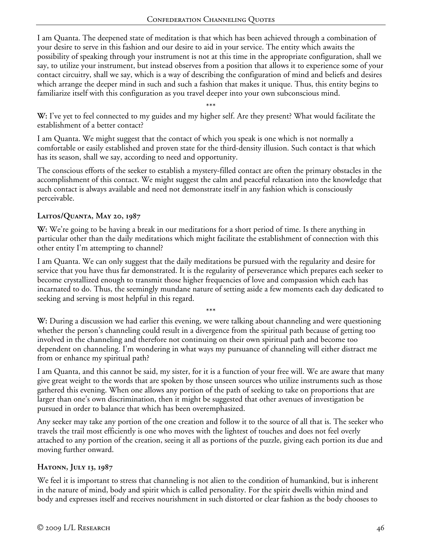I am Quanta. The deepened state of meditation is that which has been achieved through a combination of your desire to serve in this fashion and our desire to aid in your service. The entity which awaits the possibility of speaking through your instrument is not at this time in the appropriate configuration, shall we say, to utilize your instrument, but instead observes from a position that allows it to experience some of your contact circuitry, shall we say, which is a way of describing the configuration of mind and beliefs and desires which arrange the deeper mind in such and such a fashion that makes it unique. Thus, this entity begins to familiarize itself with this configuration as you travel deeper into your own subconscious mind.

\*\*\*

**W:** I've yet to feel connected to my guides and my higher self. Are they present? What would facilitate the establishment of a better contact?

I am Quanta. We might suggest that the contact of which you speak is one which is not normally a comfortable or easily established and proven state for the third-density illusion. Such contact is that which has its season, shall we say, according to need and opportunity.

The conscious efforts of the seeker to establish a mystery-filled contact are often the primary obstacles in the accomplishment of this contact. We might suggest the calm and peaceful relaxation into the knowledge that such contact is always available and need not demonstrate itself in any fashion which is consciously perceivable.

## **Laitos/Quanta, May 20, 1987**

**W:** We're going to be having a break in our meditations for a short period of time. Is there anything in particular other than the daily meditations which might facilitate the establishment of connection with this other entity I'm attempting to channel?

I am Quanta. We can only suggest that the daily meditations be pursued with the regularity and desire for service that you have thus far demonstrated. It is the regularity of perseverance which prepares each seeker to become crystallized enough to transmit those higher frequencies of love and compassion which each has incarnated to do. Thus, the seemingly mundane nature of setting aside a few moments each day dedicated to seeking and serving is most helpful in this regard.

**W:** During a discussion we had earlier this evening, we were talking about channeling and were questioning whether the person's channeling could result in a divergence from the spiritual path because of getting too involved in the channeling and therefore not continuing on their own spiritual path and become too dependent on channeling. I'm wondering in what ways my pursuance of channeling will either distract me from or enhance my spiritual path?

\*\*\*

I am Quanta, and this cannot be said, my sister, for it is a function of your free will. We are aware that many give great weight to the words that are spoken by those unseen sources who utilize instruments such as those gathered this evening. When one allows any portion of the path of seeking to take on proportions that are larger than one's own discrimination, then it might be suggested that other avenues of investigation be pursued in order to balance that which has been overemphasized.

Any seeker may take any portion of the one creation and follow it to the source of all that is. The seeker who travels the trail most efficiently is one who moves with the lightest of touches and does not feel overly attached to any portion of the creation, seeing it all as portions of the puzzle, giving each portion its due and moving further onward.

# **Hatonn, July 13, 1987**

We feel it is important to stress that channeling is not alien to the condition of humankind, but is inherent in the nature of mind, body and spirit which is called personality. For the spirit dwells within mind and body and expresses itself and receives nourishment in such distorted or clear fashion as the body chooses to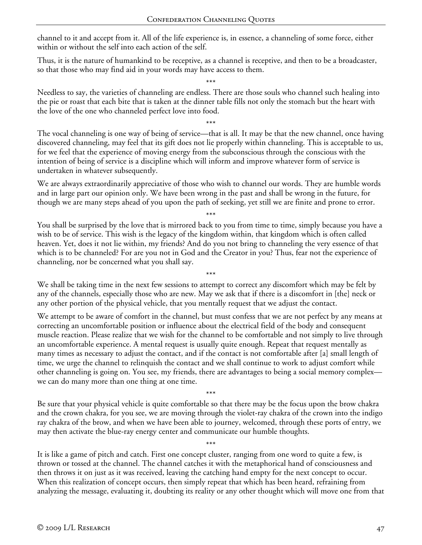channel to it and accept from it. All of the life experience is, in essence, a channeling of some force, either within or without the self into each action of the self.

Thus, it is the nature of humankind to be receptive, as a channel is receptive, and then to be a broadcaster, so that those who may find aid in your words may have access to them.

\*\*\* Needless to say, the varieties of channeling are endless. There are those souls who channel such healing into the pie or roast that each bite that is taken at the dinner table fills not only the stomach but the heart with the love of the one who channeled perfect love into food.

\*\*\* The vocal channeling is one way of being of service—that is all. It may be that the new channel, once having discovered channeling, may feel that its gift does not lie properly within channeling. This is acceptable to us, for we feel that the experience of moving energy from the subconscious through the conscious with the intention of being of service is a discipline which will inform and improve whatever form of service is undertaken in whatever subsequently.

We are always extraordinarily appreciative of those who wish to channel our words. They are humble words and in large part our opinion only. We have been wrong in the past and shall be wrong in the future, for though we are many steps ahead of you upon the path of seeking, yet still we are finite and prone to error.

\*\*\* You shall be surprised by the love that is mirrored back to you from time to time, simply because you have a wish to be of service. This wish is the legacy of the kingdom within, that kingdom which is often called heaven. Yet, does it not lie within, my friends? And do you not bring to channeling the very essence of that which is to be channeled? For are you not in God and the Creator in you? Thus, fear not the experience of channeling, nor be concerned what you shall say.

\*\*\*

We shall be taking time in the next few sessions to attempt to correct any discomfort which may be felt by any of the channels, especially those who are new. May we ask that if there is a discomfort in [the] neck or any other portion of the physical vehicle, that you mentally request that we adjust the contact.

We attempt to be aware of comfort in the channel, but must confess that we are not perfect by any means at correcting an uncomfortable position or influence about the electrical field of the body and consequent muscle reaction. Please realize that we wish for the channel to be comfortable and not simply to live through an uncomfortable experience. A mental request is usually quite enough. Repeat that request mentally as many times as necessary to adjust the contact, and if the contact is not comfortable after [a] small length of time, we urge the channel to relinquish the contact and we shall continue to work to adjust comfort while other channeling is going on. You see, my friends, there are advantages to being a social memory complex we can do many more than one thing at one time.

\*\*\* Be sure that your physical vehicle is quite comfortable so that there may be the focus upon the brow chakra and the crown chakra, for you see, we are moving through the violet-ray chakra of the crown into the indigo ray chakra of the brow, and when we have been able to journey, welcomed, through these ports of entry, we may then activate the blue-ray energy center and communicate our humble thoughts.

\*\*\* It is like a game of pitch and catch. First one concept cluster, ranging from one word to quite a few, is thrown or tossed at the channel. The channel catches it with the metaphorical hand of consciousness and then throws it on just as it was received, leaving the catching hand empty for the next concept to occur. When this realization of concept occurs, then simply repeat that which has been heard, refraining from analyzing the message, evaluating it, doubting its reality or any other thought which will move one from that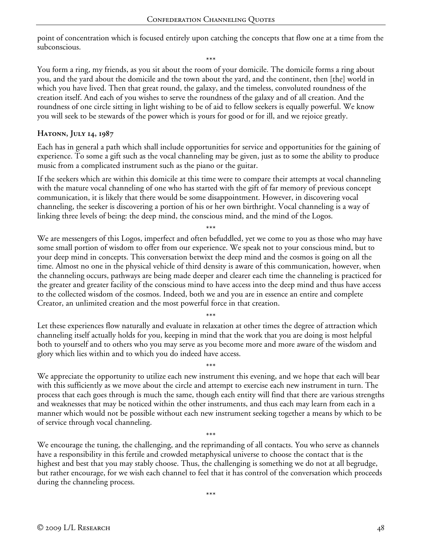point of concentration which is focused entirely upon catching the concepts that flow one at a time from the subconscious.

\*\*\*

You form a ring, my friends, as you sit about the room of your domicile. The domicile forms a ring about you, and the yard about the domicile and the town about the yard, and the continent, then [the] world in which you have lived. Then that great round, the galaxy, and the timeless, convoluted roundness of the creation itself. And each of you wishes to serve the roundness of the galaxy and of all creation. And the roundness of one circle sitting in light wishing to be of aid to fellow seekers is equally powerful. We know you will seek to be stewards of the power which is yours for good or for ill, and we rejoice greatly.

#### **Hatonn, July 14, 1987**

Each has in general a path which shall include opportunities for service and opportunities for the gaining of experience. To some a gift such as the vocal channeling may be given, just as to some the ability to produce music from a complicated instrument such as the piano or the guitar.

If the seekers which are within this domicile at this time were to compare their attempts at vocal channeling with the mature vocal channeling of one who has started with the gift of far memory of previous concept communication, it is likely that there would be some disappointment. However, in discovering vocal channeling, the seeker is discovering a portion of his or her own birthright. Vocal channeling is a way of linking three levels of being: the deep mind, the conscious mind, and the mind of the Logos.

\*\*\* We are messengers of this Logos, imperfect and often befuddled, yet we come to you as those who may have some small portion of wisdom to offer from our experience. We speak not to your conscious mind, but to your deep mind in concepts. This conversation betwixt the deep mind and the cosmos is going on all the time. Almost no one in the physical vehicle of third density is aware of this communication, however, when the channeling occurs, pathways are being made deeper and clearer each time the channeling is practiced for the greater and greater facility of the conscious mind to have access into the deep mind and thus have access to the collected wisdom of the cosmos. Indeed, both we and you are in essence an entire and complete Creator, an unlimited creation and the most powerful force in that creation.

\*\*\* Let these experiences flow naturally and evaluate in relaxation at other times the degree of attraction which channeling itself actually holds for you, keeping in mind that the work that you are doing is most helpful both to yourself and to others who you may serve as you become more and more aware of the wisdom and glory which lies within and to which you do indeed have access.

\*\*\* We appreciate the opportunity to utilize each new instrument this evening, and we hope that each will bear with this sufficiently as we move about the circle and attempt to exercise each new instrument in turn. The process that each goes through is much the same, though each entity will find that there are various strengths and weaknesses that may be noticed within the other instruments, and thus each may learn from each in a manner which would not be possible without each new instrument seeking together a means by which to be of service through vocal channeling.

\*\*\* We encourage the tuning, the challenging, and the reprimanding of all contacts. You who serve as channels have a responsibility in this fertile and crowded metaphysical universe to choose the contact that is the highest and best that you may stably choose. Thus, the challenging is something we do not at all begrudge, but rather encourage, for we wish each channel to feel that it has control of the conversation which proceeds during the channeling process.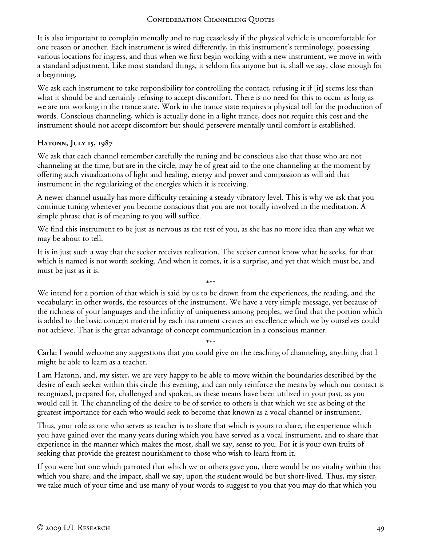It is also important to complain mentally and to nag ceaselessly if the physical vehicle is uncomfortable for one reason or another. Each instrument is wired differently, in this instrument's terminology, possessing various locations for ingress, and thus when we first begin working with a new instrument, we move in with a standard adjustment. Like most standard things, it seldom fits anyone but is, shall we say, close enough for a beginning.

We ask each instrument to take responsibility for controlling the contact, refusing it if [it] seems less than what it should be and certainly refusing to accept discomfort. There is no need for this to occur as long as we are not working in the trance state. Work in the trance state requires a physical toll for the production of words. Conscious channeling, which is actually done in a light trance, does not require this cost and the instrument should not accept discomfort but should persevere mentally until comfort is established.

### **Hatonn, July 15, 1987**

We ask that each channel remember carefully the tuning and be conscious also that those who are not channeling at the time, but are in the circle, may be of great aid to the one channeling at the moment by offering such visualizations of light and healing, energy and power and compassion as will aid that instrument in the regularizing of the energies which it is receiving.

A newer channel usually has more difficulty retaining a steady vibratory level. This is why we ask that you continue tuning whenever you become conscious that you are not totally involved in the meditation. A simple phrase that is of meaning to you will suffice.

We find this instrument to be just as nervous as the rest of you, as she has no more idea than any what we may be about to tell.

It is in just such a way that the seeker receives realization. The seeker cannot know what he seeks, for that which is named is not worth seeking. And when it comes, it is a surprise, and yet that which must be, and must be just as it is.

\*\*\* We intend for a portion of that which is said by us to be drawn from the experiences, the reading, and the vocabulary: in other words, the resources of the instrument. We have a very simple message, yet because of the richness of your languages and the infinity of uniqueness among peoples, we find that the portion which is added to the basic concept material by each instrument creates an excellence which we by ourselves could not achieve. That is the great advantage of concept communication in a conscious manner.

\*\*\* **Carla:** I would welcome any suggestions that you could give on the teaching of channeling, anything that I might be able to learn as a teacher.

I am Hatonn, and, my sister, we are very happy to be able to move within the boundaries described by the desire of each seeker within this circle this evening, and can only reinforce the means by which our contact is recognized, prepared for, challenged and spoken, as these means have been utilized in your past, as you would call it. The channeling of the desire to be of service to others is that which we see as being of the greatest importance for each who would seek to become that known as a vocal channel or instrument.

Thus, your role as one who serves as teacher is to share that which is yours to share, the experience which you have gained over the many years during which you have served as a vocal instrument, and to share that experience in the manner which makes the most, shall we say, sense to you. For it is your own fruits of seeking that provide the greatest nourishment to those who wish to learn from it.

If you were but one which parroted that which we or others gave you, there would be no vitality within that which you share, and the impact, shall we say, upon the student would be but short-lived. Thus, my sister, we take much of your time and use many of your words to suggest to you that you may do that which you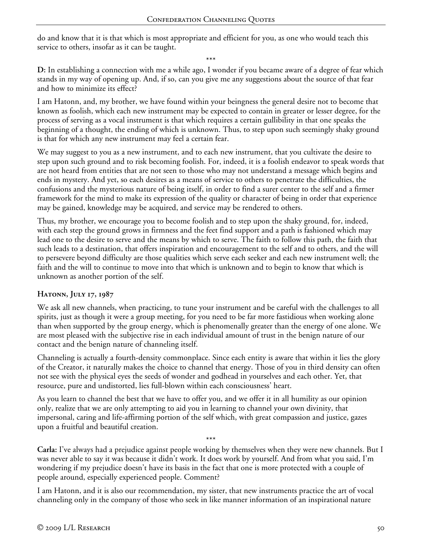do and know that it is that which is most appropriate and efficient for you, as one who would teach this service to others, insofar as it can be taught.

\*\*\*

**D:** In establishing a connection with me a while ago, I wonder if you became aware of a degree of fear which stands in my way of opening up. And, if so, can you give me any suggestions about the source of that fear and how to minimize its effect?

I am Hatonn, and, my brother, we have found within your beingness the general desire not to become that known as foolish, which each new instrument may be expected to contain in greater or lesser degree, for the process of serving as a vocal instrument is that which requires a certain gullibility in that one speaks the beginning of a thought, the ending of which is unknown. Thus, to step upon such seemingly shaky ground is that for which any new instrument may feel a certain fear.

We may suggest to you as a new instrument, and to each new instrument, that you cultivate the desire to step upon such ground and to risk becoming foolish. For, indeed, it is a foolish endeavor to speak words that are not heard from entities that are not seen to those who may not understand a message which begins and ends in mystery. And yet, so each desires as a means of service to others to penetrate the difficulties, the confusions and the mysterious nature of being itself, in order to find a surer center to the self and a firmer framework for the mind to make its expression of the quality or character of being in order that experience may be gained, knowledge may be acquired, and service may be rendered to others.

Thus, my brother, we encourage you to become foolish and to step upon the shaky ground, for, indeed, with each step the ground grows in firmness and the feet find support and a path is fashioned which may lead one to the desire to serve and the means by which to serve. The faith to follow this path, the faith that such leads to a destination, that offers inspiration and encouragement to the self and to others, and the will to persevere beyond difficulty are those qualities which serve each seeker and each new instrument well; the faith and the will to continue to move into that which is unknown and to begin to know that which is unknown as another portion of the self.

### **Hatonn, July 17, 1987**

We ask all new channels, when practicing, to tune your instrument and be careful with the challenges to all spirits, just as though it were a group meeting, for you need to be far more fastidious when working alone than when supported by the group energy, which is phenomenally greater than the energy of one alone. We are most pleased with the subjective rise in each individual amount of trust in the benign nature of our contact and the benign nature of channeling itself.

Channeling is actually a fourth-density commonplace. Since each entity is aware that within it lies the glory of the Creator, it naturally makes the choice to channel that energy. Those of you in third density can often not see with the physical eyes the seeds of wonder and godhead in yourselves and each other. Yet, that resource, pure and undistorted, lies full-blown within each consciousness' heart.

As you learn to channel the best that we have to offer you, and we offer it in all humility as our opinion only, realize that we are only attempting to aid you in learning to channel your own divinity, that impersonal, caring and life-affirming portion of the self which, with great compassion and justice, gazes upon a fruitful and beautiful creation.

**Carla:** I've always had a prejudice against people working by themselves when they were new channels. But I was never able to say it was because it didn't work. It does work by yourself. And from what you said, I'm wondering if my prejudice doesn't have its basis in the fact that one is more protected with a couple of people around, especially experienced people. Comment?

\*\*\*

I am Hatonn, and it is also our recommendation, my sister, that new instruments practice the art of vocal channeling only in the company of those who seek in like manner information of an inspirational nature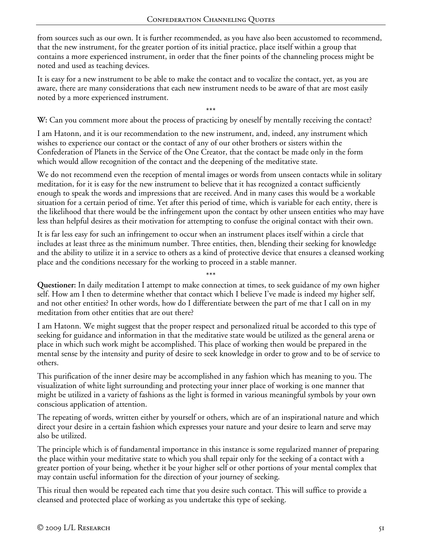from sources such as our own. It is further recommended, as you have also been accustomed to recommend, that the new instrument, for the greater portion of its initial practice, place itself within a group that contains a more experienced instrument, in order that the finer points of the channeling process might be noted and used as teaching devices.

It is easy for a new instrument to be able to make the contact and to vocalize the contact, yet, as you are aware, there are many considerations that each new instrument needs to be aware of that are most easily noted by a more experienced instrument.

\*\*\* **W:** Can you comment more about the process of practicing by oneself by mentally receiving the contact?

I am Hatonn, and it is our recommendation to the new instrument, and, indeed, any instrument which wishes to experience our contact or the contact of any of our other brothers or sisters within the Confederation of Planets in the Service of the One Creator, that the contact be made only in the form which would allow recognition of the contact and the deepening of the meditative state.

We do not recommend even the reception of mental images or words from unseen contacts while in solitary meditation, for it is easy for the new instrument to believe that it has recognized a contact sufficiently enough to speak the words and impressions that are received. And in many cases this would be a workable situation for a certain period of time. Yet after this period of time, which is variable for each entity, there is the likelihood that there would be the infringement upon the contact by other unseen entities who may have less than helpful desires as their motivation for attempting to confuse the original contact with their own.

It is far less easy for such an infringement to occur when an instrument places itself within a circle that includes at least three as the minimum number. Three entities, then, blending their seeking for knowledge and the ability to utilize it in a service to others as a kind of protective device that ensures a cleansed working place and the conditions necessary for the working to proceed in a stable manner.

\*\*\*

**Questioner:** In daily meditation I attempt to make connection at times, to seek guidance of my own higher self. How am I then to determine whether that contact which I believe I've made is indeed my higher self, and not other entities? In other words, how do I differentiate between the part of me that I call on in my meditation from other entities that are out there?

I am Hatonn. We might suggest that the proper respect and personalized ritual be accorded to this type of seeking for guidance and information in that the meditative state would be utilized as the general arena or place in which such work might be accomplished. This place of working then would be prepared in the mental sense by the intensity and purity of desire to seek knowledge in order to grow and to be of service to others.

This purification of the inner desire may be accomplished in any fashion which has meaning to you. The visualization of white light surrounding and protecting your inner place of working is one manner that might be utilized in a variety of fashions as the light is formed in various meaningful symbols by your own conscious application of attention.

The repeating of words, written either by yourself or others, which are of an inspirational nature and which direct your desire in a certain fashion which expresses your nature and your desire to learn and serve may also be utilized.

The principle which is of fundamental importance in this instance is some regularized manner of preparing the place within your meditative state to which you shall repair only for the seeking of a contact with a greater portion of your being, whether it be your higher self or other portions of your mental complex that may contain useful information for the direction of your journey of seeking.

This ritual then would be repeated each time that you desire such contact. This will suffice to provide a cleansed and protected place of working as you undertake this type of seeking.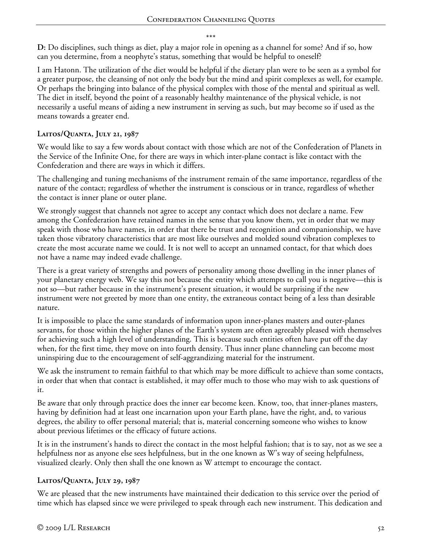\*\*\*

**D:** Do disciplines, such things as diet, play a major role in opening as a channel for some? And if so, how can you determine, from a neophyte's status, something that would be helpful to oneself?

I am Hatonn. The utilization of the diet would be helpful if the dietary plan were to be seen as a symbol for a greater purpose, the cleansing of not only the body but the mind and spirit complexes as well, for example. Or perhaps the bringing into balance of the physical complex with those of the mental and spiritual as well. The diet in itself, beyond the point of a reasonably healthy maintenance of the physical vehicle, is not necessarily a useful means of aiding a new instrument in serving as such, but may become so if used as the means towards a greater end.

### **Laitos/Quanta, July 21, 1987**

We would like to say a few words about contact with those which are not of the Confederation of Planets in the Service of the Infinite One, for there are ways in which inter-plane contact is like contact with the Confederation and there are ways in which it differs.

The challenging and tuning mechanisms of the instrument remain of the same importance, regardless of the nature of the contact; regardless of whether the instrument is conscious or in trance, regardless of whether the contact is inner plane or outer plane.

We strongly suggest that channels not agree to accept any contact which does not declare a name. Few among the Confederation have retained names in the sense that you know them, yet in order that we may speak with those who have names, in order that there be trust and recognition and companionship, we have taken those vibratory characteristics that are most like ourselves and molded sound vibration complexes to create the most accurate name we could. It is not well to accept an unnamed contact, for that which does not have a name may indeed evade challenge.

There is a great variety of strengths and powers of personality among those dwelling in the inner planes of your planetary energy web. We say this not because the entity which attempts to call you is negative—this is not so—but rather because in the instrument's present situation, it would be surprising if the new instrument were not greeted by more than one entity, the extraneous contact being of a less than desirable nature.

It is impossible to place the same standards of information upon inner-planes masters and outer-planes servants, for those within the higher planes of the Earth's system are often agreeably pleased with themselves for achieving such a high level of understanding. This is because such entities often have put off the day when, for the first time, they move on into fourth density. Thus inner plane channeling can become most uninspiring due to the encouragement of self-aggrandizing material for the instrument.

We ask the instrument to remain faithful to that which may be more difficult to achieve than some contacts, in order that when that contact is established, it may offer much to those who may wish to ask questions of it.

Be aware that only through practice does the inner ear become keen. Know, too, that inner-planes masters, having by definition had at least one incarnation upon your Earth plane, have the right, and, to various degrees, the ability to offer personal material; that is, material concerning someone who wishes to know about previous lifetimes or the efficacy of future actions.

It is in the instrument's hands to direct the contact in the most helpful fashion; that is to say, not as we see a helpfulness nor as anyone else sees helpfulness, but in the one known as W's way of seeing helpfulness, visualized clearly. Only then shall the one known as W attempt to encourage the contact.

# **Laitos/Quanta, July 29, 1987**

We are pleased that the new instruments have maintained their dedication to this service over the period of time which has elapsed since we were privileged to speak through each new instrument. This dedication and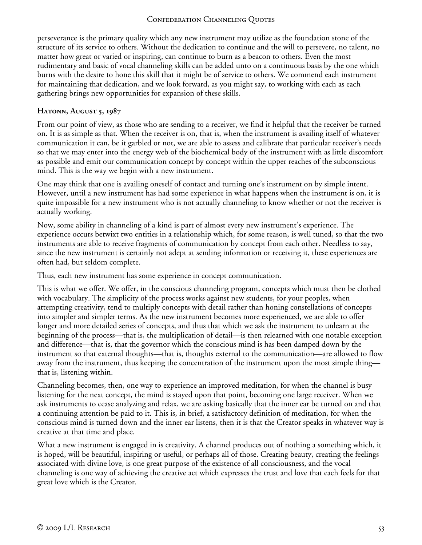perseverance is the primary quality which any new instrument may utilize as the foundation stone of the structure of its service to others. Without the dedication to continue and the will to persevere, no talent, no matter how great or varied or inspiring, can continue to burn as a beacon to others. Even the most rudimentary and basic of vocal channeling skills can be added unto on a continuous basis by the one which burns with the desire to hone this skill that it might be of service to others. We commend each instrument for maintaining that dedication, and we look forward, as you might say, to working with each as each gathering brings new opportunities for expansion of these skills.

## **HATONN, AUGUST 5, 1987**

From our point of view, as those who are sending to a receiver, we find it helpful that the receiver be turned on. It is as simple as that. When the receiver is on, that is, when the instrument is availing itself of whatever communication it can, be it garbled or not, we are able to assess and calibrate that particular receiver's needs so that we may enter into the energy web of the biochemical body of the instrument with as little discomfort as possible and emit our communication concept by concept within the upper reaches of the subconscious mind. This is the way we begin with a new instrument.

One may think that one is availing oneself of contact and turning one's instrument on by simple intent. However, until a new instrument has had some experience in what happens when the instrument is on, it is quite impossible for a new instrument who is not actually channeling to know whether or not the receiver is actually working.

Now, some ability in channeling of a kind is part of almost every new instrument's experience. The experience occurs betwixt two entities in a relationship which, for some reason, is well tuned, so that the two instruments are able to receive fragments of communication by concept from each other. Needless to say, since the new instrument is certainly not adept at sending information or receiving it, these experiences are often had, but seldom complete.

Thus, each new instrument has some experience in concept communication.

This is what we offer. We offer, in the conscious channeling program, concepts which must then be clothed with vocabulary. The simplicity of the process works against new students, for your peoples, when attempting creativity, tend to multiply concepts with detail rather than honing constellations of concepts into simpler and simpler terms. As the new instrument becomes more experienced, we are able to offer longer and more detailed series of concepts, and thus that which we ask the instrument to unlearn at the beginning of the process—that is, the multiplication of detail—is then relearned with one notable exception and difference—that is, that the governor which the conscious mind is has been damped down by the instrument so that external thoughts—that is, thoughts external to the communication—are allowed to flow away from the instrument, thus keeping the concentration of the instrument upon the most simple thing that is, listening within.

Channeling becomes, then, one way to experience an improved meditation, for when the channel is busy listening for the next concept, the mind is stayed upon that point, becoming one large receiver. When we ask instruments to cease analyzing and relax, we are asking basically that the inner ear be turned on and that a continuing attention be paid to it. This is, in brief, a satisfactory definition of meditation, for when the conscious mind is turned down and the inner ear listens, then it is that the Creator speaks in whatever way is creative at that time and place.

What a new instrument is engaged in is creativity. A channel produces out of nothing a something which, it is hoped, will be beautiful, inspiring or useful, or perhaps all of those. Creating beauty, creating the feelings associated with divine love, is one great purpose of the existence of all consciousness, and the vocal channeling is one way of achieving the creative act which expresses the trust and love that each feels for that great love which is the Creator.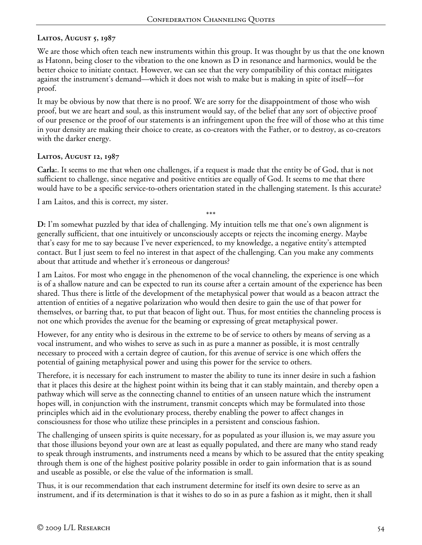## **Laitos, August 5, 1987**

We are those which often teach new instruments within this group. It was thought by us that the one known as Hatonn, being closer to the vibration to the one known as D in resonance and harmonics, would be the better choice to initiate contact. However, we can see that the very compatibility of this contact mitigates against the instrument's demand—which it does not wish to make but is making in spite of itself—for proof.

It may be obvious by now that there is no proof. We are sorry for the disappointment of those who wish proof, but we are heart and soul, as this instrument would say, of the belief that any sort of objective proof of our presence or the proof of our statements is an infringement upon the free will of those who at this time in your density are making their choice to create, as co-creators with the Father, or to destroy, as co-creators with the darker energy.

### **Laitos, August 12, 1987**

**Carla:**. It seems to me that when one challenges, if a request is made that the entity be of God, that is not sufficient to challenge, since negative and positive entities are equally of God. It seems to me that there would have to be a specific service-to-others orientation stated in the challenging statement. Is this accurate?

I am Laitos, and this is correct, my sister.

\*\*\* **D:** I'm somewhat puzzled by that idea of challenging. My intuition tells me that one's own alignment is generally sufficient, that one intuitively or unconsciously accepts or rejects the incoming energy. Maybe that's easy for me to say because I've never experienced, to my knowledge, a negative entity's attempted contact. But I just seem to feel no interest in that aspect of the challenging. Can you make any comments about that attitude and whether it's erroneous or dangerous?

I am Laitos. For most who engage in the phenomenon of the vocal channeling, the experience is one which is of a shallow nature and can be expected to run its course after a certain amount of the experience has been shared. Thus there is little of the development of the metaphysical power that would as a beacon attract the attention of entities of a negative polarization who would then desire to gain the use of that power for themselves, or barring that, to put that beacon of light out. Thus, for most entities the channeling process is not one which provides the avenue for the beaming or expressing of great metaphysical power.

However, for any entity who is desirous in the extreme to be of service to others by means of serving as a vocal instrument, and who wishes to serve as such in as pure a manner as possible, it is most centrally necessary to proceed with a certain degree of caution, for this avenue of service is one which offers the potential of gaining metaphysical power and using this power for the service to others.

Therefore, it is necessary for each instrument to master the ability to tune its inner desire in such a fashion that it places this desire at the highest point within its being that it can stably maintain, and thereby open a pathway which will serve as the connecting channel to entities of an unseen nature which the instrument hopes will, in conjunction with the instrument, transmit concepts which may be formulated into those principles which aid in the evolutionary process, thereby enabling the power to affect changes in consciousness for those who utilize these principles in a persistent and conscious fashion.

The challenging of unseen spirits is quite necessary, for as populated as your illusion is, we may assure you that those illusions beyond your own are at least as equally populated, and there are many who stand ready to speak through instruments, and instruments need a means by which to be assured that the entity speaking through them is one of the highest positive polarity possible in order to gain information that is as sound and useable as possible, or else the value of the information is small.

Thus, it is our recommendation that each instrument determine for itself its own desire to serve as an instrument, and if its determination is that it wishes to do so in as pure a fashion as it might, then it shall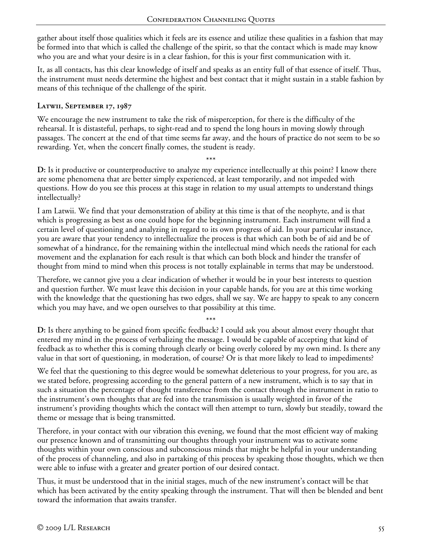gather about itself those qualities which it feels are its essence and utilize these qualities in a fashion that may be formed into that which is called the challenge of the spirit, so that the contact which is made may know who you are and what your desire is in a clear fashion, for this is your first communication with it.

It, as all contacts, has this clear knowledge of itself and speaks as an entity full of that essence of itself. Thus, the instrument must needs determine the highest and best contact that it might sustain in a stable fashion by means of this technique of the challenge of the spirit.

### **Latwii, September 17, 1987**

We encourage the new instrument to take the risk of misperception, for there is the difficulty of the rehearsal. It is distasteful, perhaps, to sight-read and to spend the long hours in moving slowly through passages. The concert at the end of that time seems far away, and the hours of practice do not seem to be so rewarding. Yet, when the concert finally comes, the student is ready.

\*\*\* **D:** Is it productive or counterproductive to analyze my experience intellectually at this point? I know there are some phenomena that are better simply experienced, at least temporarily, and not impeded with questions. How do you see this process at this stage in relation to my usual attempts to understand things intellectually?

I am Latwii. We find that your demonstration of ability at this time is that of the neophyte, and is that which is progressing as best as one could hope for the beginning instrument. Each instrument will find a certain level of questioning and analyzing in regard to its own progress of aid. In your particular instance, you are aware that your tendency to intellectualize the process is that which can both be of aid and be of somewhat of a hindrance, for the remaining within the intellectual mind which needs the rational for each movement and the explanation for each result is that which can both block and hinder the transfer of thought from mind to mind when this process is not totally explainable in terms that may be understood.

Therefore, we cannot give you a clear indication of whether it would be in your best interests to question and question further. We must leave this decision in your capable hands, for you are at this time working with the knowledge that the questioning has two edges, shall we say. We are happy to speak to any concern which you may have, and we open ourselves to that possibility at this time.

\*\*\*

**D:** Is there anything to be gained from specific feedback? I could ask you about almost every thought that entered my mind in the process of verbalizing the message. I would be capable of accepting that kind of feedback as to whether this is coming through clearly or being overly colored by my own mind. Is there any value in that sort of questioning, in moderation, of course? Or is that more likely to lead to impediments?

We feel that the questioning to this degree would be somewhat deleterious to your progress, for you are, as we stated before, progressing according to the general pattern of a new instrument, which is to say that in such a situation the percentage of thought transference from the contact through the instrument in ratio to the instrument's own thoughts that are fed into the transmission is usually weighted in favor of the instrument's providing thoughts which the contact will then attempt to turn, slowly but steadily, toward the theme or message that is being transmitted.

Therefore, in your contact with our vibration this evening, we found that the most efficient way of making our presence known and of transmitting our thoughts through your instrument was to activate some thoughts within your own conscious and subconscious minds that might be helpful in your understanding of the process of channeling, and also in partaking of this process by speaking those thoughts, which we then were able to infuse with a greater and greater portion of our desired contact.

Thus, it must be understood that in the initial stages, much of the new instrument's contact will be that which has been activated by the entity speaking through the instrument. That will then be blended and bent toward the information that awaits transfer.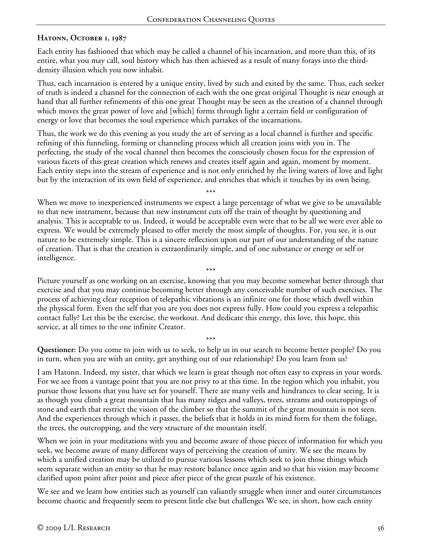### **HATONN, OCTOBER 1, 1987**

Each entity has fashioned that which may be called a channel of his incarnation, and more than this, of its entire, what you may call, soul history which has then achieved as a result of many forays into the thirddensity illusion which you now inhabit.

Thus, each incarnation is entered by a unique entity, lived by such and exited by the same. Thus, each seeker of truth is indeed a channel for the connection of each with the one great original Thought is near enough at hand that all further refinements of this one great Thought may be seen as the creation of a channel through which moves the great power of love and [which] forms through light a certain field or configuration of energy or love that becomes the soul experience which partakes of the incarnations.

Thus, the work we do this evening as you study the art of serving as a local channel is further and specific refining of this funneling, forming or channeling process which all creation joins with you in. The perfecting, the study of the vocal channel then becomes the consciously chosen focus for the expression of various facets of this great creation which renews and creates itself again and again, moment by moment. Each entity steps into the stream of experience and is not only enriched by the living waters of love and light but by the interaction of its own field of experience, and enriches that which it touches by its own being.

\*\*\* When we move to inexperienced instruments we expect a large percentage of what we give to be unavailable to that new instrument, because that new instrument cuts off the train of thought by questioning and analysis. This is acceptable to us. Indeed, it would be acceptable even were that to be all we were ever able to express. We would be extremely pleased to offer merely the most simple of thoughts. For, you see, it is our nature to be extremely simple. This is a sincere reflection upon our part of our understanding of the nature of creation. That is that the creation is extraordinarily simple, and of one substance or energy or self or intelligence.

\*\*\* Picture yourself as one working on an exercise, knowing that you may become somewhat better through that exercise and that you may continue becoming better through any conceivable number of such exercises. The process of achieving clear reception of telepathic vibrations is an infinite one for those which dwell within the physical form. Even the self that you are you does not express fully. How could you express a telepathic contact fully? Let this be the exercise, the workout. And dedicate this energy, this love, this hope, this service, at all times to the one infinite Creator.

\*\*\* **Questioner:** Do you come to join with us to seek, to help us in our search to become better people? Do you in turn, when you are with an entity, get anything out of our relationship? Do you learn from us?

I am Hatonn. Indeed, my sister, that which we learn is great though not often easy to express in your words. For we see from a vantage point that you are not privy to at this time. In the region which you inhabit, you pursue those lessons that you have set for yourself. There are many veils and hindrances to clear seeing. It is as though you climb a great mountain that has many ridges and valleys, trees, streams and outcroppings of stone and earth that restrict the vision of the climber so that the summit of the great mountain is not seen. And the experiences through which it passes, the beliefs that it holds in its mind form for them the foliage, the trees, the outcropping, and the very structure of the mountain itself.

When we join in your meditations with you and become aware of those pieces of information for which you seek, we become aware of many different ways of perceiving the creation of unity. We see the means by which a unified creation may be utilized to pursue various lessons which seek to join those things which seem separate within an entity so that he may restore balance once again and so that his vision may become clarified upon point after point and piece after piece of the great puzzle of his existence.

We see and we learn how entities such as yourself can valiantly struggle when inner and outer circumstances become chaotic and frequently seem to present little else but challenges We see, in short, how each entity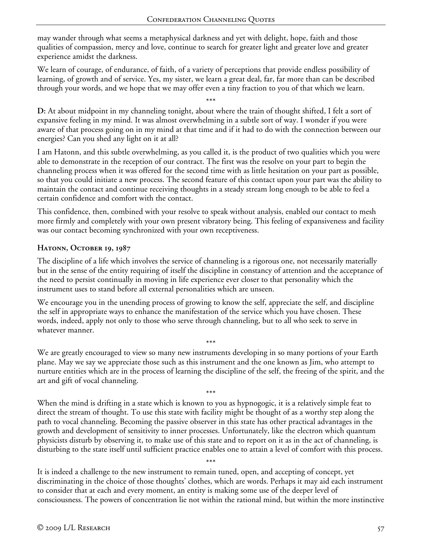may wander through what seems a metaphysical darkness and yet with delight, hope, faith and those qualities of compassion, mercy and love, continue to search for greater light and greater love and greater experience amidst the darkness.

We learn of courage, of endurance, of faith, of a variety of perceptions that provide endless possibility of learning, of growth and of service. Yes, my sister, we learn a great deal, far, far more than can be described through your words, and we hope that we may offer even a tiny fraction to you of that which we learn.

\*\*\* **D:** At about midpoint in my channeling tonight, about where the train of thought shifted, I felt a sort of expansive feeling in my mind. It was almost overwhelming in a subtle sort of way. I wonder if you were aware of that process going on in my mind at that time and if it had to do with the connection between our energies? Can you shed any light on it at all?

I am Hatonn, and this subtle overwhelming, as you called it, is the product of two qualities which you were able to demonstrate in the reception of our contract. The first was the resolve on your part to begin the channeling process when it was offered for the second time with as little hesitation on your part as possible, so that you could initiate a new process. The second feature of this contact upon your part was the ability to maintain the contact and continue receiving thoughts in a steady stream long enough to be able to feel a certain confidence and comfort with the contact.

This confidence, then, combined with your resolve to speak without analysis, enabled our contact to mesh more firmly and completely with your own present vibratory being. This feeling of expansiveness and facility was our contact becoming synchronized with your own receptiveness.

## **Hatonn, October 19, 1987**

The discipline of a life which involves the service of channeling is a rigorous one, not necessarily materially but in the sense of the entity requiring of itself the discipline in constancy of attention and the acceptance of the need to persist continually in moving in life experience ever closer to that personality which the instrument uses to stand before all external personalities which are unseen.

We encourage you in the unending process of growing to know the self, appreciate the self, and discipline the self in appropriate ways to enhance the manifestation of the service which you have chosen. These words, indeed, apply not only to those who serve through channeling, but to all who seek to serve in whatever manner.

\*\*\* We are greatly encouraged to view so many new instruments developing in so many portions of your Earth plane. May we say we appreciate those such as this instrument and the one known as Jim, who attempt to nurture entities which are in the process of learning the discipline of the self, the freeing of the spirit, and the art and gift of vocal channeling.

\*\*\* When the mind is drifting in a state which is known to you as hypnogogic, it is a relatively simple feat to direct the stream of thought. To use this state with facility might be thought of as a worthy step along the path to vocal channeling. Becoming the passive observer in this state has other practical advantages in the growth and development of sensitivity to inner processes. Unfortunately, like the electron which quantum physicists disturb by observing it, to make use of this state and to report on it as in the act of channeling, is disturbing to the state itself until sufficient practice enables one to attain a level of comfort with this process.

It is indeed a challenge to the new instrument to remain tuned, open, and accepting of concept, yet discriminating in the choice of those thoughts' clothes, which are words. Perhaps it may aid each instrument to consider that at each and every moment, an entity is making some use of the deeper level of consciousness. The powers of concentration lie not within the rational mind, but within the more instinctive

\*\*\*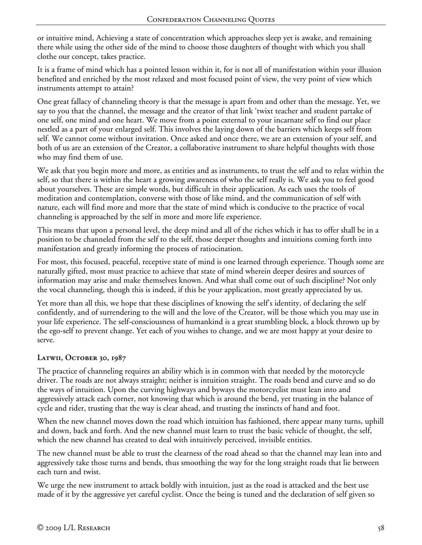or intuitive mind, Achieving a state of concentration which approaches sleep yet is awake, and remaining there while using the other side of the mind to choose those daughters of thought with which you shall clothe our concept, takes practice.

It is a frame of mind which has a pointed lesson within it, for is not all of manifestation within your illusion benefited and enriched by the most relaxed and most focused point of view, the very point of view which instruments attempt to attain?

One great fallacy of channeling theory is that the message is apart from and other than the message. Yet, we say to you that the channel, the message and the creator of that link 'twixt teacher and student partake of one self, one mind and one heart. We move from a point external to your incarnate self to find our place nestled as a part of your enlarged self. This involves the laying down of the barriers which keeps self from self. We cannot come without invitation. Once asked and once there, we are an extension of your self, and both of us are an extension of the Creator, a collaborative instrument to share helpful thoughts with those who may find them of use.

We ask that you begin more and more, as entities and as instruments, to trust the self and to relax within the self, so that there is within the heart a growing awareness of who the self really is. We ask you to feel good about yourselves. These are simple words, but difficult in their application. As each uses the tools of meditation and contemplation, converse with those of like mind, and the communication of self with nature, each will find more and more that the state of mind which is conducive to the practice of vocal channeling is approached by the self in more and more life experience.

This means that upon a personal level, the deep mind and all of the riches which it has to offer shall be in a position to be channeled from the self to the self, those deeper thoughts and intuitions coming forth into manifestation and greatly informing the process of ratiocination.

For most, this focused, peaceful, receptive state of mind is one learned through experience. Though some are naturally gifted, most must practice to achieve that state of mind wherein deeper desires and sources of information may arise and make themselves known. And what shall come out of such discipline? Not only the vocal channeling, though this is indeed, if this be your application, most greatly appreciated by us.

Yet more than all this, we hope that these disciplines of knowing the self's identity, of declaring the self confidently, and of surrendering to the will and the love of the Creator, will be those which you may use in your life experience. The self-consciousness of humankind is a great stumbling block, a block thrown up by the ego-self to prevent change. Yet each of you wishes to change, and we are most happy at your desire to serve.

# **Latwii, October 30, 1987**

The practice of channeling requires an ability which is in common with that needed by the motorcycle driver. The roads are not always straight; neither is intuition straight. The roads bend and curve and so do the ways of intuition. Upon the curving highways and byways the motorcyclist must lean into and aggressively attack each corner, not knowing that which is around the bend, yet trusting in the balance of cycle and rider, trusting that the way is clear ahead, and trusting the instincts of hand and foot.

When the new channel moves down the road which intuition has fashioned, there appear many turns, uphill and down, back and forth. And the new channel must learn to trust the basic vehicle of thought, the self, which the new channel has created to deal with intuitively perceived, invisible entities.

The new channel must be able to trust the clearness of the road ahead so that the channel may lean into and aggressively take those turns and bends, thus smoothing the way for the long straight roads that lie between each turn and twist.

We urge the new instrument to attack boldly with intuition, just as the road is attacked and the best use made of it by the aggressive yet careful cyclist. Once the being is tuned and the declaration of self given so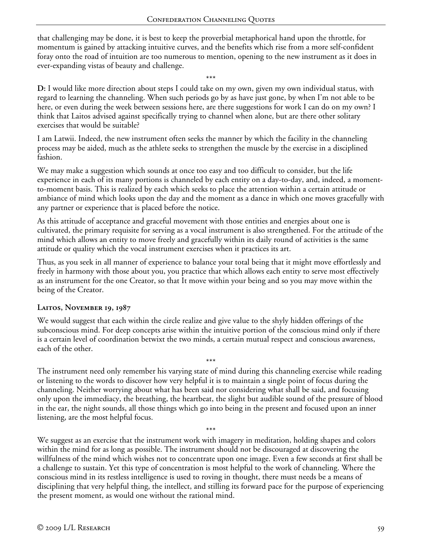that challenging may be done, it is best to keep the proverbial metaphorical hand upon the throttle, for momentum is gained by attacking intuitive curves, and the benefits which rise from a more self-confident foray onto the road of intuition are too numerous to mention, opening to the new instrument as it does in ever-expanding vistas of beauty and challenge.

\*\*\*

**D:** I would like more direction about steps I could take on my own, given my own individual status, with regard to learning the channeling. When such periods go by as have just gone, by when I'm not able to be here, or even during the week between sessions here, are there suggestions for work I can do on my own? I think that Laitos advised against specifically trying to channel when alone, but are there other solitary exercises that would be suitable?

I am Latwii. Indeed, the new instrument often seeks the manner by which the facility in the channeling process may be aided, much as the athlete seeks to strengthen the muscle by the exercise in a disciplined fashion.

We may make a suggestion which sounds at once too easy and too difficult to consider, but the life experience in each of its many portions is channeled by each entity on a day-to-day, and, indeed, a momentto-moment basis. This is realized by each which seeks to place the attention within a certain attitude or ambiance of mind which looks upon the day and the moment as a dance in which one moves gracefully with any partner or experience that is placed before the notice.

As this attitude of acceptance and graceful movement with those entities and energies about one is cultivated, the primary requisite for serving as a vocal instrument is also strengthened. For the attitude of the mind which allows an entity to move freely and gracefully within its daily round of activities is the same attitude or quality which the vocal instrument exercises when it practices its art.

Thus, as you seek in all manner of experience to balance your total being that it might move effortlessly and freely in harmony with those about you, you practice that which allows each entity to serve most effectively as an instrument for the one Creator, so that It move within your being and so you may move within the being of the Creator.

### **Laitos, November 19, 1987**

We would suggest that each within the circle realize and give value to the shyly hidden offerings of the subconscious mind. For deep concepts arise within the intuitive portion of the conscious mind only if there is a certain level of coordination betwixt the two minds, a certain mutual respect and conscious awareness, each of the other.

\*\*\* The instrument need only remember his varying state of mind during this channeling exercise while reading or listening to the words to discover how very helpful it is to maintain a single point of focus during the channeling. Neither worrying about what has been said nor considering what shall be said, and focusing only upon the immediacy, the breathing, the heartbeat, the slight but audible sound of the pressure of blood in the ear, the night sounds, all those things which go into being in the present and focused upon an inner listening, are the most helpful focus.

\*\*\* We suggest as an exercise that the instrument work with imagery in meditation, holding shapes and colors within the mind for as long as possible. The instrument should not be discouraged at discovering the willfulness of the mind which wishes not to concentrate upon one image. Even a few seconds at first shall be a challenge to sustain. Yet this type of concentration is most helpful to the work of channeling. Where the conscious mind in its restless intelligence is used to roving in thought, there must needs be a means of disciplining that very helpful thing, the intellect, and stilling its forward pace for the purpose of experiencing the present moment, as would one without the rational mind.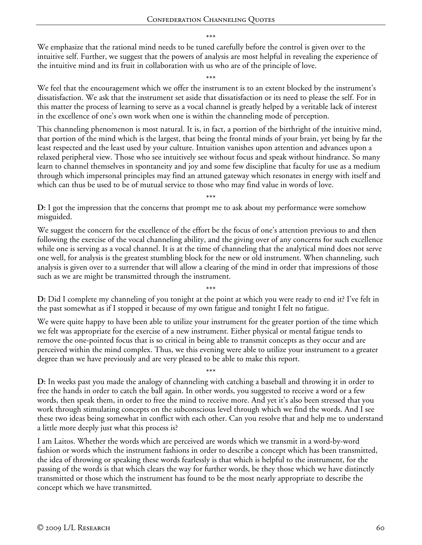\*\*\*

We emphasize that the rational mind needs to be tuned carefully before the control is given over to the intuitive self. Further, we suggest that the powers of analysis are most helpful in revealing the experience of the intuitive mind and its fruit in collaboration with us who are of the principle of love.

#### \*\*\*

We feel that the encouragement which we offer the instrument is to an extent blocked by the instrument's dissatisfaction. We ask that the instrument set aside that dissatisfaction or its need to please the self. For in this matter the process of learning to serve as a vocal channel is greatly helped by a veritable lack of interest in the excellence of one's own work when one is within the channeling mode of perception.

This channeling phenomenon is most natural. It is, in fact, a portion of the birthright of the intuitive mind, that portion of the mind which is the largest, that being the frontal minds of your brain, yet being by far the least respected and the least used by your culture. Intuition vanishes upon attention and advances upon a relaxed peripheral view. Those who see intuitively see without focus and speak without hindrance. So many learn to channel themselves in spontaneity and joy and some few discipline that faculty for use as a medium through which impersonal principles may find an attuned gateway which resonates in energy with itself and which can thus be used to be of mutual service to those who may find value in words of love.

\*\*\*

**D:** I got the impression that the concerns that prompt me to ask about my performance were somehow misguided.

We suggest the concern for the excellence of the effort be the focus of one's attention previous to and then following the exercise of the vocal channeling ability, and the giving over of any concerns for such excellence while one is serving as a vocal channel. It is at the time of channeling that the analytical mind does not serve one well, for analysis is the greatest stumbling block for the new or old instrument. When channeling, such analysis is given over to a surrender that will allow a clearing of the mind in order that impressions of those such as we are might be transmitted through the instrument.

\*\*\* **D:** Did I complete my channeling of you tonight at the point at which you were ready to end it? I've felt in the past somewhat as if I stopped it because of my own fatigue and tonight I felt no fatigue.

We were quite happy to have been able to utilize your instrument for the greater portion of the time which we felt was appropriate for the exercise of a new instrument. Either physical or mental fatigue tends to remove the one-pointed focus that is so critical in being able to transmit concepts as they occur and are perceived within the mind complex. Thus, we this evening were able to utilize your instrument to a greater degree than we have previously and are very pleased to be able to make this report.

\*\*\* **D:** In weeks past you made the analogy of channeling with catching a baseball and throwing it in order to free the hands in order to catch the ball again. In other words, you suggested to receive a word or a few words, then speak them, in order to free the mind to receive more. And yet it's also been stressed that you work through stimulating concepts on the subconscious level through which we find the words. And I see these two ideas being somewhat in conflict with each other. Can you resolve that and help me to understand a little more deeply just what this process is?

I am Laitos. Whether the words which are perceived are words which we transmit in a word-by-word fashion or words which the instrument fashions in order to describe a concept which has been transmitted, the idea of throwing or speaking these words fearlessly is that which is helpful to the instrument, for the passing of the words is that which clears the way for further words, be they those which we have distinctly transmitted or those which the instrument has found to be the most nearly appropriate to describe the concept which we have transmitted.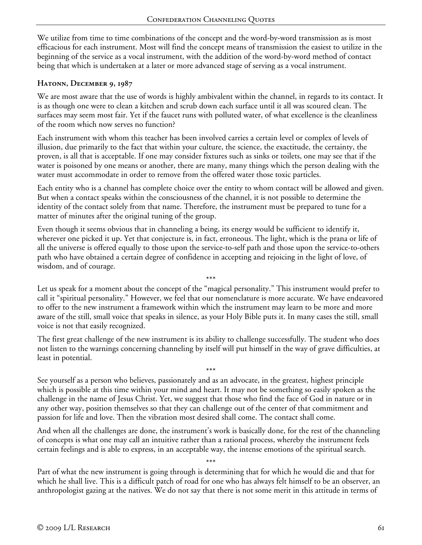We utilize from time to time combinations of the concept and the word-by-word transmission as is most efficacious for each instrument. Most will find the concept means of transmission the easiest to utilize in the beginning of the service as a vocal instrument, with the addition of the word-by-word method of contact being that which is undertaken at a later or more advanced stage of serving as a vocal instrument.

#### **Hatonn, December 9, 1987**

We are most aware that the use of words is highly ambivalent within the channel, in regards to its contact. It is as though one were to clean a kitchen and scrub down each surface until it all was scoured clean. The surfaces may seem most fair. Yet if the faucet runs with polluted water, of what excellence is the cleanliness of the room which now serves no function?

Each instrument with whom this teacher has been involved carries a certain level or complex of levels of illusion, due primarily to the fact that within your culture, the science, the exactitude, the certainty, the proven, is all that is acceptable. If one may consider fixtures such as sinks or toilets, one may see that if the water is poisoned by one means or another, there are many, many things which the person dealing with the water must accommodate in order to remove from the offered water those toxic particles.

Each entity who is a channel has complete choice over the entity to whom contact will be allowed and given. But when a contact speaks within the consciousness of the channel, it is not possible to determine the identity of the contact solely from that name. Therefore, the instrument must be prepared to tune for a matter of minutes after the original tuning of the group.

Even though it seems obvious that in channeling a being, its energy would be sufficient to identify it, wherever one picked it up. Yet that conjecture is, in fact, erroneous. The light, which is the prana or life of all the universe is offered equally to those upon the service-to-self path and those upon the service-to-others path who have obtained a certain degree of confidence in accepting and rejoicing in the light of love, of wisdom, and of courage.

\*\*\* Let us speak for a moment about the concept of the "magical personality." This instrument would prefer to call it "spiritual personality." However, we feel that our nomenclature is more accurate. We have endeavored to offer to the new instrument a framework within which the instrument may learn to be more and more aware of the still, small voice that speaks in silence, as your Holy Bible puts it. In many cases the still, small voice is not that easily recognized.

The first great challenge of the new instrument is its ability to challenge successfully. The student who does not listen to the warnings concerning channeling by itself will put himself in the way of grave difficulties, at least in potential.

\*\*\* See yourself as a person who believes, passionately and as an advocate, in the greatest, highest principle which is possible at this time within your mind and heart. It may not be something so easily spoken as the challenge in the name of Jesus Christ. Yet, we suggest that those who find the face of God in nature or in any other way, position themselves so that they can challenge out of the center of that commitment and passion for life and love. Then the vibration most desired shall come. The contact shall come.

And when all the challenges are done, the instrument's work is basically done, for the rest of the channeling of concepts is what one may call an intuitive rather than a rational process, whereby the instrument feels certain feelings and is able to express, in an acceptable way, the intense emotions of the spiritual search.

\*\*\* Part of what the new instrument is going through is determining that for which he would die and that for which he shall live. This is a difficult patch of road for one who has always felt himself to be an observer, an anthropologist gazing at the natives. We do not say that there is not some merit in this attitude in terms of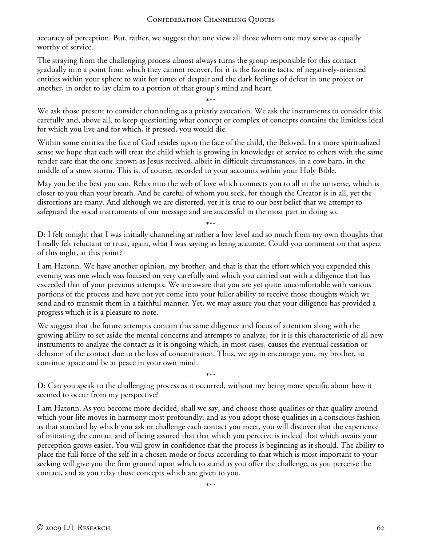accuracy of perception. But, rather, we suggest that one view all those whom one may serve as equally worthy of service.

The straying from the challenging process almost always turns the group responsible for this contact gradually into a point from which they cannot recover, for it is the favorite tactic of negatively-oriented entities within your sphere to wait for times of despair and the dark feelings of defeat in one project or another, in order to lay claim to a portion of that group's mind and heart.

\*\*\*

We ask those present to consider channeling as a priestly avocation. We ask the instruments to consider this carefully and, above all, to keep questioning what concept or complex of concepts contains the limitless ideal for which you live and for which, if pressed, you would die.

Within some entities the face of God resides upon the face of the child, the Beloved. In a more spiritualized sense we hope that each will treat the child which is growing in knowledge of service to others with the same tender care that the one known as Jesus received, albeit in difficult circumstances, in a cow barn, in the middle of a snow storm. This is, of course, recorded to your accounts within your Holy Bible.

May you be the best you can. Relax into the web of love which connects you to all in the universe, which is closer to you than your breath. And be careful of whom you seek, for though the Creator is in all, yet the distortions are many. And although we are distorted, yet it is true to our best belief that we attempt to safeguard the vocal instruments of our message and are successful in the most part in doing so.

\*\*\* **D:** I felt tonight that I was initially channeling at rather a low level and so much from my own thoughts that I really felt reluctant to trust, again, what I was saying as being accurate. Could you comment on that aspect of this night, at this point?

I am Hatonn. We have another opinion, my brother, and that is that the effort which you expended this evening was one which was focused on very carefully and which you carried out with a diligence that has exceeded that of your previous attempts. We are aware that you are yet quite uncomfortable with various portions of the process and have not yet come into your fuller ability to receive those thoughts which we send and to transmit them in a faithful manner. Yet, we may assure you that your diligence has provided a progress which it is a pleasure to note.

We suggest that the future attempts contain this same diligence and focus of attention along with the growing ability to set aside the mental concerns and attempts to analyze, for it is this characteristic of all new instruments to analyze the contact as it is ongoing which, in most cases, causes the eventual cessation or delusion of the contact due to the loss of concentration. Thus, we again encourage you, my brother, to continue apace and be at peace in your own mind.

\*\*\* **D:** Can you speak to the challenging process as it occurred, without my being more specific about how it seemed to occur from my perspective?

I am Hatonn. As you become more decided, shall we say, and choose those qualities or that quality around which your life moves in harmony most profoundly, and as you adopt those qualities in a conscious fashion as that standard by which you ask or challenge each contact you meet, you will discover that the experience of initiating the contact and of being assured that that which you perceive is indeed that which awaits your perception grows easier. You will grow in confidence that the process is beginning as it should. The ability to place the full force of the self in a chosen mode or focus according to that which is most important to your seeking will give you the firm ground upon which to stand as you offer the challenge, as you perceive the contact, and as you relay those concepts which are given to you.

\*\*\*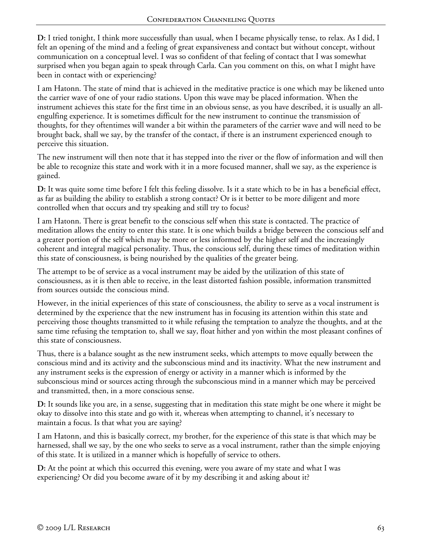**D:** I tried tonight, I think more successfully than usual, when I became physically tense, to relax. As I did, I felt an opening of the mind and a feeling of great expansiveness and contact but without concept, without communication on a conceptual level. I was so confident of that feeling of contact that I was somewhat surprised when you began again to speak through Carla. Can you comment on this, on what I might have been in contact with or experiencing?

I am Hatonn. The state of mind that is achieved in the meditative practice is one which may be likened unto the carrier wave of one of your radio stations. Upon this wave may be placed information. When the instrument achieves this state for the first time in an obvious sense, as you have described, it is usually an allengulfing experience. It is sometimes difficult for the new instrument to continue the transmission of thoughts, for they oftentimes will wander a bit within the parameters of the carrier wave and will need to be brought back, shall we say, by the transfer of the contact, if there is an instrument experienced enough to perceive this situation.

The new instrument will then note that it has stepped into the river or the flow of information and will then be able to recognize this state and work with it in a more focused manner, shall we say, as the experience is gained.

**D:** It was quite some time before I felt this feeling dissolve. Is it a state which to be in has a beneficial effect, as far as building the ability to establish a strong contact? Or is it better to be more diligent and more controlled when that occurs and try speaking and still try to focus?

I am Hatonn. There is great benefit to the conscious self when this state is contacted. The practice of meditation allows the entity to enter this state. It is one which builds a bridge between the conscious self and a greater portion of the self which may be more or less informed by the higher self and the increasingly coherent and integral magical personality. Thus, the conscious self, during these times of meditation within this state of consciousness, is being nourished by the qualities of the greater being.

The attempt to be of service as a vocal instrument may be aided by the utilization of this state of consciousness, as it is then able to receive, in the least distorted fashion possible, information transmitted from sources outside the conscious mind.

However, in the initial experiences of this state of consciousness, the ability to serve as a vocal instrument is determined by the experience that the new instrument has in focusing its attention within this state and perceiving those thoughts transmitted to it while refusing the temptation to analyze the thoughts, and at the same time refusing the temptation to, shall we say, float hither and yon within the most pleasant confines of this state of consciousness.

Thus, there is a balance sought as the new instrument seeks, which attempts to move equally between the conscious mind and its activity and the subconscious mind and its inactivity. What the new instrument and any instrument seeks is the expression of energy or activity in a manner which is informed by the subconscious mind or sources acting through the subconscious mind in a manner which may be perceived and transmitted, then, in a more conscious sense.

**D:** It sounds like you are, in a sense, suggesting that in meditation this state might be one where it might be okay to dissolve into this state and go with it, whereas when attempting to channel, it's necessary to maintain a focus. Is that what you are saying?

I am Hatonn, and this is basically correct, my brother, for the experience of this state is that which may be harnessed, shall we say, by the one who seeks to serve as a vocal instrument, rather than the simple enjoying of this state. It is utilized in a manner which is hopefully of service to others.

**D:** At the point at which this occurred this evening, were you aware of my state and what I was experiencing? Or did you become aware of it by my describing it and asking about it?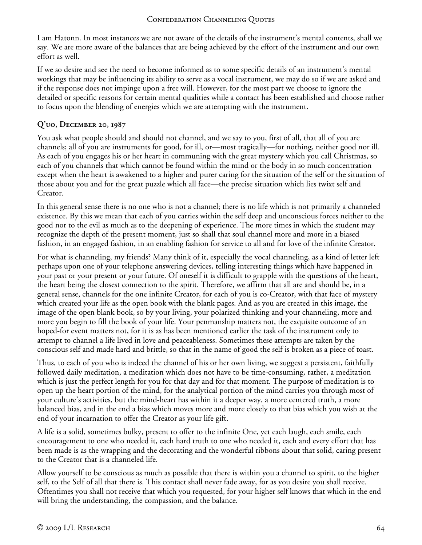I am Hatonn. In most instances we are not aware of the details of the instrument's mental contents, shall we say. We are more aware of the balances that are being achieved by the effort of the instrument and our own effort as well.

If we so desire and see the need to become informed as to some specific details of an instrument's mental workings that may be influencing its ability to serve as a vocal instrument, we may do so if we are asked and if the response does not impinge upon a free will. However, for the most part we choose to ignore the detailed or specific reasons for certain mental qualities while a contact has been established and choose rather to focus upon the blending of energies which we are attempting with the instrument.

## **Q'uo, December 20, 1987**

You ask what people should and should not channel, and we say to you, first of all, that all of you are channels; all of you are instruments for good, for ill, or—most tragically—for nothing, neither good nor ill. As each of you engages his or her heart in communing with the great mystery which you call Christmas, so each of you channels that which cannot be found within the mind or the body in so much concentration except when the heart is awakened to a higher and purer caring for the situation of the self or the situation of those about you and for the great puzzle which all face—the precise situation which lies twixt self and Creator.

In this general sense there is no one who is not a channel; there is no life which is not primarily a channeled existence. By this we mean that each of you carries within the self deep and unconscious forces neither to the good nor to the evil as much as to the deepening of experience. The more times in which the student may recognize the depth of the present moment, just so shall that soul channel more and more in a biased fashion, in an engaged fashion, in an enabling fashion for service to all and for love of the infinite Creator.

For what is channeling, my friends? Many think of it, especially the vocal channeling, as a kind of letter left perhaps upon one of your telephone answering devices, telling interesting things which have happened in your past or your present or your future. Of oneself it is difficult to grapple with the questions of the heart, the heart being the closest connection to the spirit. Therefore, we affirm that all are and should be, in a general sense, channels for the one infinite Creator, for each of you is co-Creator, with that face of mystery which created your life as the open book with the blank pages. And as you are created in this image, the image of the open blank book, so by your living, your polarized thinking and your channeling, more and more you begin to fill the book of your life. Your penmanship matters not, the exquisite outcome of an hoped-for event matters not, for it is as has been mentioned earlier the task of the instrument only to attempt to channel a life lived in love and peaceableness. Sometimes these attempts are taken by the conscious self and made hard and brittle, so that in the name of good the self is broken as a piece of toast.

Thus, to each of you who is indeed the channel of his or her own living, we suggest a persistent, faithfully followed daily meditation, a meditation which does not have to be time-consuming, rather, a meditation which is just the perfect length for you for that day and for that moment. The purpose of meditation is to open up the heart portion of the mind, for the analytical portion of the mind carries you through most of your culture's activities, but the mind-heart has within it a deeper way, a more centered truth, a more balanced bias, and in the end a bias which moves more and more closely to that bias which you wish at the end of your incarnation to offer the Creator as your life gift.

A life is a solid, sometimes bulky, present to offer to the infinite One, yet each laugh, each smile, each encouragement to one who needed it, each hard truth to one who needed it, each and every effort that has been made is as the wrapping and the decorating and the wonderful ribbons about that solid, caring present to the Creator that is a channeled life.

Allow yourself to be conscious as much as possible that there is within you a channel to spirit, to the higher self, to the Self of all that there is. This contact shall never fade away, for as you desire you shall receive. Oftentimes you shall not receive that which you requested, for your higher self knows that which in the end will bring the understanding, the compassion, and the balance.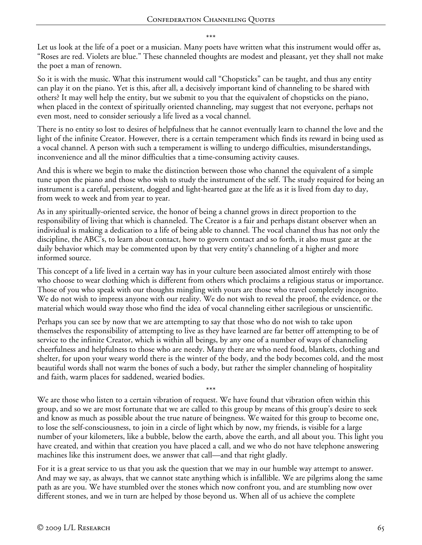\*\*\*

Let us look at the life of a poet or a musician. Many poets have written what this instrument would offer as, "Roses are red. Violets are blue." These channeled thoughts are modest and pleasant, yet they shall not make the poet a man of renown.

So it is with the music. What this instrument would call "Chopsticks" can be taught, and thus any entity can play it on the piano. Yet is this, after all, a decisively important kind of channeling to be shared with others? It may well help the entity, but we submit to you that the equivalent of chopsticks on the piano, when placed in the context of spiritually oriented channeling, may suggest that not everyone, perhaps not even most, need to consider seriously a life lived as a vocal channel.

There is no entity so lost to desires of helpfulness that he cannot eventually learn to channel the love and the light of the infinite Creator. However, there is a certain temperament which finds its reward in being used as a vocal channel. A person with such a temperament is willing to undergo difficulties, misunderstandings, inconvenience and all the minor difficulties that a time-consuming activity causes.

And this is where we begin to make the distinction between those who channel the equivalent of a simple tune upon the piano and those who wish to study the instrument of the self. The study required for being an instrument is a careful, persistent, dogged and light-hearted gaze at the life as it is lived from day to day, from week to week and from year to year.

As in any spiritually-oriented service, the honor of being a channel grows in direct proportion to the responsibility of living that which is channeled. The Creator is a fair and perhaps distant observer when an individual is making a dedication to a life of being able to channel. The vocal channel thus has not only the discipline, the ABC's, to learn about contact, how to govern contact and so forth, it also must gaze at the daily behavior which may be commented upon by that very entity's channeling of a higher and more informed source.

This concept of a life lived in a certain way has in your culture been associated almost entirely with those who choose to wear clothing which is different from others which proclaims a religious status or importance. Those of you who speak with our thoughts mingling with yours are those who travel completely incognito. We do not wish to impress anyone with our reality. We do not wish to reveal the proof, the evidence, or the material which would sway those who find the idea of vocal channeling either sacrilegious or unscientific.

Perhaps you can see by now that we are attempting to say that those who do not wish to take upon themselves the responsibility of attempting to live as they have learned are far better off attempting to be of service to the infinite Creator, which is within all beings, by any one of a number of ways of channeling cheerfulness and helpfulness to those who are needy. Many there are who need food, blankets, clothing and shelter, for upon your weary world there is the winter of the body, and the body becomes cold, and the most beautiful words shall not warm the bones of such a body, but rather the simpler channeling of hospitality and faith, warm places for saddened, wearied bodies.

\*\*\* We are those who listen to a certain vibration of request. We have found that vibration often within this group, and so we are most fortunate that we are called to this group by means of this group's desire to seek and know as much as possible about the true nature of beingness. We waited for this group to become one, to lose the self-consciousness, to join in a circle of light which by now, my friends, is visible for a large number of your kilometers, like a bubble, below the earth, above the earth, and all about you. This light you have created, and within that creation you have placed a call, and we who do not have telephone answering machines like this instrument does, we answer that call—and that right gladly.

For it is a great service to us that you ask the question that we may in our humble way attempt to answer. And may we say, as always, that we cannot state anything which is infallible. We are pilgrims along the same path as are you. We have stumbled over the stones which now confront you, and are stumbling now over different stones, and we in turn are helped by those beyond us. When all of us achieve the complete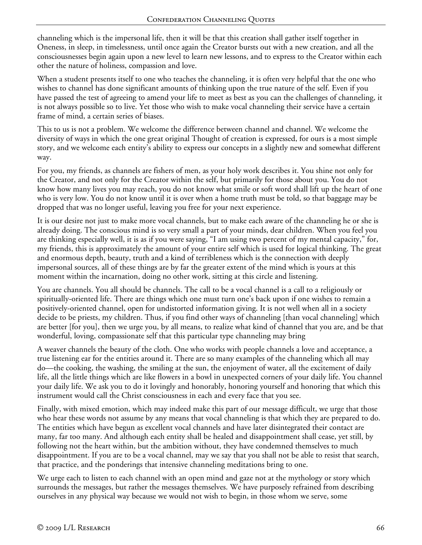channeling which is the impersonal life, then it will be that this creation shall gather itself together in Oneness, in sleep, in timelessness, until once again the Creator bursts out with a new creation, and all the consciousnesses begin again upon a new level to learn new lessons, and to express to the Creator within each other the nature of holiness, compassion and love.

When a student presents itself to one who teaches the channeling, it is often very helpful that the one who wishes to channel has done significant amounts of thinking upon the true nature of the self. Even if you have passed the test of agreeing to amend your life to meet as best as you can the challenges of channeling, it is not always possible so to live. Yet those who wish to make vocal channeling their service have a certain frame of mind, a certain series of biases.

This to us is not a problem. We welcome the difference between channel and channel. We welcome the diversity of ways in which the one great original Thought of creation is expressed, for ours is a most simple story, and we welcome each entity's ability to express our concepts in a slightly new and somewhat different way.

For you, my friends, as channels are fishers of men, as your holy work describes it. You shine not only for the Creator, and not only for the Creator within the self, but primarily for those about you. You do not know how many lives you may reach, you do not know what smile or soft word shall lift up the heart of one who is very low. You do not know until it is over when a home truth must be told, so that baggage may be dropped that was no longer useful, leaving you free for your next experience.

It is our desire not just to make more vocal channels, but to make each aware of the channeling he or she is already doing. The conscious mind is so very small a part of your minds, dear children. When you feel you are thinking especially well, it is as if you were saying, "I am using two percent of my mental capacity," for, my friends, this is approximately the amount of your entire self which is used for logical thinking. The great and enormous depth, beauty, truth and a kind of terribleness which is the connection with deeply impersonal sources, all of these things are by far the greater extent of the mind which is yours at this moment within the incarnation, doing no other work, sitting at this circle and listening.

You are channels. You all should be channels. The call to be a vocal channel is a call to a religiously or spiritually-oriented life. There are things which one must turn one's back upon if one wishes to remain a positively-oriented channel, open for undistorted information giving. It is not well when all in a society decide to be priests, my children. Thus, if you find other ways of channeling [than vocal channeling] which are better [for you], then we urge you, by all means, to realize what kind of channel that you are, and be that wonderful, loving, compassionate self that this particular type channeling may bring

A weaver channels the beauty of the cloth. One who works with people channels a love and acceptance, a true listening ear for the entities around it. There are so many examples of the channeling which all may do—the cooking, the washing, the smiling at the sun, the enjoyment of water, all the excitement of daily life, all the little things which are like flowers in a bowl in unexpected corners of your daily life. You channel your daily life. We ask you to do it lovingly and honorably, honoring yourself and honoring that which this instrument would call the Christ consciousness in each and every face that you see.

Finally, with mixed emotion, which may indeed make this part of our message difficult, we urge that those who hear these words not assume by any means that vocal channeling is that which they are prepared to do. The entities which have begun as excellent vocal channels and have later disintegrated their contact are many, far too many. And although each entity shall be healed and disappointment shall cease, yet still, by following not the heart within, but the ambition without, they have condemned themselves to much disappointment. If you are to be a vocal channel, may we say that you shall not be able to resist that search, that practice, and the ponderings that intensive channeling meditations bring to one.

We urge each to listen to each channel with an open mind and gaze not at the mythology or story which surrounds the messages, but rather the messages themselves. We have purposely refrained from describing ourselves in any physical way because we would not wish to begin, in those whom we serve, some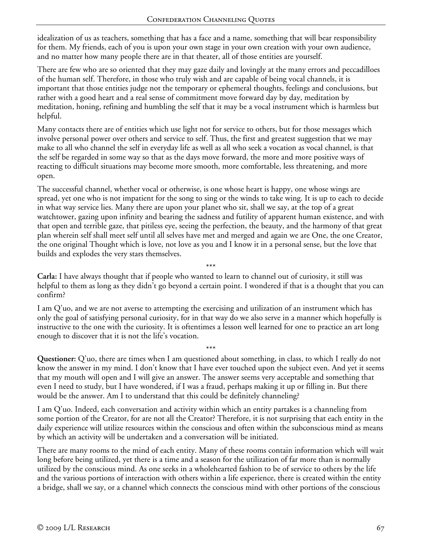idealization of us as teachers, something that has a face and a name, something that will bear responsibility for them. My friends, each of you is upon your own stage in your own creation with your own audience, and no matter how many people there are in that theater, all of those entities are yourself.

There are few who are so oriented that they may gaze daily and lovingly at the many errors and peccadilloes of the human self. Therefore, in those who truly wish and are capable of being vocal channels, it is important that those entities judge not the temporary or ephemeral thoughts, feelings and conclusions, but rather with a good heart and a real sense of commitment move forward day by day, meditation by meditation, honing, refining and humbling the self that it may be a vocal instrument which is harmless but helpful.

Many contacts there are of entities which use light not for service to others, but for those messages which involve personal power over others and service to self. Thus, the first and greatest suggestion that we may make to all who channel the self in everyday life as well as all who seek a vocation as vocal channel, is that the self be regarded in some way so that as the days move forward, the more and more positive ways of reacting to difficult situations may become more smooth, more comfortable, less threatening, and more open.

The successful channel, whether vocal or otherwise, is one whose heart is happy, one whose wings are spread, yet one who is not impatient for the song to sing or the winds to take wing. It is up to each to decide in what way service lies. Many there are upon your planet who sit, shall we say, at the top of a great watchtower, gazing upon infinity and bearing the sadness and futility of apparent human existence, and with that open and terrible gaze, that pitiless eye, seeing the perfection, the beauty, and the harmony of that great plan wherein self shall meet self until all selves have met and merged and again we are One, the one Creator, the one original Thought which is love, not love as you and I know it in a personal sense, but the love that builds and explodes the very stars themselves.

\*\*\* **Carla:** I have always thought that if people who wanted to learn to channel out of curiosity, it still was helpful to them as long as they didn't go beyond a certain point. I wondered if that is a thought that you can confirm?

I am Q'uo, and we are not averse to attempting the exercising and utilization of an instrument which has only the goal of satisfying personal curiosity, for in that way do we also serve in a manner which hopefully is instructive to the one with the curiosity. It is oftentimes a lesson well learned for one to practice an art long enough to discover that it is not the life's vocation.

\*\*\* **Questioner:** Q'uo, there are times when I am questioned about something, in class, to which I really do not know the answer in my mind. I don't know that I have ever touched upon the subject even. And yet it seems that my mouth will open and I will give an answer. The answer seems very acceptable and something that even I need to study, but I have wondered, if I was a fraud, perhaps making it up or filling in. But there would be the answer. Am I to understand that this could be definitely channeling?

I am Q'uo. Indeed, each conversation and activity within which an entity partakes is a channeling from some portion of the Creator, for are not all the Creator? Therefore, it is not surprising that each entity in the daily experience will utilize resources within the conscious and often within the subconscious mind as means by which an activity will be undertaken and a conversation will be initiated.

There are many rooms to the mind of each entity. Many of these rooms contain information which will wait long before being utilized, yet there is a time and a season for the utilization of far more than is normally utilized by the conscious mind. As one seeks in a wholehearted fashion to be of service to others by the life and the various portions of interaction with others within a life experience, there is created within the entity a bridge, shall we say, or a channel which connects the conscious mind with other portions of the conscious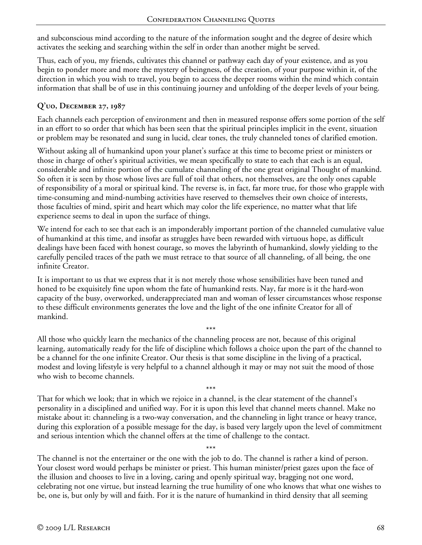and subconscious mind according to the nature of the information sought and the degree of desire which activates the seeking and searching within the self in order than another might be served.

Thus, each of you, my friends, cultivates this channel or pathway each day of your existence, and as you begin to ponder more and more the mystery of beingness, of the creation, of your purpose within it, of the direction in which you wish to travel, you begin to access the deeper rooms within the mind which contain information that shall be of use in this continuing journey and unfolding of the deeper levels of your being.

## **Q'uo, December 27, 1987**

Each channels each perception of environment and then in measured response offers some portion of the self in an effort to so order that which has been seen that the spiritual principles implicit in the event, situation or problem may be resonated and sung in lucid, clear tones, the truly channeled tones of clarified emotion.

Without asking all of humankind upon your planet's surface at this time to become priest or ministers or those in charge of other's spiritual activities, we mean specifically to state to each that each is an equal, considerable and infinite portion of the cumulate channeling of the one great original Thought of mankind. So often it is seen by those whose lives are full of toil that others, not themselves, are the only ones capable of responsibility of a moral or spiritual kind. The reverse is, in fact, far more true, for those who grapple with time-consuming and mind-numbing activities have reserved to themselves their own choice of interests, those faculties of mind, spirit and heart which may color the life experience, no matter what that life experience seems to deal in upon the surface of things.

We intend for each to see that each is an imponderably important portion of the channeled cumulative value of humankind at this time, and insofar as struggles have been rewarded with virtuous hope, as difficult dealings have been faced with honest courage, so moves the labyrinth of humankind, slowly yielding to the carefully penciled traces of the path we must retrace to that source of all channeling, of all being, the one infinite Creator.

It is important to us that we express that it is not merely those whose sensibilities have been tuned and honed to be exquisitely fine upon whom the fate of humankind rests. Nay, far more is it the hard-won capacity of the busy, overworked, underappreciated man and woman of lesser circumstances whose response to these difficult environments generates the love and the light of the one infinite Creator for all of mankind.

\*\*\*

All those who quickly learn the mechanics of the channeling process are not, because of this original learning, automatically ready for the life of discipline which follows a choice upon the part of the channel to be a channel for the one infinite Creator. Our thesis is that some discipline in the living of a practical, modest and loving lifestyle is very helpful to a channel although it may or may not suit the mood of those who wish to become channels.

\*\*\* That for which we look; that in which we rejoice in a channel, is the clear statement of the channel's personality in a disciplined and unified way. For it is upon this level that channel meets channel. Make no mistake about it: channeling is a two-way conversation, and the channeling in light trance or heavy trance, during this exploration of a possible message for the day, is based very largely upon the level of commitment and serious intention which the channel offers at the time of challenge to the contact.

\*\*\* The channel is not the entertainer or the one with the job to do. The channel is rather a kind of person. Your closest word would perhaps be minister or priest. This human minister/priest gazes upon the face of the illusion and chooses to live in a loving, caring and openly spiritual way, bragging not one word, celebrating not one virtue, but instead learning the true humility of one who knows that what one wishes to be, one is, but only by will and faith. For it is the nature of humankind in third density that all seeming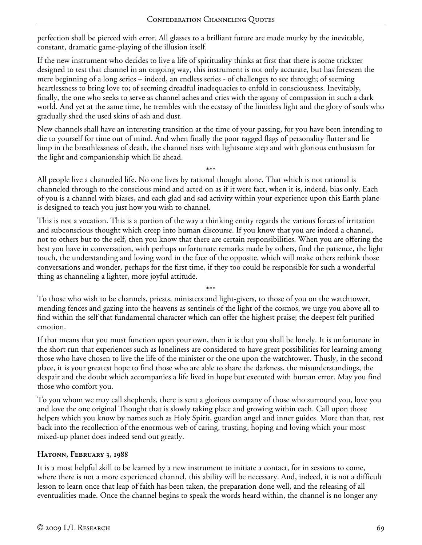perfection shall be pierced with error. All glasses to a brilliant future are made murky by the inevitable, constant, dramatic game-playing of the illusion itself.

If the new instrument who decides to live a life of spirituality thinks at first that there is some trickster designed to test that channel in an ongoing way, this instrument is not only accurate, but has foreseen the mere beginning of a long series – indeed, an endless series - of challenges to see through; of seeming heartlessness to bring love to; of seeming dreadful inadequacies to enfold in consciousness. Inevitably, finally, the one who seeks to serve as channel aches and cries with the agony of compassion in such a dark world. And yet at the same time, he trembles with the ecstasy of the limitless light and the glory of souls who gradually shed the used skins of ash and dust.

New channels shall have an interesting transition at the time of your passing, for you have been intending to die to yourself for time out of mind. And when finally the poor ragged flags of personality flutter and lie limp in the breathlessness of death, the channel rises with lightsome step and with glorious enthusiasm for the light and companionship which lie ahead.

\*\*\* All people live a channeled life. No one lives by rational thought alone. That which is not rational is channeled through to the conscious mind and acted on as if it were fact, when it is, indeed, bias only. Each of you is a channel with biases, and each glad and sad activity within your experience upon this Earth plane is designed to teach you just how you wish to channel.

This is not a vocation. This is a portion of the way a thinking entity regards the various forces of irritation and subconscious thought which creep into human discourse. If you know that you are indeed a channel, not to others but to the self, then you know that there are certain responsibilities. When you are offering the best you have in conversation, with perhaps unfortunate remarks made by others, find the patience, the light touch, the understanding and loving word in the face of the opposite, which will make others rethink those conversations and wonder, perhaps for the first time, if they too could be responsible for such a wonderful thing as channeling a lighter, more joyful attitude.

\*\*\* To those who wish to be channels, priests, ministers and light-givers, to those of you on the watchtower, mending fences and gazing into the heavens as sentinels of the light of the cosmos, we urge you above all to find within the self that fundamental character which can offer the highest praise; the deepest felt purified emotion.

If that means that you must function upon your own, then it is that you shall be lonely. It is unfortunate in the short run that experiences such as loneliness are considered to have great possibilities for learning among those who have chosen to live the life of the minister or the one upon the watchtower. Thusly, in the second place, it is your greatest hope to find those who are able to share the darkness, the misunderstandings, the despair and the doubt which accompanies a life lived in hope but executed with human error. May you find those who comfort you.

To you whom we may call shepherds, there is sent a glorious company of those who surround you, love you and love the one original Thought that is slowly taking place and growing within each. Call upon those helpers which you know by names such as Holy Spirit, guardian angel and inner guides. More than that, rest back into the recollection of the enormous web of caring, trusting, hoping and loving which your most mixed-up planet does indeed send out greatly.

# **Hatonn, February 3, 1988**

It is a most helpful skill to be learned by a new instrument to initiate a contact, for in sessions to come, where there is not a more experienced channel, this ability will be necessary. And, indeed, it is not a difficult lesson to learn once that leap of faith has been taken, the preparation done well, and the releasing of all eventualities made. Once the channel begins to speak the words heard within, the channel is no longer any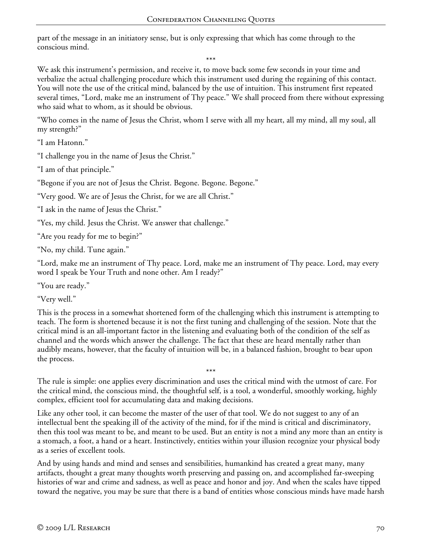part of the message in an initiatory sense, but is only expressing that which has come through to the conscious mind.

\*\*\*

We ask this instrument's permission, and receive it, to move back some few seconds in your time and verbalize the actual challenging procedure which this instrument used during the regaining of this contact. You will note the use of the critical mind, balanced by the use of intuition. This instrument first repeated several times, "Lord, make me an instrument of Thy peace." We shall proceed from there without expressing who said what to whom, as it should be obvious.

"Who comes in the name of Jesus the Christ, whom I serve with all my heart, all my mind, all my soul, all my strength?"

"I am Hatonn."

"I challenge you in the name of Jesus the Christ."

"I am of that principle."

"Begone if you are not of Jesus the Christ. Begone. Begone. Begone."

"Very good. We are of Jesus the Christ, for we are all Christ."

"I ask in the name of Jesus the Christ."

"Yes, my child. Jesus the Christ. We answer that challenge."

"Are you ready for me to begin?"

"No, my child. Tune again."

"Lord, make me an instrument of Thy peace. Lord, make me an instrument of Thy peace. Lord, may every word I speak be Your Truth and none other. Am I ready?"

"You are ready."

"Very well."

This is the process in a somewhat shortened form of the challenging which this instrument is attempting to teach. The form is shortened because it is not the first tuning and challenging of the session. Note that the critical mind is an all-important factor in the listening and evaluating both of the condition of the self as channel and the words which answer the challenge. The fact that these are heard mentally rather than audibly means, however, that the faculty of intuition will be, in a balanced fashion, brought to bear upon the process.

The rule is simple: one applies every discrimination and uses the critical mind with the utmost of care. For the critical mind, the conscious mind, the thoughtful self, is a tool, a wonderful, smoothly working, highly complex, efficient tool for accumulating data and making decisions.

\*\*\*

Like any other tool, it can become the master of the user of that tool. We do not suggest to any of an intellectual bent the speaking ill of the activity of the mind, for if the mind is critical and discriminatory, then this tool was meant to be, and meant to be used. But an entity is not a mind any more than an entity is a stomach, a foot, a hand or a heart. Instinctively, entities within your illusion recognize your physical body as a series of excellent tools.

And by using hands and mind and senses and sensibilities, humankind has created a great many, many artifacts, thought a great many thoughts worth preserving and passing on, and accomplished far-sweeping histories of war and crime and sadness, as well as peace and honor and joy. And when the scales have tipped toward the negative, you may be sure that there is a band of entities whose conscious minds have made harsh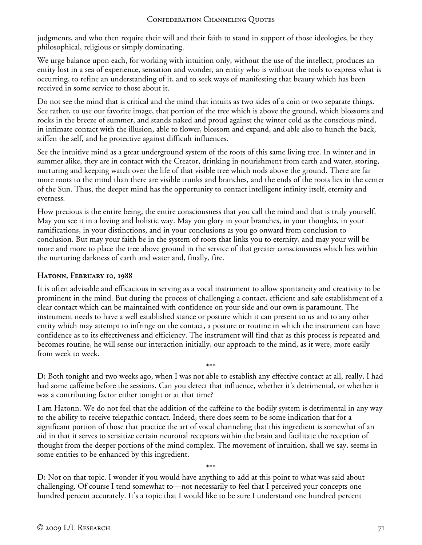judgments, and who then require their will and their faith to stand in support of those ideologies, be they philosophical, religious or simply dominating.

We urge balance upon each, for working with intuition only, without the use of the intellect, produces an entity lost in a sea of experience, sensation and wonder, an entity who is without the tools to express what is occurring, to refine an understanding of it, and to seek ways of manifesting that beauty which has been received in some service to those about it.

Do not see the mind that is critical and the mind that intuits as two sides of a coin or two separate things. See rather, to use our favorite image, that portion of the tree which is above the ground, which blossoms and rocks in the breeze of summer, and stands naked and proud against the winter cold as the conscious mind, in intimate contact with the illusion, able to flower, blossom and expand, and able also to hunch the back, stiffen the self, and be protective against difficult influences.

See the intuitive mind as a great underground system of the roots of this same living tree. In winter and in summer alike, they are in contact with the Creator, drinking in nourishment from earth and water, storing, nurturing and keeping watch over the life of that visible tree which nods above the ground. There are far more roots to the mind than there are visible trunks and branches, and the ends of the roots lies in the center of the Sun. Thus, the deeper mind has the opportunity to contact intelligent infinity itself, eternity and everness.

How precious is the entire being, the entire consciousness that you call the mind and that is truly yourself. May you see it in a loving and holistic way. May you glory in your branches, in your thoughts, in your ramifications, in your distinctions, and in your conclusions as you go onward from conclusion to conclusion. But may your faith be in the system of roots that links you to eternity, and may your will be more and more to place the tree above ground in the service of that greater consciousness which lies within the nurturing darkness of earth and water and, finally, fire.

### **Hatonn, February 10, 1988**

It is often advisable and efficacious in serving as a vocal instrument to allow spontaneity and creativity to be prominent in the mind. But during the process of challenging a contact, efficient and safe establishment of a clear contact which can be maintained with confidence on your side and our own is paramount. The instrument needs to have a well established stance or posture which it can present to us and to any other entity which may attempt to infringe on the contact, a posture or routine in which the instrument can have confidence as to its effectiveness and efficiency. The instrument will find that as this process is repeated and becomes routine, he will sense our interaction initially, our approach to the mind, as it were, more easily from week to week.

\*\*\* **D:** Both tonight and two weeks ago, when I was not able to establish any effective contact at all, really, I had had some caffeine before the sessions. Can you detect that influence, whether it's detrimental, or whether it was a contributing factor either tonight or at that time?

I am Hatonn. We do not feel that the addition of the caffeine to the bodily system is detrimental in any way to the ability to receive telepathic contact. Indeed, there does seem to be some indication that for a significant portion of those that practice the art of vocal channeling that this ingredient is somewhat of an aid in that it serves to sensitize certain neuronal receptors within the brain and facilitate the reception of thought from the deeper portions of the mind complex. The movement of intuition, shall we say, seems in some entities to be enhanced by this ingredient.

\*\*\* **D:** Not on that topic. I wonder if you would have anything to add at this point to what was said about challenging. Of course I tend somewhat to—not necessarily to feel that I perceived your concepts one hundred percent accurately. It's a topic that I would like to be sure I understand one hundred percent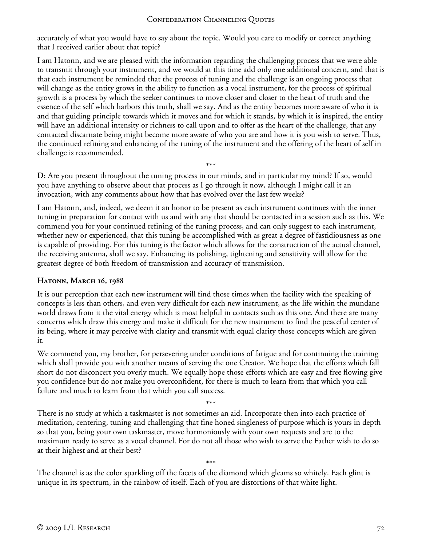accurately of what you would have to say about the topic. Would you care to modify or correct anything that I received earlier about that topic?

I am Hatonn, and we are pleased with the information regarding the challenging process that we were able to transmit through your instrument, and we would at this time add only one additional concern, and that is that each instrument be reminded that the process of tuning and the challenge is an ongoing process that will change as the entity grows in the ability to function as a vocal instrument, for the process of spiritual growth is a process by which the seeker continues to move closer and closer to the heart of truth and the essence of the self which harbors this truth, shall we say. And as the entity becomes more aware of who it is and that guiding principle towards which it moves and for which it stands, by which it is inspired, the entity will have an additional intensity or richness to call upon and to offer as the heart of the challenge, that any contacted discarnate being might become more aware of who you are and how it is you wish to serve. Thus, the continued refining and enhancing of the tuning of the instrument and the offering of the heart of self in challenge is recommended.

**D:** Are you present throughout the tuning process in our minds, and in particular my mind? If so, would you have anything to observe about that process as I go through it now, although I might call it an invocation, with any comments about how that has evolved over the last few weeks?

\*\*\*

I am Hatonn, and, indeed, we deem it an honor to be present as each instrument continues with the inner tuning in preparation for contact with us and with any that should be contacted in a session such as this. We commend you for your continued refining of the tuning process, and can only suggest to each instrument, whether new or experienced, that this tuning be accomplished with as great a degree of fastidiousness as one is capable of providing. For this tuning is the factor which allows for the construction of the actual channel, the receiving antenna, shall we say. Enhancing its polishing, tightening and sensitivity will allow for the greatest degree of both freedom of transmission and accuracy of transmission.

### **Hatonn, March 16, 1988**

It is our perception that each new instrument will find those times when the facility with the speaking of concepts is less than others, and even very difficult for each new instrument, as the life within the mundane world draws from it the vital energy which is most helpful in contacts such as this one. And there are many concerns which draw this energy and make it difficult for the new instrument to find the peaceful center of its being, where it may perceive with clarity and transmit with equal clarity those concepts which are given it.

We commend you, my brother, for persevering under conditions of fatigue and for continuing the training which shall provide you with another means of serving the one Creator. We hope that the efforts which fall short do not disconcert you overly much. We equally hope those efforts which are easy and free flowing give you confidence but do not make you overconfident, for there is much to learn from that which you call failure and much to learn from that which you call success.

\*\*\*

There is no study at which a taskmaster is not sometimes an aid. Incorporate then into each practice of meditation, centering, tuning and challenging that fine honed singleness of purpose which is yours in depth so that you, being your own taskmaster, move harmoniously with your own requests and are to the maximum ready to serve as a vocal channel. For do not all those who wish to serve the Father wish to do so at their highest and at their best?

\*\*\*

The channel is as the color sparkling off the facets of the diamond which gleams so whitely. Each glint is unique in its spectrum, in the rainbow of itself. Each of you are distortions of that white light.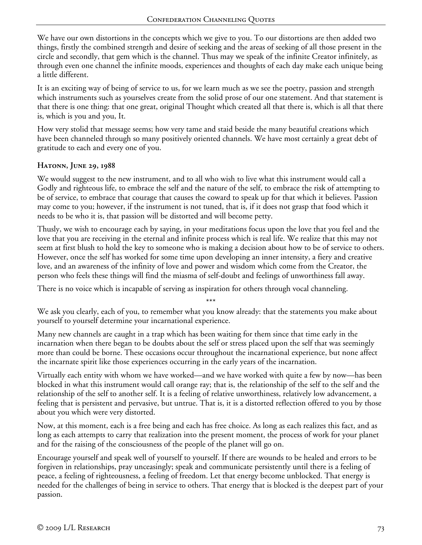We have our own distortions in the concepts which we give to you. To our distortions are then added two things, firstly the combined strength and desire of seeking and the areas of seeking of all those present in the circle and secondly, that gem which is the channel. Thus may we speak of the infinite Creator infinitely, as through even one channel the infinite moods, experiences and thoughts of each day make each unique being a little different.

It is an exciting way of being of service to us, for we learn much as we see the poetry, passion and strength which instruments such as yourselves create from the solid prose of our one statement. And that statement is that there is one thing: that one great, original Thought which created all that there is, which is all that there is, which is you and you, It.

How very stolid that message seems; how very tame and staid beside the many beautiful creations which have been channeled through so many positively oriented channels. We have most certainly a great debt of gratitude to each and every one of you.

### **Hatonn, June 29, 1988**

We would suggest to the new instrument, and to all who wish to live what this instrument would call a Godly and righteous life, to embrace the self and the nature of the self, to embrace the risk of attempting to be of service, to embrace that courage that causes the coward to speak up for that which it believes. Passion may come to you; however, if the instrument is not tuned, that is, if it does not grasp that food which it needs to be who it is, that passion will be distorted and will become petty.

Thusly, we wish to encourage each by saying, in your meditations focus upon the love that you feel and the love that you are receiving in the eternal and infinite process which is real life. We realize that this may not seem at first blush to hold the key to someone who is making a decision about how to be of service to others. However, once the self has worked for some time upon developing an inner intensity, a fiery and creative love, and an awareness of the infinity of love and power and wisdom which come from the Creator, the person who feels these things will find the miasma of self-doubt and feelings of unworthiness fall away.

There is no voice which is incapable of serving as inspiration for others through vocal channeling.

We ask you clearly, each of you, to remember what you know already: that the statements you make about yourself to yourself determine your incarnational experience.

Many new channels are caught in a trap which has been waiting for them since that time early in the incarnation when there began to be doubts about the self or stress placed upon the self that was seemingly more than could be borne. These occasions occur throughout the incarnational experience, but none affect the incarnate spirit like those experiences occurring in the early years of the incarnation.

Virtually each entity with whom we have worked—and we have worked with quite a few by now—has been blocked in what this instrument would call orange ray; that is, the relationship of the self to the self and the relationship of the self to another self. It is a feeling of relative unworthiness, relatively low advancement, a feeling that is persistent and pervasive, but untrue. That is, it is a distorted reflection offered to you by those about you which were very distorted.

Now, at this moment, each is a free being and each has free choice. As long as each realizes this fact, and as long as each attempts to carry that realization into the present moment, the process of work for your planet and for the raising of the consciousness of the people of the planet will go on.

Encourage yourself and speak well of yourself to yourself. If there are wounds to be healed and errors to be forgiven in relationships, pray unceasingly; speak and communicate persistently until there is a feeling of peace, a feeling of righteousness, a feeling of freedom. Let that energy become unblocked. That energy is needed for the challenges of being in service to others. That energy that is blocked is the deepest part of your passion.

<sup>\*\*\*</sup>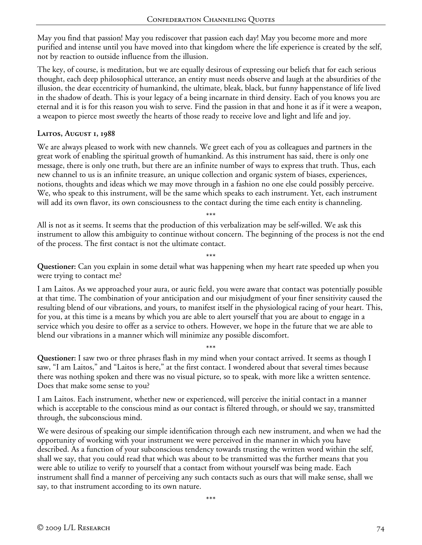May you find that passion! May you rediscover that passion each day! May you become more and more purified and intense until you have moved into that kingdom where the life experience is created by the self, not by reaction to outside influence from the illusion.

The key, of course, is meditation, but we are equally desirous of expressing our beliefs that for each serious thought, each deep philosophical utterance, an entity must needs observe and laugh at the absurdities of the illusion, the dear eccentricity of humankind, the ultimate, bleak, black, but funny happenstance of life lived in the shadow of death. This is your legacy of a being incarnate in third density. Each of you knows you are eternal and it is for this reason you wish to serve. Find the passion in that and hone it as if it were a weapon, a weapon to pierce most sweetly the hearts of those ready to receive love and light and life and joy.

#### **Laitos, August 1, 1988**

We are always pleased to work with new channels. We greet each of you as colleagues and partners in the great work of enabling the spiritual growth of humankind. As this instrument has said, there is only one message, there is only one truth, but there are an infinite number of ways to express that truth. Thus, each new channel to us is an infinite treasure, an unique collection and organic system of biases, experiences, notions, thoughts and ideas which we may move through in a fashion no one else could possibly perceive. We, who speak to this instrument, will be the same which speaks to each instrument. Yet, each instrument will add its own flavor, its own consciousness to the contact during the time each entity is channeling.

\*\*\*

All is not as it seems. It seems that the production of this verbalization may be self-willed. We ask this instrument to allow this ambiguity to continue without concern. The beginning of the process is not the end of the process. The first contact is not the ultimate contact.

\*\*\*

**Questioner:** Can you explain in some detail what was happening when my heart rate speeded up when you were trying to contact me?

I am Laitos. As we approached your aura, or auric field, you were aware that contact was potentially possible at that time. The combination of your anticipation and our misjudgment of your finer sensitivity caused the resulting blend of our vibrations, and yours, to manifest itself in the physiological racing of your heart. This, for you, at this time is a means by which you are able to alert yourself that you are about to engage in a service which you desire to offer as a service to others. However, we hope in the future that we are able to blend our vibrations in a manner which will minimize any possible discomfort.

\*\*\*

**Questioner:** I saw two or three phrases flash in my mind when your contact arrived. It seems as though I saw, "I am Laitos," and "Laitos is here," at the first contact. I wondered about that several times because there was nothing spoken and there was no visual picture, so to speak, with more like a written sentence. Does that make some sense to you?

I am Laitos. Each instrument, whether new or experienced, will perceive the initial contact in a manner which is acceptable to the conscious mind as our contact is filtered through, or should we say, transmitted through, the subconscious mind.

We were desirous of speaking our simple identification through each new instrument, and when we had the opportunity of working with your instrument we were perceived in the manner in which you have described. As a function of your subconscious tendency towards trusting the written word within the self, shall we say, that you could read that which was about to be transmitted was the further means that you were able to utilize to verify to yourself that a contact from without yourself was being made. Each instrument shall find a manner of perceiving any such contacts such as ours that will make sense, shall we say, to that instrument according to its own nature.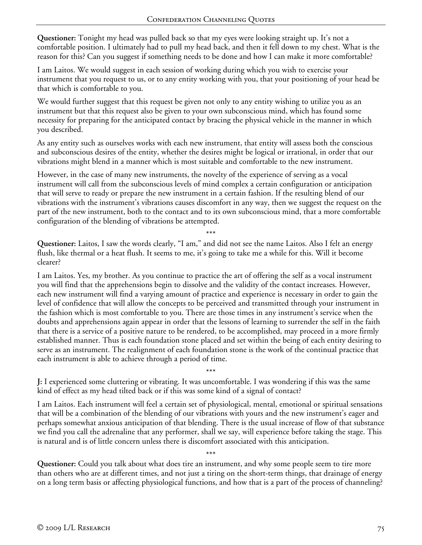**Questioner:** Tonight my head was pulled back so that my eyes were looking straight up. It's not a comfortable position. I ultimately had to pull my head back, and then it fell down to my chest. What is the reason for this? Can you suggest if something needs to be done and how I can make it more comfortable?

I am Laitos. We would suggest in each session of working during which you wish to exercise your instrument that you request to us, or to any entity working with you, that your positioning of your head be that which is comfortable to you.

We would further suggest that this request be given not only to any entity wishing to utilize you as an instrument but that this request also be given to your own subconscious mind, which has found some necessity for preparing for the anticipated contact by bracing the physical vehicle in the manner in which you described.

As any entity such as ourselves works with each new instrument, that entity will assess both the conscious and subconscious desires of the entity, whether the desires might be logical or irrational, in order that our vibrations might blend in a manner which is most suitable and comfortable to the new instrument.

However, in the case of many new instruments, the novelty of the experience of serving as a vocal instrument will call from the subconscious levels of mind complex a certain configuration or anticipation that will serve to ready or prepare the new instrument in a certain fashion. If the resulting blend of our vibrations with the instrument's vibrations causes discomfort in any way, then we suggest the request on the part of the new instrument, both to the contact and to its own subconscious mind, that a more comfortable configuration of the blending of vibrations be attempted.

\*\*\*

**Questioner:** Laitos, I saw the words clearly, "I am," and did not see the name Laitos. Also I felt an energy flush, like thermal or a heat flush. It seems to me, it's going to take me a while for this. Will it become clearer?

I am Laitos. Yes, my brother. As you continue to practice the art of offering the self as a vocal instrument you will find that the apprehensions begin to dissolve and the validity of the contact increases. However, each new instrument will find a varying amount of practice and experience is necessary in order to gain the level of confidence that will allow the concepts to be perceived and transmitted through your instrument in the fashion which is most comfortable to you. There are those times in any instrument's service when the doubts and apprehensions again appear in order that the lessons of learning to surrender the self in the faith that there is a service of a positive nature to be rendered, to be accomplished, may proceed in a more firmly established manner. Thus is each foundation stone placed and set within the being of each entity desiring to serve as an instrument. The realignment of each foundation stone is the work of the continual practice that each instrument is able to achieve through a period of time.

\*\*\* **J:** I experienced some cluttering or vibrating. It was uncomfortable. I was wondering if this was the same kind of effect as my head tilted back or if this was some kind of a signal of contact?

I am Laitos. Each instrument will feel a certain set of physiological, mental, emotional or spiritual sensations that will be a combination of the blending of our vibrations with yours and the new instrument's eager and perhaps somewhat anxious anticipation of that blending. There is the usual increase of flow of that substance we find you call the adrenaline that any performer, shall we say, will experience before taking the stage. This is natural and is of little concern unless there is discomfort associated with this anticipation.

\*\*\*

**Questioner:** Could you talk about what does tire an instrument, and why some people seem to tire more than others who are at different times, and not just a tiring on the short-term things, that drainage of energy on a long term basis or affecting physiological functions, and how that is a part of the process of channeling?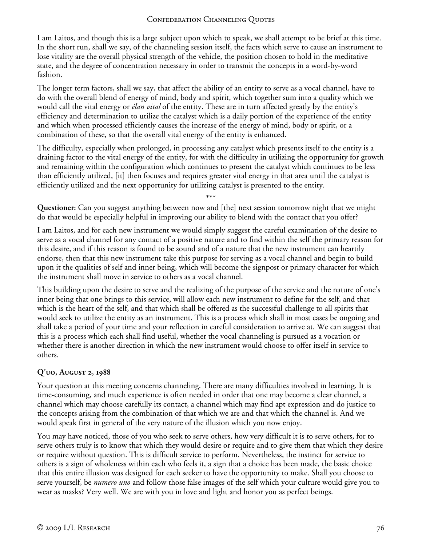I am Laitos, and though this is a large subject upon which to speak, we shall attempt to be brief at this time. In the short run, shall we say, of the channeling session itself, the facts which serve to cause an instrument to lose vitality are the overall physical strength of the vehicle, the position chosen to hold in the meditative state, and the degree of concentration necessary in order to transmit the concepts in a word-by-word fashion.

The longer term factors, shall we say, that affect the ability of an entity to serve as a vocal channel, have to do with the overall blend of energy of mind, body and spirit, which together sum into a quality which we would call the vital energy or *élan vital* of the entity. These are in turn affected greatly by the entity's efficiency and determination to utilize the catalyst which is a daily portion of the experience of the entity and which when processed efficiently causes the increase of the energy of mind, body or spirit, or a combination of these, so that the overall vital energy of the entity is enhanced.

The difficulty, especially when prolonged, in processing any catalyst which presents itself to the entity is a draining factor to the vital energy of the entity, for with the difficulty in utilizing the opportunity for growth and remaining within the configuration which continues to present the catalyst which continues to be less than efficiently utilized, [it] then focuses and requires greater vital energy in that area until the catalyst is efficiently utilized and the next opportunity for utilizing catalyst is presented to the entity.

\*\*\* **Questioner:** Can you suggest anything between now and [the] next session tomorrow night that we might do that would be especially helpful in improving our ability to blend with the contact that you offer?

I am Laitos, and for each new instrument we would simply suggest the careful examination of the desire to serve as a vocal channel for any contact of a positive nature and to find within the self the primary reason for this desire, and if this reason is found to be sound and of a nature that the new instrument can heartily endorse, then that this new instrument take this purpose for serving as a vocal channel and begin to build upon it the qualities of self and inner being, which will become the signpost or primary character for which the instrument shall move in service to others as a vocal channel.

This building upon the desire to serve and the realizing of the purpose of the service and the nature of one's inner being that one brings to this service, will allow each new instrument to define for the self, and that which is the heart of the self, and that which shall be offered as the successful challenge to all spirits that would seek to utilize the entity as an instrument. This is a process which shall in most cases be ongoing and shall take a period of your time and your reflection in careful consideration to arrive at. We can suggest that this is a process which each shall find useful, whether the vocal channeling is pursued as a vocation or whether there is another direction in which the new instrument would choose to offer itself in service to others.

# **Q'uo, August 2, 1988**

Your question at this meeting concerns channeling. There are many difficulties involved in learning. It is time-consuming, and much experience is often needed in order that one may become a clear channel, a channel which may choose carefully its contact, a channel which may find apt expression and do justice to the concepts arising from the combination of that which we are and that which the channel is. And we would speak first in general of the very nature of the illusion which you now enjoy.

You may have noticed, those of you who seek to serve others, how very difficult it is to serve others, for to serve others truly is to know that which they would desire or require and to give them that which they desire or require without question. This is difficult service to perform. Nevertheless, the instinct for service to others is a sign of wholeness within each who feels it, a sign that a choice has been made, the basic choice that this entire illusion was designed for each seeker to have the opportunity to make. Shall you choose to serve yourself, be *numero uno* and follow those false images of the self which your culture would give you to wear as masks? Very well. We are with you in love and light and honor you as perfect beings.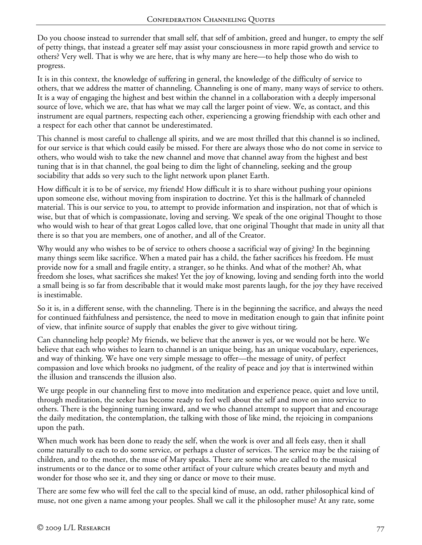Do you choose instead to surrender that small self, that self of ambition, greed and hunger, to empty the self of petty things, that instead a greater self may assist your consciousness in more rapid growth and service to others? Very well. That is why we are here, that is why many are here—to help those who do wish to progress.

It is in this context, the knowledge of suffering in general, the knowledge of the difficulty of service to others, that we address the matter of channeling. Channeling is one of many, many ways of service to others. It is a way of engaging the highest and best within the channel in a collaboration with a deeply impersonal source of love, which we are, that has what we may call the larger point of view. We, as contact, and this instrument are equal partners, respecting each other, experiencing a growing friendship with each other and a respect for each other that cannot be underestimated.

This channel is most careful to challenge all spirits, and we are most thrilled that this channel is so inclined, for our service is that which could easily be missed. For there are always those who do not come in service to others, who would wish to take the new channel and move that channel away from the highest and best tuning that is in that channel, the goal being to dim the light of channeling, seeking and the group sociability that adds so very such to the light network upon planet Earth.

How difficult it is to be of service, my friends! How difficult it is to share without pushing your opinions upon someone else, without moving from inspiration to doctrine. Yet this is the hallmark of channeled material. This is our service to you, to attempt to provide information and inspiration, not that of which is wise, but that of which is compassionate, loving and serving. We speak of the one original Thought to those who would wish to hear of that great Logos called love, that one original Thought that made in unity all that there is so that you are members, one of another, and all of the Creator.

Why would any who wishes to be of service to others choose a sacrificial way of giving? In the beginning many things seem like sacrifice. When a mated pair has a child, the father sacrifices his freedom. He must provide now for a small and fragile entity, a stranger, so he thinks. And what of the mother? Ah, what freedom she loses, what sacrifices she makes! Yet the joy of knowing, loving and sending forth into the world a small being is so far from describable that it would make most parents laugh, for the joy they have received is inestimable.

So it is, in a different sense, with the channeling. There is in the beginning the sacrifice, and always the need for continued faithfulness and persistence, the need to move in meditation enough to gain that infinite point of view, that infinite source of supply that enables the giver to give without tiring.

Can channeling help people? My friends, we believe that the answer is yes, or we would not be here. We believe that each who wishes to learn to channel is an unique being, has an unique vocabulary, experiences, and way of thinking. We have one very simple message to offer—the message of unity, of perfect compassion and love which brooks no judgment, of the reality of peace and joy that is intertwined within the illusion and transcends the illusion also.

We urge people in our channeling first to move into meditation and experience peace, quiet and love until, through meditation, the seeker has become ready to feel well about the self and move on into service to others. There is the beginning turning inward, and we who channel attempt to support that and encourage the daily meditation, the contemplation, the talking with those of like mind, the rejoicing in companions upon the path.

When much work has been done to ready the self, when the work is over and all feels easy, then it shall come naturally to each to do some service, or perhaps a cluster of services. The service may be the raising of children, and to the mother, the muse of Mary speaks. There are some who are called to the musical instruments or to the dance or to some other artifact of your culture which creates beauty and myth and wonder for those who see it, and they sing or dance or move to their muse.

There are some few who will feel the call to the special kind of muse, an odd, rather philosophical kind of muse, not one given a name among your peoples. Shall we call it the philosopher muse? At any rate, some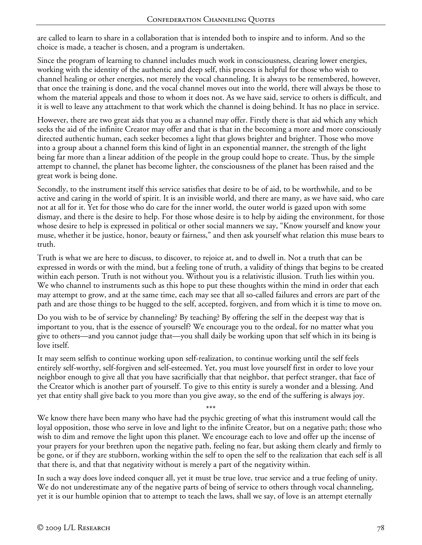are called to learn to share in a collaboration that is intended both to inspire and to inform. And so the choice is made, a teacher is chosen, and a program is undertaken.

Since the program of learning to channel includes much work in consciousness, clearing lower energies, working with the identity of the authentic and deep self, this process is helpful for those who wish to channel healing or other energies, not merely the vocal channeling. It is always to be remembered, however, that once the training is done, and the vocal channel moves out into the world, there will always be those to whom the material appeals and those to whom it does not. As we have said, service to others is difficult, and it is well to leave any attachment to that work which the channel is doing behind. It has no place in service.

However, there are two great aids that you as a channel may offer. Firstly there is that aid which any which seeks the aid of the infinite Creator may offer and that is that in the becoming a more and more consciously directed authentic human, each seeker becomes a light that glows brighter and brighter. Those who move into a group about a channel form this kind of light in an exponential manner, the strength of the light being far more than a linear addition of the people in the group could hope to create. Thus, by the simple attempt to channel, the planet has become lighter, the consciousness of the planet has been raised and the great work is being done.

Secondly, to the instrument itself this service satisfies that desire to be of aid, to be worthwhile, and to be active and caring in the world of spirit. It is an invisible world, and there are many, as we have said, who care not at all for it. Yet for those who do care for the inner world, the outer world is gazed upon with some dismay, and there is the desire to help. For those whose desire is to help by aiding the environment, for those whose desire to help is expressed in political or other social manners we say, "Know yourself and know your muse, whether it be justice, honor, beauty or fairness," and then ask yourself what relation this muse bears to truth.

Truth is what we are here to discuss, to discover, to rejoice at, and to dwell in. Not a truth that can be expressed in words or with the mind, but a feeling tone of truth, a validity of things that begins to be created within each person. Truth is not without you. Without you is a relativistic illusion. Truth lies within you. We who channel to instruments such as this hope to put these thoughts within the mind in order that each may attempt to grow, and at the same time, each may see that all so-called failures and errors are part of the path and are those things to be hugged to the self, accepted, forgiven, and from which it is time to move on.

Do you wish to be of service by channeling? By teaching? By offering the self in the deepest way that is important to you, that is the essence of yourself? We encourage you to the ordeal, for no matter what you give to others—and you cannot judge that—you shall daily be working upon that self which in its being is love itself.

It may seem selfish to continue working upon self-realization, to continue working until the self feels entirely self-worthy, self-forgiven and self-esteemed. Yet, you must love yourself first in order to love your neighbor enough to give all that you have sacrificially that that neighbor, that perfect stranger, that face of the Creator which is another part of yourself. To give to this entity is surely a wonder and a blessing. And yet that entity shall give back to you more than you give away, so the end of the suffering is always joy.

\*\*\*

We know there have been many who have had the psychic greeting of what this instrument would call the loyal opposition, those who serve in love and light to the infinite Creator, but on a negative path; those who wish to dim and remove the light upon this planet. We encourage each to love and offer up the incense of your prayers for your brethren upon the negative path, feeling no fear, but asking them clearly and firmly to be gone, or if they are stubborn, working within the self to open the self to the realization that each self is all that there is, and that that negativity without is merely a part of the negativity within.

In such a way does love indeed conquer all, yet it must be true love, true service and a true feeling of unity. We do not underestimate any of the negative parts of being of service to others through vocal channeling, yet it is our humble opinion that to attempt to teach the laws, shall we say, of love is an attempt eternally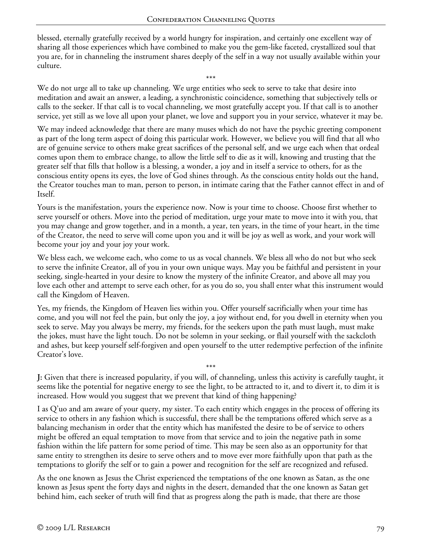blessed, eternally gratefully received by a world hungry for inspiration, and certainly one excellent way of sharing all those experiences which have combined to make you the gem-like faceted, crystallized soul that you are, for in channeling the instrument shares deeply of the self in a way not usually available within your culture.

\*\*\*

We do not urge all to take up channeling. We urge entities who seek to serve to take that desire into meditation and await an answer, a leading, a synchronistic coincidence, something that subjectively tells or calls to the seeker. If that call is to vocal channeling, we most gratefully accept you. If that call is to another service, yet still as we love all upon your planet, we love and support you in your service, whatever it may be.

We may indeed acknowledge that there are many muses which do not have the psychic greeting component as part of the long term aspect of doing this particular work. However, we believe you will find that all who are of genuine service to others make great sacrifices of the personal self, and we urge each when that ordeal comes upon them to embrace change, to allow the little self to die as it will, knowing and trusting that the greater self that fills that hollow is a blessing, a wonder, a joy and in itself a service to others, for as the conscious entity opens its eyes, the love of God shines through. As the conscious entity holds out the hand, the Creator touches man to man, person to person, in intimate caring that the Father cannot effect in and of Itself.

Yours is the manifestation, yours the experience now. Now is your time to choose. Choose first whether to serve yourself or others. Move into the period of meditation, urge your mate to move into it with you, that you may change and grow together, and in a month, a year, ten years, in the time of your heart, in the time of the Creator, the need to serve will come upon you and it will be joy as well as work, and your work will become your joy and your joy your work.

We bless each, we welcome each, who come to us as vocal channels. We bless all who do not but who seek to serve the infinite Creator, all of you in your own unique ways. May you be faithful and persistent in your seeking, single-hearted in your desire to know the mystery of the infinite Creator, and above all may you love each other and attempt to serve each other, for as you do so, you shall enter what this instrument would call the Kingdom of Heaven.

Yes, my friends, the Kingdom of Heaven lies within you. Offer yourself sacrificially when your time has come, and you will not feel the pain, but only the joy, a joy without end, for you dwell in eternity when you seek to serve. May you always be merry, my friends, for the seekers upon the path must laugh, must make the jokes, must have the light touch. Do not be solemn in your seeking, or flail yourself with the sackcloth and ashes, but keep yourself self-forgiven and open yourself to the utter redemptive perfection of the infinite Creator's love.

**J:** Given that there is increased popularity, if you will, of channeling, unless this activity is carefully taught, it seems like the potential for negative energy to see the light, to be attracted to it, and to divert it, to dim it is increased. How would you suggest that we prevent that kind of thing happening?

\*\*\*

I as Q'uo and am aware of your query, my sister. To each entity which engages in the process of offering its service to others in any fashion which is successful, there shall be the temptations offered which serve as a balancing mechanism in order that the entity which has manifested the desire to be of service to others might be offered an equal temptation to move from that service and to join the negative path in some fashion within the life pattern for some period of time. This may be seen also as an opportunity for that same entity to strengthen its desire to serve others and to move ever more faithfully upon that path as the temptations to glorify the self or to gain a power and recognition for the self are recognized and refused.

As the one known as Jesus the Christ experienced the temptations of the one known as Satan, as the one known as Jesus spent the forty days and nights in the desert, demanded that the one known as Satan get behind him, each seeker of truth will find that as progress along the path is made, that there are those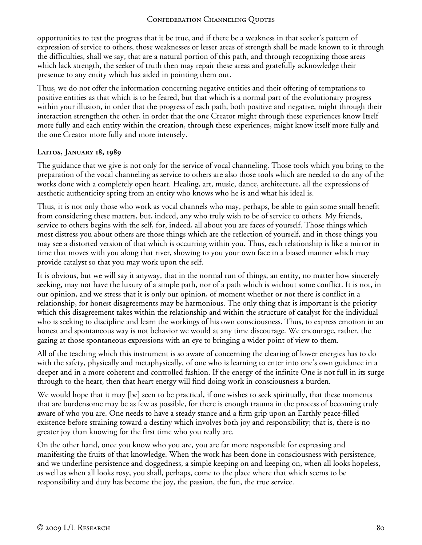opportunities to test the progress that it be true, and if there be a weakness in that seeker's pattern of expression of service to others, those weaknesses or lesser areas of strength shall be made known to it through the difficulties, shall we say, that are a natural portion of this path, and through recognizing those areas which lack strength, the seeker of truth then may repair these areas and gratefully acknowledge their presence to any entity which has aided in pointing them out.

Thus, we do not offer the information concerning negative entities and their offering of temptations to positive entities as that which is to be feared, but that which is a normal part of the evolutionary progress within your illusion, in order that the progress of each path, both positive and negative, might through their interaction strengthen the other, in order that the one Creator might through these experiences know Itself more fully and each entity within the creation, through these experiences, might know itself more fully and the one Creator more fully and more intensely.

### **Laitos, January 18, 1989**

The guidance that we give is not only for the service of vocal channeling. Those tools which you bring to the preparation of the vocal channeling as service to others are also those tools which are needed to do any of the works done with a completely open heart. Healing, art, music, dance, architecture, all the expressions of aesthetic authenticity spring from an entity who knows who he is and what his ideal is.

Thus, it is not only those who work as vocal channels who may, perhaps, be able to gain some small benefit from considering these matters, but, indeed, any who truly wish to be of service to others. My friends, service to others begins with the self, for, indeed, all about you are faces of yourself. Those things which most distress you about others are those things which are the reflection of yourself, and in those things you may see a distorted version of that which is occurring within you. Thus, each relationship is like a mirror in time that moves with you along that river, showing to you your own face in a biased manner which may provide catalyst so that you may work upon the self.

It is obvious, but we will say it anyway, that in the normal run of things, an entity, no matter how sincerely seeking, may not have the luxury of a simple path, nor of a path which is without some conflict. It is not, in our opinion, and we stress that it is only our opinion, of moment whether or not there is conflict in a relationship, for honest disagreements may be harmonious. The only thing that is important is the priority which this disagreement takes within the relationship and within the structure of catalyst for the individual who is seeking to discipline and learn the workings of his own consciousness. Thus, to express emotion in an honest and spontaneous way is not behavior we would at any time discourage. We encourage, rather, the gazing at those spontaneous expressions with an eye to bringing a wider point of view to them.

All of the teaching which this instrument is so aware of concerning the clearing of lower energies has to do with the safety, physically and metaphysically, of one who is learning to enter into one's own guidance in a deeper and in a more coherent and controlled fashion. If the energy of the infinite One is not full in its surge through to the heart, then that heart energy will find doing work in consciousness a burden.

We would hope that it may [be] seen to be practical, if one wishes to seek spiritually, that these moments that are burdensome may be as few as possible, for there is enough trauma in the process of becoming truly aware of who you are. One needs to have a steady stance and a firm grip upon an Earthly peace-filled existence before straining toward a destiny which involves both joy and responsibility; that is, there is no greater joy than knowing for the first time who you really are.

On the other hand, once you know who you are, you are far more responsible for expressing and manifesting the fruits of that knowledge. When the work has been done in consciousness with persistence, and we underline persistence and doggedness, a simple keeping on and keeping on, when all looks hopeless, as well as when all looks rosy, you shall, perhaps, come to the place where that which seems to be responsibility and duty has become the joy, the passion, the fun, the true service.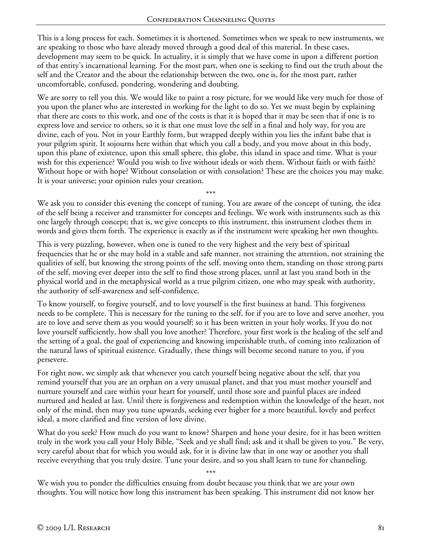This is a long process for each. Sometimes it is shortened. Sometimes when we speak to new instruments, we are speaking to those who have already moved through a good deal of this material. In these cases, development may seem to be quick. In actuality, it is simply that we have come in upon a different portion of that entity's incarnational learning. For the most part, when one is seeking to find out the truth about the self and the Creator and the about the relationship between the two, one is, for the most part, rather uncomfortable, confused, pondering, wondering and doubting.

We are sorry to tell you this. We would like to paint a rosy picture, for we would like very much for those of you upon the planet who are interested in working for the light to do so. Yet we must begin by explaining that there are costs to this work, and one of the costs is that it is hoped that it may be seen that if one is to express love and service to others, so it is that one must love the self in a final and holy way, for you are divine, each of you. Not in your Earthly form, but wrapped deeply within you lies the infant babe that is your pilgrim spirit. It sojourns here within that which you call a body, and you move about in this body, upon this plane of existence, upon this small sphere, this globe, this island in space and time. What is your wish for this experience? Would you wish to live without ideals or with them. Without faith or with faith? Without hope or with hope? Without consolation or with consolation? These are the choices you may make. It is your universe; your opinion rules your creation.

\*\*\* We ask you to consider this evening the concept of tuning. You are aware of the concept of tuning, the idea of the self being a receiver and transmitter for concepts and feelings. We work with instruments such as this one largely through concept; that is, we give concepts to this instrument, this instrument clothes them in words and gives them forth. The experience is exactly as if the instrument were speaking her own thoughts.

This is very puzzling, however, when one is tuned to the very highest and the very best of spiritual frequencies that he or she may hold in a stable and safe manner, not straining the attention, not straining the qualities of self, but knowing the strong points of the self, moving onto them, standing on those strong parts of the self, moving ever deeper into the self to find those strong places, until at last you stand both in the physical world and in the metaphysical world as a true pilgrim citizen, one who may speak with authority, the authority of self-awareness and self-confidence.

To know yourself, to forgive yourself, and to love yourself is the first business at hand. This forgiveness needs to be complete. This is necessary for the tuning to the self, for if you are to love and serve another, you are to love and serve them as you would yourself; so it has been written in your holy works. If you do not love yourself sufficiently, how shall you love another? Therefore, your first work is the healing of the self and the setting of a goal, the goal of experiencing and knowing imperishable truth, of coming into realization of the natural laws of spiritual existence. Gradually, these things will become second nature to you, if you persevere.

For right now, we simply ask that whenever you catch yourself being negative about the self, that you remind yourself that you are an orphan on a very unusual planet, and that you must mother yourself and nurture yourself and care within your heart for yourself, until those sore and painful places are indeed nurtured and healed at last. Until there is forgiveness and redemption within the knowledge of the heart, not only of the mind, then may you tune upwards, seeking ever higher for a more beautiful, lovely and perfect ideal, a more clarified and fine version of love divine.

What do you seek? How much do you want to know? Sharpen and hone your desire, for it has been written truly in the work you call your Holy Bible, "Seek and ye shall find; ask and it shall be given to you." Be very, very careful about that for which you would ask, for it is divine law that in one way or another you shall receive everything that you truly desire. Tune your desire, and so you shall learn to tune for channeling.

\*\*\* We wish you to ponder the difficulties ensuing from doubt because you think that we are your own thoughts. You will notice how long this instrument has been speaking. This instrument did not know her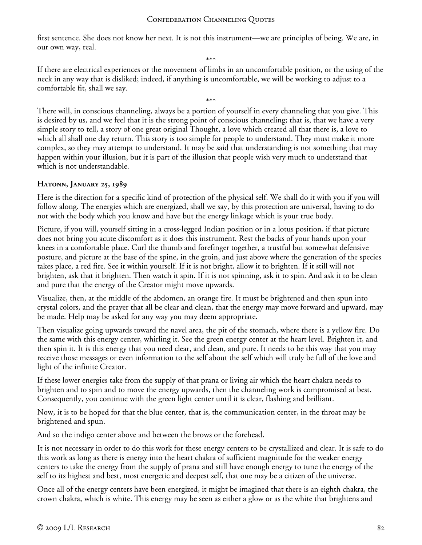first sentence. She does not know her next. It is not this instrument—we are principles of being. We are, in our own way, real.

If there are electrical experiences or the movement of limbs in an uncomfortable position, or the using of the neck in any way that is disliked; indeed, if anything is uncomfortable, we will be working to adjust to a comfortable fit, shall we say.

\*\*\* There will, in conscious channeling, always be a portion of yourself in every channeling that you give. This is desired by us, and we feel that it is the strong point of conscious channeling; that is, that we have a very simple story to tell, a story of one great original Thought, a love which created all that there is, a love to which all shall one day return. This story is too simple for people to understand. They must make it more complex, so they may attempt to understand. It may be said that understanding is not something that may happen within your illusion, but it is part of the illusion that people wish very much to understand that which is not understandable.

### **Hatonn, January 25, 1989**

Here is the direction for a specific kind of protection of the physical self. We shall do it with you if you will follow along. The energies which are energized, shall we say, by this protection are universal, having to do not with the body which you know and have but the energy linkage which is your true body.

Picture, if you will, yourself sitting in a cross-legged Indian position or in a lotus position, if that picture does not bring you acute discomfort as it does this instrument. Rest the backs of your hands upon your knees in a comfortable place. Curl the thumb and forefinger together, a trustful but somewhat defensive posture, and picture at the base of the spine, in the groin, and just above where the generation of the species takes place, a red fire. See it within yourself. If it is not bright, allow it to brighten. If it still will not brighten, ask that it brighten. Then watch it spin. If it is not spinning, ask it to spin. And ask it to be clean and pure that the energy of the Creator might move upwards.

Visualize, then, at the middle of the abdomen, an orange fire. It must be brightened and then spun into crystal colors, and the prayer that all be clear and clean, that the energy may move forward and upward, may be made. Help may be asked for any way you may deem appropriate.

Then visualize going upwards toward the navel area, the pit of the stomach, where there is a yellow fire. Do the same with this energy center, whirling it. See the green energy center at the heart level. Brighten it, and then spin it. It is this energy that you need clear, and clean, and pure. It needs to be this way that you may receive those messages or even information to the self about the self which will truly be full of the love and light of the infinite Creator.

If these lower energies take from the supply of that prana or living air which the heart chakra needs to brighten and to spin and to move the energy upwards, then the channeling work is compromised at best. Consequently, you continue with the green light center until it is clear, flashing and brilliant.

Now, it is to be hoped for that the blue center, that is, the communication center, in the throat may be brightened and spun.

And so the indigo center above and between the brows or the forehead.

It is not necessary in order to do this work for these energy centers to be crystallized and clear. It is safe to do this work as long as there is energy into the heart chakra of sufficient magnitude for the weaker energy centers to take the energy from the supply of prana and still have enough energy to tune the energy of the self to its highest and best, most energetic and deepest self, that one may be a citizen of the universe.

Once all of the energy centers have been energized, it might be imagined that there is an eighth chakra, the crown chakra, which is white. This energy may be seen as either a glow or as the white that brightens and

\*\*\*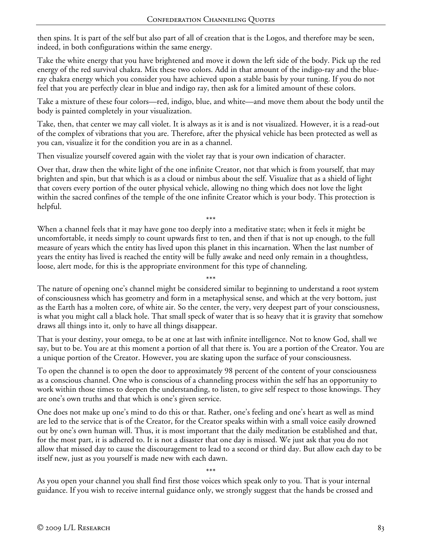then spins. It is part of the self but also part of all of creation that is the Logos, and therefore may be seen, indeed, in both configurations within the same energy.

Take the white energy that you have brightened and move it down the left side of the body. Pick up the red energy of the red survival chakra. Mix these two colors. Add in that amount of the indigo-ray and the blueray chakra energy which you consider you have achieved upon a stable basis by your tuning. If you do not feel that you are perfectly clear in blue and indigo ray, then ask for a limited amount of these colors.

Take a mixture of these four colors—red, indigo, blue, and white—and move them about the body until the body is painted completely in your visualization.

Take, then, that center we may call violet. It is always as it is and is not visualized. However, it is a read-out of the complex of vibrations that you are. Therefore, after the physical vehicle has been protected as well as you can, visualize it for the condition you are in as a channel.

Then visualize yourself covered again with the violet ray that is your own indication of character.

Over that, draw then the white light of the one infinite Creator, not that which is from yourself, that may brighten and spin, but that which is as a cloud or nimbus about the self. Visualize that as a shield of light that covers every portion of the outer physical vehicle, allowing no thing which does not love the light within the sacred confines of the temple of the one infinite Creator which is your body. This protection is helpful.

When a channel feels that it may have gone too deeply into a meditative state; when it feels it might be uncomfortable, it needs simply to count upwards first to ten, and then if that is not up enough, to the full measure of years which the entity has lived upon this planet in this incarnation. When the last number of years the entity has lived is reached the entity will be fully awake and need only remain in a thoughtless, loose, alert mode, for this is the appropriate environment for this type of channeling.

\*\*\*

\*\*\* The nature of opening one's channel might be considered similar to beginning to understand a root system of consciousness which has geometry and form in a metaphysical sense, and which at the very bottom, just as the Earth has a molten core, of white air. So the center, the very, very deepest part of your consciousness, is what you might call a black hole. That small speck of water that is so heavy that it is gravity that somehow draws all things into it, only to have all things disappear.

That is your destiny, your omega, to be at one at last with infinite intelligence. Not to know God, shall we say, but to be. You are at this moment a portion of all that there is. You are a portion of the Creator. You are a unique portion of the Creator. However, you are skating upon the surface of your consciousness.

To open the channel is to open the door to approximately 98 percent of the content of your consciousness as a conscious channel. One who is conscious of a channeling process within the self has an opportunity to work within those times to deepen the understanding, to listen, to give self respect to those knowings. They are one's own truths and that which is one's given service.

One does not make up one's mind to do this or that. Rather, one's feeling and one's heart as well as mind are led to the service that is of the Creator, for the Creator speaks within with a small voice easily drowned out by one's own human will. Thus, it is most important that the daily meditation be established and that, for the most part, it is adhered to. It is not a disaster that one day is missed. We just ask that you do not allow that missed day to cause the discouragement to lead to a second or third day. But allow each day to be itself new, just as you yourself is made new with each dawn.

\*\*\*

As you open your channel you shall find first those voices which speak only to you. That is your internal guidance. If you wish to receive internal guidance only, we strongly suggest that the hands be crossed and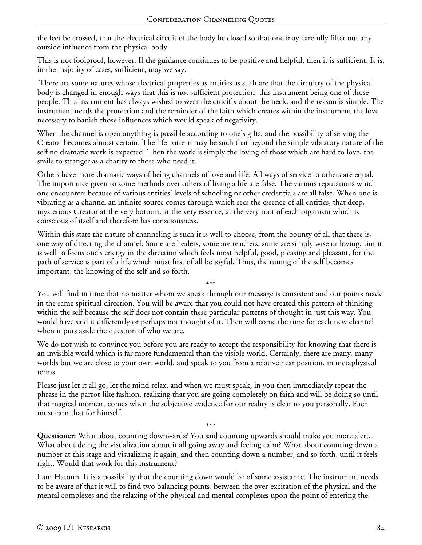the feet be crossed, that the electrical circuit of the body be closed so that one may carefully filter out any outside influence from the physical body.

This is not foolproof, however. If the guidance continues to be positive and helpful, then it is sufficient. It is, in the majority of cases, sufficient, may we say.

 There are some natures whose electrical properties as entities as such are that the circuitry of the physical body is changed in enough ways that this is not sufficient protection, this instrument being one of those people. This instrument has always wished to wear the crucifix about the neck, and the reason is simple. The instrument needs the protection and the reminder of the faith which creates within the instrument the love necessary to banish those influences which would speak of negativity.

When the channel is open anything is possible according to one's gifts, and the possibility of serving the Creator becomes almost certain. The life pattern may be such that beyond the simple vibratory nature of the self no dramatic work is expected. Then the work is simply the loving of those which are hard to love, the smile to stranger as a charity to those who need it.

Others have more dramatic ways of being channels of love and life. All ways of service to others are equal. The importance given to some methods over others of living a life are false. The various reputations which one encounters because of various entities' levels of schooling or other credentials are all false. When one is vibrating as a channel an infinite source comes through which sees the essence of all entities, that deep, mysterious Creator at the very bottom, at the very essence, at the very root of each organism which is conscious of itself and therefore has consciousness.

Within this state the nature of channeling is such it is well to choose, from the bounty of all that there is, one way of directing the channel. Some are healers, some are teachers, some are simply wise or loving. But it is well to focus one's energy in the direction which feels most helpful, good, pleasing and pleasant, for the path of service is part of a life which must first of all be joyful. Thus, the tuning of the self becomes important, the knowing of the self and so forth.

\*\*\*

You will find in time that no matter whom we speak through our message is consistent and our points made in the same spiritual direction. You will be aware that you could not have created this pattern of thinking within the self because the self does not contain these particular patterns of thought in just this way. You would have said it differently or perhaps not thought of it. Then will come the time for each new channel when it puts aside the question of who we are.

We do not wish to convince you before you are ready to accept the responsibility for knowing that there is an invisible world which is far more fundamental than the visible world. Certainly, there are many, many worlds but we are close to your own world, and speak to you from a relative near position, in metaphysical terms.

Please just let it all go, let the mind relax, and when we must speak, in you then immediately repeat the phrase in the parrot-like fashion, realizing that you are going completely on faith and will be doing so until that magical moment comes when the subjective evidence for our reality is clear to you personally. Each must earn that for himself.

**Questioner:** What about counting downwards? You said counting upwards should make you more alert. What about doing the visualization about it all going away and feeling calm? What about counting down a number at this stage and visualizing it again, and then counting down a number, and so forth, until it feels right. Would that work for this instrument?

\*\*\*

I am Hatonn. It is a possibility that the counting down would be of some assistance. The instrument needs to be aware of that it will to find two balancing points, between the over-excitation of the physical and the mental complexes and the relaxing of the physical and mental complexes upon the point of entering the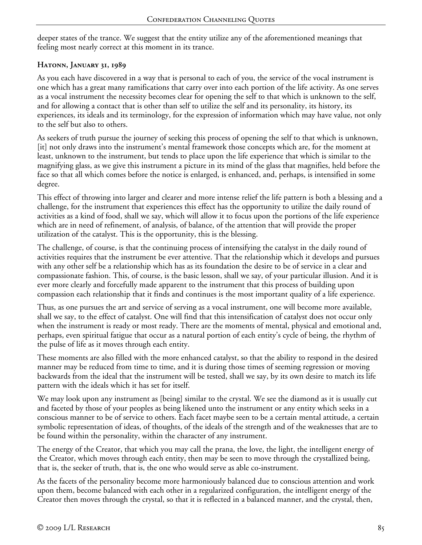deeper states of the trance. We suggest that the entity utilize any of the aforementioned meanings that feeling most nearly correct at this moment in its trance.

### **Hatonn, January 31, 1989**

As you each have discovered in a way that is personal to each of you, the service of the vocal instrument is one which has a great many ramifications that carry over into each portion of the life activity. As one serves as a vocal instrument the necessity becomes clear for opening the self to that which is unknown to the self, and for allowing a contact that is other than self to utilize the self and its personality, its history, its experiences, its ideals and its terminology, for the expression of information which may have value, not only to the self but also to others.

As seekers of truth pursue the journey of seeking this process of opening the self to that which is unknown, [it] not only draws into the instrument's mental framework those concepts which are, for the moment at least, unknown to the instrument, but tends to place upon the life experience that which is similar to the magnifying glass, as we give this instrument a picture in its mind of the glass that magnifies, held before the face so that all which comes before the notice is enlarged, is enhanced, and, perhaps, is intensified in some degree.

This effect of throwing into larger and clearer and more intense relief the life pattern is both a blessing and a challenge, for the instrument that experiences this effect has the opportunity to utilize the daily round of activities as a kind of food, shall we say, which will allow it to focus upon the portions of the life experience which are in need of refinement, of analysis, of balance, of the attention that will provide the proper utilization of the catalyst. This is the opportunity, this is the blessing.

The challenge, of course, is that the continuing process of intensifying the catalyst in the daily round of activities requires that the instrument be ever attentive. That the relationship which it develops and pursues with any other self be a relationship which has as its foundation the desire to be of service in a clear and compassionate fashion. This, of course, is the basic lesson, shall we say, of your particular illusion. And it is ever more clearly and forcefully made apparent to the instrument that this process of building upon compassion each relationship that it finds and continues is the most important quality of a life experience.

Thus, as one pursues the art and service of serving as a vocal instrument, one will become more available, shall we say, to the effect of catalyst. One will find that this intensification of catalyst does not occur only when the instrument is ready or most ready. There are the moments of mental, physical and emotional and, perhaps, even spiritual fatigue that occur as a natural portion of each entity's cycle of being, the rhythm of the pulse of life as it moves through each entity.

These moments are also filled with the more enhanced catalyst, so that the ability to respond in the desired manner may be reduced from time to time, and it is during those times of seeming regression or moving backwards from the ideal that the instrument will be tested, shall we say, by its own desire to match its life pattern with the ideals which it has set for itself.

We may look upon any instrument as [being] similar to the crystal. We see the diamond as it is usually cut and faceted by those of your peoples as being likened unto the instrument or any entity which seeks in a conscious manner to be of service to others. Each facet maybe seen to be a certain mental attitude, a certain symbolic representation of ideas, of thoughts, of the ideals of the strength and of the weaknesses that are to be found within the personality, within the character of any instrument.

The energy of the Creator, that which you may call the prana, the love, the light, the intelligent energy of the Creator, which moves through each entity, then may be seen to move through the crystallized being, that is, the seeker of truth, that is, the one who would serve as able co-instrument.

As the facets of the personality become more harmoniously balanced due to conscious attention and work upon them, become balanced with each other in a regularized configuration, the intelligent energy of the Creator then moves through the crystal, so that it is reflected in a balanced manner, and the crystal, then,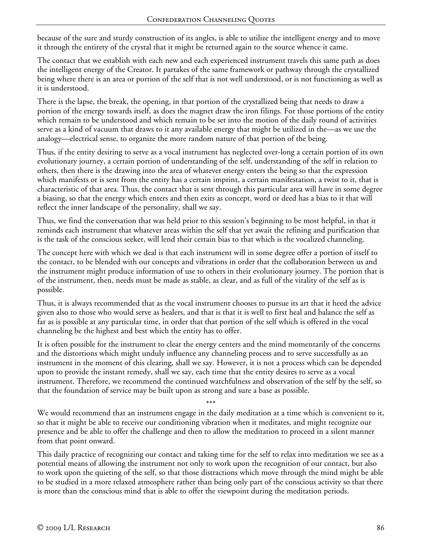because of the sure and sturdy construction of its angles, is able to utilize the intelligent energy and to move it through the entirety of the crystal that it might be returned again to the source whence it came.

The contact that we establish with each new and each experienced instrument travels this same path as does the intelligent energy of the Creator. It partakes of the same framework or pathway through the crystallized being where there is an area or portion of the self that is not well understood, or is not functioning as well as it is understood.

There is the lapse, the break, the opening, in that portion of the crystallized being that needs to draw a portion of the energy towards itself, as does the magnet draw the iron filings. For those portions of the entity which remain to be understood and which remain to be set into the motion of the daily round of activities serve as a kind of vacuum that draws to it any available energy that might be utilized in the—as we use the analogy—electrical sense, to organize the more random nature of that portion of the being.

Thus, if the entity desiring to serve as a vocal instrument has neglected over-long a certain portion of its own evolutionary journey, a certain portion of understanding of the self, understanding of the self in relation to others, then there is the drawing into the area of whatever energy enters the being so that the expression which manifests or is sent from the entity has a certain imprint, a certain manifestation, a twist to it, that is characteristic of that area. Thus, the contact that is sent through this particular area will have in some degree a biasing, so that the energy which enters and then exits as concept, word or deed has a bias to it that will reflect the inner landscape of the personality, shall we say.

Thus, we find the conversation that was held prior to this session's beginning to be most helpful, in that it reminds each instrument that whatever areas within the self that yet await the refining and purification that is the task of the conscious seeker, will lend their certain bias to that which is the vocalized channeling.

The concept here with which we deal is that each instrument will in some degree offer a portion of itself to the contact, to be blended with our concepts and vibrations in order that the collaboration between us and the instrument might produce information of use to others in their evolutionary journey. The portion that is of the instrument, then, needs must be made as stable, as clear, and as full of the vitality of the self as is possible.

Thus, it is always recommended that as the vocal instrument chooses to pursue its art that it heed the advice given also to those who would serve as healers, and that is that it is well to first heal and balance the self as far as is possible at any particular time, in order that that portion of the self which is offered in the vocal channeling be the highest and best which the entity has to offer.

It is often possible for the instrument to clear the energy centers and the mind momentarily of the concerns and the distortions which might unduly influence any channeling process and to serve successfully as an instrument in the moment of this clearing, shall we say. However, it is not a process which can be depended upon to provide the instant remedy, shall we say, each time that the entity desires to serve as a vocal instrument. Therefore, we recommend the continued watchfulness and observation of the self by the self, so that the foundation of service may be built upon as strong and sure a base as possible.

\*\*\* We would recommend that an instrument engage in the daily meditation at a time which is convenient to it, so that it might be able to receive our conditioning vibration when it meditates, and might recognize our presence and be able to offer the challenge and then to allow the meditation to proceed in a silent manner from that point onward.

This daily practice of recognizing our contact and taking time for the self to relax into meditation we see as a potential means of allowing the instrument not only to work upon the recognition of our contact, but also to work upon the quieting of the self, so that those distractions which move through the mind might be able to be studied in a more relaxed atmosphere rather than being only part of the conscious activity so that there is more than the conscious mind that is able to offer the viewpoint during the meditation periods.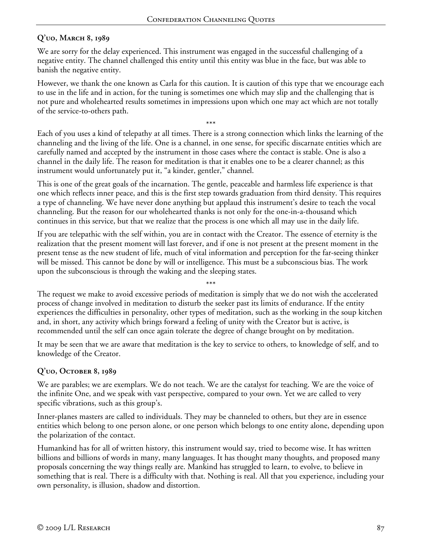# **Q'uo, March 8, 1989**

We are sorry for the delay experienced. This instrument was engaged in the successful challenging of a negative entity. The channel challenged this entity until this entity was blue in the face, but was able to banish the negative entity.

However, we thank the one known as Carla for this caution. It is caution of this type that we encourage each to use in the life and in action, for the tuning is sometimes one which may slip and the challenging that is not pure and wholehearted results sometimes in impressions upon which one may act which are not totally of the service-to-others path.

\*\*\* Each of you uses a kind of telepathy at all times. There is a strong connection which links the learning of the channeling and the living of the life. One is a channel, in one sense, for specific discarnate entities which are carefully named and accepted by the instrument in those cases where the contact is stable. One is also a channel in the daily life. The reason for meditation is that it enables one to be a clearer channel; as this instrument would unfortunately put it, "a kinder, gentler," channel.

This is one of the great goals of the incarnation. The gentle, peaceable and harmless life experience is that one which reflects inner peace, and this is the first step towards graduation from third density. This requires a type of channeling. We have never done anything but applaud this instrument's desire to teach the vocal channeling. But the reason for our wholehearted thanks is not only for the one-in-a-thousand which continues in this service, but that we realize that the process is one which all may use in the daily life.

If you are telepathic with the self within, you are in contact with the Creator. The essence of eternity is the realization that the present moment will last forever, and if one is not present at the present moment in the present tense as the new student of life, much of vital information and perception for the far-seeing thinker will be missed. This cannot be done by will or intelligence. This must be a subconscious bias. The work upon the subconscious is through the waking and the sleeping states.

\*\*\* The request we make to avoid excessive periods of meditation is simply that we do not wish the accelerated process of change involved in meditation to disturb the seeker past its limits of endurance. If the entity experiences the difficulties in personality, other types of meditation, such as the working in the soup kitchen and, in short, any activity which brings forward a feeling of unity with the Creator but is active, is recommended until the self can once again tolerate the degree of change brought on by meditation.

It may be seen that we are aware that meditation is the key to service to others, to knowledge of self, and to knowledge of the Creator.

# **Q'uo, October 8, 1989**

We are parables; we are exemplars. We do not teach. We are the catalyst for teaching. We are the voice of the infinite One, and we speak with vast perspective, compared to your own. Yet we are called to very specific vibrations, such as this group's.

Inner-planes masters are called to individuals. They may be channeled to others, but they are in essence entities which belong to one person alone, or one person which belongs to one entity alone, depending upon the polarization of the contact.

Humankind has for all of written history, this instrument would say, tried to become wise. It has written billions and billions of words in many, many languages. It has thought many thoughts, and proposed many proposals concerning the way things really are. Mankind has struggled to learn, to evolve, to believe in something that is real. There is a difficulty with that. Nothing is real. All that you experience, including your own personality, is illusion, shadow and distortion.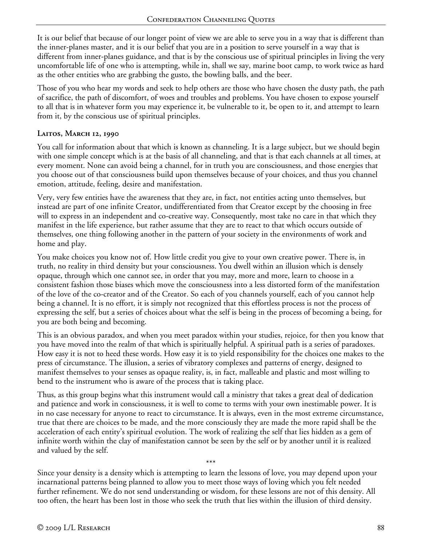It is our belief that because of our longer point of view we are able to serve you in a way that is different than the inner-planes master, and it is our belief that you are in a position to serve yourself in a way that is different from inner-planes guidance, and that is by the conscious use of spiritual principles in living the very uncomfortable life of one who is attempting, while in, shall we say, marine boot camp, to work twice as hard as the other entities who are grabbing the gusto, the bowling balls, and the beer.

Those of you who hear my words and seek to help others are those who have chosen the dusty path, the path of sacrifice, the path of discomfort, of woes and troubles and problems. You have chosen to expose yourself to all that is in whatever form you may experience it, be vulnerable to it, be open to it, and attempt to learn from it, by the conscious use of spiritual principles.

### **Laitos, March 12, 1990**

You call for information about that which is known as channeling. It is a large subject, but we should begin with one simple concept which is at the basis of all channeling, and that is that each channels at all times, at every moment. None can avoid being a channel, for in truth you are consciousness, and those energies that you choose out of that consciousness build upon themselves because of your choices, and thus you channel emotion, attitude, feeling, desire and manifestation.

Very, very few entities have the awareness that they are, in fact, not entities acting unto themselves, but instead are part of one infinite Creator, undifferentiated from that Creator except by the choosing in free will to express in an independent and co-creative way. Consequently, most take no care in that which they manifest in the life experience, but rather assume that they are to react to that which occurs outside of themselves, one thing following another in the pattern of your society in the environments of work and home and play.

You make choices you know not of. How little credit you give to your own creative power. There is, in truth, no reality in third density but your consciousness. You dwell within an illusion which is densely opaque, through which one cannot see, in order that you may, more and more, learn to choose in a consistent fashion those biases which move the consciousness into a less distorted form of the manifestation of the love of the co-creator and of the Creator. So each of you channels yourself, each of you cannot help being a channel. It is no effort, it is simply not recognized that this effortless process is not the process of expressing the self, but a series of choices about what the self is being in the process of becoming a being, for you are both being and becoming.

This is an obvious paradox, and when you meet paradox within your studies, rejoice, for then you know that you have moved into the realm of that which is spiritually helpful. A spiritual path is a series of paradoxes. How easy it is not to heed these words. How easy it is to yield responsibility for the choices one makes to the press of circumstance. The illusion, a series of vibratory complexes and patterns of energy, designed to manifest themselves to your senses as opaque reality, is, in fact, malleable and plastic and most willing to bend to the instrument who is aware of the process that is taking place.

Thus, as this group begins what this instrument would call a ministry that takes a great deal of dedication and patience and work in consciousness, it is well to come to terms with your own inestimable power. It is in no case necessary for anyone to react to circumstance. It is always, even in the most extreme circumstance, true that there are choices to be made, and the more consciously they are made the more rapid shall be the acceleration of each entity's spiritual evolution. The work of realizing the self that lies hidden as a gem of infinite worth within the clay of manifestation cannot be seen by the self or by another until it is realized and valued by the self.

\*\*\* Since your density is a density which is attempting to learn the lessons of love, you may depend upon your incarnational patterns being planned to allow you to meet those ways of loving which you felt needed further refinement. We do not send understanding or wisdom, for these lessons are not of this density. All too often, the heart has been lost in those who seek the truth that lies within the illusion of third density.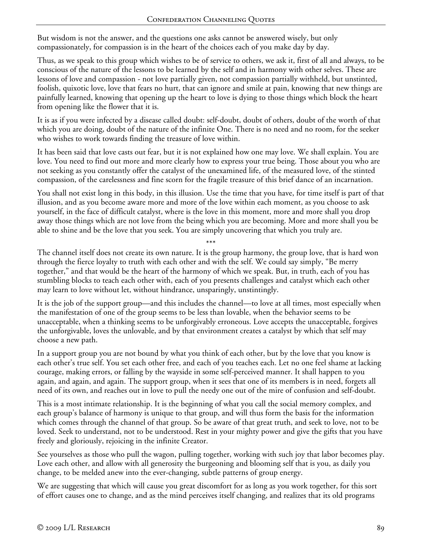But wisdom is not the answer, and the questions one asks cannot be answered wisely, but only compassionately, for compassion is in the heart of the choices each of you make day by day.

Thus, as we speak to this group which wishes to be of service to others, we ask it, first of all and always, to be conscious of the nature of the lessons to be learned by the self and in harmony with other selves. These are lessons of love and compassion - not love partially given, not compassion partially withheld, but unstinted, foolish, quixotic love, love that fears no hurt, that can ignore and smile at pain, knowing that new things are painfully learned, knowing that opening up the heart to love is dying to those things which block the heart from opening like the flower that it is.

It is as if you were infected by a disease called doubt: self-doubt, doubt of others, doubt of the worth of that which you are doing, doubt of the nature of the infinite One. There is no need and no room, for the seeker who wishes to work towards finding the treasure of love within.

It has been said that love casts out fear, but it is not explained how one may love. We shall explain. You are love. You need to find out more and more clearly how to express your true being. Those about you who are not seeking as you constantly offer the catalyst of the unexamined life, of the measured love, of the stinted compassion, of the carelessness and fine scorn for the fragile treasure of this brief dance of an incarnation.

You shall not exist long in this body, in this illusion. Use the time that you have, for time itself is part of that illusion, and as you become aware more and more of the love within each moment, as you choose to ask yourself, in the face of difficult catalyst, where is the love in this moment, more and more shall you drop away those things which are not love from the being which you are becoming. More and more shall you be able to shine and be the love that you seek. You are simply uncovering that which you truly are.

\*\*\*

The channel itself does not create its own nature. It is the group harmony, the group love, that is hard won through the fierce loyalty to truth with each other and with the self. We could say simply, "Be merry together," and that would be the heart of the harmony of which we speak. But, in truth, each of you has stumbling blocks to teach each other with, each of you presents challenges and catalyst which each other may learn to love without let, without hindrance, unsparingly, unstintingly.

It is the job of the support group—and this includes the channel—to love at all times, most especially when the manifestation of one of the group seems to be less than lovable, when the behavior seems to be unacceptable, when a thinking seems to be unforgivably erroneous. Love accepts the unacceptable, forgives the unforgivable, loves the unlovable, and by that environment creates a catalyst by which that self may choose a new path.

In a support group you are not bound by what you think of each other, but by the love that you know is each other's true self. You set each other free, and each of you teaches each. Let no one feel shame at lacking courage, making errors, or falling by the wayside in some self-perceived manner. It shall happen to you again, and again, and again. The support group, when it sees that one of its members is in need, forgets all need of its own, and reaches out in love to pull the needy one out of the mire of confusion and self-doubt.

This is a most intimate relationship. It is the beginning of what you call the social memory complex, and each group's balance of harmony is unique to that group, and will thus form the basis for the information which comes through the channel of that group. So be aware of that great truth, and seek to love, not to be loved. Seek to understand, not to be understood. Rest in your mighty power and give the gifts that you have freely and gloriously, rejoicing in the infinite Creator.

See yourselves as those who pull the wagon, pulling together, working with such joy that labor becomes play. Love each other, and allow with all generosity the burgeoning and blooming self that is you, as daily you change, to be melded anew into the ever-changing, subtle patterns of group energy.

We are suggesting that which will cause you great discomfort for as long as you work together, for this sort of effort causes one to change, and as the mind perceives itself changing, and realizes that its old programs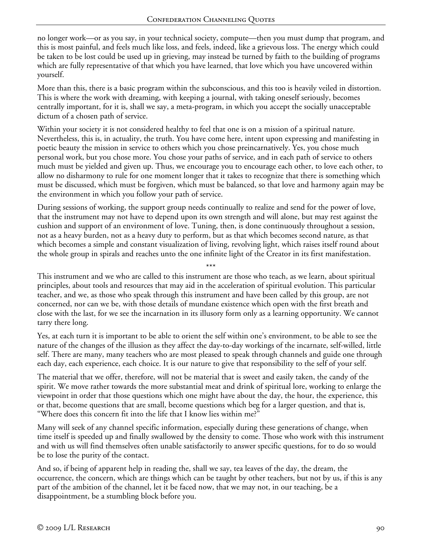no longer work—or as you say, in your technical society, compute—then you must dump that program, and this is most painful, and feels much like loss, and feels, indeed, like a grievous loss. The energy which could be taken to be lost could be used up in grieving, may instead be turned by faith to the building of programs which are fully representative of that which you have learned, that love which you have uncovered within yourself.

More than this, there is a basic program within the subconscious, and this too is heavily veiled in distortion. This is where the work with dreaming, with keeping a journal, with taking oneself seriously, becomes centrally important, for it is, shall we say, a meta-program, in which you accept the socially unacceptable dictum of a chosen path of service.

Within your society it is not considered healthy to feel that one is on a mission of a spiritual nature. Nevertheless, this is, in actuality, the truth. You have come here, intent upon expressing and manifesting in poetic beauty the mission in service to others which you chose preincarnatively. Yes, you chose much personal work, but you chose more. You chose your paths of service, and in each path of service to others much must be yielded and given up. Thus, we encourage you to encourage each other, to love each other, to allow no disharmony to rule for one moment longer that it takes to recognize that there is something which must be discussed, which must be forgiven, which must be balanced, so that love and harmony again may be the environment in which you follow your path of service.

During sessions of working, the support group needs continually to realize and send for the power of love, that the instrument may not have to depend upon its own strength and will alone, but may rest against the cushion and support of an environment of love. Tuning, then, is done continuously throughout a session, not as a heavy burden, not as a heavy duty to perform, but as that which becomes second nature, as that which becomes a simple and constant visualization of living, revolving light, which raises itself round about the whole group in spirals and reaches unto the one infinite light of the Creator in its first manifestation.

\*\*\* This instrument and we who are called to this instrument are those who teach, as we learn, about spiritual principles, about tools and resources that may aid in the acceleration of spiritual evolution. This particular teacher, and we, as those who speak through this instrument and have been called by this group, are not concerned, nor can we be, with those details of mundane existence which open with the first breath and close with the last, for we see the incarnation in its illusory form only as a learning opportunity. We cannot tarry there long.

Yes, at each turn it is important to be able to orient the self within one's environment, to be able to see the nature of the changes of the illusion as they affect the day-to-day workings of the incarnate, self-willed, little self. There are many, many teachers who are most pleased to speak through channels and guide one through each day, each experience, each choice. It is our nature to give that responsibility to the self of your self.

The material that we offer, therefore, will not be material that is sweet and easily taken, the candy of the spirit. We move rather towards the more substantial meat and drink of spiritual lore, working to enlarge the viewpoint in order that those questions which one might have about the day, the hour, the experience, this or that, become questions that are small, become questions which beg for a larger question, and that is, "Where does this concern fit into the life that I know lies within me?"

Many will seek of any channel specific information, especially during these generations of change, when time itself is speeded up and finally swallowed by the density to come. Those who work with this instrument and with us will find themselves often unable satisfactorily to answer specific questions, for to do so would be to lose the purity of the contact.

And so, if being of apparent help in reading the, shall we say, tea leaves of the day, the dream, the occurrence, the concern, which are things which can be taught by other teachers, but not by us, if this is any part of the ambition of the channel, let it be faced now, that we may not, in our teaching, be a disappointment, be a stumbling block before you.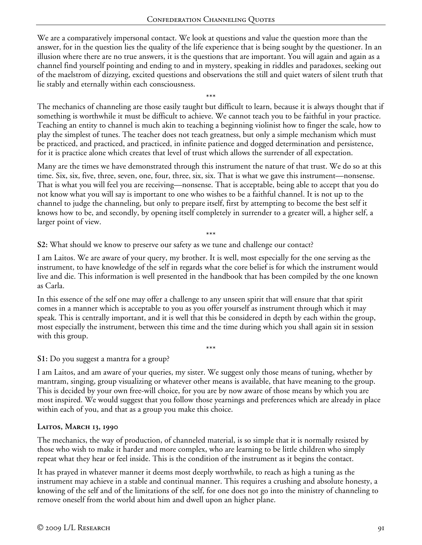We are a comparatively impersonal contact. We look at questions and value the question more than the answer, for in the question lies the quality of the life experience that is being sought by the questioner. In an illusion where there are no true answers, it is the questions that are important. You will again and again as a channel find yourself pointing and ending to and in mystery, speaking in riddles and paradoxes, seeking out of the maelstrom of dizzying, excited questions and observations the still and quiet waters of silent truth that lie stably and eternally within each consciousness.

\*\*\* The mechanics of channeling are those easily taught but difficult to learn, because it is always thought that if something is worthwhile it must be difficult to achieve. We cannot teach you to be faithful in your practice. Teaching an entity to channel is much akin to teaching a beginning violinist how to finger the scale, how to play the simplest of tunes. The teacher does not teach greatness, but only a simple mechanism which must be practiced, and practiced, and practiced, in infinite patience and dogged determination and persistence, for it is practice alone which creates that level of trust which allows the surrender of all expectation.

Many are the times we have demonstrated through this instrument the nature of that trust. We do so at this time. Six, six, five, three, seven, one, four, three, six, six. That is what we gave this instrument—nonsense. That is what you will feel you are receiving—nonsense. That is acceptable, being able to accept that you do not know what you will say is important to one who wishes to be a faithful channel. It is not up to the channel to judge the channeling, but only to prepare itself, first by attempting to become the best self it knows how to be, and secondly, by opening itself completely in surrender to a greater will, a higher self, a larger point of view.

\*\*\*

**S2:** What should we know to preserve our safety as we tune and challenge our contact?

I am Laitos. We are aware of your query, my brother. It is well, most especially for the one serving as the instrument, to have knowledge of the self in regards what the core belief is for which the instrument would live and die. This information is well presented in the handbook that has been compiled by the one known as Carla.

In this essence of the self one may offer a challenge to any unseen spirit that will ensure that that spirit comes in a manner which is acceptable to you as you offer yourself as instrument through which it may speak. This is centrally important, and it is well that this be considered in depth by each within the group, most especially the instrument, between this time and the time during which you shall again sit in session with this group.

\*\*\*

#### **S1:** Do you suggest a mantra for a group?

I am Laitos, and am aware of your queries, my sister. We suggest only those means of tuning, whether by mantram, singing, group visualizing or whatever other means is available, that have meaning to the group. This is decided by your own free-will choice, for you are by now aware of those means by which you are most inspired. We would suggest that you follow those yearnings and preferences which are already in place within each of you, and that as a group you make this choice.

### **Laitos, March 13, 1990**

The mechanics, the way of production, of channeled material, is so simple that it is normally resisted by those who wish to make it harder and more complex, who are learning to be little children who simply repeat what they hear or feel inside. This is the condition of the instrument as it begins the contact.

It has prayed in whatever manner it deems most deeply worthwhile, to reach as high a tuning as the instrument may achieve in a stable and continual manner. This requires a crushing and absolute honesty, a knowing of the self and of the limitations of the self, for one does not go into the ministry of channeling to remove oneself from the world about him and dwell upon an higher plane.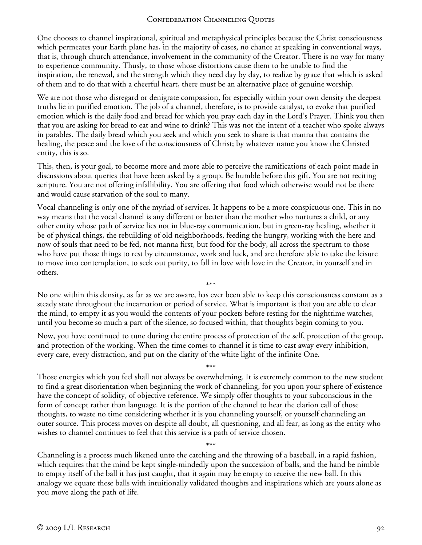One chooses to channel inspirational, spiritual and metaphysical principles because the Christ consciousness which permeates your Earth plane has, in the majority of cases, no chance at speaking in conventional ways, that is, through church attendance, involvement in the community of the Creator. There is no way for many to experience community. Thusly, to those whose distortions cause them to be unable to find the inspiration, the renewal, and the strength which they need day by day, to realize by grace that which is asked of them and to do that with a cheerful heart, there must be an alternative place of genuine worship.

We are not those who disregard or denigrate compassion, for especially within your own density the deepest truths lie in purified emotion. The job of a channel, therefore, is to provide catalyst, to evoke that purified emotion which is the daily food and bread for which you pray each day in the Lord's Prayer. Think you then that you are asking for bread to eat and wine to drink? This was not the intent of a teacher who spoke always in parables. The daily bread which you seek and which you seek to share is that manna that contains the healing, the peace and the love of the consciousness of Christ; by whatever name you know the Christed entity, this is so.

This, then, is your goal, to become more and more able to perceive the ramifications of each point made in discussions about queries that have been asked by a group. Be humble before this gift. You are not reciting scripture. You are not offering infallibility. You are offering that food which otherwise would not be there and would cause starvation of the soul to many.

Vocal channeling is only one of the myriad of services. It happens to be a more conspicuous one. This in no way means that the vocal channel is any different or better than the mother who nurtures a child, or any other entity whose path of service lies not in blue-ray communication, but in green-ray healing, whether it be of physical things, the rebuilding of old neighborhoods, feeding the hungry, working with the here and now of souls that need to be fed, not manna first, but food for the body, all across the spectrum to those who have put those things to rest by circumstance, work and luck, and are therefore able to take the leisure to move into contemplation, to seek out purity, to fall in love with love in the Creator, in yourself and in others.

\*\*\* No one within this density, as far as we are aware, has ever been able to keep this consciousness constant as a steady state throughout the incarnation or period of service. What is important is that you are able to clear the mind, to empty it as you would the contents of your pockets before resting for the nighttime watches, until you become so much a part of the silence, so focused within, that thoughts begin coming to you.

Now, you have continued to tune during the entire process of protection of the self, protection of the group, and protection of the working. When the time comes to channel it is time to cast away every inhibition, every care, every distraction, and put on the clarity of the white light of the infinite One.

\*\*\* Those energies which you feel shall not always be overwhelming. It is extremely common to the new student to find a great disorientation when beginning the work of channeling, for you upon your sphere of existence have the concept of solidity, of objective reference. We simply offer thoughts to your subconscious in the form of concept rather than language. It is the portion of the channel to hear the clarion call of those thoughts, to waste no time considering whether it is you channeling yourself, or yourself channeling an outer source. This process moves on despite all doubt, all questioning, and all fear, as long as the entity who wishes to channel continues to feel that this service is a path of service chosen.

Channeling is a process much likened unto the catching and the throwing of a baseball, in a rapid fashion, which requires that the mind be kept single-mindedly upon the succession of balls, and the hand be nimble to empty itself of the ball it has just caught, that it again may be empty to receive the new ball. In this analogy we equate these balls with intuitionally validated thoughts and inspirations which are yours alone as you move along the path of life.

\*\*\*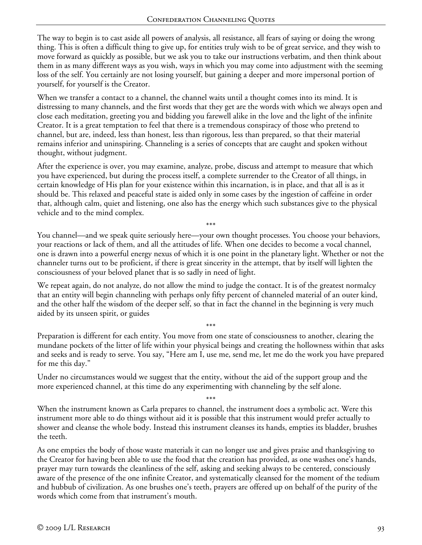The way to begin is to cast aside all powers of analysis, all resistance, all fears of saying or doing the wrong thing. This is often a difficult thing to give up, for entities truly wish to be of great service, and they wish to move forward as quickly as possible, but we ask you to take our instructions verbatim, and then think about them in as many different ways as you wish, ways in which you may come into adjustment with the seeming loss of the self. You certainly are not losing yourself, but gaining a deeper and more impersonal portion of yourself, for yourself is the Creator.

When we transfer a contact to a channel, the channel waits until a thought comes into its mind. It is distressing to many channels, and the first words that they get are the words with which we always open and close each meditation, greeting you and bidding you farewell alike in the love and the light of the infinite Creator. It is a great temptation to feel that there is a tremendous conspiracy of those who pretend to channel, but are, indeed, less than honest, less than rigorous, less than prepared, so that their material remains inferior and uninspiring. Channeling is a series of concepts that are caught and spoken without thought, without judgment.

After the experience is over, you may examine, analyze, probe, discuss and attempt to measure that which you have experienced, but during the process itself, a complete surrender to the Creator of all things, in certain knowledge of His plan for your existence within this incarnation, is in place, and that all is as it should be. This relaxed and peaceful state is aided only in some cases by the ingestion of caffeine in order that, although calm, quiet and listening, one also has the energy which such substances give to the physical vehicle and to the mind complex.

You channel—and we speak quite seriously here—your own thought processes. You choose your behaviors, your reactions or lack of them, and all the attitudes of life. When one decides to become a vocal channel, one is drawn into a powerful energy nexus of which it is one point in the planetary light. Whether or not the channeler turns out to be proficient, if there is great sincerity in the attempt, that by itself will lighten the consciousness of your beloved planet that is so sadly in need of light.

\*\*\*

We repeat again, do not analyze, do not allow the mind to judge the contact. It is of the greatest normalcy that an entity will begin channeling with perhaps only fifty percent of channeled material of an outer kind, and the other half the wisdom of the deeper self, so that in fact the channel in the beginning is very much aided by its unseen spirit, or guides

\*\*\* Preparation is different for each entity. You move from one state of consciousness to another, clearing the mundane pockets of the litter of life within your physical beings and creating the hollowness within that asks and seeks and is ready to serve. You say, "Here am I, use me, send me, let me do the work you have prepared for me this day."

Under no circumstances would we suggest that the entity, without the aid of the support group and the more experienced channel, at this time do any experimenting with channeling by the self alone.

\*\*\* When the instrument known as Carla prepares to channel, the instrument does a symbolic act. Were this instrument more able to do things without aid it is possible that this instrument would prefer actually to shower and cleanse the whole body. Instead this instrument cleanses its hands, empties its bladder, brushes the teeth.

As one empties the body of those waste materials it can no longer use and gives praise and thanksgiving to the Creator for having been able to use the food that the creation has provided, as one washes one's hands, prayer may turn towards the cleanliness of the self, asking and seeking always to be centered, consciously aware of the presence of the one infinite Creator, and systematically cleansed for the moment of the tedium and hubbub of civilization. As one brushes one's teeth, prayers are offered up on behalf of the purity of the words which come from that instrument's mouth.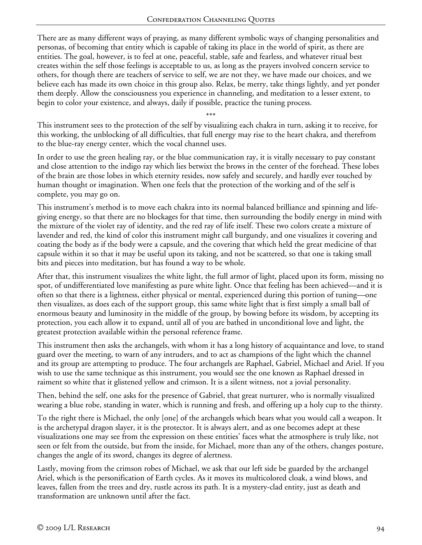There are as many different ways of praying, as many different symbolic ways of changing personalities and personas, of becoming that entity which is capable of taking its place in the world of spirit, as there are entities. The goal, however, is to feel at one, peaceful, stable, safe and fearless, and whatever ritual best creates within the self those feelings is acceptable to us, as long as the prayers involved concern service to others, for though there are teachers of service to self, we are not they, we have made our choices, and we believe each has made its own choice in this group also. Relax, be merry, take things lightly, and yet ponder them deeply. Allow the consciousness you experience in channeling, and meditation to a lesser extent, to begin to color your existence, and always, daily if possible, practice the tuning process.

\*\*\*

This instrument sees to the protection of the self by visualizing each chakra in turn, asking it to receive, for this working, the unblocking of all difficulties, that full energy may rise to the heart chakra, and therefrom to the blue-ray energy center, which the vocal channel uses.

In order to use the green healing ray, or the blue communication ray, it is vitally necessary to pay constant and close attention to the indigo ray which lies betwixt the brows in the center of the forehead. These lobes of the brain are those lobes in which eternity resides, now safely and securely, and hardly ever touched by human thought or imagination. When one feels that the protection of the working and of the self is complete, you may go on.

This instrument's method is to move each chakra into its normal balanced brilliance and spinning and lifegiving energy, so that there are no blockages for that time, then surrounding the bodily energy in mind with the mixture of the violet ray of identity, and the red ray of life itself. These two colors create a mixture of lavender and red, the kind of color this instrument might call burgundy, and one visualizes it covering and coating the body as if the body were a capsule, and the covering that which held the great medicine of that capsule within it so that it may be useful upon its taking, and not be scattered, so that one is taking small bits and pieces into meditation, but has found a way to be whole.

After that, this instrument visualizes the white light, the full armor of light, placed upon its form, missing no spot, of undifferentiated love manifesting as pure white light. Once that feeling has been achieved—and it is often so that there is a lightness, either physical or mental, experienced during this portion of tuning—one then visualizes, as does each of the support group, this same white light that is first simply a small ball of enormous beauty and luminosity in the middle of the group, by bowing before its wisdom, by accepting its protection, you each allow it to expand, until all of you are bathed in unconditional love and light, the greatest protection available within the personal reference frame.

This instrument then asks the archangels, with whom it has a long history of acquaintance and love, to stand guard over the meeting, to warn of any intruders, and to act as champions of the light which the channel and its group are attempting to produce. The four archangels are Raphael, Gabriel, Michael and Ariel. If you wish to use the same technique as this instrument, you would see the one known as Raphael dressed in raiment so white that it glistened yellow and crimson. It is a silent witness, not a jovial personality.

Then, behind the self, one asks for the presence of Gabriel, that great nurturer, who is normally visualized wearing a blue robe, standing in water, which is running and fresh, and offering up a holy cup to the thirsty.

To the right there is Michael, the only [one] of the archangels which bears what you would call a weapon. It is the archetypal dragon slayer, it is the protector. It is always alert, and as one becomes adept at these visualizations one may see from the expression on these entities' faces what the atmosphere is truly like, not seen or felt from the outside, but from the inside, for Michael, more than any of the others, changes posture, changes the angle of its sword, changes its degree of alertness.

Lastly, moving from the crimson robes of Michael, we ask that our left side be guarded by the archangel Ariel, which is the personification of Earth cycles. As it moves its multicolored cloak, a wind blows, and leaves, fallen from the trees and dry, rustle across its path. It is a mystery-clad entity, just as death and transformation are unknown until after the fact.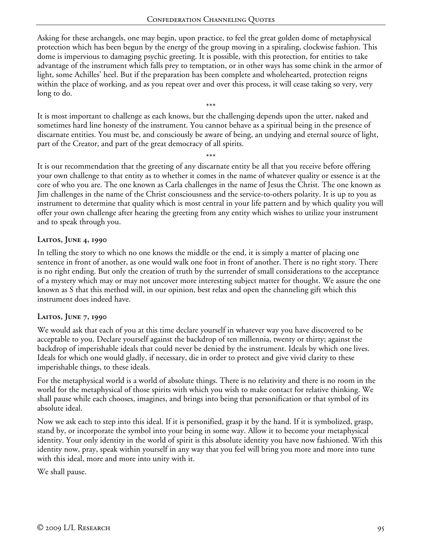Asking for these archangels, one may begin, upon practice, to feel the great golden dome of metaphysical protection which has been begun by the energy of the group moving in a spiraling, clockwise fashion. This dome is impervious to damaging psychic greeting. It is possible, with this protection, for entities to take advantage of the instrument which falls prey to temptation, or in other ways has some chink in the armor of light, some Achilles' heel. But if the preparation has been complete and wholehearted, protection reigns within the place of working, and as you repeat over and over this process, it will cease taking so very, very long to do.

It is most important to challenge as each knows, but the challenging depends upon the utter, naked and sometimes hard line honesty of the instrument. You cannot behave as a spiritual being in the presence of discarnate entities. You must be, and consciously be aware of being, an undying and eternal source of light, part of the Creator, and part of the great democracy of all spirits.

\*\*\*

\*\*\* It is our recommendation that the greeting of any discarnate entity be all that you receive before offering your own challenge to that entity as to whether it comes in the name of whatever quality or essence is at the core of who you are. The one known as Carla challenges in the name of Jesus the Christ. The one known as Jim challenges in the name of the Christ consciousness and the service-to-others polarity. It is up to you as instrument to determine that quality which is most central in your life pattern and by which quality you will offer your own challenge after hearing the greeting from any entity which wishes to utilize your instrument and to speak through you.

# **Laitos, June 4, 1990**

In telling the story to which no one knows the middle or the end, it is simply a matter of placing one sentence in front of another, as one would walk one foot in front of another. There is no right story. There is no right ending. But only the creation of truth by the surrender of small considerations to the acceptance of a mystery which may or may not uncover more interesting subject matter for thought. We assure the one known as S that this method will, in our opinion, best relax and open the channeling gift which this instrument does indeed have.

# **Laitos, June 7, 1990**

We would ask that each of you at this time declare yourself in whatever way you have discovered to be acceptable to you. Declare yourself against the backdrop of ten millennia, twenty or thirty; against the backdrop of imperishable ideals that could never be denied by the instrument. Ideals by which one lives. Ideals for which one would gladly, if necessary, die in order to protect and give vivid clarity to these imperishable things, to these ideals.

For the metaphysical world is a world of absolute things. There is no relativity and there is no room in the world for the metaphysical of those spirits with which you wish to make contact for relative thinking. We shall pause while each chooses, imagines, and brings into being that personification or that symbol of its absolute ideal.

Now we ask each to step into this ideal. If it is personified, grasp it by the hand. If it is symbolized, grasp, stand by, or incorporate the symbol into your being in some way. Allow it to become your metaphysical identity. Your only identity in the world of spirit is this absolute identity you have now fashioned. With this identity now, pray, speak within yourself in any way that you feel will bring you more and more into tune with this ideal, more and more into unity with it.

We shall pause.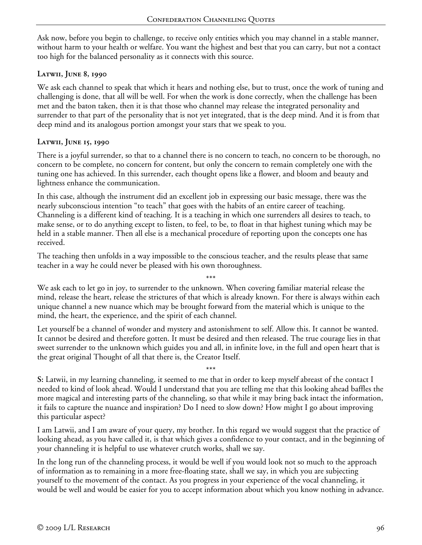Ask now, before you begin to challenge, to receive only entities which you may channel in a stable manner, without harm to your health or welfare. You want the highest and best that you can carry, but not a contact too high for the balanced personality as it connects with this source.

### **Latwii, June 8, 1990**

We ask each channel to speak that which it hears and nothing else, but to trust, once the work of tuning and challenging is done, that all will be well. For when the work is done correctly, when the challenge has been met and the baton taken, then it is that those who channel may release the integrated personality and surrender to that part of the personality that is not yet integrated, that is the deep mind. And it is from that deep mind and its analogous portion amongst your stars that we speak to you.

### **Latwii, June 15, 1990**

There is a joyful surrender, so that to a channel there is no concern to teach, no concern to be thorough, no concern to be complete, no concern for content, but only the concern to remain completely one with the tuning one has achieved. In this surrender, each thought opens like a flower, and bloom and beauty and lightness enhance the communication.

In this case, although the instrument did an excellent job in expressing our basic message, there was the nearly subconscious intention "to teach" that goes with the habits of an entire career of teaching. Channeling is a different kind of teaching. It is a teaching in which one surrenders all desires to teach, to make sense, or to do anything except to listen, to feel, to be, to float in that highest tuning which may be held in a stable manner. Then all else is a mechanical procedure of reporting upon the concepts one has received.

The teaching then unfolds in a way impossible to the conscious teacher, and the results please that same teacher in a way he could never be pleased with his own thoroughness.

\*\*\* We ask each to let go in joy, to surrender to the unknown. When covering familiar material release the mind, release the heart, release the strictures of that which is already known. For there is always within each unique channel a new nuance which may be brought forward from the material which is unique to the mind, the heart, the experience, and the spirit of each channel.

Let yourself be a channel of wonder and mystery and astonishment to self. Allow this. It cannot be wanted. It cannot be desired and therefore gotten. It must be desired and then released. The true courage lies in that sweet surrender to the unknown which guides you and all, in infinite love, in the full and open heart that is the great original Thought of all that there is, the Creator Itself.

\*\*\* **S:** Latwii, in my learning channeling, it seemed to me that in order to keep myself abreast of the contact I needed to kind of look ahead. Would I understand that you are telling me that this looking ahead baffles the more magical and interesting parts of the channeling, so that while it may bring back intact the information, it fails to capture the nuance and inspiration? Do I need to slow down? How might I go about improving this particular aspect?

I am Latwii, and I am aware of your query, my brother. In this regard we would suggest that the practice of looking ahead, as you have called it, is that which gives a confidence to your contact, and in the beginning of your channeling it is helpful to use whatever crutch works, shall we say.

In the long run of the channeling process, it would be well if you would look not so much to the approach of information as to remaining in a more free-floating state, shall we say, in which you are subjecting yourself to the movement of the contact. As you progress in your experience of the vocal channeling, it would be well and would be easier for you to accept information about which you know nothing in advance.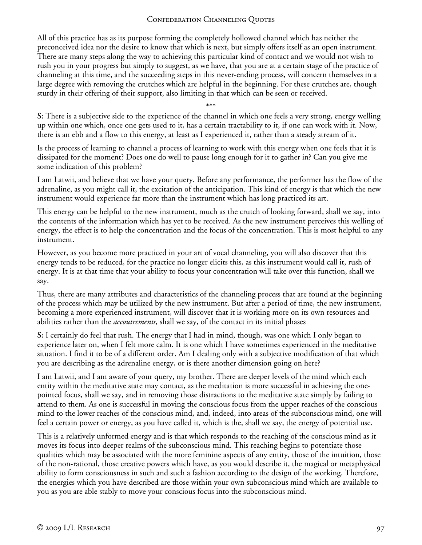All of this practice has as its purpose forming the completely hollowed channel which has neither the preconceived idea nor the desire to know that which is next, but simply offers itself as an open instrument. There are many steps along the way to achieving this particular kind of contact and we would not wish to rush you in your progress but simply to suggest, as we have, that you are at a certain stage of the practice of channeling at this time, and the succeeding steps in this never-ending process, will concern themselves in a large degree with removing the crutches which are helpful in the beginning. For these crutches are, though sturdy in their offering of their support, also limiting in that which can be seen or received.

\*\*\* **S:** There is a subjective side to the experience of the channel in which one feels a very strong, energy welling up within one which, once one gets used to it, has a certain tractability to it, if one can work with it. Now, there is an ebb and a flow to this energy, at least as I experienced it, rather than a steady stream of it.

Is the process of learning to channel a process of learning to work with this energy when one feels that it is dissipated for the moment? Does one do well to pause long enough for it to gather in? Can you give me some indication of this problem?

I am Latwii, and believe that we have your query. Before any performance, the performer has the flow of the adrenaline, as you might call it, the excitation of the anticipation. This kind of energy is that which the new instrument would experience far more than the instrument which has long practiced its art.

This energy can be helpful to the new instrument, much as the crutch of looking forward, shall we say, into the contents of the information which has yet to be received. As the new instrument perceives this welling of energy, the effect is to help the concentration and the focus of the concentration. This is most helpful to any instrument.

However, as you become more practiced in your art of vocal channeling, you will also discover that this energy tends to be reduced, for the practice no longer elicits this, as this instrument would call it, rush of energy. It is at that time that your ability to focus your concentration will take over this function, shall we say.

Thus, there are many attributes and characteristics of the channeling process that are found at the beginning of the process which may be utilized by the new instrument. But after a period of time, the new instrument, becoming a more experienced instrument, will discover that it is working more on its own resources and abilities rather than the *accoutrements*, shall we say, of the contact in its initial phases

**S:** I certainly do feel that rush. The energy that I had in mind, though, was one which I only began to experience later on, when I felt more calm. It is one which I have sometimes experienced in the meditative situation. I find it to be of a different order. Am I dealing only with a subjective modification of that which you are describing as the adrenaline energy, or is there another dimension going on here?

I am Latwii, and I am aware of your query, my brother. There are deeper levels of the mind which each entity within the meditative state may contact, as the meditation is more successful in achieving the onepointed focus, shall we say, and in removing those distractions to the meditative state simply by failing to attend to them. As one is successful in moving the conscious focus from the upper reaches of the conscious mind to the lower reaches of the conscious mind, and, indeed, into areas of the subconscious mind, one will feel a certain power or energy, as you have called it, which is the, shall we say, the energy of potential use.

This is a relatively unformed energy and is that which responds to the reaching of the conscious mind as it moves its focus into deeper realms of the subconscious mind. This reaching begins to potentiate those qualities which may be associated with the more feminine aspects of any entity, those of the intuition, those of the non-rational, those creative powers which have, as you would describe it, the magical or metaphysical ability to form consciousness in such and such a fashion according to the design of the working. Therefore, the energies which you have described are those within your own subconscious mind which are available to you as you are able stably to move your conscious focus into the subconscious mind.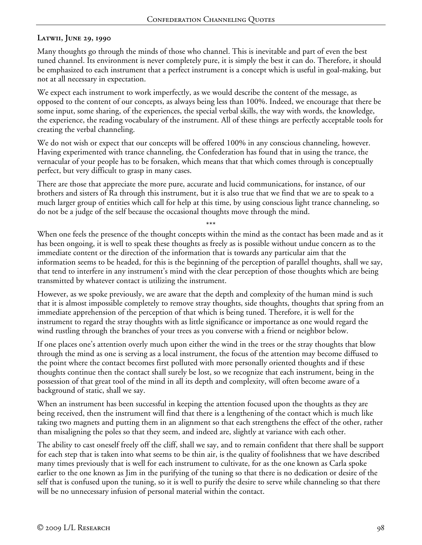# **Latwii, June 29, 1990**

Many thoughts go through the minds of those who channel. This is inevitable and part of even the best tuned channel. Its environment is never completely pure, it is simply the best it can do. Therefore, it should be emphasized to each instrument that a perfect instrument is a concept which is useful in goal-making, but not at all necessary in expectation.

We expect each instrument to work imperfectly, as we would describe the content of the message, as opposed to the content of our concepts, as always being less than 100%. Indeed, we encourage that there be some input, some sharing, of the experiences, the special verbal skills, the way with words, the knowledge, the experience, the reading vocabulary of the instrument. All of these things are perfectly acceptable tools for creating the verbal channeling.

We do not wish or expect that our concepts will be offered 100% in any conscious channeling, however. Having experimented with trance channeling, the Confederation has found that in using the trance, the vernacular of your people has to be forsaken, which means that that which comes through is conceptually perfect, but very difficult to grasp in many cases.

There are those that appreciate the more pure, accurate and lucid communications, for instance, of our brothers and sisters of Ra through this instrument, but it is also true that we find that we are to speak to a much larger group of entities which call for help at this time, by using conscious light trance channeling, so do not be a judge of the self because the occasional thoughts move through the mind.

\*\*\* When one feels the presence of the thought concepts within the mind as the contact has been made and as it has been ongoing, it is well to speak these thoughts as freely as is possible without undue concern as to the immediate content or the direction of the information that is towards any particular aim that the information seems to be headed, for this is the beginning of the perception of parallel thoughts, shall we say, that tend to interfere in any instrument's mind with the clear perception of those thoughts which are being transmitted by whatever contact is utilizing the instrument.

However, as we spoke previously, we are aware that the depth and complexity of the human mind is such that it is almost impossible completely to remove stray thoughts, side thoughts, thoughts that spring from an immediate apprehension of the perception of that which is being tuned. Therefore, it is well for the instrument to regard the stray thoughts with as little significance or importance as one would regard the wind rustling through the branches of your trees as you converse with a friend or neighbor below.

If one places one's attention overly much upon either the wind in the trees or the stray thoughts that blow through the mind as one is serving as a local instrument, the focus of the attention may become diffused to the point where the contact becomes first polluted with more personally oriented thoughts and if these thoughts continue then the contact shall surely be lost, so we recognize that each instrument, being in the possession of that great tool of the mind in all its depth and complexity, will often become aware of a background of static, shall we say.

When an instrument has been successful in keeping the attention focused upon the thoughts as they are being received, then the instrument will find that there is a lengthening of the contact which is much like taking two magnets and putting them in an alignment so that each strengthens the effect of the other, rather than misaligning the poles so that they seem, and indeed are, slightly at variance with each other.

The ability to cast oneself freely off the cliff, shall we say, and to remain confident that there shall be support for each step that is taken into what seems to be thin air, is the quality of foolishness that we have described many times previously that is well for each instrument to cultivate, for as the one known as Carla spoke earlier to the one known as Jim in the purifying of the tuning so that there is no dedication or desire of the self that is confused upon the tuning, so it is well to purify the desire to serve while channeling so that there will be no unnecessary infusion of personal material within the contact.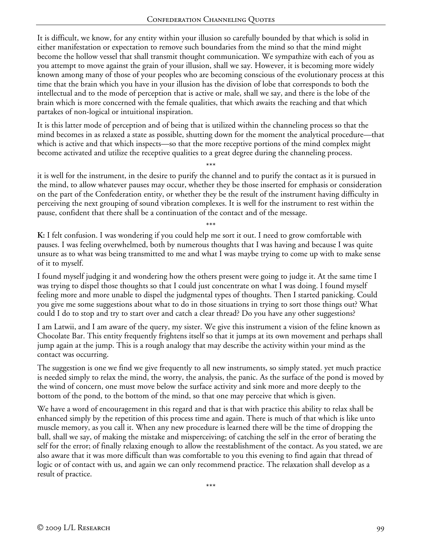It is difficult, we know, for any entity within your illusion so carefully bounded by that which is solid in either manifestation or expectation to remove such boundaries from the mind so that the mind might become the hollow vessel that shall transmit thought communication. We sympathize with each of you as you attempt to move against the grain of your illusion, shall we say. However, it is becoming more widely known among many of those of your peoples who are becoming conscious of the evolutionary process at this time that the brain which you have in your illusion has the division of lobe that corresponds to both the intellectual and to the mode of perception that is active or male, shall we say, and there is the lobe of the brain which is more concerned with the female qualities, that which awaits the reaching and that which partakes of non-logical or intuitional inspiration.

It is this latter mode of perception and of being that is utilized within the channeling process so that the mind becomes in as relaxed a state as possible, shutting down for the moment the analytical procedure—that which is active and that which inspects—so that the more receptive portions of the mind complex might become activated and utilize the receptive qualities to a great degree during the channeling process.

\*\*\* it is well for the instrument, in the desire to purify the channel and to purify the contact as it is pursued in the mind, to allow whatever pauses may occur, whether they be those inserted for emphasis or consideration on the part of the Confederation entity, or whether they be the result of the instrument having difficulty in perceiving the next grouping of sound vibration complexes. It is well for the instrument to rest within the pause, confident that there shall be a continuation of the contact and of the message.

\*\*\* **K:** I felt confusion. I was wondering if you could help me sort it out. I need to grow comfortable with pauses. I was feeling overwhelmed, both by numerous thoughts that I was having and because I was quite unsure as to what was being transmitted to me and what I was maybe trying to come up with to make sense of it to myself.

I found myself judging it and wondering how the others present were going to judge it. At the same time I was trying to dispel those thoughts so that I could just concentrate on what I was doing. I found myself feeling more and more unable to dispel the judgmental types of thoughts. Then I started panicking. Could you give me some suggestions about what to do in those situations in trying to sort those things out? What could I do to stop and try to start over and catch a clear thread? Do you have any other suggestions?

I am Latwii, and I am aware of the query, my sister. We give this instrument a vision of the feline known as Chocolate Bar. This entity frequently frightens itself so that it jumps at its own movement and perhaps shall jump again at the jump. This is a rough analogy that may describe the activity within your mind as the contact was occurring.

The suggestion is one we find we give frequently to all new instruments, so simply stated. yet much practice is needed simply to relax the mind, the worry, the analysis, the panic. As the surface of the pond is moved by the wind of concern, one must move below the surface activity and sink more and more deeply to the bottom of the pond, to the bottom of the mind, so that one may perceive that which is given.

We have a word of encouragement in this regard and that is that with practice this ability to relax shall be enhanced simply by the repetition of this process time and again. There is much of that which is like unto muscle memory, as you call it. When any new procedure is learned there will be the time of dropping the ball, shall we say, of making the mistake and misperceiving; of catching the self in the error of berating the self for the error; of finally relaxing enough to allow the reestablishment of the contact. As you stated, we are also aware that it was more difficult than was comfortable to you this evening to find again that thread of logic or of contact with us, and again we can only recommend practice. The relaxation shall develop as a result of practice.

\*\*\*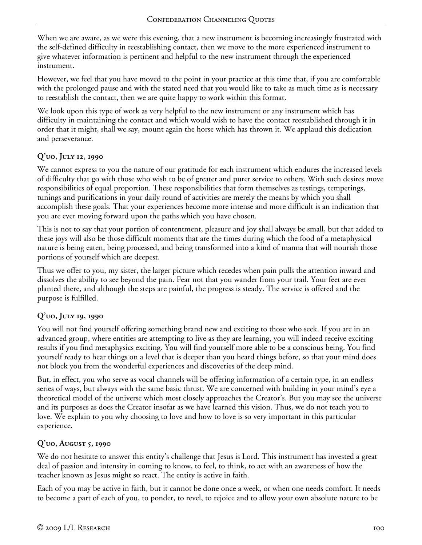When we are aware, as we were this evening, that a new instrument is becoming increasingly frustrated with the self-defined difficulty in reestablishing contact, then we move to the more experienced instrument to give whatever information is pertinent and helpful to the new instrument through the experienced instrument.

However, we feel that you have moved to the point in your practice at this time that, if you are comfortable with the prolonged pause and with the stated need that you would like to take as much time as is necessary to reestablish the contact, then we are quite happy to work within this format.

We look upon this type of work as very helpful to the new instrument or any instrument which has difficulty in maintaining the contact and which would wish to have the contact reestablished through it in order that it might, shall we say, mount again the horse which has thrown it. We applaud this dedication and perseverance.

# **Q'uo, July 12, 1990**

We cannot express to you the nature of our gratitude for each instrument which endures the increased levels of difficulty that go with those who wish to be of greater and purer service to others. With such desires move responsibilities of equal proportion. These responsibilities that form themselves as testings, temperings, tunings and purifications in your daily round of activities are merely the means by which you shall accomplish these goals. That your experiences become more intense and more difficult is an indication that you are ever moving forward upon the paths which you have chosen.

This is not to say that your portion of contentment, pleasure and joy shall always be small, but that added to these joys will also be those difficult moments that are the times during which the food of a metaphysical nature is being eaten, being processed, and being transformed into a kind of manna that will nourish those portions of yourself which are deepest.

Thus we offer to you, my sister, the larger picture which recedes when pain pulls the attention inward and dissolves the ability to see beyond the pain. Fear not that you wander from your trail. Your feet are ever planted there, and although the steps are painful, the progress is steady. The service is offered and the purpose is fulfilled.

# **Q'uo, July 19, 1990**

You will not find yourself offering something brand new and exciting to those who seek. If you are in an advanced group, where entities are attempting to live as they are learning, you will indeed receive exciting results if you find metaphysics exciting. You will find yourself more able to be a conscious being. You find yourself ready to hear things on a level that is deeper than you heard things before, so that your mind does not block you from the wonderful experiences and discoveries of the deep mind.

But, in effect, you who serve as vocal channels will be offering information of a certain type, in an endless series of ways, but always with the same basic thrust. We are concerned with building in your mind's eye a theoretical model of the universe which most closely approaches the Creator's. But you may see the universe and its purposes as does the Creator insofar as we have learned this vision. Thus, we do not teach you to love. We explain to you why choosing to love and how to love is so very important in this particular experience.

### **Q'uo, August 5, 1990**

We do not hesitate to answer this entity's challenge that Jesus is Lord. This instrument has invested a great deal of passion and intensity in coming to know, to feel, to think, to act with an awareness of how the teacher known as Jesus might so react. The entity is active in faith.

Each of you may be active in faith, but it cannot be done once a week, or when one needs comfort. It needs to become a part of each of you, to ponder, to revel, to rejoice and to allow your own absolute nature to be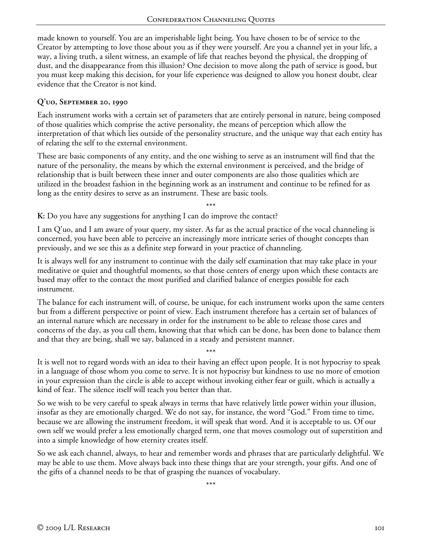made known to yourself. You are an imperishable light being. You have chosen to be of service to the Creator by attempting to love those about you as if they were yourself. Are you a channel yet in your life, a way, a living truth, a silent witness, an example of life that reaches beyond the physical, the dropping of dust, and the disappearance from this illusion? One decision to move along the path of service is good, but you must keep making this decision, for your life experience was designed to allow you honest doubt, clear evidence that the Creator is not kind.

### **Q'uo, September 20, 1990**

Each instrument works with a certain set of parameters that are entirely personal in nature, being composed of those qualities which comprise the active personality, the means of perception which allow the interpretation of that which lies outside of the personality structure, and the unique way that each entity has of relating the self to the external environment.

These are basic components of any entity, and the one wishing to serve as an instrument will find that the nature of the personality, the means by which the external environment is perceived, and the bridge of relationship that is built between these inner and outer components are also those qualities which are utilized in the broadest fashion in the beginning work as an instrument and continue to be refined for as long as the entity desires to serve as an instrument. These are basic tools.

\*\*\*

**K:** Do you have any suggestions for anything I can do improve the contact?

I am Q'uo, and I am aware of your query, my sister. As far as the actual practice of the vocal channeling is concerned, you have been able to perceive an increasingly more intricate series of thought concepts than previously, and we see this as a definite step forward in your practice of channeling.

It is always well for any instrument to continue with the daily self examination that may take place in your meditative or quiet and thoughtful moments, so that those centers of energy upon which these contacts are based may offer to the contact the most purified and clarified balance of energies possible for each instrument.

The balance for each instrument will, of course, be unique, for each instrument works upon the same centers but from a different perspective or point of view. Each instrument therefore has a certain set of balances of an internal nature which are necessary in order for the instrument to be able to release those cares and concerns of the day, as you call them, knowing that that which can be done, has been done to balance them and that they are being, shall we say, balanced in a steady and persistent manner.

\*\*\* It is well not to regard words with an idea to their having an effect upon people. It is not hypocrisy to speak in a language of those whom you come to serve. It is not hypocrisy but kindness to use no more of emotion in your expression than the circle is able to accept without invoking either fear or guilt, which is actually a kind of fear. The silence itself will teach you better than that.

So we wish to be very careful to speak always in terms that have relatively little power within your illusion, insofar as they are emotionally charged. We do not say, for instance, the word "God." From time to time, because we are allowing the instrument freedom, it will speak that word. And it is acceptable to us. Of our own self we would prefer a less emotionally charged term, one that moves cosmology out of superstition and into a simple knowledge of how eternity creates itself.

So we ask each channel, always, to hear and remember words and phrases that are particularly delightful. We may be able to use them. Move always back into these things that are your strength, your gifts. And one of the gifts of a channel needs to be that of grasping the nuances of vocabulary.

\*\*\*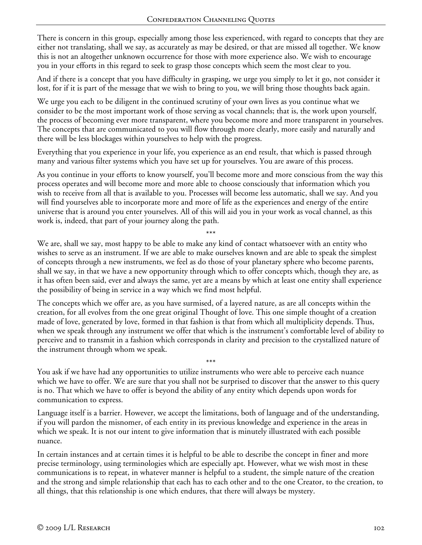There is concern in this group, especially among those less experienced, with regard to concepts that they are either not translating, shall we say, as accurately as may be desired, or that are missed all together. We know this is not an altogether unknown occurrence for those with more experience also. We wish to encourage you in your efforts in this regard to seek to grasp those concepts which seem the most clear to you.

And if there is a concept that you have difficulty in grasping, we urge you simply to let it go, not consider it lost, for if it is part of the message that we wish to bring to you, we will bring those thoughts back again.

We urge you each to be diligent in the continued scrutiny of your own lives as you continue what we consider to be the most important work of those serving as vocal channels; that is, the work upon yourself, the process of becoming ever more transparent, where you become more and more transparent in yourselves. The concepts that are communicated to you will flow through more clearly, more easily and naturally and there will be less blockages within yourselves to help with the progress.

Everything that you experience in your life, you experience as an end result, that which is passed through many and various filter systems which you have set up for yourselves. You are aware of this process.

As you continue in your efforts to know yourself, you'll become more and more conscious from the way this process operates and will become more and more able to choose consciously that information which you wish to receive from all that is available to you. Processes will become less automatic, shall we say. And you will find yourselves able to incorporate more and more of life as the experiences and energy of the entire universe that is around you enter yourselves. All of this will aid you in your work as vocal channel, as this work is, indeed, that part of your journey along the path.

\*\*\*

We are, shall we say, most happy to be able to make any kind of contact whatsoever with an entity who wishes to serve as an instrument. If we are able to make ourselves known and are able to speak the simplest of concepts through a new instruments, we feel as do those of your planetary sphere who become parents, shall we say, in that we have a new opportunity through which to offer concepts which, though they are, as it has often been said, ever and always the same, yet are a means by which at least one entity shall experience the possibility of being in service in a way which we find most helpful.

The concepts which we offer are, as you have surmised, of a layered nature, as are all concepts within the creation, for all evolves from the one great original Thought of love. This one simple thought of a creation made of love, generated by love, formed in that fashion is that from which all multiplicity depends. Thus, when we speak through any instrument we offer that which is the instrument's comfortable level of ability to perceive and to transmit in a fashion which corresponds in clarity and precision to the crystallized nature of the instrument through whom we speak.

\*\*\* You ask if we have had any opportunities to utilize instruments who were able to perceive each nuance which we have to offer. We are sure that you shall not be surprised to discover that the answer to this query is no. That which we have to offer is beyond the ability of any entity which depends upon words for communication to express.

Language itself is a barrier. However, we accept the limitations, both of language and of the understanding, if you will pardon the misnomer, of each entity in its previous knowledge and experience in the areas in which we speak. It is not our intent to give information that is minutely illustrated with each possible nuance.

In certain instances and at certain times it is helpful to be able to describe the concept in finer and more precise terminology, using terminologies which are especially apt. However, what we wish most in these communications is to repeat, in whatever manner is helpful to a student, the simple nature of the creation and the strong and simple relationship that each has to each other and to the one Creator, to the creation, to all things, that this relationship is one which endures, that there will always be mystery.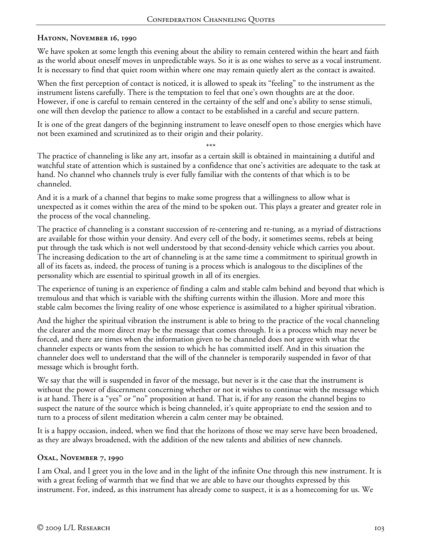### **Hatonn, November 16, 1990**

We have spoken at some length this evening about the ability to remain centered within the heart and faith as the world about oneself moves in unpredictable ways. So it is as one wishes to serve as a vocal instrument. It is necessary to find that quiet room within where one may remain quietly alert as the contact is awaited.

When the first perception of contact is noticed, it is allowed to speak its "feeling" to the instrument as the instrument listens carefully. There is the temptation to feel that one's own thoughts are at the door. However, if one is careful to remain centered in the certainty of the self and one's ability to sense stimuli, one will then develop the patience to allow a contact to be established in a careful and secure pattern.

It is one of the great dangers of the beginning instrument to leave oneself open to those energies which have not been examined and scrutinized as to their origin and their polarity.

\*\*\* The practice of channeling is like any art, insofar as a certain skill is obtained in maintaining a dutiful and watchful state of attention which is sustained by a confidence that one's activities are adequate to the task at hand. No channel who channels truly is ever fully familiar with the contents of that which is to be channeled.

And it is a mark of a channel that begins to make some progress that a willingness to allow what is unexpected as it comes within the area of the mind to be spoken out. This plays a greater and greater role in the process of the vocal channeling.

The practice of channeling is a constant succession of re-centering and re-tuning, as a myriad of distractions are available for those within your density. And every cell of the body, it sometimes seems, rebels at being put through the task which is not well understood by that second-density vehicle which carries you about. The increasing dedication to the art of channeling is at the same time a commitment to spiritual growth in all of its facets as, indeed, the process of tuning is a process which is analogous to the disciplines of the personality which are essential to spiritual growth in all of its energies.

The experience of tuning is an experience of finding a calm and stable calm behind and beyond that which is tremulous and that which is variable with the shifting currents within the illusion. More and more this stable calm becomes the living reality of one whose experience is assimilated to a higher spiritual vibration.

And the higher the spiritual vibration the instrument is able to bring to the practice of the vocal channeling the clearer and the more direct may be the message that comes through. It is a process which may never be forced, and there are times when the information given to be channeled does not agree with what the channeler expects or wants from the session to which he has committed itself. And in this situation the channeler does well to understand that the will of the channeler is temporarily suspended in favor of that message which is brought forth.

We say that the will is suspended in favor of the message, but never is it the case that the instrument is without the power of discernment concerning whether or not it wishes to continue with the message which is at hand. There is a "yes" or "no" proposition at hand. That is, if for any reason the channel begins to suspect the nature of the source which is being channeled, it's quite appropriate to end the session and to turn to a process of silent meditation wherein a calm center may be obtained.

It is a happy occasion, indeed, when we find that the horizons of those we may serve have been broadened, as they are always broadened, with the addition of the new talents and abilities of new channels.

### **Oxal, November 7, 1990**

I am Oxal, and I greet you in the love and in the light of the infinite One through this new instrument. It is with a great feeling of warmth that we find that we are able to have our thoughts expressed by this instrument. For, indeed, as this instrument has already come to suspect, it is as a homecoming for us. We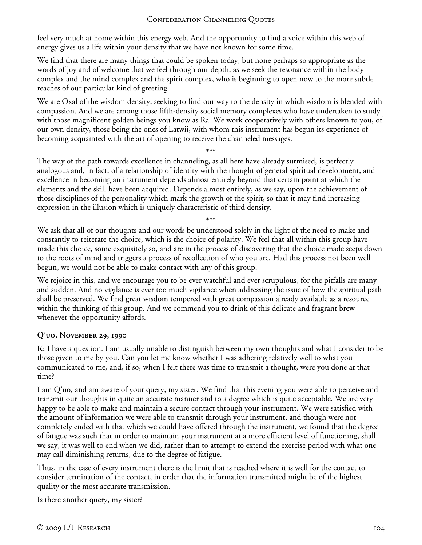feel very much at home within this energy web. And the opportunity to find a voice within this web of energy gives us a life within your density that we have not known for some time.

We find that there are many things that could be spoken today, but none perhaps so appropriate as the words of joy and of welcome that we feel through our depth, as we seek the resonance within the body complex and the mind complex and the spirit complex, who is beginning to open now to the more subtle reaches of our particular kind of greeting.

We are Oxal of the wisdom density, seeking to find our way to the density in which wisdom is blended with compassion. And we are among those fifth-density social memory complexes who have undertaken to study with those magnificent golden beings you know as Ra. We work cooperatively with others known to you, of our own density, those being the ones of Latwii, with whom this instrument has begun its experience of becoming acquainted with the art of opening to receive the channeled messages.

\*\*\* The way of the path towards excellence in channeling, as all here have already surmised, is perfectly analogous and, in fact, of a relationship of identity with the thought of general spiritual development, and excellence in becoming an instrument depends almost entirely beyond that certain point at which the elements and the skill have been acquired. Depends almost entirely, as we say, upon the achievement of those disciplines of the personality which mark the growth of the spirit, so that it may find increasing expression in the illusion which is uniquely characteristic of third density.

\*\*\* We ask that all of our thoughts and our words be understood solely in the light of the need to make and constantly to reiterate the choice, which is the choice of polarity. We feel that all within this group have made this choice, some exquisitely so, and are in the process of discovering that the choice made seeps down to the roots of mind and triggers a process of recollection of who you are. Had this process not been well begun, we would not be able to make contact with any of this group.

We rejoice in this, and we encourage you to be ever watchful and ever scrupulous, for the pitfalls are many and sudden. And no vigilance is ever too much vigilance when addressing the issue of how the spiritual path shall be preserved. We find great wisdom tempered with great compassion already available as a resource within the thinking of this group. And we commend you to drink of this delicate and fragrant brew whenever the opportunity affords.

# **Q'uo, November 29, 1990**

**K:** I have a question. I am usually unable to distinguish between my own thoughts and what I consider to be those given to me by you. Can you let me know whether I was adhering relatively well to what you communicated to me, and, if so, when I felt there was time to transmit a thought, were you done at that time?

I am Q'uo, and am aware of your query, my sister. We find that this evening you were able to perceive and transmit our thoughts in quite an accurate manner and to a degree which is quite acceptable. We are very happy to be able to make and maintain a secure contact through your instrument. We were satisfied with the amount of information we were able to transmit through your instrument, and though were not completely ended with that which we could have offered through the instrument, we found that the degree of fatigue was such that in order to maintain your instrument at a more efficient level of functioning, shall we say, it was well to end when we did, rather than to attempt to extend the exercise period with what one may call diminishing returns, due to the degree of fatigue.

Thus, in the case of every instrument there is the limit that is reached where it is well for the contact to consider termination of the contact, in order that the information transmitted might be of the highest quality or the most accurate transmission.

Is there another query, my sister?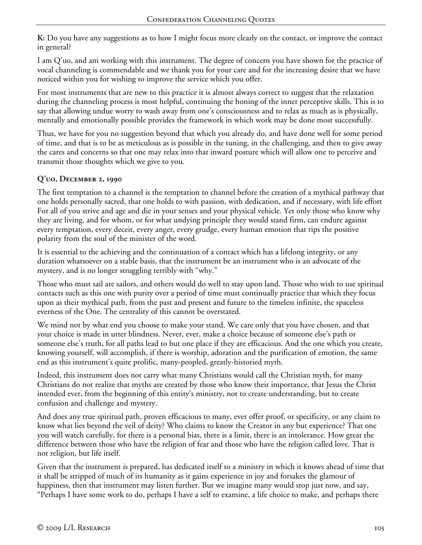**K:** Do you have any suggestions as to how I might focus more clearly on the contact, or improve the contact in general?

I am Q'uo, and am working with this instrument. The degree of concern you have shown for the practice of vocal channeling is commendable and we thank you for your care and for the increasing desire that we have noticed within you for wishing to improve the service which you offer.

For most instruments that are new to this practice it is almost always correct to suggest that the relaxation during the channeling process is most helpful, continuing the honing of the inner perceptive skills. This is to say that allowing undue worry to wash away from one's consciousness and to relax as much as is physically, mentally and emotionally possible provides the framework in which work may be done most successfully.

Thus, we have for you no suggestion beyond that which you already do, and have done well for some period of time, and that is to be as meticulous as is possible in the tuning, in the challenging, and then to give away the cares and concerns so that one may relax into that inward posture which will allow one to perceive and transmit those thoughts which we give to you.

# **Q'uo, December 2, 1990**

The first temptation to a channel is the temptation to channel before the creation of a mythical pathway that one holds personally sacred, that one holds to with passion, with dedication, and if necessary, with life effort For all of you strive and age and die in your senses and your physical vehicle. Yet only those who know why they are living, and for whom, or for what undying principle they would stand firm, can endure against every temptation, every deceit, every anger, every grudge, every human emotion that rips the positive polarity from the soul of the minister of the word.

It is essential to the achieving and the continuation of a contact which has a lifelong integrity, or any duration whatsoever on a stable basis, that the instrument be an instrument who is an advocate of the mystery, and is no longer struggling terribly with "why."

Those who must sail are sailors, and others would do well to stay upon land. Those who wish to use spiritual contacts such as this one with purity over a period of time must continually practice that which they focus upon as their mythical path, from the past and present and future to the timeless infinite, the spaceless everness of the One. The centrality of this cannot be overstated.

We mind not by what end you choose to make your stand. We care only that you have chosen, and that your choice is made in utter blindness. Never, ever, make a choice because of someone else's path or someone else's truth, for all paths lead to but one place if they are efficacious. And the one which you create, knowing yourself, will accomplish, if there is worship, adoration and the purification of emotion, the same end as this instrument's quite prolific, many-peopled, greatly-historied myth.

Indeed, this instrument does not carry what many Christians would call the Christian myth, for many Christians do not realize that myths are created by those who know their importance, that Jesus the Christ intended ever, from the beginning of this entity's ministry, not to create understanding, but to create confusion and challenge and mystery.

And does any true spiritual path, proven efficacious to many, ever offer proof, or specificity, or any claim to know what lies beyond the veil of deity? Who claims to know the Creator in any but experience? That one you will watch carefully, for there is a personal bias, there is a limit, there is an intolerance. How great the difference between those who have the religion of fear and those who have the religion called love. That is not religion, but life itself.

Given that the instrument is prepared, has dedicated itself to a ministry in which it knows ahead of time that it shall be stripped of much of its humanity as it gains experience in joy and forsakes the glamour of happiness, then that instrument may listen further. But we imagine many would stop just now, and say, "Perhaps I have some work to do, perhaps I have a self to examine, a life choice to make, and perhaps there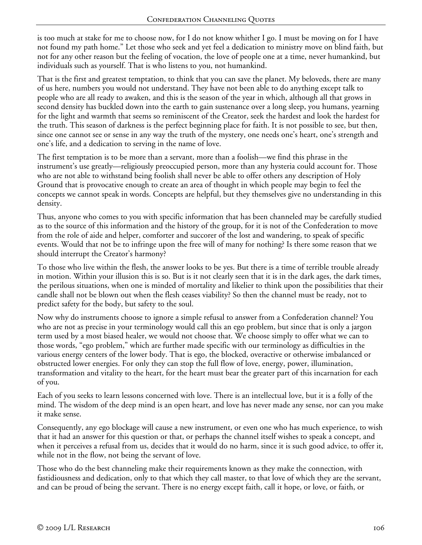is too much at stake for me to choose now, for I do not know whither I go. I must be moving on for I have not found my path home." Let those who seek and yet feel a dedication to ministry move on blind faith, but not for any other reason but the feeling of vocation, the love of people one at a time, never humankind, but individuals such as yourself. That is who listens to you, not humankind.

That is the first and greatest temptation, to think that you can save the planet. My beloveds, there are many of us here, numbers you would not understand. They have not been able to do anything except talk to people who are all ready to awaken, and this is the season of the year in which, although all that grows in second density has buckled down into the earth to gain sustenance over a long sleep, you humans, yearning for the light and warmth that seems so reminiscent of the Creator, seek the hardest and look the hardest for the truth. This season of darkness is the perfect beginning place for faith. It is not possible to see, but then, since one cannot see or sense in any way the truth of the mystery, one needs one's heart, one's strength and one's life, and a dedication to serving in the name of love.

The first temptation is to be more than a servant, more than a foolish—we find this phrase in the instrument's use greatly—religiously preoccupied person, more than any hysteria could account for. Those who are not able to withstand being foolish shall never be able to offer others any description of Holy Ground that is provocative enough to create an area of thought in which people may begin to feel the concepts we cannot speak in words. Concepts are helpful, but they themselves give no understanding in this density.

Thus, anyone who comes to you with specific information that has been channeled may be carefully studied as to the source of this information and the history of the group, for it is not of the Confederation to move from the role of aide and helper, comforter and succorer of the lost and wandering, to speak of specific events. Would that not be to infringe upon the free will of many for nothing? Is there some reason that we should interrupt the Creator's harmony?

To those who live within the flesh, the answer looks to be yes. But there is a time of terrible trouble already in motion. Within your illusion this is so. But is it not clearly seen that it is in the dark ages, the dark times, the perilous situations, when one is minded of mortality and likelier to think upon the possibilities that their candle shall not be blown out when the flesh ceases viability? So then the channel must be ready, not to predict safety for the body, but safety to the soul.

Now why do instruments choose to ignore a simple refusal to answer from a Confederation channel? You who are not as precise in your terminology would call this an ego problem, but since that is only a jargon term used by a most biased healer, we would not choose that. We choose simply to offer what we can to those words, "ego problem," which are further made specific with our terminology as difficulties in the various energy centers of the lower body. That is ego, the blocked, overactive or otherwise imbalanced or obstructed lower energies. For only they can stop the full flow of love, energy, power, illumination, transformation and vitality to the heart, for the heart must bear the greater part of this incarnation for each of you.

Each of you seeks to learn lessons concerned with love. There is an intellectual love, but it is a folly of the mind. The wisdom of the deep mind is an open heart, and love has never made any sense, nor can you make it make sense.

Consequently, any ego blockage will cause a new instrument, or even one who has much experience, to wish that it had an answer for this question or that, or perhaps the channel itself wishes to speak a concept, and when it perceives a refusal from us, decides that it would do no harm, since it is such good advice, to offer it, while not in the flow, not being the servant of love.

Those who do the best channeling make their requirements known as they make the connection, with fastidiousness and dedication, only to that which they call master, to that love of which they are the servant, and can be proud of being the servant. There is no energy except faith, call it hope, or love, or faith, or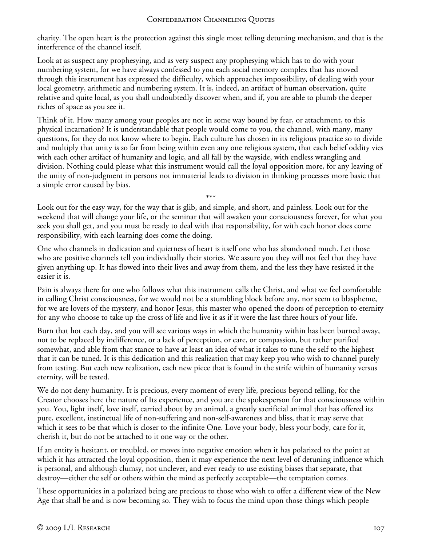charity. The open heart is the protection against this single most telling detuning mechanism, and that is the interference of the channel itself.

Look at as suspect any prophesying, and as very suspect any prophesying which has to do with your numbering system, for we have always confessed to you each social memory complex that has moved through this instrument has expressed the difficulty, which approaches impossibility, of dealing with your local geometry, arithmetic and numbering system. It is, indeed, an artifact of human observation, quite relative and quite local, as you shall undoubtedly discover when, and if, you are able to plumb the deeper riches of space as you see it.

Think of it. How many among your peoples are not in some way bound by fear, or attachment, to this physical incarnation? It is understandable that people would come to you, the channel, with many, many questions, for they do not know where to begin. Each culture has chosen in its religious practice so to divide and multiply that unity is so far from being within even any one religious system, that each belief oddity vies with each other artifact of humanity and logic, and all fall by the wayside, with endless wrangling and division. Nothing could please what this instrument would call the loyal opposition more, for any leaving of the unity of non-judgment in persons not immaterial leads to division in thinking processes more basic that a simple error caused by bias.

\*\*\* Look out for the easy way, for the way that is glib, and simple, and short, and painless. Look out for the weekend that will change your life, or the seminar that will awaken your consciousness forever, for what you seek you shall get, and you must be ready to deal with that responsibility, for with each honor does come responsibility, with each learning does come the doing.

One who channels in dedication and quietness of heart is itself one who has abandoned much. Let those who are positive channels tell you individually their stories. We assure you they will not feel that they have given anything up. It has flowed into their lives and away from them, and the less they have resisted it the easier it is.

Pain is always there for one who follows what this instrument calls the Christ, and what we feel comfortable in calling Christ consciousness, for we would not be a stumbling block before any, nor seem to blaspheme, for we are lovers of the mystery, and honor Jesus, this master who opened the doors of perception to eternity for any who choose to take up the cross of life and live it as if it were the last three hours of your life.

Burn that hot each day, and you will see various ways in which the humanity within has been burned away, not to be replaced by indifference, or a lack of perception, or care, or compassion, but rather purified somewhat, and able from that stance to have at least an idea of what it takes to tune the self to the highest that it can be tuned. It is this dedication and this realization that may keep you who wish to channel purely from testing. But each new realization, each new piece that is found in the strife within of humanity versus eternity, will be tested.

We do not deny humanity. It is precious, every moment of every life, precious beyond telling, for the Creator chooses here the nature of Its experience, and you are the spokesperson for that consciousness within you. You, light itself, love itself, carried about by an animal, a greatly sacrificial animal that has offered its pure, excellent, instinctual life of non-suffering and non-self-awareness and bliss, that it may serve that which it sees to be that which is closer to the infinite One. Love your body, bless your body, care for it, cherish it, but do not be attached to it one way or the other.

If an entity is hesitant, or troubled, or moves into negative emotion when it has polarized to the point at which it has attracted the loyal opposition, then it may experience the next level of detuning influence which is personal, and although clumsy, not unclever, and ever ready to use existing biases that separate, that destroy—either the self or others within the mind as perfectly acceptable—the temptation comes.

These opportunities in a polarized being are precious to those who wish to offer a different view of the New Age that shall be and is now becoming so. They wish to focus the mind upon those things which people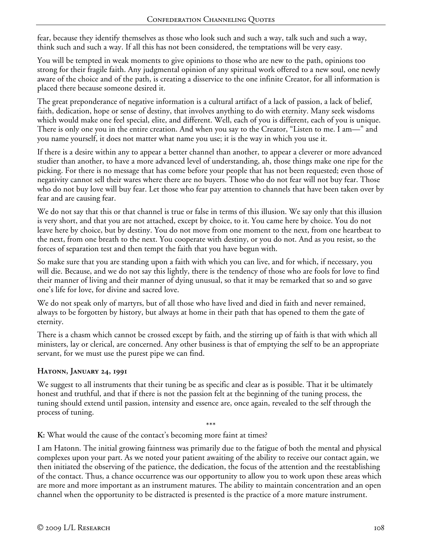fear, because they identify themselves as those who look such and such a way, talk such and such a way, think such and such a way. If all this has not been considered, the temptations will be very easy.

You will be tempted in weak moments to give opinions to those who are new to the path, opinions too strong for their fragile faith. Any judgmental opinion of any spiritual work offered to a new soul, one newly aware of the choice and of the path, is creating a disservice to the one infinite Creator, for all information is placed there because someone desired it.

The great preponderance of negative information is a cultural artifact of a lack of passion, a lack of belief, faith, dedication, hope or sense of destiny, that involves anything to do with eternity. Many seek wisdoms which would make one feel special, elite, and different. Well, each of you is different, each of you is unique. There is only one you in the entire creation. And when you say to the Creator, "Listen to me. I am—" and you name yourself, it does not matter what name you use; it is the way in which you use it.

If there is a desire within any to appear a better channel than another, to appear a cleverer or more advanced studier than another, to have a more advanced level of understanding, ah, those things make one ripe for the picking. For there is no message that has come before your people that has not been requested; even those of negativity cannot sell their wares where there are no buyers. Those who do not fear will not buy fear. Those who do not buy love will buy fear. Let those who fear pay attention to channels that have been taken over by fear and are causing fear.

We do not say that this or that channel is true or false in terms of this illusion. We say only that this illusion is very short, and that you are not attached, except by choice, to it. You came here by choice. You do not leave here by choice, but by destiny. You do not move from one moment to the next, from one heartbeat to the next, from one breath to the next. You cooperate with destiny, or you do not. And as you resist, so the forces of separation test and then tempt the faith that you have begun with.

So make sure that you are standing upon a faith with which you can live, and for which, if necessary, you will die. Because, and we do not say this lightly, there is the tendency of those who are fools for love to find their manner of living and their manner of dying unusual, so that it may be remarked that so and so gave one's life for love, for divine and sacred love.

We do not speak only of martyrs, but of all those who have lived and died in faith and never remained, always to be forgotten by history, but always at home in their path that has opened to them the gate of eternity.

There is a chasm which cannot be crossed except by faith, and the stirring up of faith is that with which all ministers, lay or clerical, are concerned. Any other business is that of emptying the self to be an appropriate servant, for we must use the purest pipe we can find.

# **Hatonn, January 24, 1991**

We suggest to all instruments that their tuning be as specific and clear as is possible. That it be ultimately honest and truthful, and that if there is not the passion felt at the beginning of the tuning process, the tuning should extend until passion, intensity and essence are, once again, revealed to the self through the process of tuning.

\*\*\*

**K:** What would the cause of the contact's becoming more faint at times?

I am Hatonn. The initial growing faintness was primarily due to the fatigue of both the mental and physical complexes upon your part. As we noted your patient awaiting of the ability to receive our contact again, we then initiated the observing of the patience, the dedication, the focus of the attention and the reestablishing of the contact. Thus, a chance occurrence was our opportunity to allow you to work upon these areas which are more and more important as an instrument matures. The ability to maintain concentration and an open channel when the opportunity to be distracted is presented is the practice of a more mature instrument.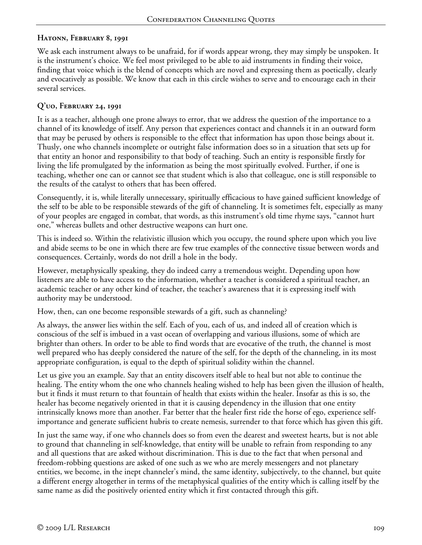### **Hatonn, February 8, 1991**

We ask each instrument always to be unafraid, for if words appear wrong, they may simply be unspoken. It is the instrument's choice. We feel most privileged to be able to aid instruments in finding their voice, finding that voice which is the blend of concepts which are novel and expressing them as poetically, clearly and evocatively as possible. We know that each in this circle wishes to serve and to encourage each in their several services.

#### **Q'uo, February 24, 1991**

It is as a teacher, although one prone always to error, that we address the question of the importance to a channel of its knowledge of itself. Any person that experiences contact and channels it in an outward form that may be perused by others is responsible to the effect that information has upon those beings about it. Thusly, one who channels incomplete or outright false information does so in a situation that sets up for that entity an honor and responsibility to that body of teaching. Such an entity is responsible firstly for living the life promulgated by the information as being the most spiritually evolved. Further, if one is teaching, whether one can or cannot see that student which is also that colleague, one is still responsible to the results of the catalyst to others that has been offered.

Consequently, it is, while literally unnecessary, spiritually efficacious to have gained sufficient knowledge of the self to be able to be responsible stewards of the gift of channeling. It is sometimes felt, especially as many of your peoples are engaged in combat, that words, as this instrument's old time rhyme says, "cannot hurt one," whereas bullets and other destructive weapons can hurt one.

This is indeed so. Within the relativistic illusion which you occupy, the round sphere upon which you live and abide seems to be one in which there are few true examples of the connective tissue between words and consequences. Certainly, words do not drill a hole in the body.

However, metaphysically speaking, they do indeed carry a tremendous weight. Depending upon how listeners are able to have access to the information, whether a teacher is considered a spiritual teacher, an academic teacher or any other kind of teacher, the teacher's awareness that it is expressing itself with authority may be understood.

How, then, can one become responsible stewards of a gift, such as channeling?

As always, the answer lies within the self. Each of you, each of us, and indeed all of creation which is conscious of the self is imbued in a vast ocean of overlapping and various illusions, some of which are brighter than others. In order to be able to find words that are evocative of the truth, the channel is most well prepared who has deeply considered the nature of the self, for the depth of the channeling, in its most appropriate configuration, is equal to the depth of spiritual solidity within the channel.

Let us give you an example. Say that an entity discovers itself able to heal but not able to continue the healing. The entity whom the one who channels healing wished to help has been given the illusion of health, but it finds it must return to that fountain of health that exists within the healer. Insofar as this is so, the healer has become negatively oriented in that it is causing dependency in the illusion that one entity intrinsically knows more than another. Far better that the healer first ride the horse of ego, experience selfimportance and generate sufficient hubris to create nemesis, surrender to that force which has given this gift.

In just the same way, if one who channels does so from even the dearest and sweetest hearts, but is not able to ground that channeling in self-knowledge, that entity will be unable to refrain from responding to any and all questions that are asked without discrimination. This is due to the fact that when personal and freedom-robbing questions are asked of one such as we who are merely messengers and not planetary entities, we become, in the inept channeler's mind, the same identity, subjectively, to the channel, but quite a different energy altogether in terms of the metaphysical qualities of the entity which is calling itself by the same name as did the positively oriented entity which it first contacted through this gift.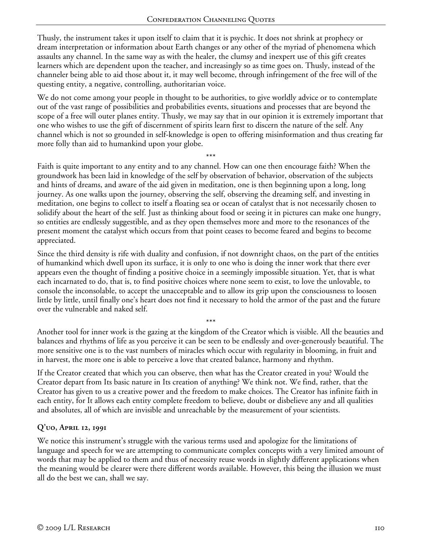Thusly, the instrument takes it upon itself to claim that it is psychic. It does not shrink at prophecy or dream interpretation or information about Earth changes or any other of the myriad of phenomena which assaults any channel. In the same way as with the healer, the clumsy and inexpert use of this gift creates learners which are dependent upon the teacher, and increasingly so as time goes on. Thusly, instead of the channeler being able to aid those about it, it may well become, through infringement of the free will of the questing entity, a negative, controlling, authoritarian voice.

We do not come among your people in thought to be authorities, to give worldly advice or to contemplate out of the vast range of possibilities and probabilities events, situations and processes that are beyond the scope of a free will outer planes entity. Thusly, we may say that in our opinion it is extremely important that one who wishes to use the gift of discernment of spirits learn first to discern the nature of the self. Any channel which is not so grounded in self-knowledge is open to offering misinformation and thus creating far more folly than aid to humankind upon your globe.

\*\*\* Faith is quite important to any entity and to any channel. How can one then encourage faith? When the groundwork has been laid in knowledge of the self by observation of behavior, observation of the subjects and hints of dreams, and aware of the aid given in meditation, one is then beginning upon a long, long journey. As one walks upon the journey, observing the self, observing the dreaming self, and investing in meditation, one begins to collect to itself a floating sea or ocean of catalyst that is not necessarily chosen to solidify about the heart of the self. Just as thinking about food or seeing it in pictures can make one hungry, so entities are endlessly suggestible, and as they open themselves more and more to the resonances of the present moment the catalyst which occurs from that point ceases to become feared and begins to become appreciated.

Since the third density is rife with duality and confusion, if not downright chaos, on the part of the entities of humankind which dwell upon its surface, it is only to one who is doing the inner work that there ever appears even the thought of finding a positive choice in a seemingly impossible situation. Yet, that is what each incarnated to do, that is, to find positive choices where none seem to exist, to love the unlovable, to console the inconsolable, to accept the unacceptable and to allow its grip upon the consciousness to loosen little by little, until finally one's heart does not find it necessary to hold the armor of the past and the future over the vulnerable and naked self.

Another tool for inner work is the gazing at the kingdom of the Creator which is visible. All the beauties and balances and rhythms of life as you perceive it can be seen to be endlessly and over-generously beautiful. The more sensitive one is to the vast numbers of miracles which occur with regularity in blooming, in fruit and in harvest, the more one is able to perceive a love that created balance, harmony and rhythm.

\*\*\*

If the Creator created that which you can observe, then what has the Creator created in you? Would the Creator depart from Its basic nature in Its creation of anything? We think not. We find, rather, that the Creator has given to us a creative power and the freedom to make choices. The Creator has infinite faith in each entity, for It allows each entity complete freedom to believe, doubt or disbelieve any and all qualities and absolutes, all of which are invisible and unreachable by the measurement of your scientists.

#### **Q'uo, April 12, 1991**

We notice this instrument's struggle with the various terms used and apologize for the limitations of language and speech for we are attempting to communicate complex concepts with a very limited amount of words that may be applied to them and thus of necessity reuse words in slightly different applications when the meaning would be clearer were there different words available. However, this being the illusion we must all do the best we can, shall we say.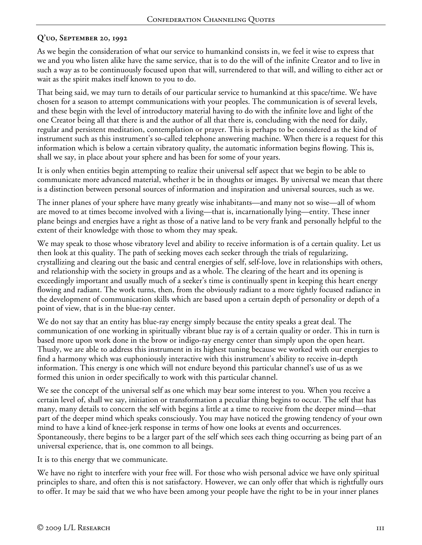# **Q'uo, September 20, 1992**

As we begin the consideration of what our service to humankind consists in, we feel it wise to express that we and you who listen alike have the same service, that is to do the will of the infinite Creator and to live in such a way as to be continuously focused upon that will, surrendered to that will, and willing to either act or wait as the spirit makes itself known to you to do.

That being said, we may turn to details of our particular service to humankind at this space/time. We have chosen for a season to attempt communications with your peoples. The communication is of several levels, and these begin with the level of introductory material having to do with the infinite love and light of the one Creator being all that there is and the author of all that there is, concluding with the need for daily, regular and persistent meditation, contemplation or prayer. This is perhaps to be considered as the kind of instrument such as this instrument's so-called telephone answering machine. When there is a request for this information which is below a certain vibratory quality, the automatic information begins flowing. This is, shall we say, in place about your sphere and has been for some of your years.

It is only when entities begin attempting to realize their universal self aspect that we begin to be able to communicate more advanced material, whether it be in thoughts or images. By universal we mean that there is a distinction between personal sources of information and inspiration and universal sources, such as we.

The inner planes of your sphere have many greatly wise inhabitants—and many not so wise—all of whom are moved to at times become involved with a living—that is, incarnationally lying—entity. These inner plane beings and energies have a right as those of a native land to be very frank and personally helpful to the extent of their knowledge with those to whom they may speak.

We may speak to those whose vibratory level and ability to receive information is of a certain quality. Let us then look at this quality. The path of seeking moves each seeker through the trials of regularizing, crystallizing and clearing out the basic and central energies of self, self-love, love in relationships with others, and relationship with the society in groups and as a whole. The clearing of the heart and its opening is exceedingly important and usually much of a seeker's time is continually spent in keeping this heart energy flowing and radiant. The work turns, then, from the obviously radiant to a more tightly focused radiance in the development of communication skills which are based upon a certain depth of personality or depth of a point of view, that is in the blue-ray center.

We do not say that an entity has blue-ray energy simply because the entity speaks a great deal. The communication of one working in spiritually vibrant blue ray is of a certain quality or order. This in turn is based more upon work done in the brow or indigo-ray energy center than simply upon the open heart. Thusly, we are able to address this instrument in its highest tuning because we worked with our energies to find a harmony which was euphoniously interactive with this instrument's ability to receive in-depth information. This energy is one which will not endure beyond this particular channel's use of us as we formed this union in order specifically to work with this particular channel.

We see the concept of the universal self as one which may bear some interest to you. When you receive a certain level of, shall we say, initiation or transformation a peculiar thing begins to occur. The self that has many, many details to concern the self with begins a little at a time to receive from the deeper mind—that part of the deeper mind which speaks consciously. You may have noticed the growing tendency of your own mind to have a kind of knee-jerk response in terms of how one looks at events and occurrences. Spontaneously, there begins to be a larger part of the self which sees each thing occurring as being part of an universal experience, that is, one common to all beings.

It is to this energy that we communicate.

We have no right to interfere with your free will. For those who wish personal advice we have only spiritual principles to share, and often this is not satisfactory. However, we can only offer that which is rightfully ours to offer. It may be said that we who have been among your people have the right to be in your inner planes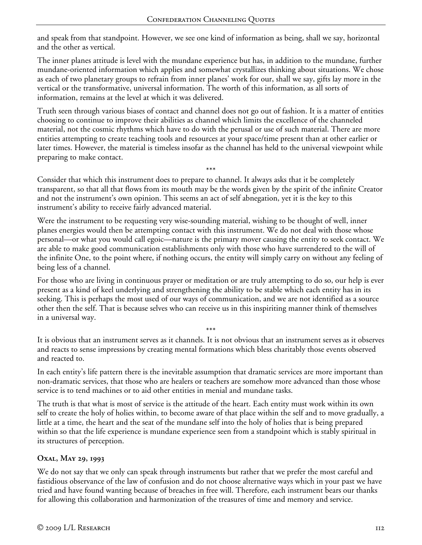and speak from that standpoint. However, we see one kind of information as being, shall we say, horizontal and the other as vertical.

The inner planes attitude is level with the mundane experience but has, in addition to the mundane, further mundane-oriented information which applies and somewhat crystallizes thinking about situations. We chose as each of two planetary groups to refrain from inner planes' work for our, shall we say, gifts lay more in the vertical or the transformative, universal information. The worth of this information, as all sorts of information, remains at the level at which it was delivered.

Truth seen through various biases of contact and channel does not go out of fashion. It is a matter of entities choosing to continue to improve their abilities as channel which limits the excellence of the channeled material, not the cosmic rhythms which have to do with the perusal or use of such material. There are more entities attempting to create teaching tools and resources at your space/time present than at other earlier or later times. However, the material is timeless insofar as the channel has held to the universal viewpoint while preparing to make contact.

\*\*\* Consider that which this instrument does to prepare to channel. It always asks that it be completely transparent, so that all that flows from its mouth may be the words given by the spirit of the infinite Creator and not the instrument's own opinion. This seems an act of self abnegation, yet it is the key to this instrument's ability to receive fairly advanced material.

Were the instrument to be requesting very wise-sounding material, wishing to be thought of well, inner planes energies would then be attempting contact with this instrument. We do not deal with those whose personal—or what you would call egoic—nature is the primary mover causing the entity to seek contact. We are able to make good communication establishments only with those who have surrendered to the will of the infinite One, to the point where, if nothing occurs, the entity will simply carry on without any feeling of being less of a channel.

For those who are living in continuous prayer or meditation or are truly attempting to do so, our help is ever present as a kind of keel underlying and strengthening the ability to be stable which each entity has in its seeking. This is perhaps the most used of our ways of communication, and we are not identified as a source other then the self. That is because selves who can receive us in this inspiriting manner think of themselves in a universal way.

\*\*\* It is obvious that an instrument serves as it channels. It is not obvious that an instrument serves as it observes and reacts to sense impressions by creating mental formations which bless charitably those events observed and reacted to.

In each entity's life pattern there is the inevitable assumption that dramatic services are more important than non-dramatic services, that those who are healers or teachers are somehow more advanced than those whose service is to tend machines or to aid other entities in menial and mundane tasks.

The truth is that what is most of service is the attitude of the heart. Each entity must work within its own self to create the holy of holies within, to become aware of that place within the self and to move gradually, a little at a time, the heart and the seat of the mundane self into the holy of holies that is being prepared within so that the life experience is mundane experience seen from a standpoint which is stably spiritual in its structures of perception.

# **Oxal, May 29, 1993**

We do not say that we only can speak through instruments but rather that we prefer the most careful and fastidious observance of the law of confusion and do not choose alternative ways which in your past we have tried and have found wanting because of breaches in free will. Therefore, each instrument bears our thanks for allowing this collaboration and harmonization of the treasures of time and memory and service.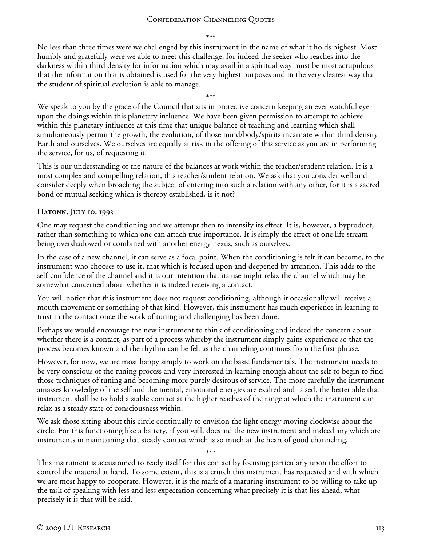\*\*\*

No less than three times were we challenged by this instrument in the name of what it holds highest. Most humbly and gratefully were we able to meet this challenge, for indeed the seeker who reaches into the darkness within third density for information which may avail in a spiritual way must be most scrupulous that the information that is obtained is used for the very highest purposes and in the very clearest way that the student of spiritual evolution is able to manage.

\*\*\* We speak to you by the grace of the Council that sits in protective concern keeping an ever watchful eye upon the doings within this planetary influence. We have been given permission to attempt to achieve within this planetary influence at this time that unique balance of teaching and learning which shall simultaneously permit the growth, the evolution, of those mind/body/spirits incarnate within third density Earth and ourselves. We ourselves are equally at risk in the offering of this service as you are in performing the service, for us, of requesting it.

This is our understanding of the nature of the balances at work within the teacher/student relation. It is a most complex and compelling relation, this teacher/student relation. We ask that you consider well and consider deeply when broaching the subject of entering into such a relation with any other, for it is a sacred bond of mutual seeking which is thereby established, is it not?

### **Hatonn, July 10, 1993**

One may request the conditioning and we attempt then to intensify its effect. It is, however, a byproduct, rather than something to which one can attach true importance. It is simply the effect of one life stream being overshadowed or combined with another energy nexus, such as ourselves.

In the case of a new channel, it can serve as a focal point. When the conditioning is felt it can become, to the instrument who chooses to use it, that which is focused upon and deepened by attention. This adds to the self-confidence of the channel and it is our intention that its use might relax the channel which may be somewhat concerned about whether it is indeed receiving a contact.

You will notice that this instrument does not request conditioning, although it occasionally will receive a mouth movement or something of that kind. However, this instrument has much experience in learning to trust in the contact once the work of tuning and challenging has been done.

Perhaps we would encourage the new instrument to think of conditioning and indeed the concern about whether there is a contact, as part of a process whereby the instrument simply gains experience so that the process becomes known and the rhythm can be felt as the channeling continues from the first phrase.

However, for now, we are most happy simply to work on the basic fundamentals. The instrument needs to be very conscious of the tuning process and very interested in learning enough about the self to begin to find those techniques of tuning and becoming more purely desirous of service. The more carefully the instrument amasses knowledge of the self and the mental, emotional energies are exalted and raised, the better able that instrument shall be to hold a stable contact at the higher reaches of the range at which the instrument can relax as a steady state of consciousness within.

We ask those sitting about this circle continually to envision the light energy moving clockwise about the circle. For this functioning like a battery, if you will, does aid the new instrument and indeed any which are instruments in maintaining that steady contact which is so much at the heart of good channeling.

\*\*\* This instrument is accustomed to ready itself for this contact by focusing particularly upon the effort to control the material at hand. To some extent, this is a crutch this instrument has requested and with which we are most happy to cooperate. However, it is the mark of a maturing instrument to be willing to take up the task of speaking with less and less expectation concerning what precisely it is that lies ahead, what precisely it is that will be said.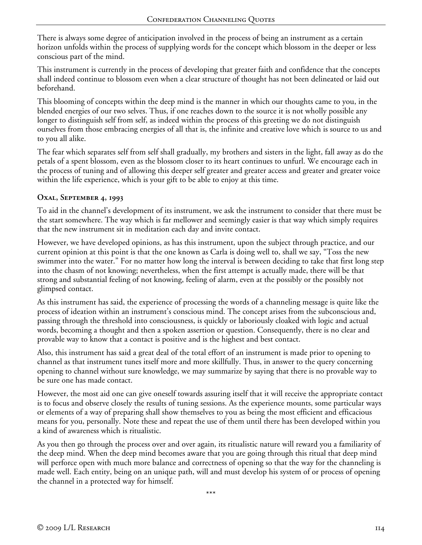There is always some degree of anticipation involved in the process of being an instrument as a certain horizon unfolds within the process of supplying words for the concept which blossom in the deeper or less conscious part of the mind.

This instrument is currently in the process of developing that greater faith and confidence that the concepts shall indeed continue to blossom even when a clear structure of thought has not been delineated or laid out beforehand.

This blooming of concepts within the deep mind is the manner in which our thoughts came to you, in the blended energies of our two selves. Thus, if one reaches down to the source it is not wholly possible any longer to distinguish self from self, as indeed within the process of this greeting we do not distinguish ourselves from those embracing energies of all that is, the infinite and creative love which is source to us and to you all alike.

The fear which separates self from self shall gradually, my brothers and sisters in the light, fall away as do the petals of a spent blossom, even as the blossom closer to its heart continues to unfurl. We encourage each in the process of tuning and of allowing this deeper self greater and greater access and greater and greater voice within the life experience, which is your gift to be able to enjoy at this time.

### **Oxal, September 4, 1993**

To aid in the channel's development of its instrument, we ask the instrument to consider that there must be the start somewhere. The way which is far mellower and seemingly easier is that way which simply requires that the new instrument sit in meditation each day and invite contact.

However, we have developed opinions, as has this instrument, upon the subject through practice, and our current opinion at this point is that the one known as Carla is doing well to, shall we say, "Toss the new swimmer into the water." For no matter how long the interval is between deciding to take that first long step into the chasm of not knowing; nevertheless, when the first attempt is actually made, there will be that strong and substantial feeling of not knowing, feeling of alarm, even at the possibly or the possibly not glimpsed contact.

As this instrument has said, the experience of processing the words of a channeling message is quite like the process of ideation within an instrument's conscious mind. The concept arises from the subconscious and, passing through the threshold into consciousness, is quickly or laboriously cloaked with logic and actual words, becoming a thought and then a spoken assertion or question. Consequently, there is no clear and provable way to know that a contact is positive and is the highest and best contact.

Also, this instrument has said a great deal of the total effort of an instrument is made prior to opening to channel as that instrument tunes itself more and more skillfully. Thus, in answer to the query concerning opening to channel without sure knowledge, we may summarize by saying that there is no provable way to be sure one has made contact.

However, the most aid one can give oneself towards assuring itself that it will receive the appropriate contact is to focus and observe closely the results of tuning sessions. As the experience mounts, some particular ways or elements of a way of preparing shall show themselves to you as being the most efficient and efficacious means for you, personally. Note these and repeat the use of them until there has been developed within you a kind of awareness which is ritualistic.

As you then go through the process over and over again, its ritualistic nature will reward you a familiarity of the deep mind. When the deep mind becomes aware that you are going through this ritual that deep mind will perforce open with much more balance and correctness of opening so that the way for the channeling is made well. Each entity, being on an unique path, will and must develop his system of or process of opening the channel in a protected way for himself.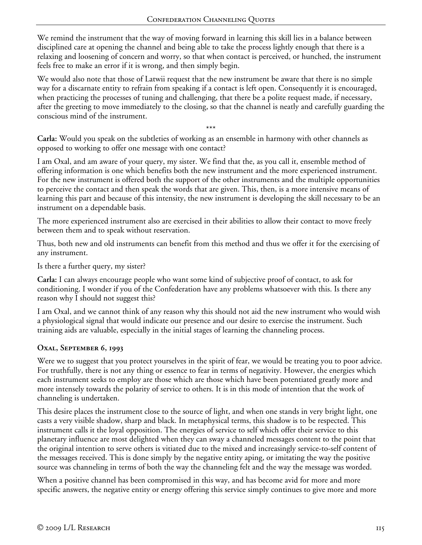We remind the instrument that the way of moving forward in learning this skill lies in a balance between disciplined care at opening the channel and being able to take the process lightly enough that there is a relaxing and loosening of concern and worry, so that when contact is perceived, or hunched, the instrument feels free to make an error if it is wrong, and then simply begin.

We would also note that those of Latwii request that the new instrument be aware that there is no simple way for a discarnate entity to refrain from speaking if a contact is left open. Consequently it is encouraged, when practicing the processes of tuning and challenging, that there be a polite request made, if necessary, after the greeting to move immediately to the closing, so that the channel is neatly and carefully guarding the conscious mind of the instrument.

\*\*\* **Carla:** Would you speak on the subtleties of working as an ensemble in harmony with other channels as opposed to working to offer one message with one contact?

I am Oxal, and am aware of your query, my sister. We find that the, as you call it, ensemble method of offering information is one which benefits both the new instrument and the more experienced instrument. For the new instrument is offered both the support of the other instruments and the multiple opportunities to perceive the contact and then speak the words that are given. This, then, is a more intensive means of learning this part and because of this intensity, the new instrument is developing the skill necessary to be an instrument on a dependable basis.

The more experienced instrument also are exercised in their abilities to allow their contact to move freely between them and to speak without reservation.

Thus, both new and old instruments can benefit from this method and thus we offer it for the exercising of any instrument.

Is there a further query, my sister?

**Carla:** I can always encourage people who want some kind of subjective proof of contact, to ask for conditioning. I wonder if you of the Confederation have any problems whatsoever with this. Is there any reason why I should not suggest this?

I am Oxal, and we cannot think of any reason why this should not aid the new instrument who would wish a physiological signal that would indicate our presence and our desire to exercise the instrument. Such training aids are valuable, especially in the initial stages of learning the channeling process.

#### **Oxal, September 6, 1993**

Were we to suggest that you protect yourselves in the spirit of fear, we would be treating you to poor advice. For truthfully, there is not any thing or essence to fear in terms of negativity. However, the energies which each instrument seeks to employ are those which are those which have been potentiated greatly more and more intensely towards the polarity of service to others. It is in this mode of intention that the work of channeling is undertaken.

This desire places the instrument close to the source of light, and when one stands in very bright light, one casts a very visible shadow, sharp and black. In metaphysical terms, this shadow is to be respected. This instrument calls it the loyal opposition. The energies of service to self which offer their service to this planetary influence are most delighted when they can sway a channeled messages content to the point that the original intention to serve others is vitiated due to the mixed and increasingly service-to-self content of the messages received. This is done simply by the negative entity aping, or imitating the way the positive source was channeling in terms of both the way the channeling felt and the way the message was worded.

When a positive channel has been compromised in this way, and has become avid for more and more specific answers, the negative entity or energy offering this service simply continues to give more and more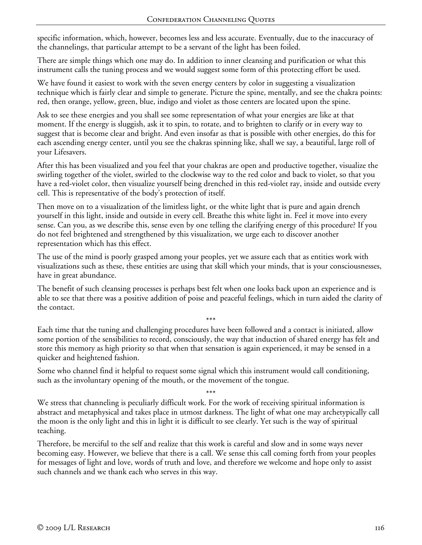specific information, which, however, becomes less and less accurate. Eventually, due to the inaccuracy of the channelings, that particular attempt to be a servant of the light has been foiled.

There are simple things which one may do. In addition to inner cleansing and purification or what this instrument calls the tuning process and we would suggest some form of this protecting effort be used.

We have found it easiest to work with the seven energy centers by color in suggesting a visualization technique which is fairly clear and simple to generate. Picture the spine, mentally, and see the chakra points: red, then orange, yellow, green, blue, indigo and violet as those centers are located upon the spine.

Ask to see these energies and you shall see some representation of what your energies are like at that moment. If the energy is sluggish, ask it to spin, to rotate, and to brighten to clarify or in every way to suggest that is become clear and bright. And even insofar as that is possible with other energies, do this for each ascending energy center, until you see the chakras spinning like, shall we say, a beautiful, large roll of your Lifesavers.

After this has been visualized and you feel that your chakras are open and productive together, visualize the swirling together of the violet, swirled to the clockwise way to the red color and back to violet, so that you have a red-violet color, then visualize yourself being drenched in this red-violet ray, inside and outside every cell. This is representative of the body's protection of itself.

Then move on to a visualization of the limitless light, or the white light that is pure and again drench yourself in this light, inside and outside in every cell. Breathe this white light in. Feel it move into every sense. Can you, as we describe this, sense even by one telling the clarifying energy of this procedure? If you do not feel brightened and strengthened by this visualization, we urge each to discover another representation which has this effect.

The use of the mind is poorly grasped among your peoples, yet we assure each that as entities work with visualizations such as these, these entities are using that skill which your minds, that is your consciousnesses, have in great abundance.

The benefit of such cleansing processes is perhaps best felt when one looks back upon an experience and is able to see that there was a positive addition of poise and peaceful feelings, which in turn aided the clarity of the contact.

\*\*\* Each time that the tuning and challenging procedures have been followed and a contact is initiated, allow some portion of the sensibilities to record, consciously, the way that induction of shared energy has felt and store this memory as high priority so that when that sensation is again experienced, it may be sensed in a quicker and heightened fashion.

Some who channel find it helpful to request some signal which this instrument would call conditioning, such as the involuntary opening of the mouth, or the movement of the tongue.

\*\*\* We stress that channeling is peculiarly difficult work. For the work of receiving spiritual information is abstract and metaphysical and takes place in utmost darkness. The light of what one may archetypically call the moon is the only light and this in light it is difficult to see clearly. Yet such is the way of spiritual teaching.

Therefore, be merciful to the self and realize that this work is careful and slow and in some ways never becoming easy. However, we believe that there is a call. We sense this call coming forth from your peoples for messages of light and love, words of truth and love, and therefore we welcome and hope only to assist such channels and we thank each who serves in this way.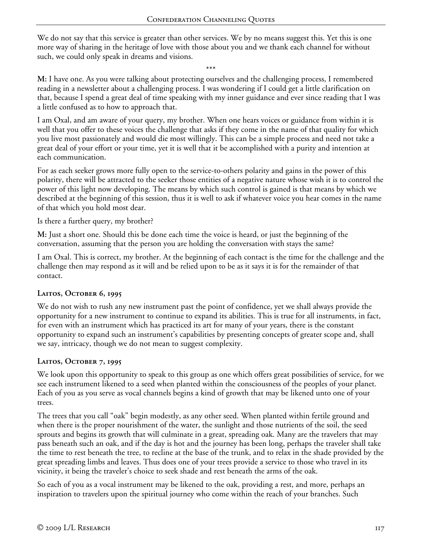We do not say that this service is greater than other services. We by no means suggest this. Yet this is one more way of sharing in the heritage of love with those about you and we thank each channel for without such, we could only speak in dreams and visions.

\*\*\*

**M:** I have one. As you were talking about protecting ourselves and the challenging process, I remembered reading in a newsletter about a challenging process. I was wondering if I could get a little clarification on that, because I spend a great deal of time speaking with my inner guidance and ever since reading that I was a little confused as to how to approach that.

I am Oxal, and am aware of your query, my brother. When one hears voices or guidance from within it is well that you offer to these voices the challenge that asks if they come in the name of that quality for which you live most passionately and would die most willingly. This can be a simple process and need not take a great deal of your effort or your time, yet it is well that it be accomplished with a purity and intention at each communication.

For as each seeker grows more fully open to the service-to-others polarity and gains in the power of this polarity, there will be attracted to the seeker those entities of a negative nature whose wish it is to control the power of this light now developing. The means by which such control is gained is that means by which we described at the beginning of this session, thus it is well to ask if whatever voice you hear comes in the name of that which you hold most dear.

Is there a further query, my brother?

**M:** Just a short one. Should this be done each time the voice is heard, or just the beginning of the conversation, assuming that the person you are holding the conversation with stays the same?

I am Oxal. This is correct, my brother. At the beginning of each contact is the time for the challenge and the challenge then may respond as it will and be relied upon to be as it says it is for the remainder of that contact.

#### **Laitos, October 6, 1995**

We do not wish to rush any new instrument past the point of confidence, yet we shall always provide the opportunity for a new instrument to continue to expand its abilities. This is true for all instruments, in fact, for even with an instrument which has practiced its art for many of your years, there is the constant opportunity to expand such an instrument's capabilities by presenting concepts of greater scope and, shall we say, intricacy, though we do not mean to suggest complexity.

#### **Laitos, October 7, 1995**

We look upon this opportunity to speak to this group as one which offers great possibilities of service, for we see each instrument likened to a seed when planted within the consciousness of the peoples of your planet. Each of you as you serve as vocal channels begins a kind of growth that may be likened unto one of your trees.

The trees that you call "oak" begin modestly, as any other seed. When planted within fertile ground and when there is the proper nourishment of the water, the sunlight and those nutrients of the soil, the seed sprouts and begins its growth that will culminate in a great, spreading oak. Many are the travelers that may pass beneath such an oak, and if the day is hot and the journey has been long, perhaps the traveler shall take the time to rest beneath the tree, to recline at the base of the trunk, and to relax in the shade provided by the great spreading limbs and leaves. Thus does one of your trees provide a service to those who travel in its vicinity, it being the traveler's choice to seek shade and rest beneath the arms of the oak.

So each of you as a vocal instrument may be likened to the oak, providing a rest, and more, perhaps an inspiration to travelers upon the spiritual journey who come within the reach of your branches. Such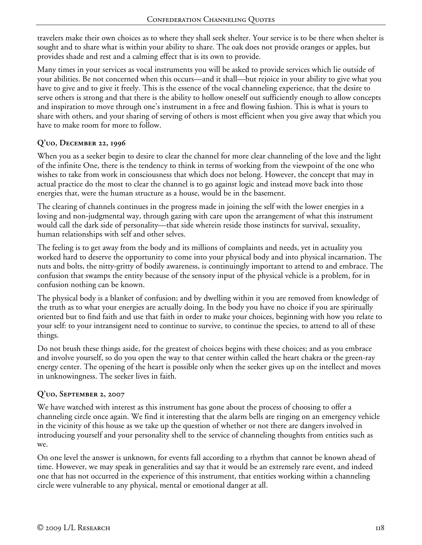travelers make their own choices as to where they shall seek shelter. Your service is to be there when shelter is sought and to share what is within your ability to share. The oak does not provide oranges or apples, but provides shade and rest and a calming effect that is its own to provide.

Many times in your services as vocal instruments you will be asked to provide services which lie outside of your abilities. Be not concerned when this occurs—and it shall—but rejoice in your ability to give what you have to give and to give it freely. This is the essence of the vocal channeling experience, that the desire to serve others is strong and that there is the ability to hollow oneself out sufficiently enough to allow concepts and inspiration to move through one's instrument in a free and flowing fashion. This is what is yours to share with others, and your sharing of serving of others is most efficient when you give away that which you have to make room for more to follow.

### **Q'uo, December 22, 1996**

When you as a seeker begin to desire to clear the channel for more clear channeling of the love and the light of the infinite One, there is the tendency to think in terms of working from the viewpoint of the one who wishes to take from work in consciousness that which does not belong. However, the concept that may in actual practice do the most to clear the channel is to go against logic and instead move back into those energies that, were the human structure as a house, would be in the basement.

The clearing of channels continues in the progress made in joining the self with the lower energies in a loving and non-judgmental way, through gazing with care upon the arrangement of what this instrument would call the dark side of personality—that side wherein reside those instincts for survival, sexuality, human relationships with self and other selves.

The feeling is to get away from the body and its millions of complaints and needs, yet in actuality you worked hard to deserve the opportunity to come into your physical body and into physical incarnation. The nuts and bolts, the nitty-gritty of bodily awareness, is continuingly important to attend to and embrace. The confusion that swamps the entity because of the sensory input of the physical vehicle is a problem, for in confusion nothing can be known.

The physical body is a blanket of confusion; and by dwelling within it you are removed from knowledge of the truth as to what your energies are actually doing. In the body you have no choice if you are spiritually oriented but to find faith and use that faith in order to make your choices, beginning with how you relate to your self: to your intransigent need to continue to survive, to continue the species, to attend to all of these things.

Do not brush these things aside, for the greatest of choices begins with these choices; and as you embrace and involve yourself, so do you open the way to that center within called the heart chakra or the green-ray energy center. The opening of the heart is possible only when the seeker gives up on the intellect and moves in unknowingness. The seeker lives in faith.

# **Q'uo, September 2, 2007**

We have watched with interest as this instrument has gone about the process of choosing to offer a channeling circle once again. We find it interesting that the alarm bells are ringing on an emergency vehicle in the vicinity of this house as we take up the question of whether or not there are dangers involved in introducing yourself and your personality shell to the service of channeling thoughts from entities such as we.

On one level the answer is unknown, for events fall according to a rhythm that cannot be known ahead of time. However, we may speak in generalities and say that it would be an extremely rare event, and indeed one that has not occurred in the experience of this instrument, that entities working within a channeling circle were vulnerable to any physical, mental or emotional danger at all.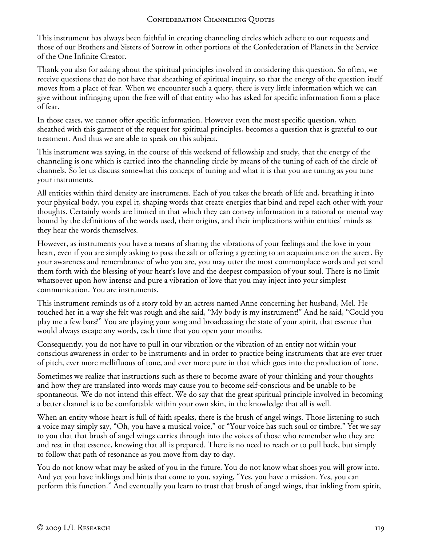This instrument has always been faithful in creating channeling circles which adhere to our requests and those of our Brothers and Sisters of Sorrow in other portions of the Confederation of Planets in the Service of the One Infinite Creator.

Thank you also for asking about the spiritual principles involved in considering this question. So often, we receive questions that do not have that sheathing of spiritual inquiry, so that the energy of the question itself moves from a place of fear. When we encounter such a query, there is very little information which we can give without infringing upon the free will of that entity who has asked for specific information from a place of fear.

In those cases, we cannot offer specific information. However even the most specific question, when sheathed with this garment of the request for spiritual principles, becomes a question that is grateful to our treatment. And thus we are able to speak on this subject.

This instrument was saying, in the course of this weekend of fellowship and study, that the energy of the channeling is one which is carried into the channeling circle by means of the tuning of each of the circle of channels. So let us discuss somewhat this concept of tuning and what it is that you are tuning as you tune your instruments.

All entities within third density are instruments. Each of you takes the breath of life and, breathing it into your physical body, you expel it, shaping words that create energies that bind and repel each other with your thoughts. Certainly words are limited in that which they can convey information in a rational or mental way bound by the definitions of the words used, their origins, and their implications within entities' minds as they hear the words themselves.

However, as instruments you have a means of sharing the vibrations of your feelings and the love in your heart, even if you are simply asking to pass the salt or offering a greeting to an acquaintance on the street. By your awareness and remembrance of who you are, you may utter the most commonplace words and yet send them forth with the blessing of your heart's love and the deepest compassion of your soul. There is no limit whatsoever upon how intense and pure a vibration of love that you may inject into your simplest communication. You are instruments.

This instrument reminds us of a story told by an actress named Anne concerning her husband, Mel. He touched her in a way she felt was rough and she said, "My body is my instrument!" And he said, "Could you play me a few bars?" You are playing your song and broadcasting the state of your spirit, that essence that would always escape any words, each time that you open your mouths.

Consequently, you do not have to pull in our vibration or the vibration of an entity not within your conscious awareness in order to be instruments and in order to practice being instruments that are ever truer of pitch, ever more mellifluous of tone, and ever more pure in that which goes into the production of tone.

Sometimes we realize that instructions such as these to become aware of your thinking and your thoughts and how they are translated into words may cause you to become self-conscious and be unable to be spontaneous. We do not intend this effect. We do say that the great spiritual principle involved in becoming a better channel is to be comfortable within your own skin, in the knowledge that all is well.

When an entity whose heart is full of faith speaks, there is the brush of angel wings. Those listening to such a voice may simply say, "Oh, you have a musical voice," or "Your voice has such soul or timbre." Yet we say to you that that brush of angel wings carries through into the voices of those who remember who they are and rest in that essence, knowing that all is prepared. There is no need to reach or to pull back, but simply to follow that path of resonance as you move from day to day.

You do not know what may be asked of you in the future. You do not know what shoes you will grow into. And yet you have inklings and hints that come to you, saying, "Yes, you have a mission. Yes, you can perform this function." And eventually you learn to trust that brush of angel wings, that inkling from spirit,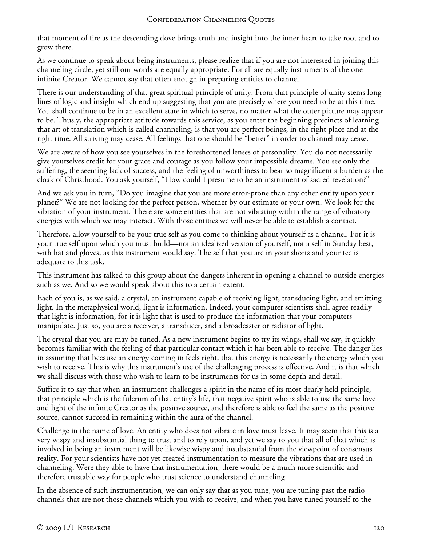that moment of fire as the descending dove brings truth and insight into the inner heart to take root and to grow there.

As we continue to speak about being instruments, please realize that if you are not interested in joining this channeling circle, yet still our words are equally appropriate. For all are equally instruments of the one infinite Creator. We cannot say that often enough in preparing entities to channel.

There is our understanding of that great spiritual principle of unity. From that principle of unity stems long lines of logic and insight which end up suggesting that you are precisely where you need to be at this time. You shall continue to be in an excellent state in which to serve, no matter what the outer picture may appear to be. Thusly, the appropriate attitude towards this service, as you enter the beginning precincts of learning that art of translation which is called channeling, is that you are perfect beings, in the right place and at the right time. All striving may cease. All feelings that one should be "better" in order to channel may cease.

We are aware of how you see yourselves in the foreshortened lenses of personality. You do not necessarily give yourselves credit for your grace and courage as you follow your impossible dreams. You see only the suffering, the seeming lack of success, and the feeling of unworthiness to bear so magnificent a burden as the cloak of Christhood. You ask yourself, "How could I presume to be an instrument of sacred revelation?"

And we ask you in turn, "Do you imagine that you are more error-prone than any other entity upon your planet?" We are not looking for the perfect person, whether by our estimate or your own. We look for the vibration of your instrument. There are some entities that are not vibrating within the range of vibratory energies with which we may interact. With those entities we will never be able to establish a contact.

Therefore, allow yourself to be your true self as you come to thinking about yourself as a channel. For it is your true self upon which you must build—not an idealized version of yourself, not a self in Sunday best, with hat and gloves, as this instrument would say. The self that you are in your shorts and your tee is adequate to this task.

This instrument has talked to this group about the dangers inherent in opening a channel to outside energies such as we. And so we would speak about this to a certain extent.

Each of you is, as we said, a crystal, an instrument capable of receiving light, transducing light, and emitting light. In the metaphysical world, light is information. Indeed, your computer scientists shall agree readily that light is information, for it is light that is used to produce the information that your computers manipulate. Just so, you are a receiver, a transducer, and a broadcaster or radiator of light.

The crystal that you are may be tuned. As a new instrument begins to try its wings, shall we say, it quickly becomes familiar with the feeling of that particular contact which it has been able to receive. The danger lies in assuming that because an energy coming in feels right, that this energy is necessarily the energy which you wish to receive. This is why this instrument's use of the challenging process is effective. And it is that which we shall discuss with those who wish to learn to be instruments for us in some depth and detail.

Suffice it to say that when an instrument challenges a spirit in the name of its most dearly held principle, that principle which is the fulcrum of that entity's life, that negative spirit who is able to use the same love and light of the infinite Creator as the positive source, and therefore is able to feel the same as the positive source, cannot succeed in remaining within the aura of the channel.

Challenge in the name of love. An entity who does not vibrate in love must leave. It may seem that this is a very wispy and insubstantial thing to trust and to rely upon, and yet we say to you that all of that which is involved in being an instrument will be likewise wispy and insubstantial from the viewpoint of consensus reality. For your scientists have not yet created instrumentation to measure the vibrations that are used in channeling. Were they able to have that instrumentation, there would be a much more scientific and therefore trustable way for people who trust science to understand channeling.

In the absence of such instrumentation, we can only say that as you tune, you are tuning past the radio channels that are not those channels which you wish to receive, and when you have tuned yourself to the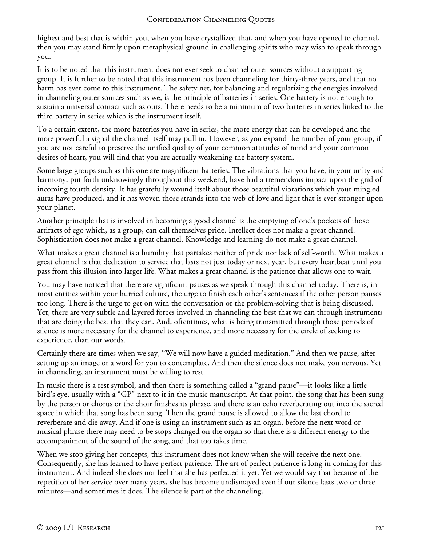highest and best that is within you, when you have crystallized that, and when you have opened to channel, then you may stand firmly upon metaphysical ground in challenging spirits who may wish to speak through you.

It is to be noted that this instrument does not ever seek to channel outer sources without a supporting group. It is further to be noted that this instrument has been channeling for thirty-three years, and that no harm has ever come to this instrument. The safety net, for balancing and regularizing the energies involved in channeling outer sources such as we, is the principle of batteries in series. One battery is not enough to sustain a universal contact such as ours. There needs to be a minimum of two batteries in series linked to the third battery in series which is the instrument itself.

To a certain extent, the more batteries you have in series, the more energy that can be developed and the more powerful a signal the channel itself may pull in. However, as you expand the number of your group, if you are not careful to preserve the unified quality of your common attitudes of mind and your common desires of heart, you will find that you are actually weakening the battery system.

Some large groups such as this one are magnificent batteries. The vibrations that you have, in your unity and harmony, put forth unknowingly throughout this weekend, have had a tremendous impact upon the grid of incoming fourth density. It has gratefully wound itself about those beautiful vibrations which your mingled auras have produced, and it has woven those strands into the web of love and light that is ever stronger upon your planet.

Another principle that is involved in becoming a good channel is the emptying of one's pockets of those artifacts of ego which, as a group, can call themselves pride. Intellect does not make a great channel. Sophistication does not make a great channel. Knowledge and learning do not make a great channel.

What makes a great channel is a humility that partakes neither of pride nor lack of self-worth. What makes a great channel is that dedication to service that lasts not just today or next year, but every heartbeat until you pass from this illusion into larger life. What makes a great channel is the patience that allows one to wait.

You may have noticed that there are significant pauses as we speak through this channel today. There is, in most entities within your hurried culture, the urge to finish each other's sentences if the other person pauses too long. There is the urge to get on with the conversation or the problem-solving that is being discussed. Yet, there are very subtle and layered forces involved in channeling the best that we can through instruments that are doing the best that they can. And, oftentimes, what is being transmitted through those periods of silence is more necessary for the channel to experience, and more necessary for the circle of seeking to experience, than our words.

Certainly there are times when we say, "We will now have a guided meditation." And then we pause, after setting up an image or a word for you to contemplate. And then the silence does not make you nervous. Yet in channeling, an instrument must be willing to rest.

In music there is a rest symbol, and then there is something called a "grand pause"—it looks like a little bird's eye, usually with a "GP" next to it in the music manuscript. At that point, the song that has been sung by the person or chorus or the choir finishes its phrase, and there is an echo reverberating out into the sacred space in which that song has been sung. Then the grand pause is allowed to allow the last chord to reverberate and die away. And if one is using an instrument such as an organ, before the next word or musical phrase there may need to be stops changed on the organ so that there is a different energy to the accompaniment of the sound of the song, and that too takes time.

When we stop giving her concepts, this instrument does not know when she will receive the next one. Consequently, she has learned to have perfect patience. The art of perfect patience is long in coming for this instrument. And indeed she does not feel that she has perfected it yet. Yet we would say that because of the repetition of her service over many years, she has become undismayed even if our silence lasts two or three minutes—and sometimes it does. The silence is part of the channeling.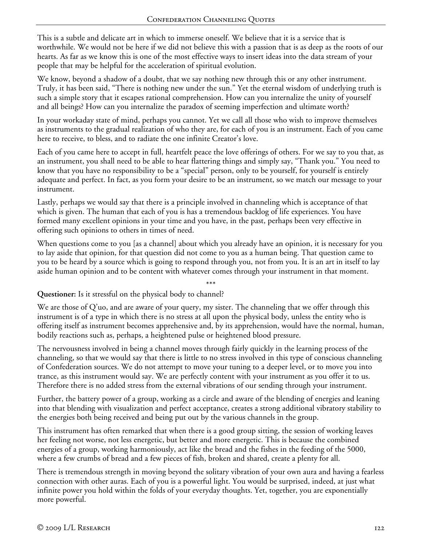This is a subtle and delicate art in which to immerse oneself. We believe that it is a service that is worthwhile. We would not be here if we did not believe this with a passion that is as deep as the roots of our hearts. As far as we know this is one of the most effective ways to insert ideas into the data stream of your people that may be helpful for the acceleration of spiritual evolution.

We know, beyond a shadow of a doubt, that we say nothing new through this or any other instrument. Truly, it has been said, "There is nothing new under the sun." Yet the eternal wisdom of underlying truth is such a simple story that it escapes rational comprehension. How can you internalize the unity of yourself and all beings? How can you internalize the paradox of seeming imperfection and ultimate worth?

In your workaday state of mind, perhaps you cannot. Yet we call all those who wish to improve themselves as instruments to the gradual realization of who they are, for each of you is an instrument. Each of you came here to receive, to bless, and to radiate the one infinite Creator's love.

Each of you came here to accept in full, heartfelt peace the love offerings of others. For we say to you that, as an instrument, you shall need to be able to hear flattering things and simply say, "Thank you." You need to know that you have no responsibility to be a "special" person, only to be yourself, for yourself is entirely adequate and perfect. In fact, as you form your desire to be an instrument, so we match our message to your instrument.

Lastly, perhaps we would say that there is a principle involved in channeling which is acceptance of that which is given. The human that each of you is has a tremendous backlog of life experiences. You have formed many excellent opinions in your time and you have, in the past, perhaps been very effective in offering such opinions to others in times of need.

When questions come to you [as a channel] about which you already have an opinion, it is necessary for you to lay aside that opinion, for that question did not come to you as a human being. That question came to you to be heard by a source which is going to respond through you, not from you. It is an art in itself to lay aside human opinion and to be content with whatever comes through your instrument in that moment.

\*\*\* **Questioner:** Is it stressful on the physical body to channel?

We are those of Q'uo, and are aware of your query, my sister. The channeling that we offer through this instrument is of a type in which there is no stress at all upon the physical body, unless the entity who is offering itself as instrument becomes apprehensive and, by its apprehension, would have the normal, human, bodily reactions such as, perhaps, a heightened pulse or heightened blood pressure.

The nervousness involved in being a channel moves through fairly quickly in the learning process of the channeling, so that we would say that there is little to no stress involved in this type of conscious channeling of Confederation sources. We do not attempt to move your tuning to a deeper level, or to move you into trance, as this instrument would say. We are perfectly content with your instrument as you offer it to us. Therefore there is no added stress from the external vibrations of our sending through your instrument.

Further, the battery power of a group, working as a circle and aware of the blending of energies and leaning into that blending with visualization and perfect acceptance, creates a strong additional vibratory stability to the energies both being received and being put out by the various channels in the group.

This instrument has often remarked that when there is a good group sitting, the session of working leaves her feeling not worse, not less energetic, but better and more energetic. This is because the combined energies of a group, working harmoniously, act like the bread and the fishes in the feeding of the 5000, where a few crumbs of bread and a few pieces of fish, broken and shared, create a plenty for all.

There is tremendous strength in moving beyond the solitary vibration of your own aura and having a fearless connection with other auras. Each of you is a powerful light. You would be surprised, indeed, at just what infinite power you hold within the folds of your everyday thoughts. Yet, together, you are exponentially more powerful.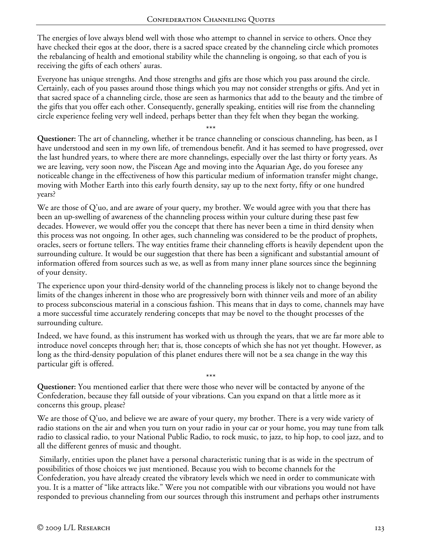The energies of love always blend well with those who attempt to channel in service to others. Once they have checked their egos at the door, there is a sacred space created by the channeling circle which promotes the rebalancing of health and emotional stability while the channeling is ongoing, so that each of you is receiving the gifts of each others' auras.

Everyone has unique strengths. And those strengths and gifts are those which you pass around the circle. Certainly, each of you passes around those things which you may not consider strengths or gifts. And yet in that sacred space of a channeling circle, those are seen as harmonics that add to the beauty and the timbre of the gifts that you offer each other. Consequently, generally speaking, entities will rise from the channeling circle experience feeling very well indeed, perhaps better than they felt when they began the working.

\*\*\* **Questioner:** The art of channeling, whether it be trance channeling or conscious channeling, has been, as I have understood and seen in my own life, of tremendous benefit. And it has seemed to have progressed, over the last hundred years, to where there are more channelings, especially over the last thirty or forty years. As we are leaving, very soon now, the Piscean Age and moving into the Aquarian Age, do you foresee any noticeable change in the effectiveness of how this particular medium of information transfer might change, moving with Mother Earth into this early fourth density, say up to the next forty, fifty or one hundred years?

We are those of Q'uo, and are aware of your query, my brother. We would agree with you that there has been an up-swelling of awareness of the channeling process within your culture during these past few decades. However, we would offer you the concept that there has never been a time in third density when this process was not ongoing. In other ages, such channeling was considered to be the product of prophets, oracles, seers or fortune tellers. The way entities frame their channeling efforts is heavily dependent upon the surrounding culture. It would be our suggestion that there has been a significant and substantial amount of information offered from sources such as we, as well as from many inner plane sources since the beginning of your density.

The experience upon your third-density world of the channeling process is likely not to change beyond the limits of the changes inherent in those who are progressively born with thinner veils and more of an ability to process subconscious material in a conscious fashion. This means that in days to come, channels may have a more successful time accurately rendering concepts that may be novel to the thought processes of the surrounding culture.

Indeed, we have found, as this instrument has worked with us through the years, that we are far more able to introduce novel concepts through her; that is, those concepts of which she has not yet thought. However, as long as the third-density population of this planet endures there will not be a sea change in the way this particular gift is offered.

\*\*\* **Questioner:** You mentioned earlier that there were those who never will be contacted by anyone of the Confederation, because they fall outside of your vibrations. Can you expand on that a little more as it concerns this group, please?

We are those of Q'uo, and believe we are aware of your query, my brother. There is a very wide variety of radio stations on the air and when you turn on your radio in your car or your home, you may tune from talk radio to classical radio, to your National Public Radio, to rock music, to jazz, to hip hop, to cool jazz, and to all the different genres of music and thought.

 Similarly, entities upon the planet have a personal characteristic tuning that is as wide in the spectrum of possibilities of those choices we just mentioned. Because you wish to become channels for the Confederation, you have already created the vibratory levels which we need in order to communicate with you. It is a matter of "like attracts like." Were you not compatible with our vibrations you would not have responded to previous channeling from our sources through this instrument and perhaps other instruments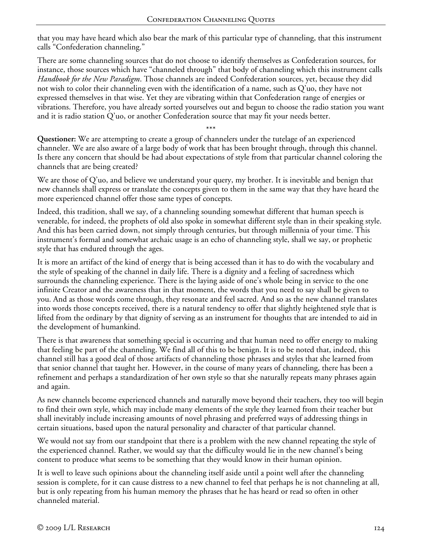that you may have heard which also bear the mark of this particular type of channeling, that this instrument calls "Confederation channeling."

There are some channeling sources that do not choose to identify themselves as Confederation sources, for instance, those sources which have "channeled through" that body of channeling which this instrument calls *Handbook for the New Paradigm*. Those channels are indeed Confederation sources, yet, because they did not wish to color their channeling even with the identification of a name, such as Q'uo, they have not expressed themselves in that wise. Yet they are vibrating within that Confederation range of energies or vibrations. Therefore, you have already sorted yourselves out and begun to choose the radio station you want and it is radio station Q'uo, or another Confederation source that may fit your needs better.

\*\*\* **Questioner:** We are attempting to create a group of channelers under the tutelage of an experienced channeler. We are also aware of a large body of work that has been brought through, through this channel. Is there any concern that should be had about expectations of style from that particular channel coloring the channels that are being created?

We are those of Q'uo, and believe we understand your query, my brother. It is inevitable and benign that new channels shall express or translate the concepts given to them in the same way that they have heard the more experienced channel offer those same types of concepts.

Indeed, this tradition, shall we say, of a channeling sounding somewhat different that human speech is venerable, for indeed, the prophets of old also spoke in somewhat different style than in their speaking style. And this has been carried down, not simply through centuries, but through millennia of your time. This instrument's formal and somewhat archaic usage is an echo of channeling style, shall we say, or prophetic style that has endured through the ages.

It is more an artifact of the kind of energy that is being accessed than it has to do with the vocabulary and the style of speaking of the channel in daily life. There is a dignity and a feeling of sacredness which surrounds the channeling experience. There is the laying aside of one's whole being in service to the one infinite Creator and the awareness that in that moment, the words that you need to say shall be given to you. And as those words come through, they resonate and feel sacred. And so as the new channel translates into words those concepts received, there is a natural tendency to offer that slightly heightened style that is lifted from the ordinary by that dignity of serving as an instrument for thoughts that are intended to aid in the development of humankind.

There is that awareness that something special is occurring and that human need to offer energy to making that feeling be part of the channeling. We find all of this to be benign. It is to be noted that, indeed, this channel still has a good deal of those artifacts of channeling those phrases and styles that she learned from that senior channel that taught her. However, in the course of many years of channeling, there has been a refinement and perhaps a standardization of her own style so that she naturally repeats many phrases again and again.

As new channels become experienced channels and naturally move beyond their teachers, they too will begin to find their own style, which may include many elements of the style they learned from their teacher but shall inevitably include increasing amounts of novel phrasing and preferred ways of addressing things in certain situations, based upon the natural personality and character of that particular channel.

We would not say from our standpoint that there is a problem with the new channel repeating the style of the experienced channel. Rather, we would say that the difficulty would lie in the new channel's being content to produce what seems to be something that they would know in their human opinion.

It is well to leave such opinions about the channeling itself aside until a point well after the channeling session is complete, for it can cause distress to a new channel to feel that perhaps he is not channeling at all, but is only repeating from his human memory the phrases that he has heard or read so often in other channeled material.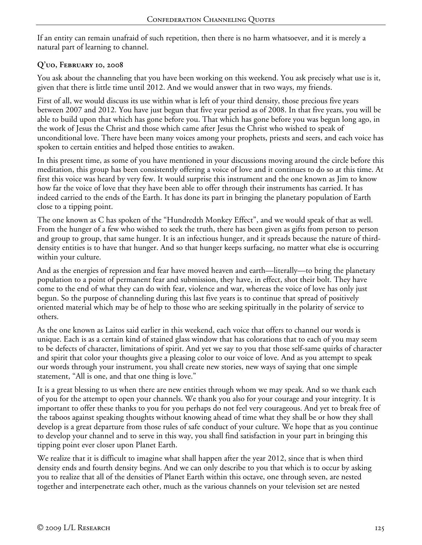If an entity can remain unafraid of such repetition, then there is no harm whatsoever, and it is merely a natural part of learning to channel.

# **Q'uo, February 10, 2008**

You ask about the channeling that you have been working on this weekend. You ask precisely what use is it, given that there is little time until 2012. And we would answer that in two ways, my friends.

First of all, we would discuss its use within what is left of your third density, those precious five years between 2007 and 2012. You have just begun that five year period as of 2008. In that five years, you will be able to build upon that which has gone before you. That which has gone before you was begun long ago, in the work of Jesus the Christ and those which came after Jesus the Christ who wished to speak of unconditional love. There have been many voices among your prophets, priests and seers, and each voice has spoken to certain entities and helped those entities to awaken.

In this present time, as some of you have mentioned in your discussions moving around the circle before this meditation, this group has been consistently offering a voice of love and it continues to do so at this time. At first this voice was heard by very few. It would surprise this instrument and the one known as Jim to know how far the voice of love that they have been able to offer through their instruments has carried. It has indeed carried to the ends of the Earth. It has done its part in bringing the planetary population of Earth close to a tipping point.

The one known as C has spoken of the "Hundredth Monkey Effect", and we would speak of that as well. From the hunger of a few who wished to seek the truth, there has been given as gifts from person to person and group to group, that same hunger. It is an infectious hunger, and it spreads because the nature of thirddensity entities is to have that hunger. And so that hunger keeps surfacing, no matter what else is occurring within your culture.

And as the energies of repression and fear have moved heaven and earth—literally—to bring the planetary population to a point of permanent fear and submission, they have, in effect, shot their bolt. They have come to the end of what they can do with fear, violence and war, whereas the voice of love has only just begun. So the purpose of channeling during this last five years is to continue that spread of positively oriented material which may be of help to those who are seeking spiritually in the polarity of service to others.

As the one known as Laitos said earlier in this weekend, each voice that offers to channel our words is unique. Each is as a certain kind of stained glass window that has colorations that to each of you may seem to be defects of character, limitations of spirit. And yet we say to you that those self-same quirks of character and spirit that color your thoughts give a pleasing color to our voice of love. And as you attempt to speak our words through your instrument, you shall create new stories, new ways of saying that one simple statement, "All is one, and that one thing is love."

It is a great blessing to us when there are new entities through whom we may speak. And so we thank each of you for the attempt to open your channels. We thank you also for your courage and your integrity. It is important to offer these thanks to you for you perhaps do not feel very courageous. And yet to break free of the taboos against speaking thoughts without knowing ahead of time what they shall be or how they shall develop is a great departure from those rules of safe conduct of your culture. We hope that as you continue to develop your channel and to serve in this way, you shall find satisfaction in your part in bringing this tipping point ever closer upon Planet Earth.

We realize that it is difficult to imagine what shall happen after the year 2012, since that is when third density ends and fourth density begins. And we can only describe to you that which is to occur by asking you to realize that all of the densities of Planet Earth within this octave, one through seven, are nested together and interpenetrate each other, much as the various channels on your television set are nested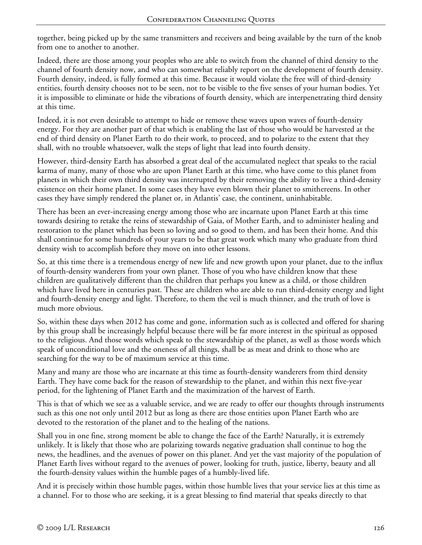together, being picked up by the same transmitters and receivers and being available by the turn of the knob from one to another to another.

Indeed, there are those among your peoples who are able to switch from the channel of third density to the channel of fourth density now, and who can somewhat reliably report on the development of fourth density. Fourth density, indeed, is fully formed at this time. Because it would violate the free will of third-density entities, fourth density chooses not to be seen, not to be visible to the five senses of your human bodies. Yet it is impossible to eliminate or hide the vibrations of fourth density, which are interpenetrating third density at this time.

Indeed, it is not even desirable to attempt to hide or remove these waves upon waves of fourth-density energy. For they are another part of that which is enabling the last of those who would be harvested at the end of third density on Planet Earth to do their work, to proceed, and to polarize to the extent that they shall, with no trouble whatsoever, walk the steps of light that lead into fourth density.

However, third-density Earth has absorbed a great deal of the accumulated neglect that speaks to the racial karma of many, many of those who are upon Planet Earth at this time, who have come to this planet from planets in which their own third density was interrupted by their removing the ability to live a third-density existence on their home planet. In some cases they have even blown their planet to smithereens. In other cases they have simply rendered the planet or, in Atlantis' case, the continent, uninhabitable.

There has been an ever-increasing energy among those who are incarnate upon Planet Earth at this time towards desiring to retake the reins of stewardship of Gaia, of Mother Earth, and to administer healing and restoration to the planet which has been so loving and so good to them, and has been their home. And this shall continue for some hundreds of your years to be that great work which many who graduate from third density wish to accomplish before they move on into other lessons.

So, at this time there is a tremendous energy of new life and new growth upon your planet, due to the influx of fourth-density wanderers from your own planet. Those of you who have children know that these children are qualitatively different than the children that perhaps you knew as a child, or those children which have lived here in centuries past. These are children who are able to run third-density energy and light and fourth-density energy and light. Therefore, to them the veil is much thinner, and the truth of love is much more obvious.

So, within these days when 2012 has come and gone, information such as is collected and offered for sharing by this group shall be increasingly helpful because there will be far more interest in the spiritual as opposed to the religious. And those words which speak to the stewardship of the planet, as well as those words which speak of unconditional love and the oneness of all things, shall be as meat and drink to those who are searching for the way to be of maximum service at this time.

Many and many are those who are incarnate at this time as fourth-density wanderers from third density Earth. They have come back for the reason of stewardship to the planet, and within this next five-year period, for the lightening of Planet Earth and the maximization of the harvest of Earth.

This is that of which we see as a valuable service, and we are ready to offer our thoughts through instruments such as this one not only until 2012 but as long as there are those entities upon Planet Earth who are devoted to the restoration of the planet and to the healing of the nations.

Shall you in one fine, strong moment be able to change the face of the Earth? Naturally, it is extremely unlikely. It is likely that those who are polarizing towards negative graduation shall continue to hog the news, the headlines, and the avenues of power on this planet. And yet the vast majority of the population of Planet Earth lives without regard to the avenues of power, looking for truth, justice, liberty, beauty and all the fourth-density values within the humble pages of a humbly-lived life.

And it is precisely within those humble pages, within those humble lives that your service lies at this time as a channel. For to those who are seeking, it is a great blessing to find material that speaks directly to that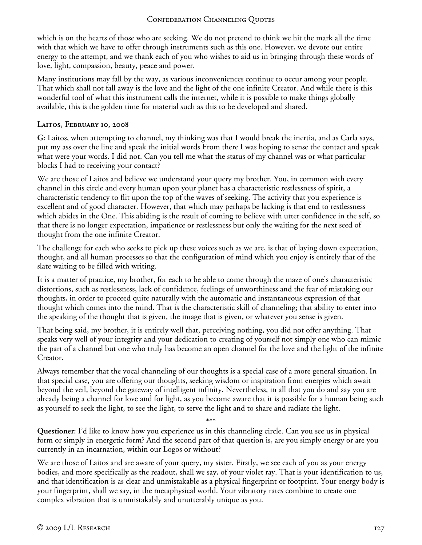which is on the hearts of those who are seeking. We do not pretend to think we hit the mark all the time with that which we have to offer through instruments such as this one. However, we devote our entire energy to the attempt, and we thank each of you who wishes to aid us in bringing through these words of love, light, compassion, beauty, peace and power.

Many institutions may fall by the way, as various inconveniences continue to occur among your people. That which shall not fall away is the love and the light of the one infinite Creator. And while there is this wonderful tool of what this instrument calls the internet, while it is possible to make things globally available, this is the golden time for material such as this to be developed and shared.

#### **Laitos, February 10, 2008**

**G:** Laitos, when attempting to channel, my thinking was that I would break the inertia, and as Carla says, put my ass over the line and speak the initial words From there I was hoping to sense the contact and speak what were your words. I did not. Can you tell me what the status of my channel was or what particular blocks I had to receiving your contact?

We are those of Laitos and believe we understand your query my brother. You, in common with every channel in this circle and every human upon your planet has a characteristic restlessness of spirit, a characteristic tendency to flit upon the top of the waves of seeking. The activity that you experience is excellent and of good character. However, that which may perhaps be lacking is that end to restlessness which abides in the One. This abiding is the result of coming to believe with utter confidence in the self, so that there is no longer expectation, impatience or restlessness but only the waiting for the next seed of thought from the one infinite Creator.

The challenge for each who seeks to pick up these voices such as we are, is that of laying down expectation, thought, and all human processes so that the configuration of mind which you enjoy is entirely that of the slate waiting to be filled with writing.

It is a matter of practice, my brother, for each to be able to come through the maze of one's characteristic distortions, such as restlessness, lack of confidence, feelings of unworthiness and the fear of mistaking our thoughts, in order to proceed quite naturally with the automatic and instantaneous expression of that thought which comes into the mind. That is the characteristic skill of channeling; that ability to enter into the speaking of the thought that is given, the image that is given, or whatever you sense is given.

That being said, my brother, it is entirely well that, perceiving nothing, you did not offer anything. That speaks very well of your integrity and your dedication to creating of yourself not simply one who can mimic the part of a channel but one who truly has become an open channel for the love and the light of the infinite Creator.

Always remember that the vocal channeling of our thoughts is a special case of a more general situation. In that special case, you are offering our thoughts, seeking wisdom or inspiration from energies which await beyond the veil, beyond the gateway of intelligent infinity. Nevertheless, in all that you do and say you are already being a channel for love and for light, as you become aware that it is possible for a human being such as yourself to seek the light, to see the light, to serve the light and to share and radiate the light.

\*\*\*

**Questioner:** I'd like to know how you experience us in this channeling circle. Can you see us in physical form or simply in energetic form? And the second part of that question is, are you simply energy or are you currently in an incarnation, within our Logos or without?

We are those of Laitos and are aware of your query, my sister. Firstly, we see each of you as your energy bodies, and more specifically as the readout, shall we say, of your violet ray. That is your identification to us, and that identification is as clear and unmistakable as a physical fingerprint or footprint. Your energy body is your fingerprint, shall we say, in the metaphysical world. Your vibratory rates combine to create one complex vibration that is unmistakably and unutterably unique as you.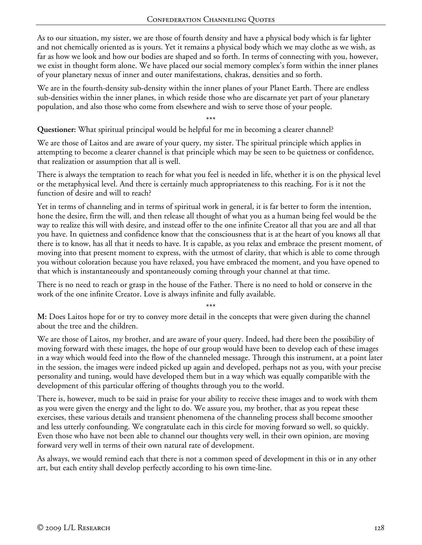As to our situation, my sister, we are those of fourth density and have a physical body which is far lighter and not chemically oriented as is yours. Yet it remains a physical body which we may clothe as we wish, as far as how we look and how our bodies are shaped and so forth. In terms of connecting with you, however, we exist in thought form alone. We have placed our social memory complex's form within the inner planes of your planetary nexus of inner and outer manifestations, chakras, densities and so forth.

We are in the fourth-density sub-density within the inner planes of your Planet Earth. There are endless sub-densities within the inner planes, in which reside those who are discarnate yet part of your planetary population, and also those who come from elsewhere and wish to serve those of your people.

\*\*\*

**Questioner:** What spiritual principal would be helpful for me in becoming a clearer channel?

We are those of Laitos and are aware of your query, my sister. The spiritual principle which applies in attempting to become a clearer channel is that principle which may be seen to be quietness or confidence, that realization or assumption that all is well.

There is always the temptation to reach for what you feel is needed in life, whether it is on the physical level or the metaphysical level. And there is certainly much appropriateness to this reaching. For is it not the function of desire and will to reach?

Yet in terms of channeling and in terms of spiritual work in general, it is far better to form the intention, hone the desire, firm the will, and then release all thought of what you as a human being feel would be the way to realize this will with desire, and instead offer to the one infinite Creator all that you are and all that you have. In quietness and confidence know that the consciousness that is at the heart of you knows all that there is to know, has all that it needs to have. It is capable, as you relax and embrace the present moment, of moving into that present moment to express, with the utmost of clarity, that which is able to come through you without coloration because you have relaxed, you have embraced the moment, and you have opened to that which is instantaneously and spontaneously coming through your channel at that time.

There is no need to reach or grasp in the house of the Father. There is no need to hold or conserve in the work of the one infinite Creator. Love is always infinite and fully available.

\*\*\*

**M:** Does Laitos hope for or try to convey more detail in the concepts that were given during the channel about the tree and the children.

We are those of Laitos, my brother, and are aware of your query. Indeed, had there been the possibility of moving forward with these images, the hope of our group would have been to develop each of these images in a way which would feed into the flow of the channeled message. Through this instrument, at a point later in the session, the images were indeed picked up again and developed, perhaps not as you, with your precise personality and tuning, would have developed them but in a way which was equally compatible with the development of this particular offering of thoughts through you to the world.

There is, however, much to be said in praise for your ability to receive these images and to work with them as you were given the energy and the light to do. We assure you, my brother, that as you repeat these exercises, these various details and transient phenomena of the channeling process shall become smoother and less utterly confounding. We congratulate each in this circle for moving forward so well, so quickly. Even those who have not been able to channel our thoughts very well, in their own opinion, are moving forward very well in terms of their own natural rate of development.

As always, we would remind each that there is not a common speed of development in this or in any other art, but each entity shall develop perfectly according to his own time-line.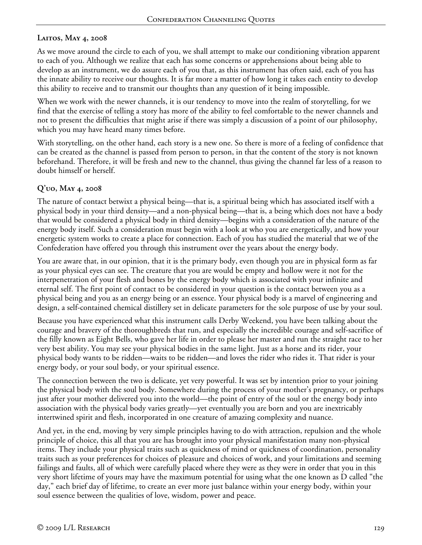# **Laitos, May 4, 2008**

As we move around the circle to each of you, we shall attempt to make our conditioning vibration apparent to each of you. Although we realize that each has some concerns or apprehensions about being able to develop as an instrument, we do assure each of you that, as this instrument has often said, each of you has the innate ability to receive our thoughts. It is far more a matter of how long it takes each entity to develop this ability to receive and to transmit our thoughts than any question of it being impossible.

When we work with the newer channels, it is our tendency to move into the realm of storytelling, for we find that the exercise of telling a story has more of the ability to feel comfortable to the newer channels and not to present the difficulties that might arise if there was simply a discussion of a point of our philosophy, which you may have heard many times before.

With storytelling, on the other hand, each story is a new one. So there is more of a feeling of confidence that can be created as the channel is passed from person to person, in that the content of the story is not known beforehand. Therefore, it will be fresh and new to the channel, thus giving the channel far less of a reason to doubt himself or herself.

### **Q'uo, May 4, 2008**

The nature of contact betwixt a physical being—that is, a spiritual being which has associated itself with a physical body in your third density—and a non-physical being—that is, a being which does not have a body that would be considered a physical body in third density—begins with a consideration of the nature of the energy body itself. Such a consideration must begin with a look at who you are energetically, and how your energetic system works to create a place for connection. Each of you has studied the material that we of the Confederation have offered you through this instrument over the years about the energy body.

You are aware that, in our opinion, that it is the primary body, even though you are in physical form as far as your physical eyes can see. The creature that you are would be empty and hollow were it not for the interpenetration of your flesh and bones by the energy body which is associated with your infinite and eternal self. The first point of contact to be considered in your question is the contact between you as a physical being and you as an energy being or an essence. Your physical body is a marvel of engineering and design, a self-contained chemical distillery set in delicate parameters for the sole purpose of use by your soul.

Because you have experienced what this instrument calls Derby Weekend, you have been talking about the courage and bravery of the thoroughbreds that run, and especially the incredible courage and self-sacrifice of the filly known as Eight Bells, who gave her life in order to please her master and run the straight race to her very best ability. You may see your physical bodies in the same light. Just as a horse and its rider, your physical body wants to be ridden—waits to be ridden—and loves the rider who rides it. That rider is your energy body, or your soul body, or your spiritual essence.

The connection between the two is delicate, yet very powerful. It was set by intention prior to your joining the physical body with the soul body. Somewhere during the process of your mother's pregnancy, or perhaps just after your mother delivered you into the world—the point of entry of the soul or the energy body into association with the physical body varies greatly—yet eventually you are born and you are inextricably intertwined spirit and flesh, incorporated in one creature of amazing complexity and nuance.

And yet, in the end, moving by very simple principles having to do with attraction, repulsion and the whole principle of choice, this all that you are has brought into your physical manifestation many non-physical items. They include your physical traits such as quickness of mind or quickness of coordination, personality traits such as your preferences for choices of pleasure and choices of work, and your limitations and seeming failings and faults, all of which were carefully placed where they were as they were in order that you in this very short lifetime of yours may have the maximum potential for using what the one known as D called "the day," each brief day of lifetime, to create an ever more just balance within your energy body, within your soul essence between the qualities of love, wisdom, power and peace.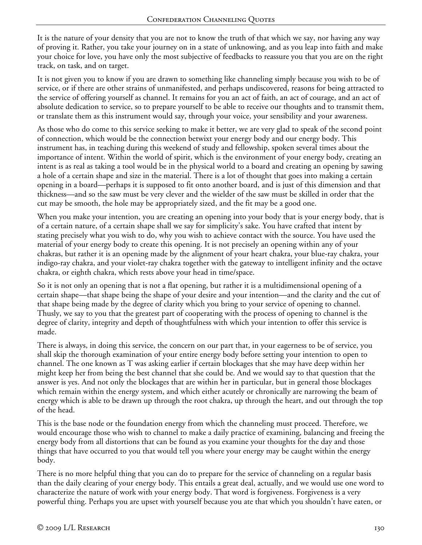It is the nature of your density that you are not to know the truth of that which we say, nor having any way of proving it. Rather, you take your journey on in a state of unknowing, and as you leap into faith and make your choice for love, you have only the most subjective of feedbacks to reassure you that you are on the right track, on task, and on target.

It is not given you to know if you are drawn to something like channeling simply because you wish to be of service, or if there are other strains of unmanifested, and perhaps undiscovered, reasons for being attracted to the service of offering yourself as channel. It remains for you an act of faith, an act of courage, and an act of absolute dedication to service, so to prepare yourself to be able to receive our thoughts and to transmit them, or translate them as this instrument would say, through your voice, your sensibility and your awareness.

As those who do come to this service seeking to make it better, we are very glad to speak of the second point of connection, which would be the connection betwixt your energy body and our energy body. This instrument has, in teaching during this weekend of study and fellowship, spoken several times about the importance of intent. Within the world of spirit, which is the environment of your energy body, creating an intent is as real as taking a tool would be in the physical world to a board and creating an opening by sawing a hole of a certain shape and size in the material. There is a lot of thought that goes into making a certain opening in a board—perhaps it is supposed to fit onto another board, and is just of this dimension and that thickness—and so the saw must be very clever and the wielder of the saw must be skilled in order that the cut may be smooth, the hole may be appropriately sized, and the fit may be a good one.

When you make your intention, you are creating an opening into your body that is your energy body, that is of a certain nature, of a certain shape shall we say for simplicity's sake. You have crafted that intent by stating precisely what you wish to do, why you wish to achieve contact with the source. You have used the material of your energy body to create this opening. It is not precisely an opening within any of your chakras, but rather it is an opening made by the alignment of your heart chakra, your blue-ray chakra, your indigo-ray chakra, and your violet-ray chakra together with the gateway to intelligent infinity and the octave chakra, or eighth chakra, which rests above your head in time/space.

So it is not only an opening that is not a flat opening, but rather it is a multidimensional opening of a certain shape—that shape being the shape of your desire and your intention—and the clarity and the cut of that shape being made by the degree of clarity which you bring to your service of opening to channel. Thusly, we say to you that the greatest part of cooperating with the process of opening to channel is the degree of clarity, integrity and depth of thoughtfulness with which your intention to offer this service is made.

There is always, in doing this service, the concern on our part that, in your eagerness to be of service, you shall skip the thorough examination of your entire energy body before setting your intention to open to channel. The one known as T was asking earlier if certain blockages that she may have deep within her might keep her from being the best channel that she could be. And we would say to that question that the answer is yes. And not only the blockages that are within her in particular, but in general those blockages which remain within the energy system, and which either acutely or chronically are narrowing the beam of energy which is able to be drawn up through the root chakra, up through the heart, and out through the top of the head.

This is the base node or the foundation energy from which the channeling must proceed. Therefore, we would encourage those who wish to channel to make a daily practice of examining, balancing and freeing the energy body from all distortions that can be found as you examine your thoughts for the day and those things that have occurred to you that would tell you where your energy may be caught within the energy body.

There is no more helpful thing that you can do to prepare for the service of channeling on a regular basis than the daily clearing of your energy body. This entails a great deal, actually, and we would use one word to characterize the nature of work with your energy body. That word is forgiveness. Forgiveness is a very powerful thing. Perhaps you are upset with yourself because you ate that which you shouldn't have eaten, or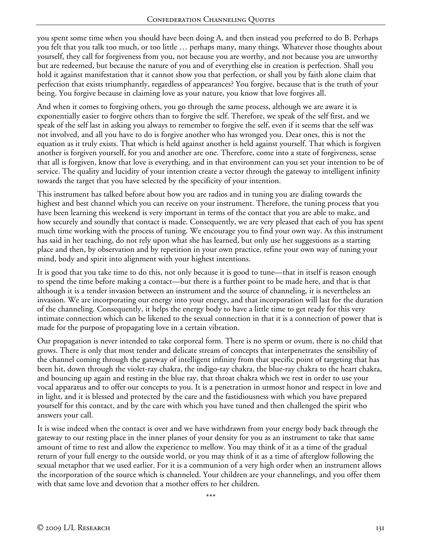you spent some time when you should have been doing A, and then instead you preferred to do B. Perhaps you felt that you talk too much, or too little … perhaps many, many things. Whatever those thoughts about yourself, they call for forgiveness from you, not because you are worthy, and not because you are unworthy but are redeemed, but because the nature of you and of everything else in creation is perfection. Shall you hold it against manifestation that it cannot show you that perfection, or shall you by faith alone claim that perfection that exists triumphantly, regardless of appearances? You forgive, because that is the truth of your being. You forgive because in claiming love as your nature, you know that love forgives all.

And when it comes to forgiving others, you go through the same process, although we are aware it is exponentially easier to forgive others than to forgive the self. Therefore, we speak of the self first, and we speak of the self last in asking you always to remember to forgive the self, even if it seems that the self was not involved, and all you have to do is forgive another who has wronged you. Dear ones, this is not the equation as it truly exists. That which is held against another is held against yourself. That which is forgiven another is forgiven yourself, for you and another are one. Therefore, come into a state of forgiveness, sense that all is forgiven, know that love is everything, and in that environment can you set your intention to be of service. The quality and lucidity of your intention create a vector through the gateway to intelligent infinity towards the target that you have selected by the specificity of your intention.

This instrument has talked before about how you are radios and in tuning you are dialing towards the highest and best channel which you can receive on your instrument. Therefore, the tuning process that you have been learning this weekend is very important in terms of the contact that you are able to make, and how securely and soundly that contact is made. Consequently, we are very pleased that each of you has spent much time working with the process of tuning. We encourage you to find your own way. As this instrument has said in her teaching, do not rely upon what she has learned, but only use her suggestions as a starting place and then, by observation and by repetition in your own practice, refine your own way of tuning your mind, body and spirit into alignment with your highest intentions.

It is good that you take time to do this, not only because it is good to tune—that in itself is reason enough to spend the time before making a contact—but there is a further point to be made here, and that is that although it is a tender invasion between an instrument and the source of channeling, it is nevertheless an invasion. We are incorporating our energy into your energy, and that incorporation will last for the duration of the channeling. Consequently, it helps the energy body to have a little time to get ready for this very intimate connection which can be likened to the sexual connection in that it is a connection of power that is made for the purpose of propagating love in a certain vibration.

Our propagation is never intended to take corporeal form. There is no sperm or ovum, there is no child that grows. There is only that most tender and delicate stream of concepts that interpenetrates the sensibility of the channel coming through the gateway of intelligent infinity from that specific point of targeting that has been hit, down through the violet-ray chakra, the indigo-ray chakra, the blue-ray chakra to the heart chakra, and bouncing up again and resting in the blue ray, that throat chakra which we rest in order to use your vocal apparatus and to offer our concepts to you. It is a penetration in utmost honor and respect in love and in light, and it is blessed and protected by the care and the fastidiousness with which you have prepared yourself for this contact, and by the care with which you have tuned and then challenged the spirit who answers your call.

It is wise indeed when the contact is over and we have withdrawn from your energy body back through the gateway to our resting place in the inner planes of your density for you as an instrument to take that same amount of time to rest and allow the experience to mellow. You may think of it as a time of the gradual return of your full energy to the outside world, or you may think of it as a time of afterglow following the sexual metaphor that we used earlier. For it is a communion of a very high order when an instrument allows the incorporation of the source which is channeled. Your children are your channelings, and you offer them with that same love and devotion that a mother offers to her children.

\*\*\*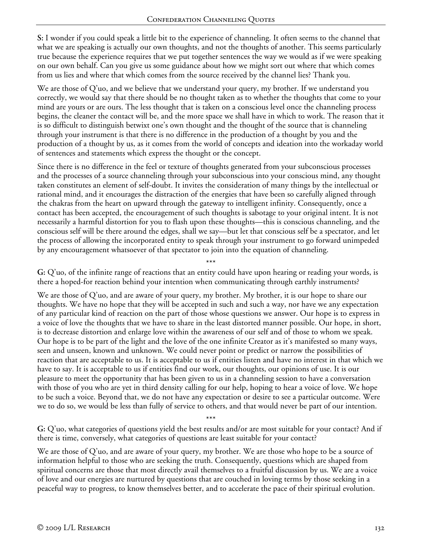**S:** I wonder if you could speak a little bit to the experience of channeling. It often seems to the channel that what we are speaking is actually our own thoughts, and not the thoughts of another. This seems particularly true because the experience requires that we put together sentences the way we would as if we were speaking on our own behalf. Can you give us some guidance about how we might sort out where that which comes from us lies and where that which comes from the source received by the channel lies? Thank you.

We are those of Q'uo, and we believe that we understand your query, my brother. If we understand you correctly, we would say that there should be no thought taken as to whether the thoughts that come to your mind are yours or are ours. The less thought that is taken on a conscious level once the channeling process begins, the cleaner the contact will be, and the more space we shall have in which to work. The reason that it is so difficult to distinguish betwixt one's own thought and the thought of the source that is channeling through your instrument is that there is no difference in the production of a thought by you and the production of a thought by us, as it comes from the world of concepts and ideation into the workaday world of sentences and statements which express the thought or the concept.

Since there is no difference in the feel or texture of thoughts generated from your subconscious processes and the processes of a source channeling through your subconscious into your conscious mind, any thought taken constitutes an element of self-doubt. It invites the consideration of many things by the intellectual or rational mind, and it encourages the distraction of the energies that have been so carefully aligned through the chakras from the heart on upward through the gateway to intelligent infinity. Consequently, once a contact has been accepted, the encouragement of such thoughts is sabotage to your original intent. It is not necessarily a harmful distortion for you to flash upon these thoughts—this is conscious channeling, and the conscious self will be there around the edges, shall we say—but let that conscious self be a spectator, and let the process of allowing the incorporated entity to speak through your instrument to go forward unimpeded by any encouragement whatsoever of that spectator to join into the equation of channeling.

\*\*\* **G:** Q'uo, of the infinite range of reactions that an entity could have upon hearing or reading your words, is there a hoped-for reaction behind your intention when communicating through earthly instruments?

We are those of Q'uo, and are aware of your query, my brother. My brother, it is our hope to share our thoughts. We have no hope that they will be accepted in such and such a way, nor have we any expectation of any particular kind of reaction on the part of those whose questions we answer. Our hope is to express in a voice of love the thoughts that we have to share in the least distorted manner possible. Our hope, in short, is to decrease distortion and enlarge love within the awareness of our self and of those to whom we speak. Our hope is to be part of the light and the love of the one infinite Creator as it's manifested so many ways, seen and unseen, known and unknown. We could never point or predict or narrow the possibilities of reaction that are acceptable to us. It is acceptable to us if entities listen and have no interest in that which we have to say. It is acceptable to us if entities find our work, our thoughts, our opinions of use. It is our pleasure to meet the opportunity that has been given to us in a channeling session to have a conversation with those of you who are yet in third density calling for our help, hoping to hear a voice of love. We hope to be such a voice. Beyond that, we do not have any expectation or desire to see a particular outcome. Were we to do so, we would be less than fully of service to others, and that would never be part of our intention.

\*\*\* **G:** Q'uo, what categories of questions yield the best results and/or are most suitable for your contact? And if there is time, conversely, what categories of questions are least suitable for your contact?

We are those of Q'uo, and are aware of your query, my brother. We are those who hope to be a source of information helpful to those who are seeking the truth. Consequently, questions which are shaped from spiritual concerns are those that most directly avail themselves to a fruitful discussion by us. We are a voice of love and our energies are nurtured by questions that are couched in loving terms by those seeking in a peaceful way to progress, to know themselves better, and to accelerate the pace of their spiritual evolution.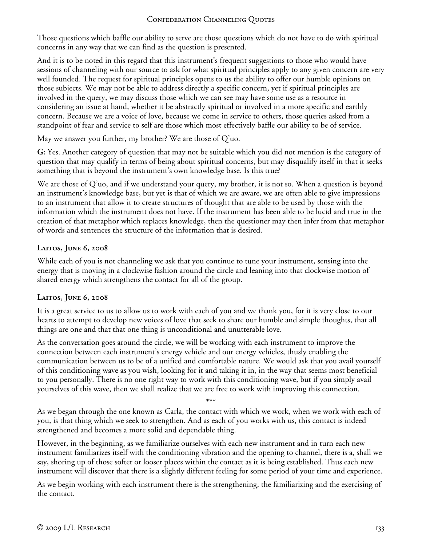Those questions which baffle our ability to serve are those questions which do not have to do with spiritual concerns in any way that we can find as the question is presented.

And it is to be noted in this regard that this instrument's frequent suggestions to those who would have sessions of channeling with our source to ask for what spiritual principles apply to any given concern are very well founded. The request for spiritual principles opens to us the ability to offer our humble opinions on those subjects. We may not be able to address directly a specific concern, yet if spiritual principles are involved in the query, we may discuss those which we can see may have some use as a resource in considering an issue at hand, whether it be abstractly spiritual or involved in a more specific and earthly concern. Because we are a voice of love, because we come in service to others, those queries asked from a standpoint of fear and service to self are those which most effectively baffle our ability to be of service.

May we answer you further, my brother? We are those of Q'uo.

**G:** Yes. Another category of question that may not be suitable which you did not mention is the category of question that may qualify in terms of being about spiritual concerns, but may disqualify itself in that it seeks something that is beyond the instrument's own knowledge base. Is this true?

We are those of Q'uo, and if we understand your query, my brother, it is not so. When a question is beyond an instrument's knowledge base, but yet is that of which we are aware, we are often able to give impressions to an instrument that allow it to create structures of thought that are able to be used by those with the information which the instrument does not have. If the instrument has been able to be lucid and true in the creation of that metaphor which replaces knowledge, then the questioner may then infer from that metaphor of words and sentences the structure of the information that is desired.

# **Laitos, June 6, 2008**

While each of you is not channeling we ask that you continue to tune your instrument, sensing into the energy that is moving in a clockwise fashion around the circle and leaning into that clockwise motion of shared energy which strengthens the contact for all of the group.

# **Laitos, June 6, 2008**

It is a great service to us to allow us to work with each of you and we thank you, for it is very close to our hearts to attempt to develop new voices of love that seek to share our humble and simple thoughts, that all things are one and that that one thing is unconditional and unutterable love.

As the conversation goes around the circle, we will be working with each instrument to improve the connection between each instrument's energy vehicle and our energy vehicles, thusly enabling the communication between us to be of a unified and comfortable nature. We would ask that you avail yourself of this conditioning wave as you wish, looking for it and taking it in, in the way that seems most beneficial to you personally. There is no one right way to work with this conditioning wave, but if you simply avail yourselves of this wave, then we shall realize that we are free to work with improving this connection.

\*\*\*

As we began through the one known as Carla, the contact with which we work, when we work with each of you, is that thing which we seek to strengthen. And as each of you works with us, this contact is indeed strengthened and becomes a more solid and dependable thing.

However, in the beginning, as we familiarize ourselves with each new instrument and in turn each new instrument familiarizes itself with the conditioning vibration and the opening to channel, there is a, shall we say, shoring up of those softer or looser places within the contact as it is being established. Thus each new instrument will discover that there is a slightly different feeling for some period of your time and experience.

As we begin working with each instrument there is the strengthening, the familiarizing and the exercising of the contact.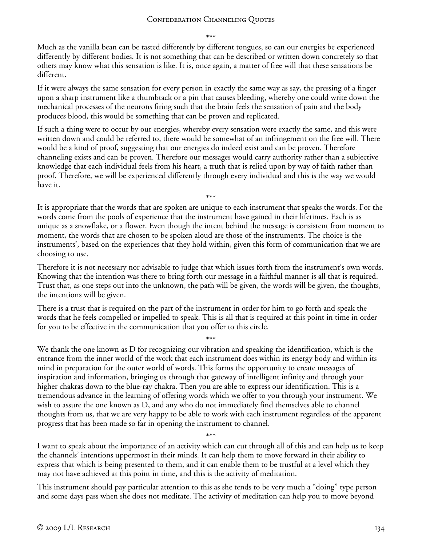\*\*\*

Much as the vanilla bean can be tasted differently by different tongues, so can our energies be experienced differently by different bodies. It is not something that can be described or written down concretely so that others may know what this sensation is like. It is, once again, a matter of free will that these sensations be different.

If it were always the same sensation for every person in exactly the same way as say, the pressing of a finger upon a sharp instrument like a thumbtack or a pin that causes bleeding, whereby one could write down the mechanical processes of the neurons firing such that the brain feels the sensation of pain and the body produces blood, this would be something that can be proven and replicated.

If such a thing were to occur by our energies, whereby every sensation were exactly the same, and this were written down and could be referred to, there would be somewhat of an infringement on the free will. There would be a kind of proof, suggesting that our energies do indeed exist and can be proven. Therefore channeling exists and can be proven. Therefore our messages would carry authority rather than a subjective knowledge that each individual feels from his heart, a truth that is relied upon by way of faith rather than proof. Therefore, we will be experienced differently through every individual and this is the way we would have it.

\*\*\* It is appropriate that the words that are spoken are unique to each instrument that speaks the words. For the words come from the pools of experience that the instrument have gained in their lifetimes. Each is as unique as a snowflake, or a flower. Even though the intent behind the message is consistent from moment to moment, the words that are chosen to be spoken aloud are those of the instruments. The choice is the instruments', based on the experiences that they hold within, given this form of communication that we are choosing to use.

Therefore it is not necessary nor advisable to judge that which issues forth from the instrument's own words. Knowing that the intention was there to bring forth our message in a faithful manner is all that is required. Trust that, as one steps out into the unknown, the path will be given, the words will be given, the thoughts, the intentions will be given.

There is a trust that is required on the part of the instrument in order for him to go forth and speak the words that he feels compelled or impelled to speak. This is all that is required at this point in time in order for you to be effective in the communication that you offer to this circle.

\*\*\*

We thank the one known as D for recognizing our vibration and speaking the identification, which is the entrance from the inner world of the work that each instrument does within its energy body and within its mind in preparation for the outer world of words. This forms the opportunity to create messages of inspiration and information, bringing us through that gateway of intelligent infinity and through your higher chakras down to the blue-ray chakra. Then you are able to express our identification. This is a tremendous advance in the learning of offering words which we offer to you through your instrument. We wish to assure the one known as D, and any who do not immediately find themselves able to channel thoughts from us, that we are very happy to be able to work with each instrument regardless of the apparent progress that has been made so far in opening the instrument to channel.

\*\*\*

I want to speak about the importance of an activity which can cut through all of this and can help us to keep the channels' intentions uppermost in their minds. It can help them to move forward in their ability to express that which is being presented to them, and it can enable them to be trustful at a level which they may not have achieved at this point in time, and this is the activity of meditation.

This instrument should pay particular attention to this as she tends to be very much a "doing" type person and some days pass when she does not meditate. The activity of meditation can help you to move beyond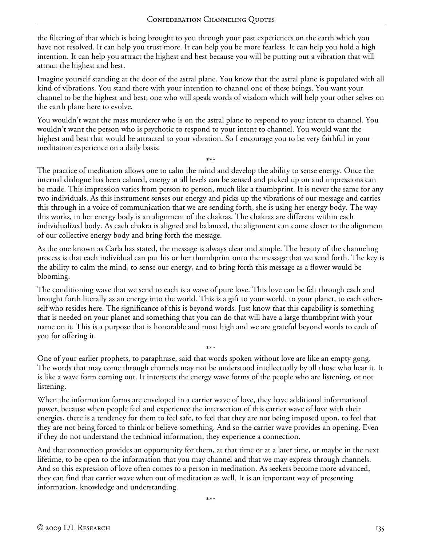the filtering of that which is being brought to you through your past experiences on the earth which you have not resolved. It can help you trust more. It can help you be more fearless. It can help you hold a high intention. It can help you attract the highest and best because you will be putting out a vibration that will attract the highest and best.

Imagine yourself standing at the door of the astral plane. You know that the astral plane is populated with all kind of vibrations. You stand there with your intention to channel one of these beings. You want your channel to be the highest and best; one who will speak words of wisdom which will help your other selves on the earth plane here to evolve.

You wouldn't want the mass murderer who is on the astral plane to respond to your intent to channel. You wouldn't want the person who is psychotic to respond to your intent to channel. You would want the highest and best that would be attracted to your vibration. So I encourage you to be very faithful in your meditation experience on a daily basis.

\*\*\*

The practice of meditation allows one to calm the mind and develop the ability to sense energy. Once the internal dialogue has been calmed, energy at all levels can be sensed and picked up on and impressions can be made. This impression varies from person to person, much like a thumbprint. It is never the same for any two individuals. As this instrument senses our energy and picks up the vibrations of our message and carries this through in a voice of communication that we are sending forth, she is using her energy body. The way this works, in her energy body is an alignment of the chakras. The chakras are different within each individualized body. As each chakra is aligned and balanced, the alignment can come closer to the alignment of our collective energy body and bring forth the message.

As the one known as Carla has stated, the message is always clear and simple. The beauty of the channeling process is that each individual can put his or her thumbprint onto the message that we send forth. The key is the ability to calm the mind, to sense our energy, and to bring forth this message as a flower would be blooming.

The conditioning wave that we send to each is a wave of pure love. This love can be felt through each and brought forth literally as an energy into the world. This is a gift to your world, to your planet, to each otherself who resides here. The significance of this is beyond words. Just know that this capability is something that is needed on your planet and something that you can do that will have a large thumbprint with your name on it. This is a purpose that is honorable and most high and we are grateful beyond words to each of you for offering it.

\*\*\* One of your earlier prophets, to paraphrase, said that words spoken without love are like an empty gong. The words that may come through channels may not be understood intellectually by all those who hear it. It is like a wave form coming out. It intersects the energy wave forms of the people who are listening, or not listening.

When the information forms are enveloped in a carrier wave of love, they have additional informational power, because when people feel and experience the intersection of this carrier wave of love with their energies, there is a tendency for them to feel safe, to feel that they are not being imposed upon, to feel that they are not being forced to think or believe something. And so the carrier wave provides an opening. Even if they do not understand the technical information, they experience a connection.

And that connection provides an opportunity for them, at that time or at a later time, or maybe in the next lifetime, to be open to the information that you may channel and that we may express through channels. And so this expression of love often comes to a person in meditation. As seekers become more advanced, they can find that carrier wave when out of meditation as well. It is an important way of presenting information, knowledge and understanding.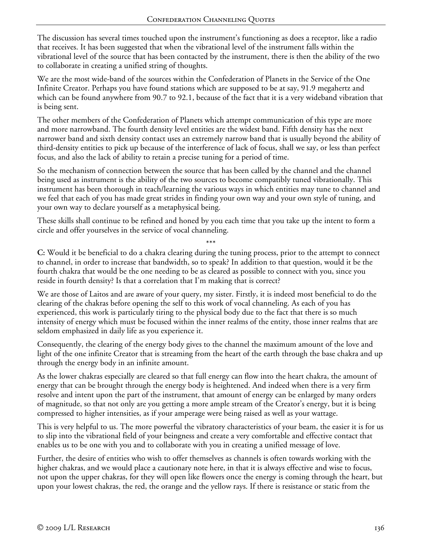The discussion has several times touched upon the instrument's functioning as does a receptor, like a radio that receives. It has been suggested that when the vibrational level of the instrument falls within the vibrational level of the source that has been contacted by the instrument, there is then the ability of the two to collaborate in creating a unified string of thoughts.

We are the most wide-band of the sources within the Confederation of Planets in the Service of the One Infinite Creator. Perhaps you have found stations which are supposed to be at say, 91.9 megahertz and which can be found anywhere from 90.7 to 92.1, because of the fact that it is a very wideband vibration that is being sent.

The other members of the Confederation of Planets which attempt communication of this type are more and more narrowband. The fourth density level entities are the widest band. Fifth density has the next narrower band and sixth density contact uses an extremely narrow band that is usually beyond the ability of third-density entities to pick up because of the interference of lack of focus, shall we say, or less than perfect focus, and also the lack of ability to retain a precise tuning for a period of time.

So the mechanism of connection between the source that has been called by the channel and the channel being used as instrument is the ability of the two sources to become compatibly tuned vibrationally. This instrument has been thorough in teach/learning the various ways in which entities may tune to channel and we feel that each of you has made great strides in finding your own way and your own style of tuning, and your own way to declare yourself as a metaphysical being.

These skills shall continue to be refined and honed by you each time that you take up the intent to form a circle and offer yourselves in the service of vocal channeling.

\*\*\* **C:** Would it be beneficial to do a chakra clearing during the tuning process, prior to the attempt to connect to channel, in order to increase that bandwidth, so to speak? In addition to that question, would it be the fourth chakra that would be the one needing to be as cleared as possible to connect with you, since you reside in fourth density? Is that a correlation that I'm making that is correct?

We are those of Laitos and are aware of your query, my sister. Firstly, it is indeed most beneficial to do the clearing of the chakras before opening the self to this work of vocal channeling. As each of you has experienced, this work is particularly tiring to the physical body due to the fact that there is so much intensity of energy which must be focused within the inner realms of the entity, those inner realms that are seldom emphasized in daily life as you experience it.

Consequently, the clearing of the energy body gives to the channel the maximum amount of the love and light of the one infinite Creator that is streaming from the heart of the earth through the base chakra and up through the energy body in an infinite amount.

As the lower chakras especially are cleared so that full energy can flow into the heart chakra, the amount of energy that can be brought through the energy body is heightened. And indeed when there is a very firm resolve and intent upon the part of the instrument, that amount of energy can be enlarged by many orders of magnitude, so that not only are you getting a more ample stream of the Creator's energy, but it is being compressed to higher intensities, as if your amperage were being raised as well as your wattage.

This is very helpful to us. The more powerful the vibratory characteristics of your beam, the easier it is for us to slip into the vibrational field of your beingness and create a very comfortable and effective contact that enables us to be one with you and to collaborate with you in creating a unified message of love.

Further, the desire of entities who wish to offer themselves as channels is often towards working with the higher chakras, and we would place a cautionary note here, in that it is always effective and wise to focus, not upon the upper chakras, for they will open like flowers once the energy is coming through the heart, but upon your lowest chakras, the red, the orange and the yellow rays. If there is resistance or static from the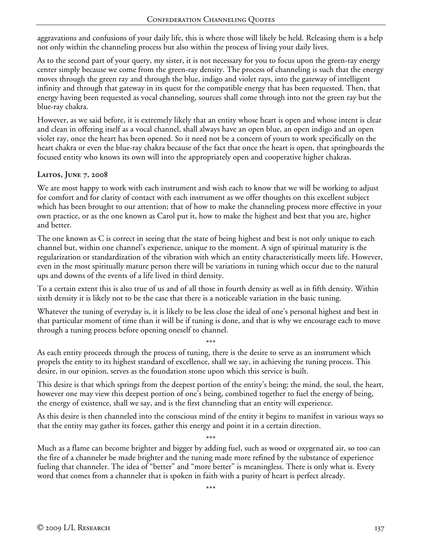aggravations and confusions of your daily life, this is where those will likely be held. Releasing them is a help not only within the channeling process but also within the process of living your daily lives.

As to the second part of your query, my sister, it is not necessary for you to focus upon the green-ray energy center simply because we come from the green-ray density. The process of channeling is such that the energy moves through the green ray and through the blue, indigo and violet rays, into the gateway of intelligent infinity and through that gateway in its quest for the compatible energy that has been requested. Then, that energy having been requested as vocal channeling, sources shall come through into not the green ray but the blue-ray chakra.

However, as we said before, it is extremely likely that an entity whose heart is open and whose intent is clear and clean in offering itself as a vocal channel, shall always have an open blue, an open indigo and an open violet ray, once the heart has been opened. So it need not be a concern of yours to work specifically on the heart chakra or even the blue-ray chakra because of the fact that once the heart is open, that springboards the focused entity who knows its own will into the appropriately open and cooperative higher chakras.

### **Laitos, June 7, 2008**

We are most happy to work with each instrument and wish each to know that we will be working to adjust for comfort and for clarity of contact with each instrument as we offer thoughts on this excellent subject which has been brought to our attention; that of how to make the channeling process more effective in your own practice, or as the one known as Carol put it, how to make the highest and best that you are, higher and better.

The one known as C is correct in seeing that the state of being highest and best is not only unique to each channel but, within one channel's experience, unique to the moment. A sign of spiritual maturity is the regularization or standardization of the vibration with which an entity characteristically meets life. However, even in the most spiritually mature person there will be variations in tuning which occur due to the natural ups and downs of the events of a life lived in third density.

To a certain extent this is also true of us and of all those in fourth density as well as in fifth density. Within sixth density it is likely not to be the case that there is a noticeable variation in the basic tuning.

Whatever the tuning of everyday is, it is likely to be less close the ideal of one's personal highest and best in that particular moment of time than it will be if tuning is done, and that is why we encourage each to move through a tuning process before opening oneself to channel.

\*\*\* As each entity proceeds through the process of tuning, there is the desire to serve as an instrument which propels the entity to its highest standard of excellence, shall we say, in achieving the tuning process. This desire, in our opinion, serves as the foundation stone upon which this service is built.

This desire is that which springs from the deepest portion of the entity's being; the mind, the soul, the heart, however one may view this deepest portion of one's being, combined together to fuel the energy of being, the energy of existence, shall we say, and is the first channeling that an entity will experience.

As this desire is then channeled into the conscious mind of the entity it begins to manifest in various ways so that the entity may gather its forces, gather this energy and point it in a certain direction.

\*\*\* Much as a flame can become brighter and bigger by adding fuel, such as wood or oxygenated air, so too can the fire of a channeler be made brighter and the tuning made more refined by the substance of experience fueling that channeler. The idea of "better" and "more better" is meaningless. There is only what is. Every word that comes from a channeler that is spoken in faith with a purity of heart is perfect already.

\*\*\*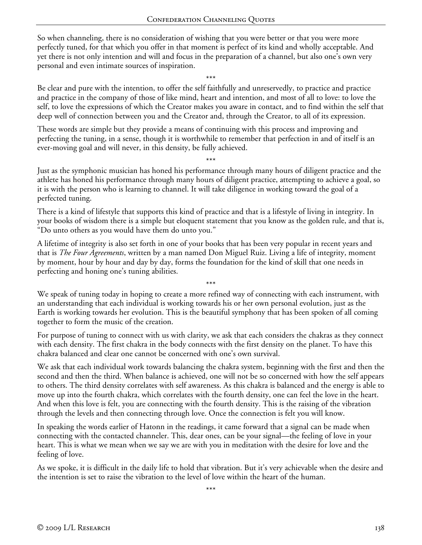So when channeling, there is no consideration of wishing that you were better or that you were more perfectly tuned, for that which you offer in that moment is perfect of its kind and wholly acceptable. And yet there is not only intention and will and focus in the preparation of a channel, but also one's own very personal and even intimate sources of inspiration.

\*\*\*

Be clear and pure with the intention, to offer the self faithfully and unreservedly, to practice and practice and practice in the company of those of like mind, heart and intention, and most of all to love: to love the self, to love the expressions of which the Creator makes you aware in contact, and to find within the self that deep well of connection between you and the Creator and, through the Creator, to all of its expression.

These words are simple but they provide a means of continuing with this process and improving and perfecting the tuning, in a sense, though it is worthwhile to remember that perfection in and of itself is an ever-moving goal and will never, in this density, be fully achieved.

\*\*\*

Just as the symphonic musician has honed his performance through many hours of diligent practice and the athlete has honed his performance through many hours of diligent practice, attempting to achieve a goal, so it is with the person who is learning to channel. It will take diligence in working toward the goal of a perfected tuning.

There is a kind of lifestyle that supports this kind of practice and that is a lifestyle of living in integrity. In your books of wisdom there is a simple but eloquent statement that you know as the golden rule, and that is, "Do unto others as you would have them do unto you."

A lifetime of integrity is also set forth in one of your books that has been very popular in recent years and that is *The Four Agreements*, written by a man named Don Miguel Ruiz. Living a life of integrity, moment by moment, hour by hour and day by day, forms the foundation for the kind of skill that one needs in perfecting and honing one's tuning abilities.

\*\*\* We speak of tuning today in hoping to create a more refined way of connecting with each instrument, with an understanding that each individual is working towards his or her own personal evolution, just as the Earth is working towards her evolution. This is the beautiful symphony that has been spoken of all coming together to form the music of the creation.

For purpose of tuning to connect with us with clarity, we ask that each considers the chakras as they connect with each density. The first chakra in the body connects with the first density on the planet. To have this chakra balanced and clear one cannot be concerned with one's own survival.

We ask that each individual work towards balancing the chakra system, beginning with the first and then the second and then the third. When balance is achieved, one will not be so concerned with how the self appears to others. The third density correlates with self awareness. As this chakra is balanced and the energy is able to move up into the fourth chakra, which correlates with the fourth density, one can feel the love in the heart. And when this love is felt, you are connecting with the fourth density. This is the raising of the vibration through the levels and then connecting through love. Once the connection is felt you will know.

In speaking the words earlier of Hatonn in the readings, it came forward that a signal can be made when connecting with the contacted channeler. This, dear ones, can be your signal—the feeling of love in your heart. This is what we mean when we say we are with you in meditation with the desire for love and the feeling of love.

As we spoke, it is difficult in the daily life to hold that vibration. But it's very achievable when the desire and the intention is set to raise the vibration to the level of love within the heart of the human.

\*\*\*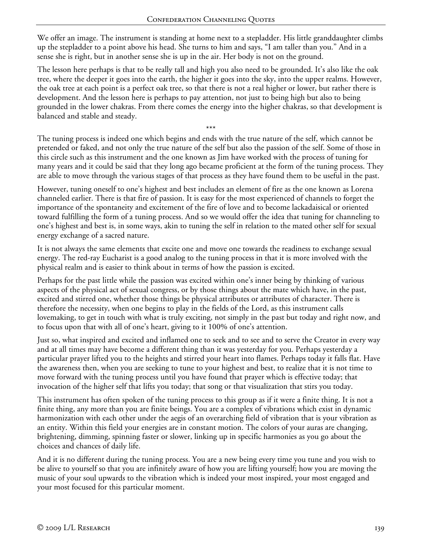We offer an image. The instrument is standing at home next to a stepladder. His little granddaughter climbs up the stepladder to a point above his head. She turns to him and says, "I am taller than you." And in a sense she is right, but in another sense she is up in the air. Her body is not on the ground.

The lesson here perhaps is that to be really tall and high you also need to be grounded. It's also like the oak tree, where the deeper it goes into the earth, the higher it goes into the sky, into the upper realms. However, the oak tree at each point is a perfect oak tree, so that there is not a real higher or lower, but rather there is development. And the lesson here is perhaps to pay attention, not just to being high but also to being grounded in the lower chakras. From there comes the energy into the higher chakras, so that development is balanced and stable and steady.

\*\*\* The tuning process is indeed one which begins and ends with the true nature of the self, which cannot be pretended or faked, and not only the true nature of the self but also the passion of the self. Some of those in this circle such as this instrument and the one known as Jim have worked with the process of tuning for many years and it could be said that they long ago became proficient at the form of the tuning process. They are able to move through the various stages of that process as they have found them to be useful in the past.

However, tuning oneself to one's highest and best includes an element of fire as the one known as Lorena channeled earlier. There is that fire of passion. It is easy for the most experienced of channels to forget the importance of the spontaneity and excitement of the fire of love and to become lackadaisical or oriented toward fulfilling the form of a tuning process. And so we would offer the idea that tuning for channeling to one's highest and best is, in some ways, akin to tuning the self in relation to the mated other self for sexual energy exchange of a sacred nature.

It is not always the same elements that excite one and move one towards the readiness to exchange sexual energy. The red-ray Eucharist is a good analog to the tuning process in that it is more involved with the physical realm and is easier to think about in terms of how the passion is excited.

Perhaps for the past little while the passion was excited within one's inner being by thinking of various aspects of the physical act of sexual congress, or by those things about the mate which have, in the past, excited and stirred one, whether those things be physical attributes or attributes of character. There is therefore the necessity, when one begins to play in the fields of the Lord, as this instrument calls lovemaking, to get in touch with what is truly exciting, not simply in the past but today and right now, and to focus upon that with all of one's heart, giving to it 100% of one's attention.

Just so, what inspired and excited and inflamed one to seek and to see and to serve the Creator in every way and at all times may have become a different thing than it was yesterday for you. Perhaps yesterday a particular prayer lifted you to the heights and stirred your heart into flames. Perhaps today it falls flat. Have the awareness then, when you are seeking to tune to your highest and best, to realize that it is not time to move forward with the tuning process until you have found that prayer which is effective today; that invocation of the higher self that lifts you today; that song or that visualization that stirs you today.

This instrument has often spoken of the tuning process to this group as if it were a finite thing. It is not a finite thing, any more than you are finite beings. You are a complex of vibrations which exist in dynamic harmonization with each other under the aegis of an overarching field of vibration that is your vibration as an entity. Within this field your energies are in constant motion. The colors of your auras are changing, brightening, dimming, spinning faster or slower, linking up in specific harmonies as you go about the choices and chances of daily life.

And it is no different during the tuning process. You are a new being every time you tune and you wish to be alive to yourself so that you are infinitely aware of how you are lifting yourself; how you are moving the music of your soul upwards to the vibration which is indeed your most inspired, your most engaged and your most focused for this particular moment.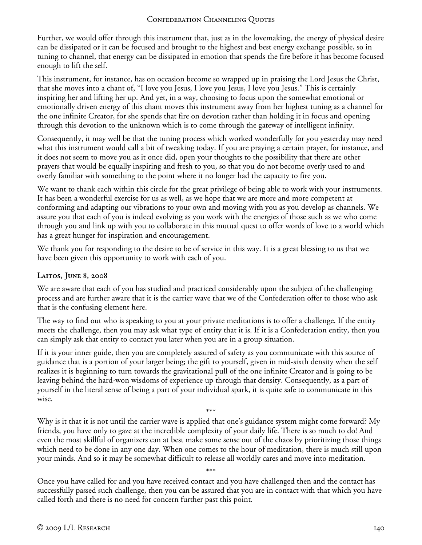Further, we would offer through this instrument that, just as in the lovemaking, the energy of physical desire can be dissipated or it can be focused and brought to the highest and best energy exchange possible, so in tuning to channel, that energy can be dissipated in emotion that spends the fire before it has become focused enough to lift the self.

This instrument, for instance, has on occasion become so wrapped up in praising the Lord Jesus the Christ, that she moves into a chant of, "I love you Jesus, I love you Jesus, I love you Jesus." This is certainly inspiring her and lifting her up. And yet, in a way, choosing to focus upon the somewhat emotional or emotionally driven energy of this chant moves this instrument away from her highest tuning as a channel for the one infinite Creator, for she spends that fire on devotion rather than holding it in focus and opening through this devotion to the unknown which is to come through the gateway of intelligent infinity.

Consequently, it may well be that the tuning process which worked wonderfully for you yesterday may need what this instrument would call a bit of tweaking today. If you are praying a certain prayer, for instance, and it does not seem to move you as it once did, open your thoughts to the possibility that there are other prayers that would be equally inspiring and fresh to you, so that you do not become overly used to and overly familiar with something to the point where it no longer had the capacity to fire you.

We want to thank each within this circle for the great privilege of being able to work with your instruments. It has been a wonderful exercise for us as well, as we hope that we are more and more competent at conforming and adapting our vibrations to your own and moving with you as you develop as channels. We assure you that each of you is indeed evolving as you work with the energies of those such as we who come through you and link up with you to collaborate in this mutual quest to offer words of love to a world which has a great hunger for inspiration and encouragement.

We thank you for responding to the desire to be of service in this way. It is a great blessing to us that we have been given this opportunity to work with each of you.

#### **Laitos, June 8, 2008**

We are aware that each of you has studied and practiced considerably upon the subject of the challenging process and are further aware that it is the carrier wave that we of the Confederation offer to those who ask that is the confusing element here.

The way to find out who is speaking to you at your private meditations is to offer a challenge. If the entity meets the challenge, then you may ask what type of entity that it is. If it is a Confederation entity, then you can simply ask that entity to contact you later when you are in a group situation.

If it is your inner guide, then you are completely assured of safety as you communicate with this source of guidance that is a portion of your larger being; the gift to yourself, given in mid-sixth density when the self realizes it is beginning to turn towards the gravitational pull of the one infinite Creator and is going to be leaving behind the hard-won wisdoms of experience up through that density. Consequently, as a part of yourself in the literal sense of being a part of your individual spark, it is quite safe to communicate in this wise.

\*\*\* Why is it that it is not until the carrier wave is applied that one's guidance system might come forward? My friends, you have only to gaze at the incredible complexity of your daily life. There is so much to do! And even the most skillful of organizers can at best make some sense out of the chaos by prioritizing those things which need to be done in any one day. When one comes to the hour of meditation, there is much still upon your minds. And so it may be somewhat difficult to release all worldly cares and move into meditation.

Once you have called for and you have received contact and you have challenged then and the contact has successfully passed such challenge, then you can be assured that you are in contact with that which you have called forth and there is no need for concern further past this point.

\*\*\*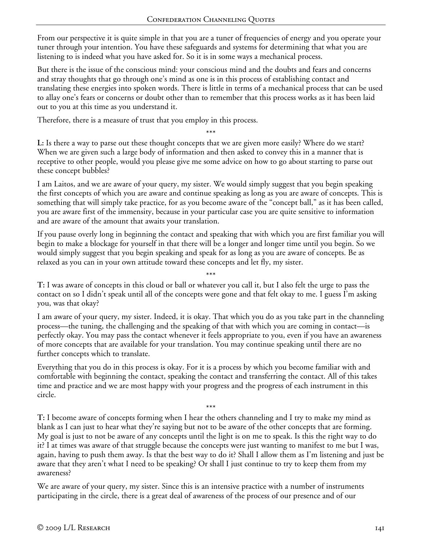From our perspective it is quite simple in that you are a tuner of frequencies of energy and you operate your tuner through your intention. You have these safeguards and systems for determining that what you are listening to is indeed what you have asked for. So it is in some ways a mechanical process.

But there is the issue of the conscious mind: your conscious mind and the doubts and fears and concerns and stray thoughts that go through one's mind as one is in this process of establishing contact and translating these energies into spoken words. There is little in terms of a mechanical process that can be used to allay one's fears or concerns or doubt other than to remember that this process works as it has been laid out to you at this time as you understand it.

\*\*\*

Therefore, there is a measure of trust that you employ in this process.

**L:** Is there a way to parse out these thought concepts that we are given more easily? Where do we start? When we are given such a large body of information and then asked to convey this in a manner that is receptive to other people, would you please give me some advice on how to go about starting to parse out these concept bubbles?

I am Laitos, and we are aware of your query, my sister. We would simply suggest that you begin speaking the first concepts of which you are aware and continue speaking as long as you are aware of concepts. This is something that will simply take practice, for as you become aware of the "concept ball," as it has been called, you are aware first of the immensity, because in your particular case you are quite sensitive to information and are aware of the amount that awaits your translation.

If you pause overly long in beginning the contact and speaking that with which you are first familiar you will begin to make a blockage for yourself in that there will be a longer and longer time until you begin. So we would simply suggest that you begin speaking and speak for as long as you are aware of concepts. Be as relaxed as you can in your own attitude toward these concepts and let fly, my sister.

\*\*\* **T:** I was aware of concepts in this cloud or ball or whatever you call it, but I also felt the urge to pass the contact on so I didn't speak until all of the concepts were gone and that felt okay to me. I guess I'm asking you, was that okay?

I am aware of your query, my sister. Indeed, it is okay. That which you do as you take part in the channeling process—the tuning, the challenging and the speaking of that with which you are coming in contact—is perfectly okay. You may pass the contact whenever it feels appropriate to you, even if you have an awareness of more concepts that are available for your translation. You may continue speaking until there are no further concepts which to translate.

Everything that you do in this process is okay. For it is a process by which you become familiar with and comfortable with beginning the contact, speaking the contact and transferring the contact. All of this takes time and practice and we are most happy with your progress and the progress of each instrument in this circle.

\*\*\* **T:** I become aware of concepts forming when I hear the others channeling and I try to make my mind as blank as I can just to hear what they're saying but not to be aware of the other concepts that are forming. My goal is just to not be aware of any concepts until the light is on me to speak. Is this the right way to do it? I at times was aware of that struggle because the concepts were just wanting to manifest to me but I was, again, having to push them away. Is that the best way to do it? Shall I allow them as I'm listening and just be aware that they aren't what I need to be speaking? Or shall I just continue to try to keep them from my awareness?

We are aware of your query, my sister. Since this is an intensive practice with a number of instruments participating in the circle, there is a great deal of awareness of the process of our presence and of our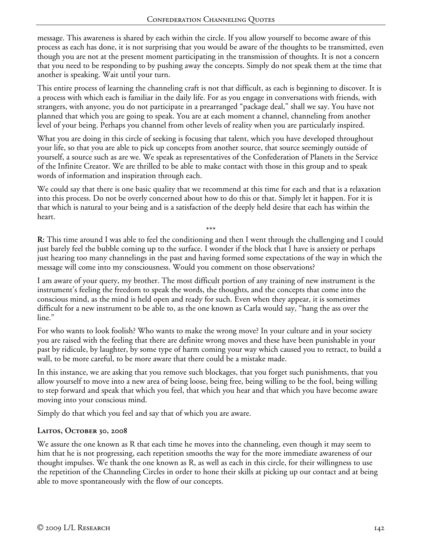message. This awareness is shared by each within the circle. If you allow yourself to become aware of this process as each has done, it is not surprising that you would be aware of the thoughts to be transmitted, even though you are not at the present moment participating in the transmission of thoughts. It is not a concern that you need to be responding to by pushing away the concepts. Simply do not speak them at the time that another is speaking. Wait until your turn.

This entire process of learning the channeling craft is not that difficult, as each is beginning to discover. It is a process with which each is familiar in the daily life. For as you engage in conversations with friends, with strangers, with anyone, you do not participate in a prearranged "package deal," shall we say. You have not planned that which you are going to speak. You are at each moment a channel, channeling from another level of your being. Perhaps you channel from other levels of reality when you are particularly inspired.

What you are doing in this circle of seeking is focusing that talent, which you have developed throughout your life, so that you are able to pick up concepts from another source, that source seemingly outside of yourself, a source such as are we. We speak as representatives of the Confederation of Planets in the Service of the Infinite Creator. We are thrilled to be able to make contact with those in this group and to speak words of information and inspiration through each.

We could say that there is one basic quality that we recommend at this time for each and that is a relaxation into this process. Do not be overly concerned about how to do this or that. Simply let it happen. For it is that which is natural to your being and is a satisfaction of the deeply held desire that each has within the heart.

\*\*\* **R:** This time around I was able to feel the conditioning and then I went through the challenging and I could just barely feel the bubble coming up to the surface. I wonder if the block that I have is anxiety or perhaps just hearing too many channelings in the past and having formed some expectations of the way in which the message will come into my consciousness. Would you comment on those observations?

I am aware of your query, my brother. The most difficult portion of any training of new instrument is the instrument's feeling the freedom to speak the words, the thoughts, and the concepts that come into the conscious mind, as the mind is held open and ready for such. Even when they appear, it is sometimes difficult for a new instrument to be able to, as the one known as Carla would say, "hang the ass over the line."

For who wants to look foolish? Who wants to make the wrong move? In your culture and in your society you are raised with the feeling that there are definite wrong moves and these have been punishable in your past by ridicule, by laughter, by some type of harm coming your way which caused you to retract, to build a wall, to be more careful, to be more aware that there could be a mistake made.

In this instance, we are asking that you remove such blockages, that you forget such punishments, that you allow yourself to move into a new area of being loose, being free, being willing to be the fool, being willing to step forward and speak that which you feel, that which you hear and that which you have become aware moving into your conscious mind.

Simply do that which you feel and say that of which you are aware.

# **Laitos, October 30, 2008**

We assure the one known as R that each time he moves into the channeling, even though it may seem to him that he is not progressing, each repetition smooths the way for the more immediate awareness of our thought impulses. We thank the one known as R, as well as each in this circle, for their willingness to use the repetition of the Channeling Circles in order to hone their skills at picking up our contact and at being able to move spontaneously with the flow of our concepts.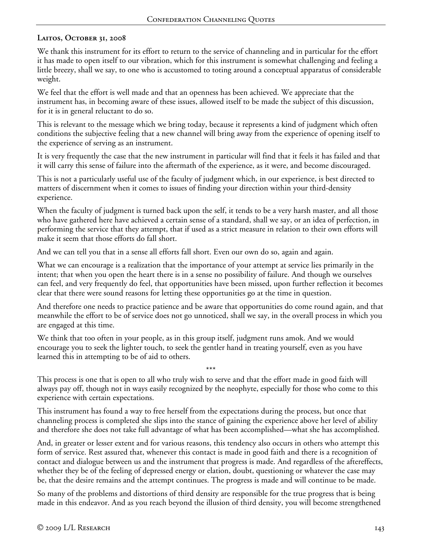# **Laitos, October 31, 2008**

We thank this instrument for its effort to return to the service of channeling and in particular for the effort it has made to open itself to our vibration, which for this instrument is somewhat challenging and feeling a little breezy, shall we say, to one who is accustomed to toting around a conceptual apparatus of considerable weight.

We feel that the effort is well made and that an openness has been achieved. We appreciate that the instrument has, in becoming aware of these issues, allowed itself to be made the subject of this discussion, for it is in general reluctant to do so.

This is relevant to the message which we bring today, because it represents a kind of judgment which often conditions the subjective feeling that a new channel will bring away from the experience of opening itself to the experience of serving as an instrument.

It is very frequently the case that the new instrument in particular will find that it feels it has failed and that it will carry this sense of failure into the aftermath of the experience, as it were, and become discouraged.

This is not a particularly useful use of the faculty of judgment which, in our experience, is best directed to matters of discernment when it comes to issues of finding your direction within your third-density experience.

When the faculty of judgment is turned back upon the self, it tends to be a very harsh master, and all those who have gathered here have achieved a certain sense of a standard, shall we say, or an idea of perfection, in performing the service that they attempt, that if used as a strict measure in relation to their own efforts will make it seem that those efforts do fall short.

And we can tell you that in a sense all efforts fall short. Even our own do so, again and again.

What we can encourage is a realization that the importance of your attempt at service lies primarily in the intent; that when you open the heart there is in a sense no possibility of failure. And though we ourselves can feel, and very frequently do feel, that opportunities have been missed, upon further reflection it becomes clear that there were sound reasons for letting these opportunities go at the time in question.

And therefore one needs to practice patience and be aware that opportunities do come round again, and that meanwhile the effort to be of service does not go unnoticed, shall we say, in the overall process in which you are engaged at this time.

We think that too often in your people, as in this group itself, judgment runs amok. And we would encourage you to seek the lighter touch, to seek the gentler hand in treating yourself, even as you have learned this in attempting to be of aid to others.

\*\*\* This process is one that is open to all who truly wish to serve and that the effort made in good faith will always pay off, though not in ways easily recognized by the neophyte, especially for those who come to this experience with certain expectations.

This instrument has found a way to free herself from the expectations during the process, but once that channeling process is completed she slips into the stance of gaining the experience above her level of ability and therefore she does not take full advantage of what has been accomplished—what she has accomplished.

And, in greater or lesser extent and for various reasons, this tendency also occurs in others who attempt this form of service. Rest assured that, whenever this contact is made in good faith and there is a recognition of contact and dialogue between us and the instrument that progress is made. And regardless of the aftereffects, whether they be of the feeling of depressed energy or elation, doubt, questioning or whatever the case may be, that the desire remains and the attempt continues. The progress is made and will continue to be made.

So many of the problems and distortions of third density are responsible for the true progress that is being made in this endeavor. And as you reach beyond the illusion of third density, you will become strengthened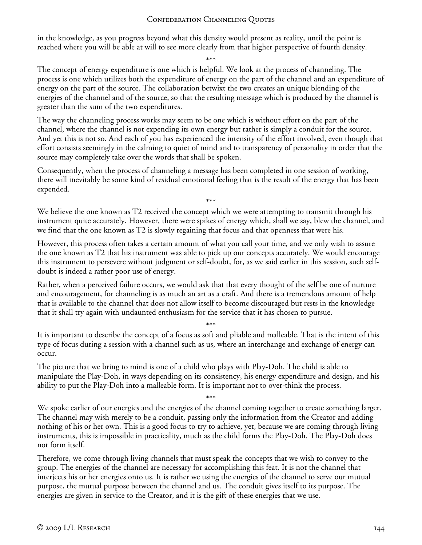in the knowledge, as you progress beyond what this density would present as reality, until the point is reached where you will be able at will to see more clearly from that higher perspective of fourth density.

\*\*\*

The concept of energy expenditure is one which is helpful. We look at the process of channeling. The process is one which utilizes both the expenditure of energy on the part of the channel and an expenditure of energy on the part of the source. The collaboration betwixt the two creates an unique blending of the energies of the channel and of the source, so that the resulting message which is produced by the channel is greater than the sum of the two expenditures.

The way the channeling process works may seem to be one which is without effort on the part of the channel, where the channel is not expending its own energy but rather is simply a conduit for the source. And yet this is not so. And each of you has experienced the intensity of the effort involved, even though that effort consists seemingly in the calming to quiet of mind and to transparency of personality in order that the source may completely take over the words that shall be spoken.

Consequently, when the process of channeling a message has been completed in one session of working, there will inevitably be some kind of residual emotional feeling that is the result of the energy that has been expended.

\*\*\* We believe the one known as T2 received the concept which we were attempting to transmit through his instrument quite accurately. However, there were spikes of energy which, shall we say, blew the channel, and we find that the one known as T2 is slowly regaining that focus and that openness that were his.

However, this process often takes a certain amount of what you call your time, and we only wish to assure the one known as T2 that his instrument was able to pick up our concepts accurately. We would encourage this instrument to persevere without judgment or self-doubt, for, as we said earlier in this session, such selfdoubt is indeed a rather poor use of energy.

Rather, when a perceived failure occurs, we would ask that that every thought of the self be one of nurture and encouragement, for channeling is as much an art as a craft. And there is a tremendous amount of help that is available to the channel that does not allow itself to become discouraged but rests in the knowledge that it shall try again with undaunted enthusiasm for the service that it has chosen to pursue.

\*\*\* It is important to describe the concept of a focus as soft and pliable and malleable. That is the intent of this type of focus during a session with a channel such as us, where an interchange and exchange of energy can occur.

The picture that we bring to mind is one of a child who plays with Play-Doh. The child is able to manipulate the Play-Doh, in ways depending on its consistency, his energy expenditure and design, and his ability to put the Play-Doh into a malleable form. It is important not to over-think the process.

\*\*\*

We spoke earlier of our energies and the energies of the channel coming together to create something larger. The channel may wish merely to be a conduit, passing only the information from the Creator and adding nothing of his or her own. This is a good focus to try to achieve, yet, because we are coming through living instruments, this is impossible in practicality, much as the child forms the Play-Doh. The Play-Doh does not form itself.

Therefore, we come through living channels that must speak the concepts that we wish to convey to the group. The energies of the channel are necessary for accomplishing this feat. It is not the channel that interjects his or her energies onto us. It is rather we using the energies of the channel to serve our mutual purpose, the mutual purpose between the channel and us. The conduit gives itself to its purpose. The energies are given in service to the Creator, and it is the gift of these energies that we use.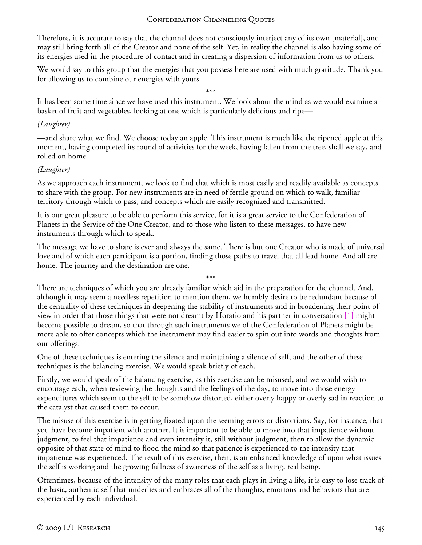Therefore, it is accurate to say that the channel does not consciously interject any of its own [material], and may still bring forth all of the Creator and none of the self. Yet, in reality the channel is also having some of its energies used in the procedure of contact and in creating a dispersion of information from us to others.

We would say to this group that the energies that you possess here are used with much gratitude. Thank you for allowing us to combine our energies with yours.

\*\*\* It has been some time since we have used this instrument. We look about the mind as we would examine a basket of fruit and vegetables, looking at one which is particularly delicious and ripe—

### *(Laughter)*

—and share what we find. We choose today an apple. This instrument is much like the ripened apple at this moment, having completed its round of activities for the week, having fallen from the tree, shall we say, and rolled on home.

## *(Laughter)*

As we approach each instrument, we look to find that which is most easily and readily available as concepts to share with the group. For new instruments are in need of fertile ground on which to walk, familiar territory through which to pass, and concepts which are easily recognized and transmitted.

It is our great pleasure to be able to perform this service, for it is a great service to the Confederation of Planets in the Service of the One Creator, and to those who listen to these messages, to have new instruments through which to speak.

The message we have to share is ever and always the same. There is but one Creator who is made of universal love and of which each participant is a portion, finding those paths to travel that all lead home. And all are home. The journey and the destination are one.

\*\*\*

There are techniques of which you are already familiar which aid in the preparation for the channel. And, although it may seem a needless repetition to mention them, we humbly desire to be redundant because of the centrality of these techniques in deepening the stability of instruments and in broadening their point of view in order that those things that were not dreamt by Horatio and his partner in conversation [1] might become possible to dream, so that through such instruments we of the Confederation of Planets might be more able to offer concepts which the instrument may find easier to spin out into words and thoughts from our offerings.

One of these techniques is entering the silence and maintaining a silence of self, and the other of these techniques is the balancing exercise. We would speak briefly of each.

Firstly, we would speak of the balancing exercise, as this exercise can be misused, and we would wish to encourage each, when reviewing the thoughts and the feelings of the day, to move into those energy expenditures which seem to the self to be somehow distorted, either overly happy or overly sad in reaction to the catalyst that caused them to occur.

The misuse of this exercise is in getting fixated upon the seeming errors or distortions. Say, for instance, that you have become impatient with another. It is important to be able to move into that impatience without judgment, to feel that impatience and even intensify it, still without judgment, then to allow the dynamic opposite of that state of mind to flood the mind so that patience is experienced to the intensity that impatience was experienced. The result of this exercise, then, is an enhanced knowledge of upon what issues the self is working and the growing fullness of awareness of the self as a living, real being.

Oftentimes, because of the intensity of the many roles that each plays in living a life, it is easy to lose track of the basic, authentic self that underlies and embraces all of the thoughts, emotions and behaviors that are experienced by each individual.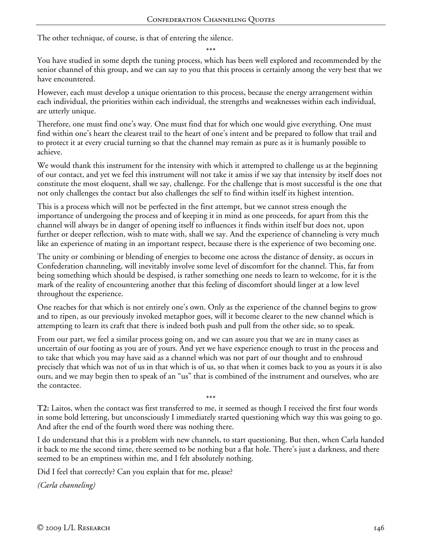The other technique, of course, is that of entering the silence.

\*\*\*

You have studied in some depth the tuning process, which has been well explored and recommended by the senior channel of this group, and we can say to you that this process is certainly among the very best that we have encountered.

However, each must develop a unique orientation to this process, because the energy arrangement within each individual, the priorities within each individual, the strengths and weaknesses within each individual, are utterly unique.

Therefore, one must find one's way. One must find that for which one would give everything. One must find within one's heart the clearest trail to the heart of one's intent and be prepared to follow that trail and to protect it at every crucial turning so that the channel may remain as pure as it is humanly possible to achieve.

We would thank this instrument for the intensity with which it attempted to challenge us at the beginning of our contact, and yet we feel this instrument will not take it amiss if we say that intensity by itself does not constitute the most eloquent, shall we say, challenge. For the challenge that is most successful is the one that not only challenges the contact but also challenges the self to find within itself its highest intention.

This is a process which will not be perfected in the first attempt, but we cannot stress enough the importance of undergoing the process and of keeping it in mind as one proceeds, for apart from this the channel will always be in danger of opening itself to influences it finds within itself but does not, upon further or deeper reflection, wish to mate with, shall we say. And the experience of channeling is very much like an experience of mating in an important respect, because there is the experience of two becoming one.

The unity or combining or blending of energies to become one across the distance of density, as occurs in Confederation channeling, will inevitably involve some level of discomfort for the channel. This, far from being something which should be despised, is rather something one needs to learn to welcome, for it is the mark of the reality of encountering another that this feeling of discomfort should linger at a low level throughout the experience.

One reaches for that which is not entirely one's own. Only as the experience of the channel begins to grow and to ripen, as our previously invoked metaphor goes, will it become clearer to the new channel which is attempting to learn its craft that there is indeed both push and pull from the other side, so to speak.

From our part, we feel a similar process going on, and we can assure you that we are in many cases as uncertain of our footing as you are of yours. And yet we have experience enough to trust in the process and to take that which you may have said as a channel which was not part of our thought and to enshroud precisely that which was not of us in that which is of us, so that when it comes back to you as yours it is also ours, and we may begin then to speak of an "us" that is combined of the instrument and ourselves, who are the contactee.

**T2:** Laitos, when the contact was first transferred to me, it seemed as though I received the first four words in some bold lettering, but unconsciously I immediately started questioning which way this was going to go. And after the end of the fourth word there was nothing there.

\*\*\*

I do understand that this is a problem with new channels, to start questioning. But then, when Carla handed it back to me the second time, there seemed to be nothing but a flat hole. There's just a darkness, and there seemed to be an emptiness within me, and I felt absolutely nothing.

Did I feel that correctly? Can you explain that for me, please?

*(Carla channeling)*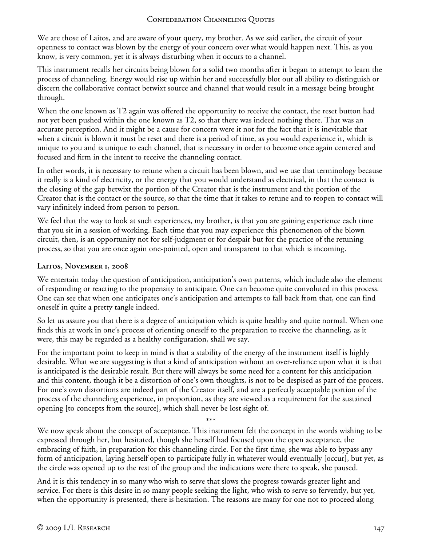We are those of Laitos, and are aware of your query, my brother. As we said earlier, the circuit of your openness to contact was blown by the energy of your concern over what would happen next. This, as you know, is very common, yet it is always disturbing when it occurs to a channel.

This instrument recalls her circuits being blown for a solid two months after it began to attempt to learn the process of channeling. Energy would rise up within her and successfully blot out all ability to distinguish or discern the collaborative contact betwixt source and channel that would result in a message being brought through.

When the one known as T2 again was offered the opportunity to receive the contact, the reset button had not yet been pushed within the one known as T2, so that there was indeed nothing there. That was an accurate perception. And it might be a cause for concern were it not for the fact that it is inevitable that when a circuit is blown it must be reset and there is a period of time, as you would experience it, which is unique to you and is unique to each channel, that is necessary in order to become once again centered and focused and firm in the intent to receive the channeling contact.

In other words, it is necessary to retune when a circuit has been blown, and we use that terminology because it really is a kind of electricity, or the energy that you would understand as electrical, in that the contact is the closing of the gap betwixt the portion of the Creator that is the instrument and the portion of the Creator that is the contact or the source, so that the time that it takes to retune and to reopen to contact will vary infinitely indeed from person to person.

We feel that the way to look at such experiences, my brother, is that you are gaining experience each time that you sit in a session of working. Each time that you may experience this phenomenon of the blown circuit, then, is an opportunity not for self-judgment or for despair but for the practice of the retuning process, so that you are once again one-pointed, open and transparent to that which is incoming.

## **Laitos, November 1, 2008**

We entertain today the question of anticipation, anticipation's own patterns, which include also the element of responding or reacting to the propensity to anticipate. One can become quite convoluted in this process. One can see that when one anticipates one's anticipation and attempts to fall back from that, one can find oneself in quite a pretty tangle indeed.

So let us assure you that there is a degree of anticipation which is quite healthy and quite normal. When one finds this at work in one's process of orienting oneself to the preparation to receive the channeling, as it were, this may be regarded as a healthy configuration, shall we say.

For the important point to keep in mind is that a stability of the energy of the instrument itself is highly desirable. What we are suggesting is that a kind of anticipation without an over-reliance upon what it is that is anticipated is the desirable result. But there will always be some need for a content for this anticipation and this content, though it be a distortion of one's own thoughts, is not to be despised as part of the process. For one's own distortions are indeed part of the Creator itself, and are a perfectly acceptable portion of the process of the channeling experience, in proportion, as they are viewed as a requirement for the sustained opening [to concepts from the source], which shall never be lost sight of.

\*\*\*

We now speak about the concept of acceptance. This instrument felt the concept in the words wishing to be expressed through her, but hesitated, though she herself had focused upon the open acceptance, the embracing of faith, in preparation for this channeling circle. For the first time, she was able to bypass any form of anticipation, laying herself open to participate fully in whatever would eventually [occur], but yet, as the circle was opened up to the rest of the group and the indications were there to speak, she paused.

And it is this tendency in so many who wish to serve that slows the progress towards greater light and service. For there is this desire in so many people seeking the light, who wish to serve so fervently, but yet, when the opportunity is presented, there is hesitation. The reasons are many for one not to proceed along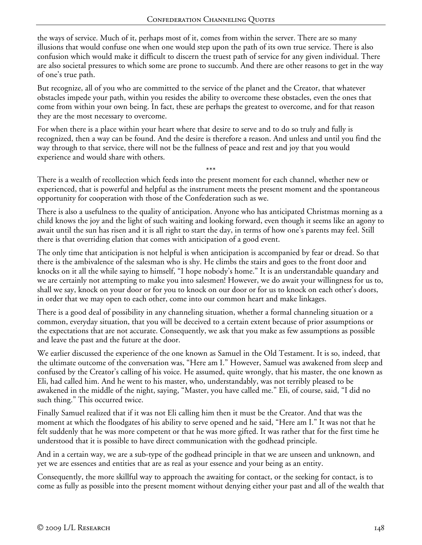the ways of service. Much of it, perhaps most of it, comes from within the server. There are so many illusions that would confuse one when one would step upon the path of its own true service. There is also confusion which would make it difficult to discern the truest path of service for any given individual. There are also societal pressures to which some are prone to succumb. And there are other reasons to get in the way of one's true path.

But recognize, all of you who are committed to the service of the planet and the Creator, that whatever obstacles impede your path, within you resides the ability to overcome these obstacles, even the ones that come from within your own being. In fact, these are perhaps the greatest to overcome, and for that reason they are the most necessary to overcome.

For when there is a place within your heart where that desire to serve and to do so truly and fully is recognized, then a way can be found. And the desire is therefore a reason. And unless and until you find the way through to that service, there will not be the fullness of peace and rest and joy that you would experience and would share with others.

\*\*\* There is a wealth of recollection which feeds into the present moment for each channel, whether new or experienced, that is powerful and helpful as the instrument meets the present moment and the spontaneous opportunity for cooperation with those of the Confederation such as we.

There is also a usefulness to the quality of anticipation. Anyone who has anticipated Christmas morning as a child knows the joy and the light of such waiting and looking forward, even though it seems like an agony to await until the sun has risen and it is all right to start the day, in terms of how one's parents may feel. Still there is that overriding elation that comes with anticipation of a good event.

The only time that anticipation is not helpful is when anticipation is accompanied by fear or dread. So that there is the ambivalence of the salesman who is shy. He climbs the stairs and goes to the front door and knocks on it all the while saying to himself, "I hope nobody's home." It is an understandable quandary and we are certainly not attempting to make you into salesmen! However, we do await your willingness for us to, shall we say, knock on your door or for you to knock on our door or for us to knock on each other's doors, in order that we may open to each other, come into our common heart and make linkages.

There is a good deal of possibility in any channeling situation, whether a formal channeling situation or a common, everyday situation, that you will be deceived to a certain extent because of prior assumptions or the expectations that are not accurate. Consequently, we ask that you make as few assumptions as possible and leave the past and the future at the door.

We earlier discussed the experience of the one known as Samuel in the Old Testament. It is so, indeed, that the ultimate outcome of the conversation was, "Here am I." However, Samuel was awakened from sleep and confused by the Creator's calling of his voice. He assumed, quite wrongly, that his master, the one known as Eli, had called him. And he went to his master, who, understandably, was not terribly pleased to be awakened in the middle of the night, saying, "Master, you have called me." Eli, of course, said, "I did no such thing." This occurred twice.

Finally Samuel realized that if it was not Eli calling him then it must be the Creator. And that was the moment at which the floodgates of his ability to serve opened and he said, "Here am I." It was not that he felt suddenly that he was more competent or that he was more gifted. It was rather that for the first time he understood that it is possible to have direct communication with the godhead principle.

And in a certain way, we are a sub-type of the godhead principle in that we are unseen and unknown, and yet we are essences and entities that are as real as your essence and your being as an entity.

Consequently, the more skillful way to approach the awaiting for contact, or the seeking for contact, is to come as fully as possible into the present moment without denying either your past and all of the wealth that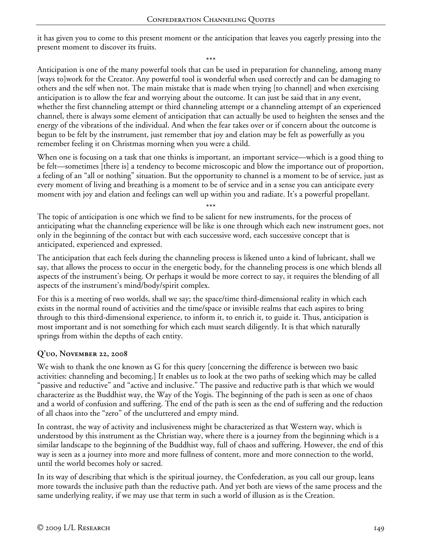it has given you to come to this present moment or the anticipation that leaves you eagerly pressing into the present moment to discover its fruits.

\*\*\*

Anticipation is one of the many powerful tools that can be used in preparation for channeling, among many [ways to]work for the Creator. Any powerful tool is wonderful when used correctly and can be damaging to others and the self when not. The main mistake that is made when trying [to channel] and when exercising anticipation is to allow the fear and worrying about the outcome. It can just be said that in any event, whether the first channeling attempt or third channeling attempt or a channeling attempt of an experienced channel, there is always some element of anticipation that can actually be used to heighten the senses and the energy of the vibrations of the individual. And when the fear takes over or if concern about the outcome is begun to be felt by the instrument, just remember that joy and elation may be felt as powerfully as you remember feeling it on Christmas morning when you were a child.

When one is focusing on a task that one thinks is important, an important service—which is a good thing to be felt—sometimes [there is] a tendency to become microscopic and blow the importance out of proportion, a feeling of an "all or nothing" situation. But the opportunity to channel is a moment to be of service, just as every moment of living and breathing is a moment to be of service and in a sense you can anticipate every moment with joy and elation and feelings can well up within you and radiate. It's a powerful propellant.

\*\*\*

The topic of anticipation is one which we find to be salient for new instruments, for the process of anticipating what the channeling experience will be like is one through which each new instrument goes, not only in the beginning of the contact but with each successive word, each successive concept that is anticipated, experienced and expressed.

The anticipation that each feels during the channeling process is likened unto a kind of lubricant, shall we say, that allows the process to occur in the energetic body, for the channeling process is one which blends all aspects of the instrument's being. Or perhaps it would be more correct to say, it requires the blending of all aspects of the instrument's mind/body/spirit complex.

For this is a meeting of two worlds, shall we say; the space/time third-dimensional reality in which each exists in the normal round of activities and the time/space or invisible realms that each aspires to bring through to this third-dimensional experience, to inform it, to enrich it, to guide it. Thus, anticipation is most important and is not something for which each must search diligently. It is that which naturally springs from within the depths of each entity.

#### **Q'uo, November 22, 2008**

We wish to thank the one known as G for this query [concerning the difference is between two basic activities: channeling and becoming.] It enables us to look at the two paths of seeking which may be called "passive and reductive" and "active and inclusive." The passive and reductive path is that which we would characterize as the Buddhist way, the Way of the Yogis. The beginning of the path is seen as one of chaos and a world of confusion and suffering. The end of the path is seen as the end of suffering and the reduction of all chaos into the "zero" of the uncluttered and empty mind.

In contrast, the way of activity and inclusiveness might be characterized as that Western way, which is understood by this instrument as the Christian way, where there is a journey from the beginning which is a similar landscape to the beginning of the Buddhist way, full of chaos and suffering. However, the end of this way is seen as a journey into more and more fullness of content, more and more connection to the world, until the world becomes holy or sacred.

In its way of describing that which is the spiritual journey, the Confederation, as you call our group, leans more towards the inclusive path than the reductive path. And yet both are views of the same process and the same underlying reality, if we may use that term in such a world of illusion as is the Creation.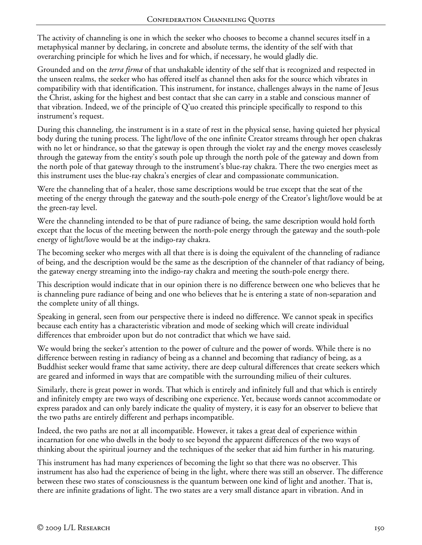The activity of channeling is one in which the seeker who chooses to become a channel secures itself in a metaphysical manner by declaring, in concrete and absolute terms, the identity of the self with that overarching principle for which he lives and for which, if necessary, he would gladly die.

Grounded and on the *terra firma* of that unshakable identity of the self that is recognized and respected in the unseen realms, the seeker who has offered itself as channel then asks for the source which vibrates in compatibility with that identification. This instrument, for instance, challenges always in the name of Jesus the Christ, asking for the highest and best contact that she can carry in a stable and conscious manner of that vibration. Indeed, we of the principle of Q'uo created this principle specifically to respond to this instrument's request.

During this channeling, the instrument is in a state of rest in the physical sense, having quieted her physical body during the tuning process. The light/love of the one infinite Creator streams through her open chakras with no let or hindrance, so that the gateway is open through the violet ray and the energy moves ceaselessly through the gateway from the entity's south pole up through the north pole of the gateway and down from the north pole of that gateway through to the instrument's blue-ray chakra. There the two energies meet as this instrument uses the blue-ray chakra's energies of clear and compassionate communication.

Were the channeling that of a healer, those same descriptions would be true except that the seat of the meeting of the energy through the gateway and the south-pole energy of the Creator's light/love would be at the green-ray level.

Were the channeling intended to be that of pure radiance of being, the same description would hold forth except that the locus of the meeting between the north-pole energy through the gateway and the south-pole energy of light/love would be at the indigo-ray chakra.

The becoming seeker who merges with all that there is is doing the equivalent of the channeling of radiance of being, and the description would be the same as the description of the channeler of that radiancy of being, the gateway energy streaming into the indigo-ray chakra and meeting the south-pole energy there.

This description would indicate that in our opinion there is no difference between one who believes that he is channeling pure radiance of being and one who believes that he is entering a state of non-separation and the complete unity of all things.

Speaking in general, seen from our perspective there is indeed no difference. We cannot speak in specifics because each entity has a characteristic vibration and mode of seeking which will create individual differences that embroider upon but do not contradict that which we have said.

We would bring the seeker's attention to the power of culture and the power of words. While there is no difference between resting in radiancy of being as a channel and becoming that radiancy of being, as a Buddhist seeker would frame that same activity, there are deep cultural differences that create seekers which are geared and informed in ways that are compatible with the surrounding milieu of their cultures.

Similarly, there is great power in words. That which is entirely and infinitely full and that which is entirely and infinitely empty are two ways of describing one experience. Yet, because words cannot accommodate or express paradox and can only barely indicate the quality of mystery, it is easy for an observer to believe that the two paths are entirely different and perhaps incompatible.

Indeed, the two paths are not at all incompatible. However, it takes a great deal of experience within incarnation for one who dwells in the body to see beyond the apparent differences of the two ways of thinking about the spiritual journey and the techniques of the seeker that aid him further in his maturing.

This instrument has had many experiences of becoming the light so that there was no observer. This instrument has also had the experience of being in the light, where there was still an observer. The difference between these two states of consciousness is the quantum between one kind of light and another. That is, there are infinite gradations of light. The two states are a very small distance apart in vibration. And in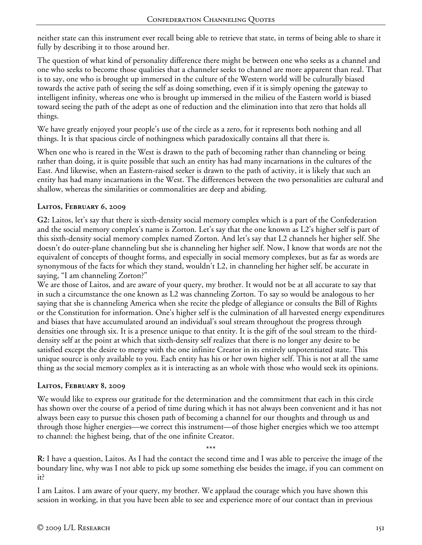neither state can this instrument ever recall being able to retrieve that state, in terms of being able to share it fully by describing it to those around her.

The question of what kind of personality difference there might be between one who seeks as a channel and one who seeks to become those qualities that a channeler seeks to channel are more apparent than real. That is to say, one who is brought up immersed in the culture of the Western world will be culturally biased towards the active path of seeing the self as doing something, even if it is simply opening the gateway to intelligent infinity, whereas one who is brought up immersed in the milieu of the Eastern world is biased toward seeing the path of the adept as one of reduction and the elimination into that zero that holds all things.

We have greatly enjoyed your people's use of the circle as a zero, for it represents both nothing and all things. It is that spacious circle of nothingness which paradoxically contains all that there is.

When one who is reared in the West is drawn to the path of becoming rather than channeling or being rather than doing, it is quite possible that such an entity has had many incarnations in the cultures of the East. And likewise, when an Eastern-raised seeker is drawn to the path of activity, it is likely that such an entity has had many incarnations in the West. The differences between the two personalities are cultural and shallow, whereas the similarities or commonalities are deep and abiding.

# **Laitos, February 6, 2009**

**G2:** Laitos, let's say that there is sixth-density social memory complex which is a part of the Confederation and the social memory complex's name is Zorton. Let's say that the one known as L2's higher self is part of this sixth-density social memory complex named Zorton. And let's say that L2 channels her higher self. She doesn't do outer-plane channeling but she is channeling her higher self. Now, I know that words are not the equivalent of concepts of thought forms, and especially in social memory complexes, but as far as words are synonymous of the facts for which they stand, wouldn't L2, in channeling her higher self, be accurate in saying, "I am channeling Zorton?"

We are those of Laitos, and are aware of your query, my brother. It would not be at all accurate to say that in such a circumstance the one known as L2 was channeling Zorton. To say so would be analogous to her saying that she is channeling America when she recite the pledge of allegiance or consults the Bill of Rights or the Constitution for information. One's higher self is the culmination of all harvested energy expenditures and biases that have accumulated around an individual's soul stream throughout the progress through densities one through six. It is a presence unique to that entity. It is the gift of the soul stream to the thirddensity self at the point at which that sixth-density self realizes that there is no longer any desire to be satisfied except the desire to merge with the one infinite Creator in its entirely unpotentiated state. This unique source is only available to you. Each entity has his or her own higher self. This is not at all the same thing as the social memory complex as it is interacting as an whole with those who would seek its opinions.

#### **Laitos, February 8, 2009**

We would like to express our gratitude for the determination and the commitment that each in this circle has shown over the course of a period of time during which it has not always been convenient and it has not always been easy to pursue this chosen path of becoming a channel for our thoughts and through us and through those higher energies—we correct this instrument—of those higher energies which we too attempt to channel: the highest being, that of the one infinite Creator.

**R:** I have a question, Laitos. As I had the contact the second time and I was able to perceive the image of the boundary line, why was I not able to pick up some something else besides the image, if you can comment on it?

\*\*\*

I am Laitos. I am aware of your query, my brother. We applaud the courage which you have shown this session in working, in that you have been able to see and experience more of our contact than in previous